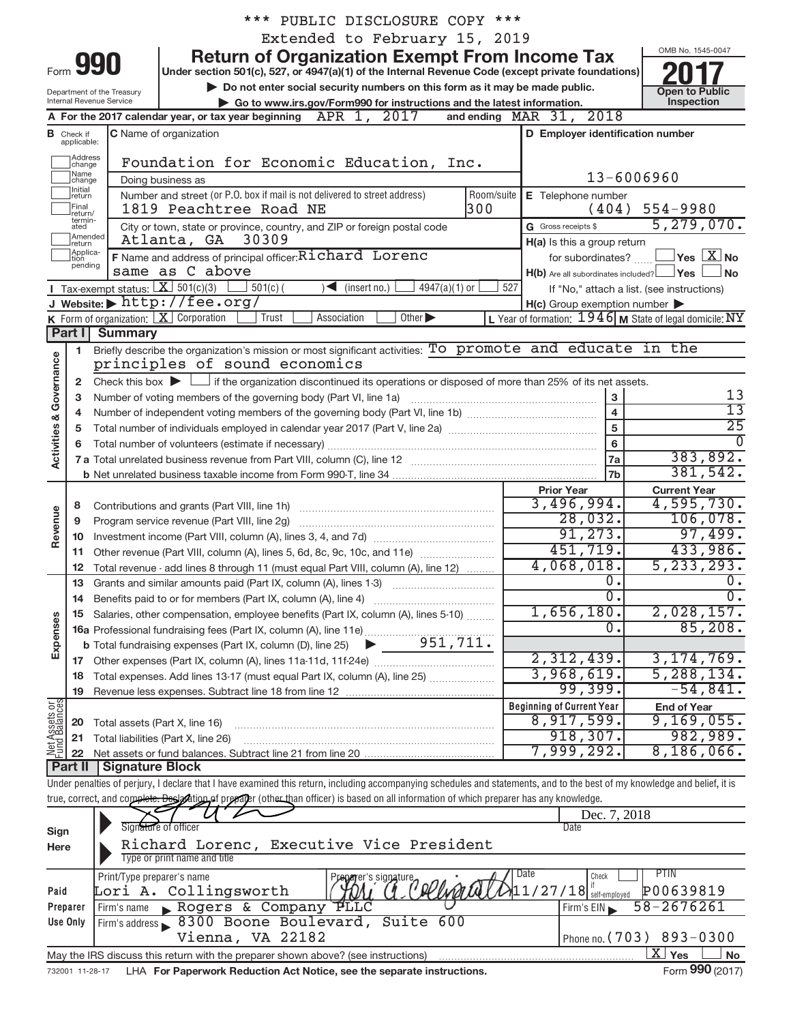|                         |                                  |                                                        | *** PUBLIC DISCLOSURE COPY ***                                                                                                                                             |                                                           |                                            |
|-------------------------|----------------------------------|--------------------------------------------------------|----------------------------------------------------------------------------------------------------------------------------------------------------------------------------|-----------------------------------------------------------|--------------------------------------------|
|                         |                                  |                                                        | Extended to February 15, 2019                                                                                                                                              |                                                           |                                            |
|                         |                                  |                                                        | <b>Return of Organization Exempt From Income Tax</b>                                                                                                                       |                                                           | OMB No. 1545-0047                          |
|                         | Form 990                         |                                                        | Under section 501(c), 527, or 4947(a)(1) of the Internal Revenue Code (except private foundations)                                                                         |                                                           |                                            |
|                         |                                  |                                                        | Do not enter social security numbers on this form as it may be made public.                                                                                                |                                                           | <b>Open to Public</b>                      |
|                         |                                  | Department of the Treasury<br>Internal Revenue Service | Go to www.irs.gov/Form990 for instructions and the latest information.                                                                                                     |                                                           | Inspection                                 |
|                         |                                  |                                                        | APR 1, 2017<br>A For the 2017 calendar year, or tax year beginning                                                                                                         | and ending MAR 31, 2018                                   |                                            |
|                         | <b>B</b> Check if<br>applicable: |                                                        | C Name of organization                                                                                                                                                     | D Employer identification number                          |                                            |
|                         | Address                          |                                                        | Foundation for Economic Education, Inc.                                                                                                                                    |                                                           |                                            |
|                         | change<br> Name                  |                                                        | Doing business as                                                                                                                                                          | 13-6006960                                                |                                            |
|                         | change]<br>Initial<br> return    |                                                        | Number and street (or P.O. box if mail is not delivered to street address)<br>Room/suite                                                                                   | E Telephone number                                        |                                            |
|                         | Final                            |                                                        | 300<br>1819 Peachtree Road NE                                                                                                                                              | (404)                                                     | $554 - 9980$                               |
|                         | lreturn/<br>termin-<br>ated      |                                                        | City or town, state or province, country, and ZIP or foreign postal code                                                                                                   | G Gross receipts \$                                       | 5, 279, 070.                               |
|                         | Amended<br>Ireturn               |                                                        | Atlanta, GA 30309                                                                                                                                                          | H(a) Is this a group return                               |                                            |
|                         | Applica-<br>Ition                |                                                        | F Name and address of principal officer: Richard Lorenc                                                                                                                    | for subordinates?                                         | $\Box$ Yes $\boxed{\text{X}}$ No           |
|                         | pending                          |                                                        | same as C above                                                                                                                                                            | $H(b)$ Are all subordinates included? $\Box$ Yes $\Box$   | ∫No                                        |
|                         |                                  |                                                        | <b>I</b> Tax-exempt status: $X \ 501(c)(3)$<br>$\leq$ (insert no.)<br>$4947(a)(1)$ or<br>$501(c)$ (<br>527                                                                 |                                                           | If "No," attach a list. (see instructions) |
|                         |                                  |                                                        | J Website: $\blacktriangleright$ http://fee.org/                                                                                                                           | $H(c)$ Group exemption number $\blacktriangleright$       |                                            |
|                         |                                  |                                                        | K Form of organization: $X$ Corporation<br>Other $\blacktriangleright$<br>Trust<br>Association                                                                             | L Year of formation: $1946$ M State of legal domicile: NY |                                            |
|                         | Part I                           | <b>Summary</b>                                         |                                                                                                                                                                            |                                                           |                                            |
|                         | $\blacksquare$                   |                                                        | Briefly describe the organization's mission or most significant activities: To promote and educate in the                                                                  |                                                           |                                            |
|                         |                                  |                                                        | principles of sound economics                                                                                                                                              |                                                           |                                            |
|                         | $\mathbf{2}$                     |                                                        | Check this box $\blacktriangleright$ $\Box$ if the organization discontinued its operations or disposed of more than 25% of its net assets.                                |                                                           |                                            |
|                         | з                                |                                                        | Number of voting members of the governing body (Part VI, line 1a)                                                                                                          | $\mathbf{3}$                                              | 13                                         |
|                         | 4                                |                                                        |                                                                                                                                                                            | $\overline{\mathbf{4}}$                                   | $\overline{13}$                            |
|                         | 5                                |                                                        |                                                                                                                                                                            | $\overline{5}$                                            | $\overline{25}$                            |
| Activities & Governance | 6                                |                                                        |                                                                                                                                                                            | $6\phantom{a}$                                            |                                            |
|                         |                                  |                                                        |                                                                                                                                                                            | 7a                                                        | 383,892.                                   |
|                         |                                  |                                                        |                                                                                                                                                                            | <b>7b</b>                                                 | 381,542.                                   |
|                         |                                  |                                                        |                                                                                                                                                                            | <b>Prior Year</b>                                         | <b>Current Year</b>                        |
|                         | 8                                |                                                        | Contributions and grants (Part VIII, line 1h)                                                                                                                              | 3,496,994.                                                | 4,595,730.                                 |
| Revenue                 | 9                                |                                                        | Program service revenue (Part VIII, line 2g)                                                                                                                               | 28,032.                                                   | 106,078.                                   |
|                         |                                  |                                                        |                                                                                                                                                                            | 91, 273.                                                  | 97,499.                                    |
|                         | 11                               |                                                        | Other revenue (Part VIII, column (A), lines 5, 6d, 8c, 9c, 10c, and 11e)                                                                                                   | 451,719.                                                  | 433,986.                                   |
|                         | 12                               |                                                        | Total revenue - add lines 8 through 11 (must equal Part VIII, column (A), line 12)                                                                                         | 4,068,018.                                                | 5, 233, 293.                               |
|                         |                                  |                                                        | 13 Grants and similar amounts paid (Part IX, column (A), lines 1-3)                                                                                                        | 0.                                                        | 0.                                         |
|                         | 14                               |                                                        |                                                                                                                                                                            | 0.                                                        | $0 \cdot$                                  |
|                         | 15                               |                                                        | Salaries, other compensation, employee benefits (Part IX, column (A), lines 5-10)                                                                                          | 1,656,180.<br>0.                                          | 2,028,157.<br>85,208.                      |
|                         |                                  |                                                        |                                                                                                                                                                            |                                                           |                                            |
| Expenses                |                                  |                                                        |                                                                                                                                                                            | 2,312,439.                                                | 3, 174, 769.                               |
|                         |                                  |                                                        |                                                                                                                                                                            | 3,968,619.                                                | 5, 288, 134.                               |
|                         | 18                               |                                                        | Total expenses. Add lines 13-17 (must equal Part IX, column (A), line 25) <i></i>                                                                                          | 99,399.                                                   | $-54,841.$                                 |
|                         | 19                               |                                                        |                                                                                                                                                                            | <b>Beginning of Current Year</b>                          | <b>End of Year</b>                         |
| Net Assets or           |                                  |                                                        | 20 Total assets (Part X, line 16)                                                                                                                                          | 8,917,599.                                                | 9,169,055.                                 |
|                         | 21                               |                                                        | Total liabilities (Part X, line 26)                                                                                                                                        | 918, 307.                                                 | 982,989.                                   |
|                         |                                  |                                                        |                                                                                                                                                                            | 7,999,292.                                                | 8,186,066.                                 |
|                         |                                  | <b>Part II   Signature Block</b>                       |                                                                                                                                                                            |                                                           |                                            |
|                         |                                  |                                                        | Under penalties of perjury, I declare that I have examined this return, including accompanying schedules and statements, and to the best of my knowledge and belief, it is |                                                           |                                            |
|                         |                                  |                                                        | true, correct, and complete. Desigotion of prevaler (other than officer) is based on all information of which preparer has any knowledge.                                  |                                                           |                                            |
|                         |                                  |                                                        |                                                                                                                                                                            | Dec. 7, 2018                                              |                                            |
| Sign                    |                                  |                                                        | Signature of officer                                                                                                                                                       | <b>Date</b>                                               |                                            |
| Here                    |                                  |                                                        | Richard Lorenc, Executive Vice President                                                                                                                                   |                                                           |                                            |
|                         |                                  |                                                        | Type or print name and title                                                                                                                                               |                                                           |                                            |
|                         |                                  | Print/Type preparer's name                             | Preparer's signature pollupide                                                                                                                                             | Date<br>Check                                             | PTIN                                       |
| Paid                    |                                  |                                                        | Lori A. Collingsworth                                                                                                                                                      | $11/27/18$ self-employed                                  | P00639819                                  |
|                         | Preparer                         | Firm's name                                            | <b>ALTG</b><br>Rogers & Company                                                                                                                                            | Firm's EIN                                                | 58-2676261                                 |
|                         | Use Only                         |                                                        | 600<br>Firm's address 8300 Boone Boulevard, Suite                                                                                                                          |                                                           |                                            |
|                         |                                  |                                                        | 177 22182<br>$V^{\dagger}$ on $\theta$                                                                                                                                     |                                                           | $Dhence no (703) 803 - 0300$               |

732001 11-28-17 LHA For Paperwork Reduction Act Notice, see the separate instructions. Form 990 (2017) May the IRS discuss this return with the preparer shown above? (see instructions)

Vienna, VA 22182

 $\boxed{\text{X}}$  Yes  $\boxed{\phantom{0}}$ 

 $\overline{\text{X}}$ 

Phone no.

82 Phone no. (703) 893-0300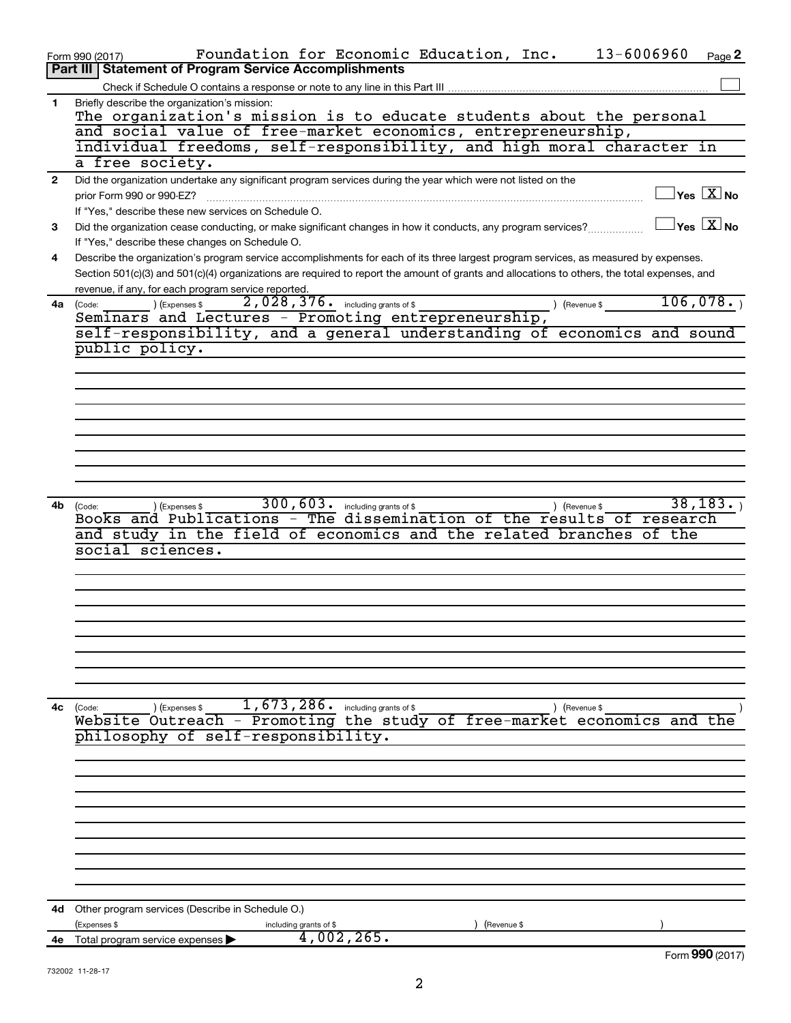| <b>Statement of Program Service Accomplishments</b><br>Part III<br>Briefly describe the organization's mission:<br>1<br>The organization's mission is to educate students about the personal<br>and social value of free-market economics, entrepreneurship,<br>individual freedoms, self-responsibility, and high moral character in<br>a free society.<br>Did the organization undertake any significant program services during the year which were not listed on the<br>$\mathbf{2}$<br>$\sqrt{\mathsf{Yes}\ \mathbf{X}}$ No<br>prior Form 990 or 990-EZ?<br>If "Yes," describe these new services on Schedule O.<br>$\overline{\ }$ Yes $\overline{\ \ X}$ No<br>Did the organization cease conducting, or make significant changes in how it conducts, any program services?<br>3<br>If "Yes," describe these changes on Schedule O.<br>Describe the organization's program service accomplishments for each of its three largest program services, as measured by expenses.<br>4<br>Section 501(c)(3) and 501(c)(4) organizations are required to report the amount of grants and allocations to others, the total expenses, and<br>revenue, if any, for each program service reported.<br>106,078.<br>$2,028,376$ $\cdot$ including grants of \$<br>) (Expenses \$<br>) (Revenue \$<br>4a (Code:<br>Seminars and Lectures - Promoting entrepreneurship,<br>self-responsibility, and a general understanding of economics and sound<br>public policy.<br>300, 603. including grants of \$<br>38, 183.<br>4b<br>(Expenses \$<br>) (Revenue \$<br>(Code:<br>Books and Publications - The dissemination of the results of research<br>and study in the field of economics and the related branches<br>of the<br>social sciences.<br>$1,673,286$ . including grants of \$<br>4с<br>(Code:<br>(Expenses \$<br>) (Revenue \$<br>Website Outreach - Promoting the study of free-market economics and the<br>philosophy of self-responsibility.<br>Other program services (Describe in Schedule O.)<br>4d<br>(Expenses \$<br>(Revenue \$<br>including grants of \$<br>4,002,265.<br>Total program service expenses<br>4е<br>Form 990 (2017) | 13-6006960<br>Foundation for Economic Education, Inc.<br>Page 2<br>Form 990 (2017) |
|--------------------------------------------------------------------------------------------------------------------------------------------------------------------------------------------------------------------------------------------------------------------------------------------------------------------------------------------------------------------------------------------------------------------------------------------------------------------------------------------------------------------------------------------------------------------------------------------------------------------------------------------------------------------------------------------------------------------------------------------------------------------------------------------------------------------------------------------------------------------------------------------------------------------------------------------------------------------------------------------------------------------------------------------------------------------------------------------------------------------------------------------------------------------------------------------------------------------------------------------------------------------------------------------------------------------------------------------------------------------------------------------------------------------------------------------------------------------------------------------------------------------------------------------------------------------------------------------------------------------------------------------------------------------------------------------------------------------------------------------------------------------------------------------------------------------------------------------------------------------------------------------------------------------------------------------------------------------------------------------------------------------------------------------------------------------------------------------------------------------------------------------|------------------------------------------------------------------------------------|
|                                                                                                                                                                                                                                                                                                                                                                                                                                                                                                                                                                                                                                                                                                                                                                                                                                                                                                                                                                                                                                                                                                                                                                                                                                                                                                                                                                                                                                                                                                                                                                                                                                                                                                                                                                                                                                                                                                                                                                                                                                                                                                                                            |                                                                                    |
|                                                                                                                                                                                                                                                                                                                                                                                                                                                                                                                                                                                                                                                                                                                                                                                                                                                                                                                                                                                                                                                                                                                                                                                                                                                                                                                                                                                                                                                                                                                                                                                                                                                                                                                                                                                                                                                                                                                                                                                                                                                                                                                                            |                                                                                    |
|                                                                                                                                                                                                                                                                                                                                                                                                                                                                                                                                                                                                                                                                                                                                                                                                                                                                                                                                                                                                                                                                                                                                                                                                                                                                                                                                                                                                                                                                                                                                                                                                                                                                                                                                                                                                                                                                                                                                                                                                                                                                                                                                            |                                                                                    |
|                                                                                                                                                                                                                                                                                                                                                                                                                                                                                                                                                                                                                                                                                                                                                                                                                                                                                                                                                                                                                                                                                                                                                                                                                                                                                                                                                                                                                                                                                                                                                                                                                                                                                                                                                                                                                                                                                                                                                                                                                                                                                                                                            |                                                                                    |
|                                                                                                                                                                                                                                                                                                                                                                                                                                                                                                                                                                                                                                                                                                                                                                                                                                                                                                                                                                                                                                                                                                                                                                                                                                                                                                                                                                                                                                                                                                                                                                                                                                                                                                                                                                                                                                                                                                                                                                                                                                                                                                                                            |                                                                                    |
|                                                                                                                                                                                                                                                                                                                                                                                                                                                                                                                                                                                                                                                                                                                                                                                                                                                                                                                                                                                                                                                                                                                                                                                                                                                                                                                                                                                                                                                                                                                                                                                                                                                                                                                                                                                                                                                                                                                                                                                                                                                                                                                                            |                                                                                    |
|                                                                                                                                                                                                                                                                                                                                                                                                                                                                                                                                                                                                                                                                                                                                                                                                                                                                                                                                                                                                                                                                                                                                                                                                                                                                                                                                                                                                                                                                                                                                                                                                                                                                                                                                                                                                                                                                                                                                                                                                                                                                                                                                            |                                                                                    |
|                                                                                                                                                                                                                                                                                                                                                                                                                                                                                                                                                                                                                                                                                                                                                                                                                                                                                                                                                                                                                                                                                                                                                                                                                                                                                                                                                                                                                                                                                                                                                                                                                                                                                                                                                                                                                                                                                                                                                                                                                                                                                                                                            |                                                                                    |
|                                                                                                                                                                                                                                                                                                                                                                                                                                                                                                                                                                                                                                                                                                                                                                                                                                                                                                                                                                                                                                                                                                                                                                                                                                                                                                                                                                                                                                                                                                                                                                                                                                                                                                                                                                                                                                                                                                                                                                                                                                                                                                                                            |                                                                                    |
|                                                                                                                                                                                                                                                                                                                                                                                                                                                                                                                                                                                                                                                                                                                                                                                                                                                                                                                                                                                                                                                                                                                                                                                                                                                                                                                                                                                                                                                                                                                                                                                                                                                                                                                                                                                                                                                                                                                                                                                                                                                                                                                                            |                                                                                    |
|                                                                                                                                                                                                                                                                                                                                                                                                                                                                                                                                                                                                                                                                                                                                                                                                                                                                                                                                                                                                                                                                                                                                                                                                                                                                                                                                                                                                                                                                                                                                                                                                                                                                                                                                                                                                                                                                                                                                                                                                                                                                                                                                            |                                                                                    |
|                                                                                                                                                                                                                                                                                                                                                                                                                                                                                                                                                                                                                                                                                                                                                                                                                                                                                                                                                                                                                                                                                                                                                                                                                                                                                                                                                                                                                                                                                                                                                                                                                                                                                                                                                                                                                                                                                                                                                                                                                                                                                                                                            |                                                                                    |
|                                                                                                                                                                                                                                                                                                                                                                                                                                                                                                                                                                                                                                                                                                                                                                                                                                                                                                                                                                                                                                                                                                                                                                                                                                                                                                                                                                                                                                                                                                                                                                                                                                                                                                                                                                                                                                                                                                                                                                                                                                                                                                                                            |                                                                                    |
|                                                                                                                                                                                                                                                                                                                                                                                                                                                                                                                                                                                                                                                                                                                                                                                                                                                                                                                                                                                                                                                                                                                                                                                                                                                                                                                                                                                                                                                                                                                                                                                                                                                                                                                                                                                                                                                                                                                                                                                                                                                                                                                                            |                                                                                    |
|                                                                                                                                                                                                                                                                                                                                                                                                                                                                                                                                                                                                                                                                                                                                                                                                                                                                                                                                                                                                                                                                                                                                                                                                                                                                                                                                                                                                                                                                                                                                                                                                                                                                                                                                                                                                                                                                                                                                                                                                                                                                                                                                            |                                                                                    |
|                                                                                                                                                                                                                                                                                                                                                                                                                                                                                                                                                                                                                                                                                                                                                                                                                                                                                                                                                                                                                                                                                                                                                                                                                                                                                                                                                                                                                                                                                                                                                                                                                                                                                                                                                                                                                                                                                                                                                                                                                                                                                                                                            |                                                                                    |
|                                                                                                                                                                                                                                                                                                                                                                                                                                                                                                                                                                                                                                                                                                                                                                                                                                                                                                                                                                                                                                                                                                                                                                                                                                                                                                                                                                                                                                                                                                                                                                                                                                                                                                                                                                                                                                                                                                                                                                                                                                                                                                                                            |                                                                                    |
|                                                                                                                                                                                                                                                                                                                                                                                                                                                                                                                                                                                                                                                                                                                                                                                                                                                                                                                                                                                                                                                                                                                                                                                                                                                                                                                                                                                                                                                                                                                                                                                                                                                                                                                                                                                                                                                                                                                                                                                                                                                                                                                                            |                                                                                    |
|                                                                                                                                                                                                                                                                                                                                                                                                                                                                                                                                                                                                                                                                                                                                                                                                                                                                                                                                                                                                                                                                                                                                                                                                                                                                                                                                                                                                                                                                                                                                                                                                                                                                                                                                                                                                                                                                                                                                                                                                                                                                                                                                            |                                                                                    |
|                                                                                                                                                                                                                                                                                                                                                                                                                                                                                                                                                                                                                                                                                                                                                                                                                                                                                                                                                                                                                                                                                                                                                                                                                                                                                                                                                                                                                                                                                                                                                                                                                                                                                                                                                                                                                                                                                                                                                                                                                                                                                                                                            |                                                                                    |
|                                                                                                                                                                                                                                                                                                                                                                                                                                                                                                                                                                                                                                                                                                                                                                                                                                                                                                                                                                                                                                                                                                                                                                                                                                                                                                                                                                                                                                                                                                                                                                                                                                                                                                                                                                                                                                                                                                                                                                                                                                                                                                                                            |                                                                                    |
|                                                                                                                                                                                                                                                                                                                                                                                                                                                                                                                                                                                                                                                                                                                                                                                                                                                                                                                                                                                                                                                                                                                                                                                                                                                                                                                                                                                                                                                                                                                                                                                                                                                                                                                                                                                                                                                                                                                                                                                                                                                                                                                                            |                                                                                    |
|                                                                                                                                                                                                                                                                                                                                                                                                                                                                                                                                                                                                                                                                                                                                                                                                                                                                                                                                                                                                                                                                                                                                                                                                                                                                                                                                                                                                                                                                                                                                                                                                                                                                                                                                                                                                                                                                                                                                                                                                                                                                                                                                            |                                                                                    |
|                                                                                                                                                                                                                                                                                                                                                                                                                                                                                                                                                                                                                                                                                                                                                                                                                                                                                                                                                                                                                                                                                                                                                                                                                                                                                                                                                                                                                                                                                                                                                                                                                                                                                                                                                                                                                                                                                                                                                                                                                                                                                                                                            |                                                                                    |
|                                                                                                                                                                                                                                                                                                                                                                                                                                                                                                                                                                                                                                                                                                                                                                                                                                                                                                                                                                                                                                                                                                                                                                                                                                                                                                                                                                                                                                                                                                                                                                                                                                                                                                                                                                                                                                                                                                                                                                                                                                                                                                                                            |                                                                                    |
|                                                                                                                                                                                                                                                                                                                                                                                                                                                                                                                                                                                                                                                                                                                                                                                                                                                                                                                                                                                                                                                                                                                                                                                                                                                                                                                                                                                                                                                                                                                                                                                                                                                                                                                                                                                                                                                                                                                                                                                                                                                                                                                                            |                                                                                    |
|                                                                                                                                                                                                                                                                                                                                                                                                                                                                                                                                                                                                                                                                                                                                                                                                                                                                                                                                                                                                                                                                                                                                                                                                                                                                                                                                                                                                                                                                                                                                                                                                                                                                                                                                                                                                                                                                                                                                                                                                                                                                                                                                            |                                                                                    |
|                                                                                                                                                                                                                                                                                                                                                                                                                                                                                                                                                                                                                                                                                                                                                                                                                                                                                                                                                                                                                                                                                                                                                                                                                                                                                                                                                                                                                                                                                                                                                                                                                                                                                                                                                                                                                                                                                                                                                                                                                                                                                                                                            |                                                                                    |
|                                                                                                                                                                                                                                                                                                                                                                                                                                                                                                                                                                                                                                                                                                                                                                                                                                                                                                                                                                                                                                                                                                                                                                                                                                                                                                                                                                                                                                                                                                                                                                                                                                                                                                                                                                                                                                                                                                                                                                                                                                                                                                                                            |                                                                                    |
|                                                                                                                                                                                                                                                                                                                                                                                                                                                                                                                                                                                                                                                                                                                                                                                                                                                                                                                                                                                                                                                                                                                                                                                                                                                                                                                                                                                                                                                                                                                                                                                                                                                                                                                                                                                                                                                                                                                                                                                                                                                                                                                                            |                                                                                    |
|                                                                                                                                                                                                                                                                                                                                                                                                                                                                                                                                                                                                                                                                                                                                                                                                                                                                                                                                                                                                                                                                                                                                                                                                                                                                                                                                                                                                                                                                                                                                                                                                                                                                                                                                                                                                                                                                                                                                                                                                                                                                                                                                            |                                                                                    |
|                                                                                                                                                                                                                                                                                                                                                                                                                                                                                                                                                                                                                                                                                                                                                                                                                                                                                                                                                                                                                                                                                                                                                                                                                                                                                                                                                                                                                                                                                                                                                                                                                                                                                                                                                                                                                                                                                                                                                                                                                                                                                                                                            |                                                                                    |
|                                                                                                                                                                                                                                                                                                                                                                                                                                                                                                                                                                                                                                                                                                                                                                                                                                                                                                                                                                                                                                                                                                                                                                                                                                                                                                                                                                                                                                                                                                                                                                                                                                                                                                                                                                                                                                                                                                                                                                                                                                                                                                                                            |                                                                                    |
|                                                                                                                                                                                                                                                                                                                                                                                                                                                                                                                                                                                                                                                                                                                                                                                                                                                                                                                                                                                                                                                                                                                                                                                                                                                                                                                                                                                                                                                                                                                                                                                                                                                                                                                                                                                                                                                                                                                                                                                                                                                                                                                                            |                                                                                    |
|                                                                                                                                                                                                                                                                                                                                                                                                                                                                                                                                                                                                                                                                                                                                                                                                                                                                                                                                                                                                                                                                                                                                                                                                                                                                                                                                                                                                                                                                                                                                                                                                                                                                                                                                                                                                                                                                                                                                                                                                                                                                                                                                            |                                                                                    |
|                                                                                                                                                                                                                                                                                                                                                                                                                                                                                                                                                                                                                                                                                                                                                                                                                                                                                                                                                                                                                                                                                                                                                                                                                                                                                                                                                                                                                                                                                                                                                                                                                                                                                                                                                                                                                                                                                                                                                                                                                                                                                                                                            |                                                                                    |
|                                                                                                                                                                                                                                                                                                                                                                                                                                                                                                                                                                                                                                                                                                                                                                                                                                                                                                                                                                                                                                                                                                                                                                                                                                                                                                                                                                                                                                                                                                                                                                                                                                                                                                                                                                                                                                                                                                                                                                                                                                                                                                                                            |                                                                                    |
|                                                                                                                                                                                                                                                                                                                                                                                                                                                                                                                                                                                                                                                                                                                                                                                                                                                                                                                                                                                                                                                                                                                                                                                                                                                                                                                                                                                                                                                                                                                                                                                                                                                                                                                                                                                                                                                                                                                                                                                                                                                                                                                                            |                                                                                    |
|                                                                                                                                                                                                                                                                                                                                                                                                                                                                                                                                                                                                                                                                                                                                                                                                                                                                                                                                                                                                                                                                                                                                                                                                                                                                                                                                                                                                                                                                                                                                                                                                                                                                                                                                                                                                                                                                                                                                                                                                                                                                                                                                            |                                                                                    |
|                                                                                                                                                                                                                                                                                                                                                                                                                                                                                                                                                                                                                                                                                                                                                                                                                                                                                                                                                                                                                                                                                                                                                                                                                                                                                                                                                                                                                                                                                                                                                                                                                                                                                                                                                                                                                                                                                                                                                                                                                                                                                                                                            |                                                                                    |
|                                                                                                                                                                                                                                                                                                                                                                                                                                                                                                                                                                                                                                                                                                                                                                                                                                                                                                                                                                                                                                                                                                                                                                                                                                                                                                                                                                                                                                                                                                                                                                                                                                                                                                                                                                                                                                                                                                                                                                                                                                                                                                                                            |                                                                                    |
|                                                                                                                                                                                                                                                                                                                                                                                                                                                                                                                                                                                                                                                                                                                                                                                                                                                                                                                                                                                                                                                                                                                                                                                                                                                                                                                                                                                                                                                                                                                                                                                                                                                                                                                                                                                                                                                                                                                                                                                                                                                                                                                                            |                                                                                    |
|                                                                                                                                                                                                                                                                                                                                                                                                                                                                                                                                                                                                                                                                                                                                                                                                                                                                                                                                                                                                                                                                                                                                                                                                                                                                                                                                                                                                                                                                                                                                                                                                                                                                                                                                                                                                                                                                                                                                                                                                                                                                                                                                            |                                                                                    |
|                                                                                                                                                                                                                                                                                                                                                                                                                                                                                                                                                                                                                                                                                                                                                                                                                                                                                                                                                                                                                                                                                                                                                                                                                                                                                                                                                                                                                                                                                                                                                                                                                                                                                                                                                                                                                                                                                                                                                                                                                                                                                                                                            |                                                                                    |
|                                                                                                                                                                                                                                                                                                                                                                                                                                                                                                                                                                                                                                                                                                                                                                                                                                                                                                                                                                                                                                                                                                                                                                                                                                                                                                                                                                                                                                                                                                                                                                                                                                                                                                                                                                                                                                                                                                                                                                                                                                                                                                                                            |                                                                                    |
|                                                                                                                                                                                                                                                                                                                                                                                                                                                                                                                                                                                                                                                                                                                                                                                                                                                                                                                                                                                                                                                                                                                                                                                                                                                                                                                                                                                                                                                                                                                                                                                                                                                                                                                                                                                                                                                                                                                                                                                                                                                                                                                                            |                                                                                    |
|                                                                                                                                                                                                                                                                                                                                                                                                                                                                                                                                                                                                                                                                                                                                                                                                                                                                                                                                                                                                                                                                                                                                                                                                                                                                                                                                                                                                                                                                                                                                                                                                                                                                                                                                                                                                                                                                                                                                                                                                                                                                                                                                            |                                                                                    |
|                                                                                                                                                                                                                                                                                                                                                                                                                                                                                                                                                                                                                                                                                                                                                                                                                                                                                                                                                                                                                                                                                                                                                                                                                                                                                                                                                                                                                                                                                                                                                                                                                                                                                                                                                                                                                                                                                                                                                                                                                                                                                                                                            |                                                                                    |
|                                                                                                                                                                                                                                                                                                                                                                                                                                                                                                                                                                                                                                                                                                                                                                                                                                                                                                                                                                                                                                                                                                                                                                                                                                                                                                                                                                                                                                                                                                                                                                                                                                                                                                                                                                                                                                                                                                                                                                                                                                                                                                                                            |                                                                                    |
|                                                                                                                                                                                                                                                                                                                                                                                                                                                                                                                                                                                                                                                                                                                                                                                                                                                                                                                                                                                                                                                                                                                                                                                                                                                                                                                                                                                                                                                                                                                                                                                                                                                                                                                                                                                                                                                                                                                                                                                                                                                                                                                                            |                                                                                    |
|                                                                                                                                                                                                                                                                                                                                                                                                                                                                                                                                                                                                                                                                                                                                                                                                                                                                                                                                                                                                                                                                                                                                                                                                                                                                                                                                                                                                                                                                                                                                                                                                                                                                                                                                                                                                                                                                                                                                                                                                                                                                                                                                            |                                                                                    |
|                                                                                                                                                                                                                                                                                                                                                                                                                                                                                                                                                                                                                                                                                                                                                                                                                                                                                                                                                                                                                                                                                                                                                                                                                                                                                                                                                                                                                                                                                                                                                                                                                                                                                                                                                                                                                                                                                                                                                                                                                                                                                                                                            |                                                                                    |
|                                                                                                                                                                                                                                                                                                                                                                                                                                                                                                                                                                                                                                                                                                                                                                                                                                                                                                                                                                                                                                                                                                                                                                                                                                                                                                                                                                                                                                                                                                                                                                                                                                                                                                                                                                                                                                                                                                                                                                                                                                                                                                                                            |                                                                                    |
|                                                                                                                                                                                                                                                                                                                                                                                                                                                                                                                                                                                                                                                                                                                                                                                                                                                                                                                                                                                                                                                                                                                                                                                                                                                                                                                                                                                                                                                                                                                                                                                                                                                                                                                                                                                                                                                                                                                                                                                                                                                                                                                                            |                                                                                    |
|                                                                                                                                                                                                                                                                                                                                                                                                                                                                                                                                                                                                                                                                                                                                                                                                                                                                                                                                                                                                                                                                                                                                                                                                                                                                                                                                                                                                                                                                                                                                                                                                                                                                                                                                                                                                                                                                                                                                                                                                                                                                                                                                            |                                                                                    |
|                                                                                                                                                                                                                                                                                                                                                                                                                                                                                                                                                                                                                                                                                                                                                                                                                                                                                                                                                                                                                                                                                                                                                                                                                                                                                                                                                                                                                                                                                                                                                                                                                                                                                                                                                                                                                                                                                                                                                                                                                                                                                                                                            |                                                                                    |
|                                                                                                                                                                                                                                                                                                                                                                                                                                                                                                                                                                                                                                                                                                                                                                                                                                                                                                                                                                                                                                                                                                                                                                                                                                                                                                                                                                                                                                                                                                                                                                                                                                                                                                                                                                                                                                                                                                                                                                                                                                                                                                                                            |                                                                                    |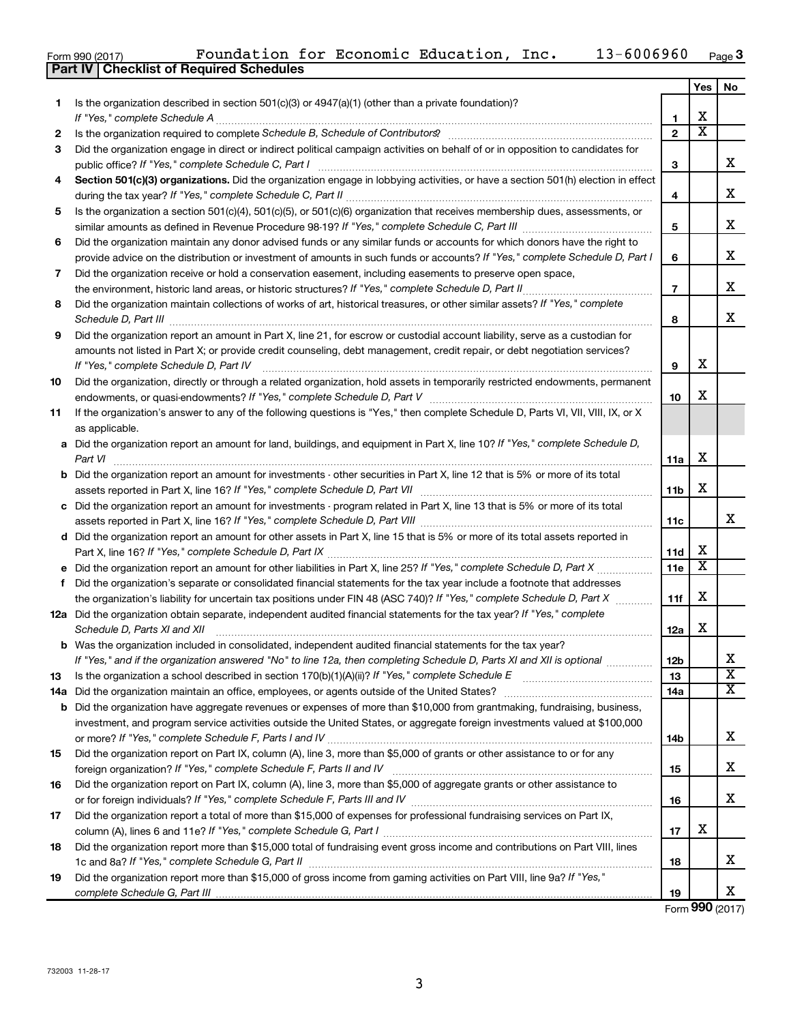|  | Form 990 (2017) |
|--|-----------------|

|     |                                                                                                                                                                                                                                                                                                                                                                     |                | Yes                   | No                           |
|-----|---------------------------------------------------------------------------------------------------------------------------------------------------------------------------------------------------------------------------------------------------------------------------------------------------------------------------------------------------------------------|----------------|-----------------------|------------------------------|
| 1.  | Is the organization described in section 501(c)(3) or $4947(a)(1)$ (other than a private foundation)?                                                                                                                                                                                                                                                               |                |                       |                              |
|     |                                                                                                                                                                                                                                                                                                                                                                     | 1              | x                     |                              |
| 2   | Is the organization required to complete Schedule B, Schedule of Contributors? [111] [12] the organization required to complete Schedule B, Schedule of Contributors?                                                                                                                                                                                               | $\mathbf{2}$   | $\overline{\text{x}}$ |                              |
| 3   | Did the organization engage in direct or indirect political campaign activities on behalf of or in opposition to candidates for                                                                                                                                                                                                                                     | 3              |                       | x                            |
| 4   | Section 501(c)(3) organizations. Did the organization engage in lobbying activities, or have a section 501(h) election in effect                                                                                                                                                                                                                                    |                |                       |                              |
|     |                                                                                                                                                                                                                                                                                                                                                                     | 4              |                       | х                            |
| 5   | Is the organization a section 501(c)(4), 501(c)(5), or 501(c)(6) organization that receives membership dues, assessments, or                                                                                                                                                                                                                                        |                |                       |                              |
|     |                                                                                                                                                                                                                                                                                                                                                                     | 5              |                       | x                            |
| 6   | Did the organization maintain any donor advised funds or any similar funds or accounts for which donors have the right to                                                                                                                                                                                                                                           |                |                       |                              |
|     | provide advice on the distribution or investment of amounts in such funds or accounts? If "Yes," complete Schedule D, Part I                                                                                                                                                                                                                                        | 6              |                       | x                            |
| 7   | Did the organization receive or hold a conservation easement, including easements to preserve open space,                                                                                                                                                                                                                                                           |                |                       |                              |
|     |                                                                                                                                                                                                                                                                                                                                                                     | $\overline{7}$ |                       | x                            |
| 8   | Did the organization maintain collections of works of art, historical treasures, or other similar assets? If "Yes," complete<br>Schedule D, Part III <b>Martin Communication</b> Contract of the Contract of the Contract of Contract of Contract of Contract of Contract of Contract of Contract of Contract of Contract of Contract of Contract of Contract of Co | 8              |                       | x                            |
| 9   | Did the organization report an amount in Part X, line 21, for escrow or custodial account liability, serve as a custodian for                                                                                                                                                                                                                                       |                |                       |                              |
|     | amounts not listed in Part X; or provide credit counseling, debt management, credit repair, or debt negotiation services?                                                                                                                                                                                                                                           |                |                       |                              |
|     | If "Yes," complete Schedule D, Part IV                                                                                                                                                                                                                                                                                                                              | 9              | х                     |                              |
| 10  | Did the organization, directly or through a related organization, hold assets in temporarily restricted endowments, permanent                                                                                                                                                                                                                                       |                | x                     |                              |
|     |                                                                                                                                                                                                                                                                                                                                                                     | 10             |                       |                              |
| 11  | If the organization's answer to any of the following questions is "Yes," then complete Schedule D, Parts VI, VII, VIII, IX, or X                                                                                                                                                                                                                                    |                |                       |                              |
|     | as applicable.<br>a Did the organization report an amount for land, buildings, and equipment in Part X, line 10? If "Yes," complete Schedule D,                                                                                                                                                                                                                     |                |                       |                              |
|     | Part VI                                                                                                                                                                                                                                                                                                                                                             | 11a            | X                     |                              |
|     | <b>b</b> Did the organization report an amount for investments - other securities in Part X, line 12 that is 5% or more of its total                                                                                                                                                                                                                                |                |                       |                              |
|     |                                                                                                                                                                                                                                                                                                                                                                     | 11b            | х                     |                              |
|     | c Did the organization report an amount for investments - program related in Part X, line 13 that is 5% or more of its total                                                                                                                                                                                                                                        |                |                       |                              |
|     |                                                                                                                                                                                                                                                                                                                                                                     | 11c            |                       | x                            |
|     | d Did the organization report an amount for other assets in Part X, line 15 that is 5% or more of its total assets reported in                                                                                                                                                                                                                                      |                |                       |                              |
|     |                                                                                                                                                                                                                                                                                                                                                                     | 11d            | x                     |                              |
|     |                                                                                                                                                                                                                                                                                                                                                                     | 11e            | $\overline{\text{x}}$ |                              |
| f   | Did the organization's separate or consolidated financial statements for the tax year include a footnote that addresses                                                                                                                                                                                                                                             |                |                       |                              |
|     | the organization's liability for uncertain tax positions under FIN 48 (ASC 740)? If "Yes," complete Schedule D, Part X                                                                                                                                                                                                                                              | 11f            | х                     |                              |
|     | 12a Did the organization obtain separate, independent audited financial statements for the tax year? If "Yes," complete                                                                                                                                                                                                                                             |                |                       |                              |
|     | Schedule D, Parts XI and XII                                                                                                                                                                                                                                                                                                                                        | 12a            | х                     |                              |
|     | <b>b</b> Was the organization included in consolidated, independent audited financial statements for the tax year?                                                                                                                                                                                                                                                  |                |                       |                              |
|     | If "Yes," and if the organization answered "No" to line 12a, then completing Schedule D, Parts XI and XII is optional                                                                                                                                                                                                                                               | 12b            |                       | A<br>$\overline{\texttt{x}}$ |
| 13  |                                                                                                                                                                                                                                                                                                                                                                     | 13<br>14a      |                       | X                            |
| 14a | <b>b</b> Did the organization have aggregate revenues or expenses of more than \$10,000 from grantmaking, fundraising, business,                                                                                                                                                                                                                                    |                |                       |                              |
|     | investment, and program service activities outside the United States, or aggregate foreign investments valued at \$100,000                                                                                                                                                                                                                                          |                |                       |                              |
|     |                                                                                                                                                                                                                                                                                                                                                                     | 14b            |                       | х                            |
| 15  | Did the organization report on Part IX, column (A), line 3, more than \$5,000 of grants or other assistance to or for any                                                                                                                                                                                                                                           |                |                       |                              |
|     |                                                                                                                                                                                                                                                                                                                                                                     | 15             |                       | x.                           |
| 16  | Did the organization report on Part IX, column (A), line 3, more than \$5,000 of aggregate grants or other assistance to                                                                                                                                                                                                                                            |                |                       |                              |
|     |                                                                                                                                                                                                                                                                                                                                                                     | 16             |                       | x                            |
| 17  | Did the organization report a total of more than \$15,000 of expenses for professional fundraising services on Part IX,                                                                                                                                                                                                                                             |                |                       |                              |
|     |                                                                                                                                                                                                                                                                                                                                                                     | 17             | x                     |                              |
| 18  | Did the organization report more than \$15,000 total of fundraising event gross income and contributions on Part VIII. lines                                                                                                                                                                                                                                        |                |                       |                              |
|     |                                                                                                                                                                                                                                                                                                                                                                     | 18             |                       | X.                           |
| 19  | Did the organization report more than \$15,000 of gross income from gaming activities on Part VIII, line 9a? If "Yes,"                                                                                                                                                                                                                                              |                |                       |                              |
|     |                                                                                                                                                                                                                                                                                                                                                                     | 19             |                       | x                            |

Form (2017) **990**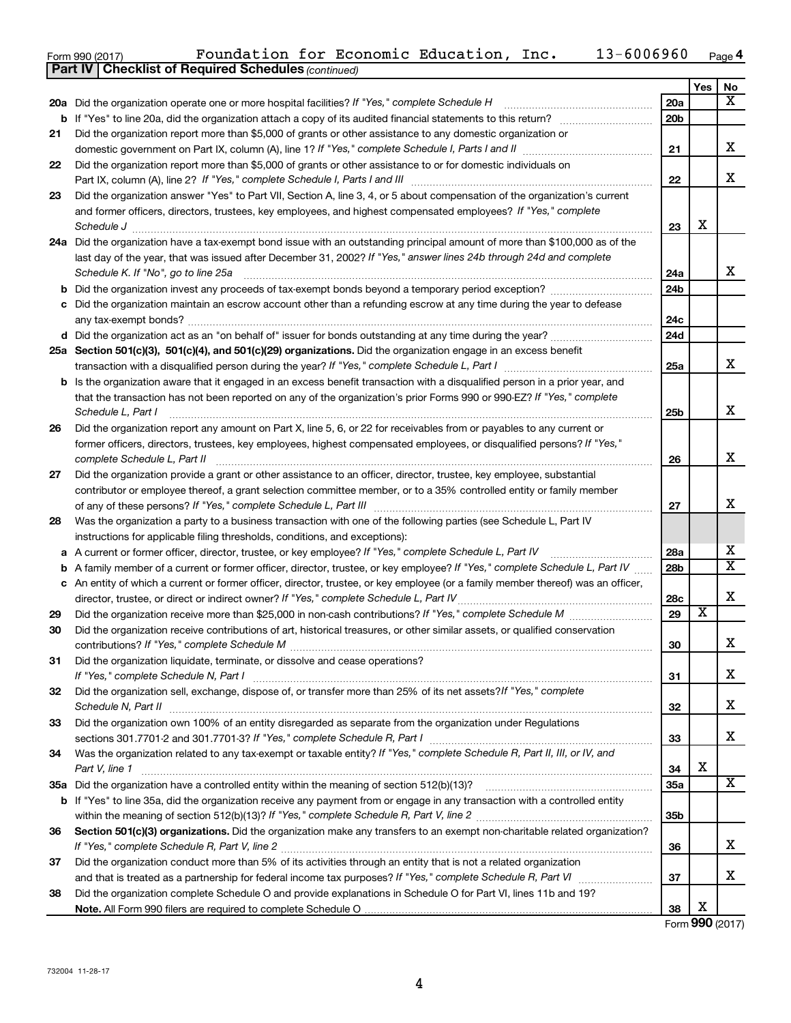| Form 990 (2017) | Foundation for Economic Education, |  | Inc. | $13 - 6006960$ | Page $4$ |
|-----------------|------------------------------------|--|------|----------------|----------|
|                 |                                    |  |      |                |          |

|    | <b>Part IV   Checklist of Required Schedules (continued)</b>                                                                        |                 |                         |                         |
|----|-------------------------------------------------------------------------------------------------------------------------------------|-----------------|-------------------------|-------------------------|
|    |                                                                                                                                     |                 | Yes                     | No                      |
|    | 20a Did the organization operate one or more hospital facilities? If "Yes," complete Schedule H                                     | <b>20a</b>      |                         | $\overline{\mathbf{x}}$ |
|    |                                                                                                                                     | 20 <sub>b</sub> |                         |                         |
| 21 | Did the organization report more than \$5,000 of grants or other assistance to any domestic organization or                         |                 |                         |                         |
|    |                                                                                                                                     | 21              |                         | X                       |
| 22 | Did the organization report more than \$5,000 of grants or other assistance to or for domestic individuals on                       |                 |                         |                         |
|    |                                                                                                                                     | 22              |                         | X                       |
| 23 | Did the organization answer "Yes" to Part VII, Section A, line 3, 4, or 5 about compensation of the organization's current          |                 |                         |                         |
|    | and former officers, directors, trustees, key employees, and highest compensated employees? If "Yes," complete                      |                 |                         |                         |
|    | Schedule J                                                                                                                          | 23              | х                       |                         |
|    | 24a Did the organization have a tax-exempt bond issue with an outstanding principal amount of more than \$100,000 as of the         |                 |                         |                         |
|    | last day of the year, that was issued after December 31, 2002? If "Yes," answer lines 24b through 24d and complete                  |                 |                         |                         |
|    | Schedule K. If "No", go to line 25a                                                                                                 | 24a             |                         | x                       |
|    |                                                                                                                                     | 24b             |                         |                         |
|    | c Did the organization maintain an escrow account other than a refunding escrow at any time during the year to defease              |                 |                         |                         |
|    |                                                                                                                                     | 24c             |                         |                         |
|    |                                                                                                                                     | 24d             |                         |                         |
|    | 25a Section 501(c)(3), 501(c)(4), and 501(c)(29) organizations. Did the organization engage in an excess benefit                    |                 |                         |                         |
|    |                                                                                                                                     | 25a             |                         | x                       |
|    | <b>b</b> Is the organization aware that it engaged in an excess benefit transaction with a disqualified person in a prior year, and |                 |                         |                         |
|    | that the transaction has not been reported on any of the organization's prior Forms 990 or 990-EZ? If "Yes," complete               |                 |                         |                         |
|    | Schedule L, Part I                                                                                                                  | 25b             |                         | X                       |
| 26 | Did the organization report any amount on Part X, line 5, 6, or 22 for receivables from or payables to any current or               |                 |                         |                         |
|    | former officers, directors, trustees, key employees, highest compensated employees, or disqualified persons? If "Yes,"              |                 |                         |                         |
|    |                                                                                                                                     | 26              |                         | X                       |
| 27 | Did the organization provide a grant or other assistance to an officer, director, trustee, key employee, substantial                |                 |                         |                         |
|    | contributor or employee thereof, a grant selection committee member, or to a 35% controlled entity or family member                 |                 |                         |                         |
|    |                                                                                                                                     | 27              |                         | х                       |
| 28 | Was the organization a party to a business transaction with one of the following parties (see Schedule L, Part IV                   |                 |                         |                         |
|    | instructions for applicable filing thresholds, conditions, and exceptions):                                                         |                 |                         |                         |
| а  | A current or former officer, director, trustee, or key employee? If "Yes," complete Schedule L, Part IV                             | 28a             |                         | х                       |
| b  | A family member of a current or former officer, director, trustee, or key employee? If "Yes," complete Schedule L, Part IV          | 28 <sub>b</sub> |                         | $\overline{\mathbf{X}}$ |
|    | c An entity of which a current or former officer, director, trustee, or key employee (or a family member thereof) was an officer,   |                 |                         |                         |
|    | director, trustee, or direct or indirect owner? If "Yes," complete Schedule L, Part IV                                              | 28c             |                         | X                       |
| 29 |                                                                                                                                     | 29              | $\overline{\textbf{x}}$ |                         |
| 30 | Did the organization receive contributions of art, historical treasures, or other similar assets, or qualified conservation         |                 |                         |                         |
|    |                                                                                                                                     | 30              |                         | ▵                       |
| 31 | Did the organization liquidate, terminate, or dissolve and cease operations?                                                        |                 |                         |                         |
|    |                                                                                                                                     | 31              |                         | x                       |
| 32 | Did the organization sell, exchange, dispose of, or transfer more than 25% of its net assets? If "Yes," complete                    |                 |                         |                         |
|    |                                                                                                                                     | 32              |                         | x                       |
| 33 | Did the organization own 100% of an entity disregarded as separate from the organization under Regulations                          |                 |                         | x                       |
|    |                                                                                                                                     | 33              |                         |                         |
| 34 | Was the organization related to any tax-exempt or taxable entity? If "Yes," complete Schedule R, Part II, III, or IV, and           |                 | X                       |                         |
|    | Part V, line 1                                                                                                                      | 34              |                         |                         |
|    |                                                                                                                                     | 35a             |                         | X                       |
|    | b If "Yes" to line 35a, did the organization receive any payment from or engage in any transaction with a controlled entity         |                 |                         |                         |
|    |                                                                                                                                     | 35 <sub>b</sub> |                         |                         |
| 36 | Section 501(c)(3) organizations. Did the organization make any transfers to an exempt non-charitable related organization?          |                 |                         |                         |
|    |                                                                                                                                     | 36              |                         | x                       |
| 37 | Did the organization conduct more than 5% of its activities through an entity that is not a related organization                    |                 |                         | x                       |
|    |                                                                                                                                     | 37              |                         |                         |
| 38 | Did the organization complete Schedule O and provide explanations in Schedule O for Part VI, lines 11b and 19?                      |                 | X                       |                         |
|    |                                                                                                                                     | 38              |                         |                         |

Form (2017) **990**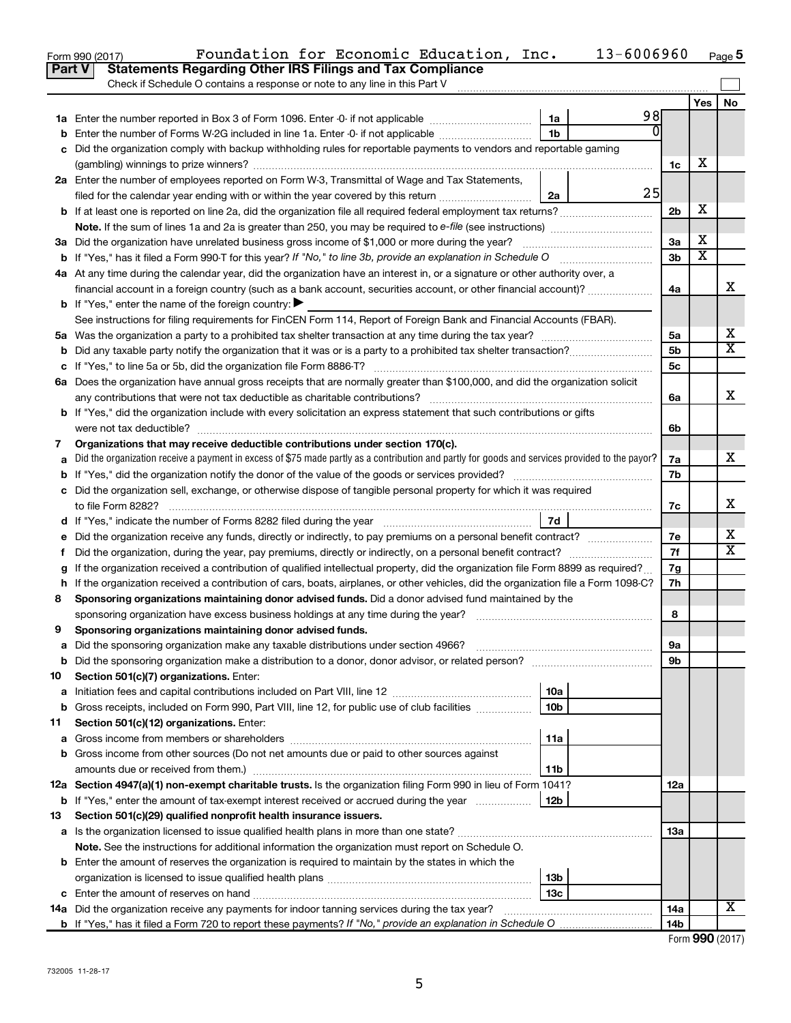|    | 13-6006960<br>Foundation for Economic Education, Inc.<br>Form 990 (2017)                                                                                     |                |                         | Page 5                  |
|----|--------------------------------------------------------------------------------------------------------------------------------------------------------------|----------------|-------------------------|-------------------------|
|    | <b>Statements Regarding Other IRS Filings and Tax Compliance</b><br>Part V                                                                                   |                |                         |                         |
|    | Check if Schedule O contains a response or note to any line in this Part V                                                                                   |                |                         |                         |
|    |                                                                                                                                                              |                | Yes                     | No                      |
|    | 98<br>1a                                                                                                                                                     |                |                         |                         |
|    | $\Omega$<br>1b<br>Enter the number of Forms W-2G included in line 1a. Enter -0- if not applicable                                                            |                |                         |                         |
|    | c Did the organization comply with backup withholding rules for reportable payments to vendors and reportable gaming                                         |                |                         |                         |
|    |                                                                                                                                                              | 1c             | х                       |                         |
|    | 2a Enter the number of employees reported on Form W-3, Transmittal of Wage and Tax Statements,                                                               |                |                         |                         |
|    | 25<br>filed for the calendar year ending with or within the year covered by this return<br>2a                                                                |                |                         |                         |
|    | <b>b</b> If at least one is reported on line 2a, did the organization file all required federal employment tax returns?                                      | 2 <sub>b</sub> | х                       |                         |
|    |                                                                                                                                                              |                |                         |                         |
|    | 3a Did the organization have unrelated business gross income of \$1,000 or more during the year?                                                             | 3a             | х                       |                         |
|    |                                                                                                                                                              | 3 <sub>b</sub> | $\overline{\textbf{x}}$ |                         |
|    | 4a At any time during the calendar year, did the organization have an interest in, or a signature or other authority over, a                                 |                |                         |                         |
|    | financial account in a foreign country (such as a bank account, securities account, or other financial account)?                                             | 4a             |                         | x                       |
|    | <b>b</b> If "Yes," enter the name of the foreign country: $\blacktriangleright$                                                                              |                |                         |                         |
|    | See instructions for filing requirements for FinCEN Form 114, Report of Foreign Bank and Financial Accounts (FBAR).                                          |                |                         |                         |
|    |                                                                                                                                                              | 5a             |                         | х                       |
|    |                                                                                                                                                              | 5 <sub>b</sub> |                         | $\overline{\mathtt{x}}$ |
|    |                                                                                                                                                              | 5 <sub>c</sub> |                         |                         |
|    | 6a Does the organization have annual gross receipts that are normally greater than \$100,000, and did the organization solicit                               |                |                         |                         |
|    | any contributions that were not tax deductible as charitable contributions?                                                                                  | 6a             |                         | x                       |
|    | <b>b</b> If "Yes," did the organization include with every solicitation an express statement that such contributions or gifts                                |                |                         |                         |
|    | were not tax deductible?                                                                                                                                     | 6b             |                         |                         |
| 7  | Organizations that may receive deductible contributions under section 170(c).                                                                                |                |                         |                         |
|    | Did the organization receive a payment in excess of \$75 made partly as a contribution and partly for goods and services provided to the payor?              | 7a             |                         | x                       |
|    |                                                                                                                                                              | 7b             |                         |                         |
|    | c Did the organization sell, exchange, or otherwise dispose of tangible personal property for which it was required                                          |                |                         |                         |
|    | to file Form 8282?                                                                                                                                           | 7c             |                         | x                       |
|    | 7d<br>d If "Yes," indicate the number of Forms 8282 filed during the year manufacture intervent in the set of the number                                     |                |                         |                         |
|    | e Did the organization receive any funds, directly or indirectly, to pay premiums on a personal benefit contract?                                            | 7e             |                         | x                       |
| t. | Did the organization, during the year, pay premiums, directly or indirectly, on a personal benefit contract?                                                 | 7f             |                         | $\overline{\mathtt{x}}$ |
|    | If the organization received a contribution of qualified intellectual property, did the organization file Form 8899 as required?                             | 7g             |                         |                         |
|    | h If the organization received a contribution of cars, boats, airplanes, or other vehicles, did the organization file a Form 1098-C?                         | 7h             |                         |                         |
| 8  | Sponsoring organizations maintaining donor advised funds. Did a donor advised fund maintained by the                                                         |                |                         |                         |
|    | sponsoring organization have excess business holdings at any time during the year?                                                                           | 8              |                         |                         |
| 9  | Sponsoring organizations maintaining donor advised funds.                                                                                                    |                |                         |                         |
| а  | Did the sponsoring organization make any taxable distributions under section 4966?                                                                           | 9а             |                         |                         |
| b  |                                                                                                                                                              | 9b             |                         |                         |
| 10 | Section 501(c)(7) organizations. Enter:                                                                                                                      |                |                         |                         |
| а  | 10a                                                                                                                                                          |                |                         |                         |
| b  | Gross receipts, included on Form 990, Part VIII, line 12, for public use of club facilities<br>10 <sub>b</sub>                                               |                |                         |                         |
| 11 | Section 501(c)(12) organizations. Enter:                                                                                                                     |                |                         |                         |
| а  | 11a                                                                                                                                                          |                |                         |                         |
|    | <b>b</b> Gross income from other sources (Do not net amounts due or paid to other sources against                                                            |                |                         |                         |
|    | amounts due or received from them.)<br>11b<br>12a Section 4947(a)(1) non-exempt charitable trusts. Is the organization filing Form 990 in lieu of Form 1041? |                |                         |                         |
|    |                                                                                                                                                              | 12a            |                         |                         |
|    | <b>b</b> If "Yes," enter the amount of tax-exempt interest received or accrued during the year<br>12b                                                        |                |                         |                         |
| 13 | Section 501(c)(29) qualified nonprofit health insurance issuers.                                                                                             |                |                         |                         |
|    | a Is the organization licensed to issue qualified health plans in more than one state?                                                                       | 13a            |                         |                         |
|    | Note. See the instructions for additional information the organization must report on Schedule O.                                                            |                |                         |                         |
|    | <b>b</b> Enter the amount of reserves the organization is required to maintain by the states in which the<br>13 <sub>b</sub>                                 |                |                         |                         |
|    | 13c                                                                                                                                                          |                |                         |                         |
|    | 14a Did the organization receive any payments for indoor tanning services during the tax year?                                                               | 14a            |                         | х                       |
|    |                                                                                                                                                              | 14b            |                         |                         |
|    |                                                                                                                                                              |                |                         |                         |

| Form 990 (2017) |  |
|-----------------|--|
|-----------------|--|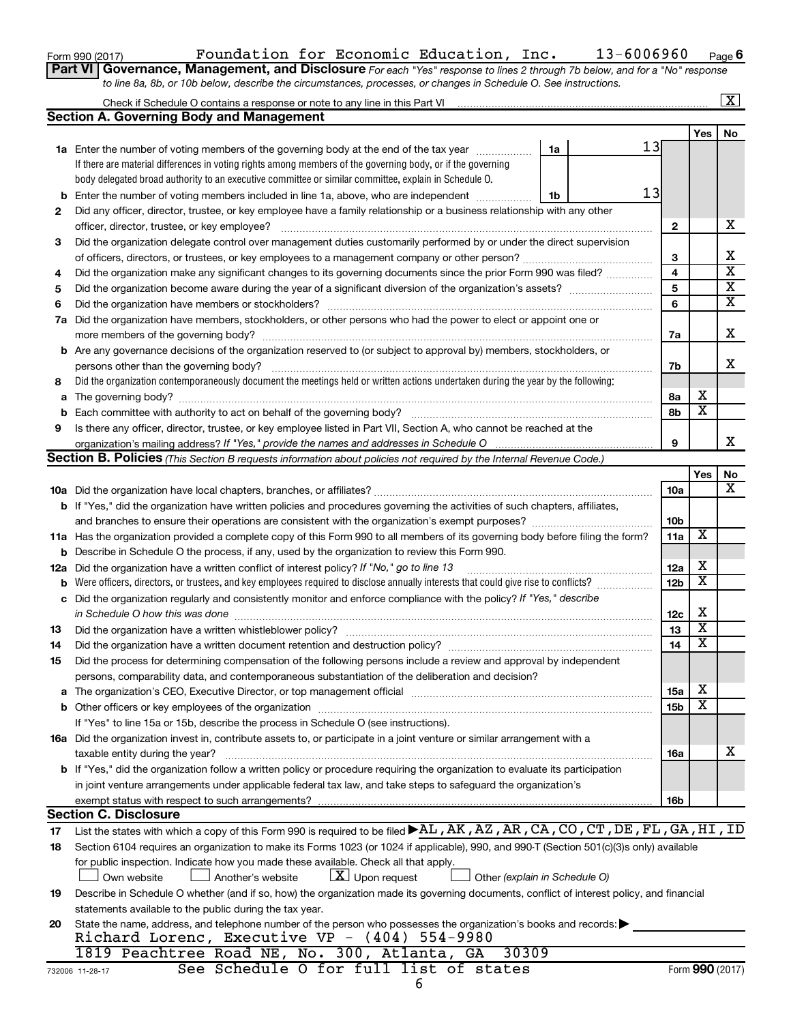| Form 990 (2017) |
|-----------------|
|-----------------|

# Form 990 (2017)  $\qquad \qquad$  Foundation for Economic Education, Inc.  $\qquad \qquad 13-6006960$   $\qquad$   $_{\text{Page}}$

**Part VI** Governance, Management, and Disclosure For each "Yes" response to lines 2 through 7b below, and for a "No" response *to line 8a, 8b, or 10b below, describe the circumstances, processes, or changes in Schedule O. See instructions.*

|     |                                                                                                                                                                                                                                |    |  |    |                 |                         | X                       |  |
|-----|--------------------------------------------------------------------------------------------------------------------------------------------------------------------------------------------------------------------------------|----|--|----|-----------------|-------------------------|-------------------------|--|
|     | <b>Section A. Governing Body and Management</b>                                                                                                                                                                                |    |  |    |                 |                         |                         |  |
|     |                                                                                                                                                                                                                                |    |  |    |                 | Yes                     | No                      |  |
|     | <b>1a</b> Enter the number of voting members of the governing body at the end of the tax year                                                                                                                                  | 1a |  | 13 |                 |                         |                         |  |
|     | If there are material differences in voting rights among members of the governing body, or if the governing                                                                                                                    |    |  |    |                 |                         |                         |  |
|     | body delegated broad authority to an executive committee or similar committee, explain in Schedule O.                                                                                                                          |    |  |    |                 |                         |                         |  |
| b   | Enter the number of voting members included in line 1a, above, who are independent                                                                                                                                             | 1b |  | 13 |                 |                         |                         |  |
| 2   | Did any officer, director, trustee, or key employee have a family relationship or a business relationship with any other                                                                                                       |    |  |    |                 |                         |                         |  |
|     | officer, director, trustee, or key employee?                                                                                                                                                                                   |    |  |    | 2               |                         | x                       |  |
| 3   | Did the organization delegate control over management duties customarily performed by or under the direct supervision                                                                                                          |    |  |    |                 |                         |                         |  |
|     |                                                                                                                                                                                                                                |    |  |    | 3               |                         | х                       |  |
| 4   | Did the organization make any significant changes to its governing documents since the prior Form 990 was filed?                                                                                                               |    |  |    | 4               |                         | $\overline{\textbf{x}}$ |  |
| 5   |                                                                                                                                                                                                                                |    |  |    | 5               |                         | $\overline{\textbf{X}}$ |  |
| 6   |                                                                                                                                                                                                                                |    |  |    | 6               |                         | $\overline{\mathtt{x}}$ |  |
| 7a  | Did the organization have members, stockholders, or other persons who had the power to elect or appoint one or                                                                                                                 |    |  |    |                 |                         |                         |  |
|     |                                                                                                                                                                                                                                |    |  |    | 7a              |                         | х                       |  |
|     | <b>b</b> Are any governance decisions of the organization reserved to (or subject to approval by) members, stockholders, or                                                                                                    |    |  |    |                 |                         |                         |  |
|     | persons other than the governing body?                                                                                                                                                                                         |    |  |    | 7b              |                         | X                       |  |
| 8   | Did the organization contemporaneously document the meetings held or written actions undertaken during the year by the following:                                                                                              |    |  |    |                 |                         |                         |  |
| a   | The governing body? [[11] notice is a construction of the construction of the construction of the construction of the construction of the construction of the construction of the construction of the construction of the cons |    |  |    | 8а              | х                       |                         |  |
| b   | Each committee with authority to act on behalf of the governing body?                                                                                                                                                          |    |  |    | 8b              | $\overline{\textbf{x}}$ |                         |  |
| 9   | Is there any officer, director, trustee, or key employee listed in Part VII, Section A, who cannot be reached at the                                                                                                           |    |  |    |                 |                         |                         |  |
|     |                                                                                                                                                                                                                                |    |  |    | 9               |                         | x                       |  |
|     | <b>Section B. Policies</b> (This Section B requests information about policies not required by the Internal Revenue Code.)                                                                                                     |    |  |    |                 |                         |                         |  |
|     |                                                                                                                                                                                                                                |    |  |    |                 | Yes                     | No                      |  |
|     |                                                                                                                                                                                                                                |    |  |    | <b>10a</b>      |                         | $\overline{\mathbf{X}}$ |  |
|     | b If "Yes," did the organization have written policies and procedures governing the activities of such chapters, affiliates,                                                                                                   |    |  |    |                 |                         |                         |  |
|     |                                                                                                                                                                                                                                |    |  |    | 10 <sub>b</sub> | X                       |                         |  |
|     | 11a Has the organization provided a complete copy of this Form 990 to all members of its governing body before filing the form?                                                                                                |    |  |    |                 |                         |                         |  |
| b   | Describe in Schedule O the process, if any, used by the organization to review this Form 990.                                                                                                                                  |    |  |    |                 |                         |                         |  |
| 12a | Did the organization have a written conflict of interest policy? If "No," go to line 13                                                                                                                                        |    |  |    | 12a             | х                       |                         |  |
| b   | Were officers, directors, or trustees, and key employees required to disclose annually interests that could give rise to conflicts?                                                                                            |    |  |    | 12 <sub>b</sub> | $\overline{\textbf{x}}$ |                         |  |
| с   | Did the organization regularly and consistently monitor and enforce compliance with the policy? If "Yes," describe                                                                                                             |    |  |    |                 |                         |                         |  |
|     | in Schedule O how this was done                                                                                                                                                                                                |    |  |    | 12c             | х                       |                         |  |
| 13  | Did the organization have a written whistleblower policy?                                                                                                                                                                      |    |  |    | 13              | $\overline{\textbf{x}}$ |                         |  |
| 14  |                                                                                                                                                                                                                                |    |  |    | 14              | $\overline{\textbf{x}}$ |                         |  |
| 15  | Did the process for determining compensation of the following persons include a review and approval by independent                                                                                                             |    |  |    |                 |                         |                         |  |
|     | persons, comparability data, and contemporaneous substantiation of the deliberation and decision?                                                                                                                              |    |  |    |                 |                         |                         |  |
|     | The organization's CEO, Executive Director, or top management official manufactured content of the organization's CEO, Executive Director, or top management official manufactured and the state of the state of the state of  |    |  |    | 15a             | х                       |                         |  |
| b   | Other officers or key employees of the organization                                                                                                                                                                            |    |  |    | 15 <sub>b</sub> | $\overline{\textbf{x}}$ |                         |  |
|     | If "Yes" to line 15a or 15b, describe the process in Schedule O (see instructions).                                                                                                                                            |    |  |    |                 |                         |                         |  |
|     | 16a Did the organization invest in, contribute assets to, or participate in a joint venture or similar arrangement with a                                                                                                      |    |  |    |                 |                         | X                       |  |
|     | taxable entity during the year?                                                                                                                                                                                                |    |  |    | 16a             |                         |                         |  |
|     | b If "Yes," did the organization follow a written policy or procedure requiring the organization to evaluate its participation                                                                                                 |    |  |    |                 |                         |                         |  |
|     | in joint venture arrangements under applicable federal tax law, and take steps to safeguard the organization's                                                                                                                 |    |  |    |                 |                         |                         |  |
|     | exempt status with respect to such arrangements?<br><b>Section C. Disclosure</b>                                                                                                                                               |    |  |    | 16b             |                         |                         |  |
| 17  | List the states with which a copy of this Form 990 is required to be filed AL, AK, AZ, AR, CA, CO, CT, DE, FL, GA, HI, ID                                                                                                      |    |  |    |                 |                         |                         |  |
| 18  | Section 6104 requires an organization to make its Forms 1023 (or 1024 if applicable), 990, and 990-T (Section 501(c)(3)s only) available                                                                                       |    |  |    |                 |                         |                         |  |
|     | for public inspection. Indicate how you made these available. Check all that apply.                                                                                                                                            |    |  |    |                 |                         |                         |  |
|     | $\lfloor x \rfloor$ Upon request<br>Own website<br>Another's website<br>Other (explain in Schedule O)                                                                                                                          |    |  |    |                 |                         |                         |  |
| 19  | Describe in Schedule O whether (and if so, how) the organization made its governing documents, conflict of interest policy, and financial                                                                                      |    |  |    |                 |                         |                         |  |
|     | statements available to the public during the tax year.                                                                                                                                                                        |    |  |    |                 |                         |                         |  |
| 20  | State the name, address, and telephone number of the person who possesses the organization's books and records:                                                                                                                |    |  |    |                 |                         |                         |  |
|     | Richard Lorenc, Executive VP - $(404)$ 554-9980                                                                                                                                                                                |    |  |    |                 |                         |                         |  |
|     | 1819 Peachtree Road NE, No. 300, Atlanta, GA<br>30309                                                                                                                                                                          |    |  |    |                 |                         |                         |  |
|     | See Schedule O for full list of states<br>732006 11-28-17                                                                                                                                                                      |    |  |    |                 |                         | Form 990 (2017)         |  |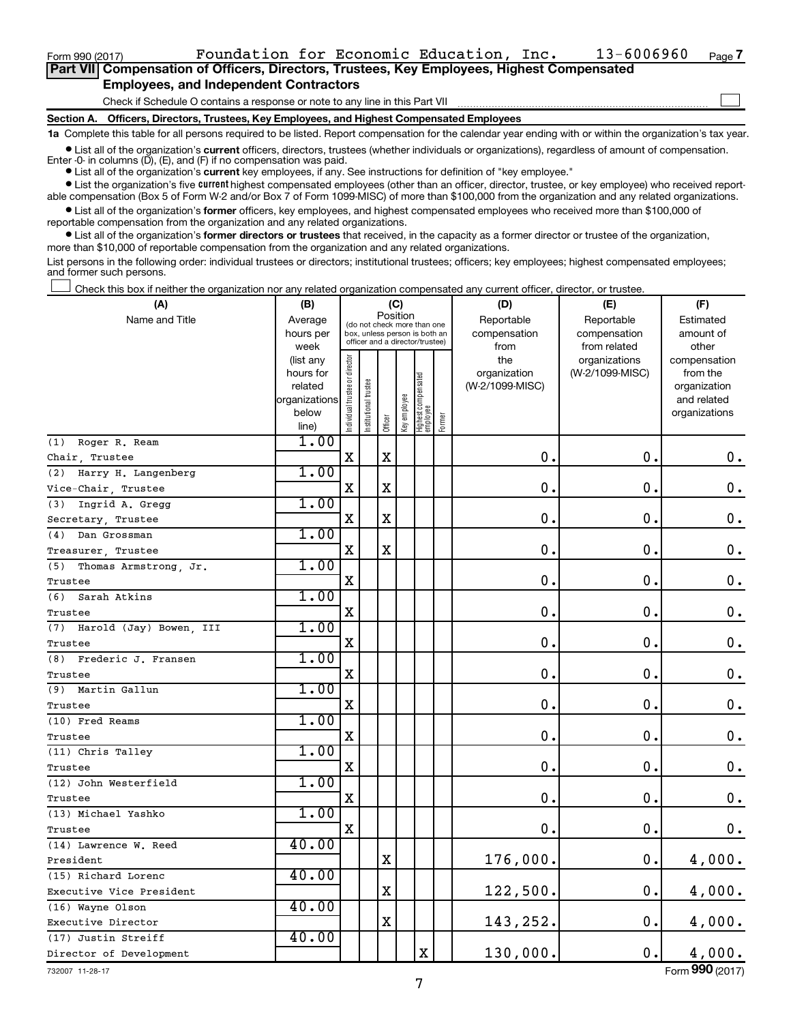Form 990 (2017)  $\qquad \qquad$  Foundation for Economic Education, Inc.  $\qquad \qquad 13-6006960$   $\qquad$   $_{\text{Page}}$ 

 $\Box$ 

| Part VII Compensation of Officers, Directors, Trustees, Key Employees, Highest Compensated |  |
|--------------------------------------------------------------------------------------------|--|
| <b>Employees, and Independent Contractors</b>                                              |  |

Check if Schedule O contains a response or note to any line in this Part VII

**Section A. Officers, Directors, Trustees, Key Employees, and Highest Compensated Employees**

**1a**  Complete this table for all persons required to be listed. Report compensation for the calendar year ending with or within the organization's tax year.

**•** List all of the organization's current officers, directors, trustees (whether individuals or organizations), regardless of amount of compensation. Enter -0- in columns  $(D)$ ,  $(E)$ , and  $(F)$  if no compensation was paid.

**•** List all of the organization's **current** key employees, if any. See instructions for definition of "key employee."

**•** List the organization's five current highest compensated employees (other than an officer, director, trustee, or key employee) who received reportable compensation (Box 5 of Form W-2 and/or Box 7 of Form 1099-MISC) of more than \$100,000 from the organization and any related organizations.

**•** List all of the organization's former officers, key employees, and highest compensated employees who received more than \$100,000 of reportable compensation from the organization and any related organizations.

**•** List all of the organization's former directors or trustees that received, in the capacity as a former director or trustee of the organization, more than \$10,000 of reportable compensation from the organization and any related organizations.

List persons in the following order: individual trustees or directors; institutional trustees; officers; key employees; highest compensated employees; and former such persons.

Check this box if neither the organization nor any related organization compensated any current officer, director, or trustee.  $\Box$ 

| (A)                            | (B)               | (C)                            |                                         |                                                                  |              |                                 |        | (D)             | (E)                           | (F)                |
|--------------------------------|-------------------|--------------------------------|-----------------------------------------|------------------------------------------------------------------|--------------|---------------------------------|--------|-----------------|-------------------------------|--------------------|
| Name and Title                 | Average           |                                | Position<br>(do not check more than one |                                                                  |              |                                 |        | Reportable      | Reportable                    | Estimated          |
|                                | hours per         |                                |                                         | box, unless person is both an<br>officer and a director/trustee) |              |                                 |        | compensation    | compensation                  | amount of<br>other |
|                                | week<br>(list any |                                |                                         |                                                                  |              |                                 |        | from<br>the     | from related<br>organizations | compensation       |
|                                | hours for         |                                |                                         |                                                                  |              |                                 |        | organization    | (W-2/1099-MISC)               | from the           |
|                                | related           |                                |                                         |                                                                  |              |                                 |        | (W-2/1099-MISC) |                               | organization       |
|                                | organizations     |                                |                                         |                                                                  |              |                                 |        |                 |                               | and related        |
|                                | below             | Individual trustee or director | Institutional trustee                   | Officer                                                          | Key employee | Highest compensated<br>employee | Former |                 |                               | organizations      |
| Roger R. Ream<br>(1)           | line)<br>1.00     |                                |                                         |                                                                  |              |                                 |        |                 |                               |                    |
| Chair Trustee                  |                   | $\mathbf x$                    |                                         | X                                                                |              |                                 |        | 0.              | $\mathbf 0$ .                 | 0.                 |
| Harry H. Langenberg<br>(2)     | 1.00              |                                |                                         |                                                                  |              |                                 |        |                 |                               |                    |
| Vice-Chair, Trustee            |                   | $\mathbf X$                    |                                         | $\mathbf X$                                                      |              |                                 |        | 0.              | $\mathbf 0$ .                 | $\boldsymbol{0}$ . |
| (3)<br>Ingrid A. Gregg         | 1.00              |                                |                                         |                                                                  |              |                                 |        |                 |                               |                    |
| Secretary, Trustee             |                   | X                              |                                         | $\mathbf X$                                                      |              |                                 |        | $\mathbf 0$     | 0.                            | $\boldsymbol{0}$ . |
| (4)<br>Dan Grossman            | 1.00              |                                |                                         |                                                                  |              |                                 |        |                 |                               |                    |
| Treasurer, Trustee             |                   | X                              |                                         | $\mathbf X$                                                      |              |                                 |        | $\mathbf 0$     | 0.                            | 0.                 |
| (5)<br>Thomas Armstrong, Jr.   | 1.00              |                                |                                         |                                                                  |              |                                 |        |                 |                               |                    |
| Trustee                        |                   | X                              |                                         |                                                                  |              |                                 |        | $\mathbf 0$     | $\mathbf 0$ .                 | $\boldsymbol{0}$ . |
| (6)<br>Sarah Atkins            | 1.00              |                                |                                         |                                                                  |              |                                 |        |                 |                               |                    |
| Trustee                        |                   | $\mathbf X$                    |                                         |                                                                  |              |                                 |        | 0               | 0.                            | $\boldsymbol{0}$ . |
| (7)<br>Harold (Jay) Bowen, III | 1.00              |                                |                                         |                                                                  |              |                                 |        |                 |                               |                    |
| Trustee                        |                   | X                              |                                         |                                                                  |              |                                 |        | 0               | $\mathbf 0$ .                 | 0.                 |
| (8)<br>Frederic J. Fransen     | 1.00              |                                |                                         |                                                                  |              |                                 |        |                 |                               |                    |
| Trustee                        |                   | X                              |                                         |                                                                  |              |                                 |        | $\mathbf 0$     | $\mathbf 0$ .                 | $\mathbf 0$ .      |
| Martin Gallun<br>(9)           | 1.00              |                                |                                         |                                                                  |              |                                 |        |                 |                               |                    |
| Trustee                        |                   | X                              |                                         |                                                                  |              |                                 |        | $\mathbf 0$     | $\mathbf 0$ .                 | $\boldsymbol{0}$ . |
| (10) Fred Reams                | 1.00              |                                |                                         |                                                                  |              |                                 |        |                 |                               |                    |
| Trustee                        |                   | X                              |                                         |                                                                  |              |                                 |        | $\mathbf 0$     | $\mathbf 0$ .                 | $\mathbf 0$ .      |
| (11) Chris Talley              | 1.00              |                                |                                         |                                                                  |              |                                 |        |                 |                               |                    |
| Trustee                        |                   | X                              |                                         |                                                                  |              |                                 |        | $\mathbf 0$     | $\mathbf 0$ .                 | $\mathbf 0$ .      |
| (12) John Westerfield          | 1.00              |                                |                                         |                                                                  |              |                                 |        |                 |                               |                    |
| Trustee                        |                   | $\mathbf X$                    |                                         |                                                                  |              |                                 |        | $\mathbf 0$     | $\mathbf 0$ .                 | $\mathbf 0$ .      |
| (13) Michael Yashko            | 1.00              |                                |                                         |                                                                  |              |                                 |        |                 |                               |                    |
| Trustee                        |                   | X                              |                                         |                                                                  |              |                                 |        | 0.              | $\mathbf 0$ .                 | $0$ .              |
| (14) Lawrence W. Reed          | 40.00             |                                |                                         |                                                                  |              |                                 |        |                 |                               |                    |
| President                      |                   |                                |                                         | X                                                                |              |                                 |        | 176,000.        | $\mathbf 0$ .                 | 4,000.             |
| (15) Richard Lorenc            | 40.00             |                                |                                         |                                                                  |              |                                 |        |                 |                               |                    |
| Executive Vice President       |                   |                                |                                         | $\mathbf X$                                                      |              |                                 |        | 122,500.        | $\mathbf 0$ .                 | 4,000.             |
| (16) Wayne Olson               | 40.00             |                                |                                         |                                                                  |              |                                 |        |                 |                               |                    |
| Executive Director             |                   |                                |                                         | $\mathbf X$                                                      |              |                                 |        | 143,252.        | 0.                            | 4,000.             |
| (17) Justin Streiff            | 40.00             |                                |                                         |                                                                  |              |                                 |        |                 |                               |                    |
| Director of Development        |                   |                                |                                         |                                                                  |              | X                               |        | 130,000.        | $\mathbf 0$ .                 | 4,000.             |

732007 11-28-17

Form (2017) **990**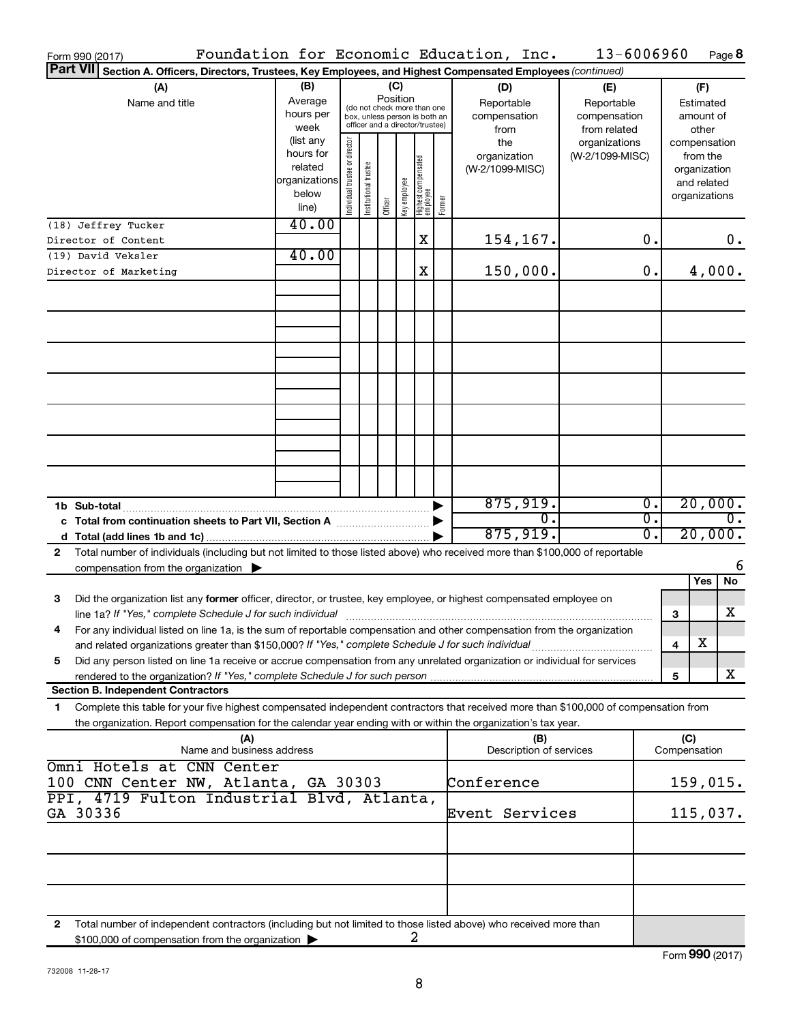| Form 990 (2017)                                                                                                                                                                                                                                              |                                                                      |                                                                                                                    |                       |         |              |                                           |                                                   | Foundation for Economic Education, Inc. | 13-6006960                       |                                        |                     |                                                                          | Page 8           |
|--------------------------------------------------------------------------------------------------------------------------------------------------------------------------------------------------------------------------------------------------------------|----------------------------------------------------------------------|--------------------------------------------------------------------------------------------------------------------|-----------------------|---------|--------------|-------------------------------------------|---------------------------------------------------|-----------------------------------------|----------------------------------|----------------------------------------|---------------------|--------------------------------------------------------------------------|------------------|
| Part VII Section A. Officers, Directors, Trustees, Key Employees, and Highest Compensated Employees (continued)                                                                                                                                              |                                                                      |                                                                                                                    |                       |         |              |                                           |                                                   |                                         |                                  |                                        |                     |                                                                          |                  |
| (A)<br>Name and title                                                                                                                                                                                                                                        | (B)<br>Average<br>hours per<br>week                                  | (C)<br>Position<br>(do not check more than one<br>box, unless person is both an<br>officer and a director/trustee) |                       |         |              | (D)<br>Reportable<br>compensation<br>from | (E)<br>Reportable<br>compensation<br>from related |                                         |                                  | (F)<br>Estimated<br>amount of<br>other |                     |                                                                          |                  |
|                                                                                                                                                                                                                                                              | (list any<br>hours for<br>related<br>organizations<br>below<br>line) | Individual trustee or director                                                                                     | Institutional trustee | Officer | Key employee | Highest compensated<br>  employee         | Former                                            | the<br>organization<br>(W-2/1099-MISC)  | organizations<br>(W-2/1099-MISC) |                                        |                     | compensation<br>from the<br>organization<br>and related<br>organizations |                  |
| (18) Jeffrey Tucker                                                                                                                                                                                                                                          | 40.00                                                                |                                                                                                                    |                       |         |              |                                           |                                                   |                                         |                                  |                                        |                     |                                                                          |                  |
| Director of Content<br>(19) David Veksler                                                                                                                                                                                                                    | 40.00                                                                |                                                                                                                    |                       |         |              | х                                         |                                                   | 154,167.                                |                                  | 0.                                     |                     |                                                                          | 0.               |
| Director of Marketing                                                                                                                                                                                                                                        |                                                                      |                                                                                                                    |                       |         |              | X                                         |                                                   | 150,000.                                |                                  | 0.                                     |                     | 4,000.                                                                   |                  |
|                                                                                                                                                                                                                                                              |                                                                      |                                                                                                                    |                       |         |              |                                           |                                                   |                                         |                                  |                                        |                     |                                                                          |                  |
|                                                                                                                                                                                                                                                              |                                                                      |                                                                                                                    |                       |         |              |                                           |                                                   |                                         |                                  |                                        |                     |                                                                          |                  |
|                                                                                                                                                                                                                                                              |                                                                      |                                                                                                                    |                       |         |              |                                           |                                                   |                                         |                                  |                                        |                     |                                                                          |                  |
|                                                                                                                                                                                                                                                              |                                                                      |                                                                                                                    |                       |         |              |                                           |                                                   |                                         |                                  |                                        |                     |                                                                          |                  |
|                                                                                                                                                                                                                                                              |                                                                      |                                                                                                                    |                       |         |              |                                           |                                                   |                                         |                                  |                                        |                     |                                                                          |                  |
|                                                                                                                                                                                                                                                              |                                                                      |                                                                                                                    |                       |         |              |                                           |                                                   |                                         |                                  |                                        |                     |                                                                          |                  |
| 1b Sub-total                                                                                                                                                                                                                                                 |                                                                      |                                                                                                                    |                       |         |              |                                           |                                                   | 875,919.<br>$\overline{0}$ .            |                                  | $\overline{0}$ .<br>$\overline{0}$ .   |                     | 20,000.                                                                  | $\overline{0}$ . |
|                                                                                                                                                                                                                                                              |                                                                      |                                                                                                                    |                       |         |              |                                           |                                                   | 875,919.                                |                                  | $\overline{0}$ .                       |                     | 20,000.                                                                  |                  |
| Total number of individuals (including but not limited to those listed above) who received more than \$100,000 of reportable<br>2<br>compensation from the organization $\blacktriangleright$                                                                |                                                                      |                                                                                                                    |                       |         |              |                                           |                                                   |                                         |                                  |                                        |                     |                                                                          | 6                |
|                                                                                                                                                                                                                                                              |                                                                      |                                                                                                                    |                       |         |              |                                           |                                                   |                                         |                                  |                                        |                     | Yes                                                                      | No               |
| Did the organization list any former officer, director, or trustee, key employee, or highest compensated employee on<br>3<br>line 1a? If "Yes," complete Schedule J for such individual [11] manufacture manufacture in the set of the set o                 |                                                                      |                                                                                                                    |                       |         |              |                                           |                                                   |                                         |                                  |                                        | з                   |                                                                          | х                |
| For any individual listed on line 1a, is the sum of reportable compensation and other compensation from the organization<br>and related organizations greater than \$150,000? If "Yes," complete Schedule J for such individual                              |                                                                      |                                                                                                                    |                       |         |              |                                           |                                                   |                                         |                                  |                                        | 4                   | х                                                                        |                  |
| Did any person listed on line 1a receive or accrue compensation from any unrelated organization or individual for services<br>5                                                                                                                              |                                                                      |                                                                                                                    |                       |         |              |                                           |                                                   |                                         |                                  |                                        | 5                   |                                                                          | х                |
| <b>Section B. Independent Contractors</b>                                                                                                                                                                                                                    |                                                                      |                                                                                                                    |                       |         |              |                                           |                                                   |                                         |                                  |                                        |                     |                                                                          |                  |
| Complete this table for your five highest compensated independent contractors that received more than \$100,000 of compensation from<br>1.<br>the organization. Report compensation for the calendar year ending with or within the organization's tax year. |                                                                      |                                                                                                                    |                       |         |              |                                           |                                                   |                                         |                                  |                                        |                     |                                                                          |                  |
| (A)<br>Name and business address<br>Omni Hotels at CNN Center                                                                                                                                                                                                |                                                                      |                                                                                                                    |                       |         |              |                                           |                                                   | (B)<br>Description of services          |                                  |                                        | (C)<br>Compensation |                                                                          |                  |
| 100 CNN Center NW, Atlanta, GA 30303<br>PPI, 4719 Fulton Industrial Blvd, Atlanta,                                                                                                                                                                           |                                                                      |                                                                                                                    |                       |         |              |                                           |                                                   | Conference                              |                                  |                                        |                     | 159,015.                                                                 |                  |
| GA 30336                                                                                                                                                                                                                                                     |                                                                      |                                                                                                                    |                       |         |              |                                           |                                                   | Event Services                          |                                  |                                        |                     | 115,037.                                                                 |                  |
|                                                                                                                                                                                                                                                              |                                                                      |                                                                                                                    |                       |         |              |                                           |                                                   |                                         |                                  |                                        |                     |                                                                          |                  |
|                                                                                                                                                                                                                                                              |                                                                      |                                                                                                                    |                       |         |              |                                           |                                                   |                                         |                                  |                                        |                     |                                                                          |                  |
| Total number of independent contractors (including but not limited to those listed above) who received more than<br>2<br>\$100,000 of compensation from the organization                                                                                     |                                                                      |                                                                                                                    |                       |         |              | 2                                         |                                                   |                                         |                                  |                                        |                     |                                                                          |                  |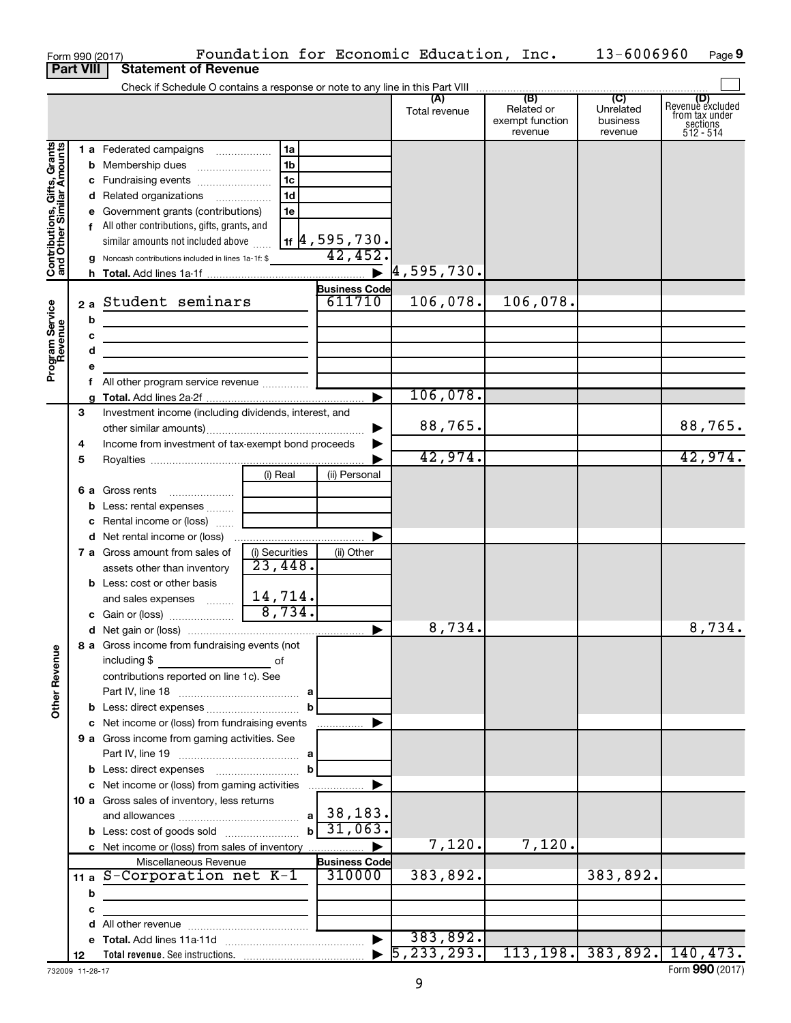|                                                                     |                  |   | Form 990 (2017)                                       |                           |                         | Foundation for Economic Education, Inc. |                                                 | 13-6006960                                         | Page 9                                                             |
|---------------------------------------------------------------------|------------------|---|-------------------------------------------------------|---------------------------|-------------------------|-----------------------------------------|-------------------------------------------------|----------------------------------------------------|--------------------------------------------------------------------|
|                                                                     | <b>Part VIII</b> |   | <b>Statement of Revenue</b>                           |                           |                         |                                         |                                                 |                                                    |                                                                    |
|                                                                     |                  |   |                                                       |                           |                         |                                         |                                                 |                                                    |                                                                    |
|                                                                     |                  |   |                                                       |                           |                         | Total revenue                           | (B)<br>Related or<br>exempt function<br>revenue | $\overline{C}$<br>Unrelated<br>business<br>revenue | (D)<br>Revenue excluded<br>from tax under<br>sections<br>512 - 514 |
|                                                                     |                  |   | 1 a Federated campaigns                               | 1a                        |                         |                                         |                                                 |                                                    |                                                                    |
| Grants<br>Contributions, Gifts, Grants<br>and Other Similar Amounts |                  |   |                                                       | 1b                        |                         |                                         |                                                 |                                                    |                                                                    |
|                                                                     |                  |   | c Fundraising events                                  | 1c                        |                         |                                         |                                                 |                                                    |                                                                    |
|                                                                     |                  |   | d Related organizations                               | 1 <sub>d</sub>            |                         |                                         |                                                 |                                                    |                                                                    |
|                                                                     |                  |   | e Government grants (contributions)                   | 1e                        |                         |                                         |                                                 |                                                    |                                                                    |
|                                                                     |                  |   | f All other contributions, gifts, grants, and         |                           |                         |                                         |                                                 |                                                    |                                                                    |
|                                                                     |                  |   | similar amounts not included above                    |                           | <u>1f 4,595,730.</u>    |                                         |                                                 |                                                    |                                                                    |
|                                                                     |                  |   | g Noncash contributions included in lines 1a-1f: \$   |                           | 42,452                  |                                         |                                                 |                                                    |                                                                    |
|                                                                     |                  |   |                                                       |                           |                         | $\blacktriangleright$ 4,595,730.        |                                                 |                                                    |                                                                    |
|                                                                     |                  |   |                                                       |                           | <b>Business Code</b>    |                                         |                                                 |                                                    |                                                                    |
|                                                                     | 2a               |   | Student seminars                                      |                           | 611710                  | 106,078.                                | 106,078.                                        |                                                    |                                                                    |
|                                                                     |                  | b |                                                       |                           |                         |                                         |                                                 |                                                    |                                                                    |
|                                                                     |                  | c |                                                       |                           |                         |                                         |                                                 |                                                    |                                                                    |
|                                                                     |                  | d |                                                       |                           |                         |                                         |                                                 |                                                    |                                                                    |
| Program Service<br>Revenue                                          |                  | е |                                                       |                           |                         |                                         |                                                 |                                                    |                                                                    |
|                                                                     |                  |   | All other program service revenue                     |                           |                         |                                         |                                                 |                                                    |                                                                    |
|                                                                     |                  |   |                                                       |                           |                         | 106,078.                                |                                                 |                                                    |                                                                    |
|                                                                     | 3                |   | Investment income (including dividends, interest, and |                           |                         |                                         |                                                 |                                                    |                                                                    |
|                                                                     |                  |   |                                                       |                           |                         | 88,765.                                 |                                                 |                                                    | 88,765.                                                            |
|                                                                     | 4                |   | Income from investment of tax-exempt bond proceeds    |                           |                         |                                         |                                                 |                                                    |                                                                    |
|                                                                     | 5                |   |                                                       |                           |                         | 42,974.                                 |                                                 |                                                    | 42,974.                                                            |
|                                                                     |                  |   |                                                       | (i) Real                  | (ii) Personal           |                                         |                                                 |                                                    |                                                                    |
|                                                                     |                  |   | 6 a Gross rents                                       |                           |                         |                                         |                                                 |                                                    |                                                                    |
|                                                                     |                  | b | Less: rental expenses                                 |                           |                         |                                         |                                                 |                                                    |                                                                    |
|                                                                     |                  |   | <b>c</b> Rental income or (loss)                      |                           |                         |                                         |                                                 |                                                    |                                                                    |
|                                                                     |                  |   |                                                       |                           |                         |                                         |                                                 |                                                    |                                                                    |
|                                                                     |                  |   | <b>7 a</b> Gross amount from sales of                 | (i) Securities<br>23,448. | (ii) Other              |                                         |                                                 |                                                    |                                                                    |
|                                                                     |                  |   | assets other than inventory                           |                           |                         |                                         |                                                 |                                                    |                                                                    |
|                                                                     |                  |   | <b>b</b> Less: cost or other basis                    | 14,714.                   |                         |                                         |                                                 |                                                    |                                                                    |
|                                                                     |                  |   | and sales expenses                                    | 8,734.                    |                         |                                         |                                                 |                                                    |                                                                    |
|                                                                     |                  |   | c Gain or (loss)                                      |                           |                         | 8,734.                                  |                                                 |                                                    | 8,734.                                                             |
|                                                                     |                  |   | 8 a Gross income from fundraising events (not         |                           |                         |                                         |                                                 |                                                    |                                                                    |
| <b>Other Revenue</b>                                                |                  |   | including \$                                          | оf                        |                         |                                         |                                                 |                                                    |                                                                    |
|                                                                     |                  |   | contributions reported on line 1c). See               |                           |                         |                                         |                                                 |                                                    |                                                                    |
|                                                                     |                  |   |                                                       |                           |                         |                                         |                                                 |                                                    |                                                                    |
|                                                                     |                  |   |                                                       |                           |                         |                                         |                                                 |                                                    |                                                                    |
|                                                                     |                  |   | c Net income or (loss) from fundraising events        |                           |                         |                                         |                                                 |                                                    |                                                                    |
|                                                                     |                  |   | 9 a Gross income from gaming activities. See          |                           |                         |                                         |                                                 |                                                    |                                                                    |
|                                                                     |                  |   |                                                       |                           |                         |                                         |                                                 |                                                    |                                                                    |
|                                                                     |                  |   |                                                       | b                         |                         |                                         |                                                 |                                                    |                                                                    |
|                                                                     |                  |   | c Net income or (loss) from gaming activities         |                           |                         |                                         |                                                 |                                                    |                                                                    |
|                                                                     |                  |   | 10 a Gross sales of inventory, less returns           |                           |                         |                                         |                                                 |                                                    |                                                                    |
|                                                                     |                  |   |                                                       |                           | $a$   38,183.           |                                         |                                                 |                                                    |                                                                    |
|                                                                     |                  |   | <b>b</b> Less: cost of goods sold                     |                           | $b \overline{31,063}$ . |                                         |                                                 |                                                    |                                                                    |
|                                                                     |                  |   | c Net income or (loss) from sales of inventory        |                           |                         | 7,120.                                  | 7,120.                                          |                                                    |                                                                    |
|                                                                     |                  |   | Miscellaneous Revenue                                 |                           | <b>Business Code</b>    |                                         |                                                 |                                                    |                                                                    |
|                                                                     |                  |   | 11 a S-Corporation net K-1                            |                           | 310000                  | 383,892.                                |                                                 | 383,892.                                           |                                                                    |
|                                                                     |                  | b |                                                       |                           |                         |                                         |                                                 |                                                    |                                                                    |
|                                                                     |                  | c |                                                       |                           |                         |                                         |                                                 |                                                    |                                                                    |
|                                                                     |                  | d |                                                       |                           | $\blacktriangleright$   | 383,892.                                |                                                 |                                                    |                                                                    |
|                                                                     | 12               |   |                                                       |                           |                         | 5, 233, 293.                            |                                                 | 113,198. 383,892. 140,473.                         |                                                                    |
|                                                                     |                  |   |                                                       |                           |                         |                                         |                                                 |                                                    |                                                                    |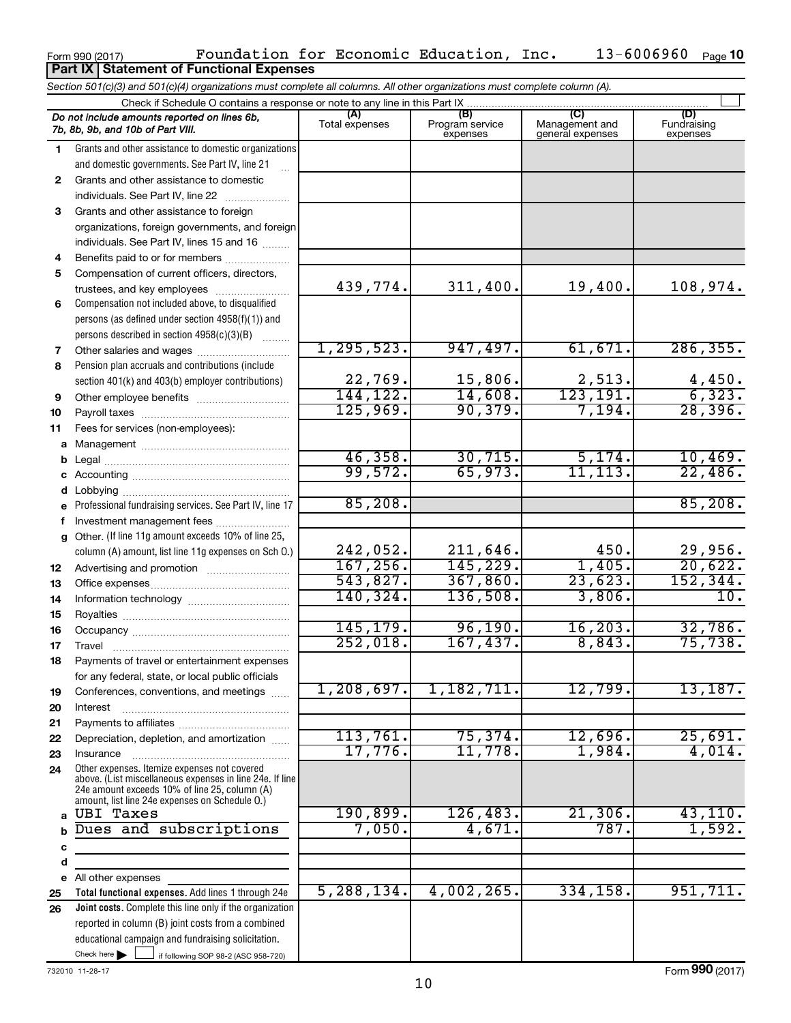|          | Do not include amounts reported on lines 6b,<br>7b, 8b, 9b, and 10b of Part VIII.                         | (A)<br>Total expenses | (B)<br>Program service | (C)<br>Management and   | (D)<br>Fundraising    |  |  |
|----------|-----------------------------------------------------------------------------------------------------------|-----------------------|------------------------|-------------------------|-----------------------|--|--|
|          |                                                                                                           |                       | expenses               | general expenses        | expenses              |  |  |
| 1        | Grants and other assistance to domestic organizations                                                     |                       |                        |                         |                       |  |  |
|          | and domestic governments. See Part IV, line 21                                                            |                       |                        |                         |                       |  |  |
| 2        | Grants and other assistance to domestic                                                                   |                       |                        |                         |                       |  |  |
|          | individuals. See Part IV, line 22                                                                         |                       |                        |                         |                       |  |  |
| 3        | Grants and other assistance to foreign                                                                    |                       |                        |                         |                       |  |  |
|          | organizations, foreign governments, and foreign                                                           |                       |                        |                         |                       |  |  |
|          | individuals. See Part IV, lines 15 and 16                                                                 |                       |                        |                         |                       |  |  |
| 4        | Benefits paid to or for members                                                                           |                       |                        |                         |                       |  |  |
| 5        | Compensation of current officers, directors,                                                              |                       |                        |                         |                       |  |  |
|          | trustees, and key employees                                                                               | 439,774.              | 311,400.               | 19,400.                 | 108,974.              |  |  |
| 6        | Compensation not included above, to disqualified                                                          |                       |                        |                         |                       |  |  |
|          | persons (as defined under section 4958(f)(1)) and                                                         |                       |                        |                         |                       |  |  |
|          | persons described in section 4958(c)(3)(B)                                                                |                       |                        |                         |                       |  |  |
| 7        |                                                                                                           | 1, 295, 523.          | 947,497.               | 61,671.                 | 286, 355.             |  |  |
| 8        | Pension plan accruals and contributions (include                                                          |                       |                        |                         |                       |  |  |
|          | section 401(k) and 403(b) employer contributions)                                                         | 22,769.               | 15,806.                |                         | $\frac{4,450}{6,323}$ |  |  |
| 9        | Other employee benefits                                                                                   | 144, 122.             | 14,608.                | $\frac{2,513}{123,191}$ |                       |  |  |
| 10       |                                                                                                           | 125,969.              | 90, 379.               | 7,194.                  | 28,396.               |  |  |
| 11       | Fees for services (non-employees):                                                                        |                       |                        |                         |                       |  |  |
| a        |                                                                                                           |                       |                        |                         |                       |  |  |
| b        |                                                                                                           | 46,358.               | 30, 715.               | 5,174.                  | 10,469.               |  |  |
|          |                                                                                                           | 99,572.               | 65,973.                | 11, 113.                | 22,486.               |  |  |
| d        |                                                                                                           |                       |                        |                         |                       |  |  |
|          | Professional fundraising services. See Part IV, line 17                                                   | 85,208.               |                        |                         | 85,208.               |  |  |
| f        | Investment management fees                                                                                |                       |                        |                         |                       |  |  |
| a        | Other. (If line 11g amount exceeds 10% of line 25,                                                        |                       |                        |                         |                       |  |  |
|          | column (A) amount, list line 11g expenses on Sch O.)                                                      | 242,052.              | 211,646.               | 450.                    | 29,956.               |  |  |
| 12       |                                                                                                           | 167, 256.             | 145, 229.              | 1,405.                  | 20,622.               |  |  |
| 13       |                                                                                                           | 543,827.              | 367,860.               | 23,623.                 | 152, 344.             |  |  |
| 14       |                                                                                                           | 140, 324.             | 136,508.               | 3,806.                  | 10.                   |  |  |
| 15       |                                                                                                           |                       |                        |                         |                       |  |  |
| 16       |                                                                                                           | 145, 179.             | 96,190.                | 16, 203.                | 32,786.               |  |  |
| 17       |                                                                                                           | 252,018.              | 167,437.               | 8,843.                  | 75,738.               |  |  |
| 18       | Payments of travel or entertainment expenses                                                              |                       |                        |                         |                       |  |  |
|          | for any federal, state, or local public officials                                                         |                       |                        |                         |                       |  |  |
|          | Conferences, conventions, and meetings                                                                    | 1,208,697.            | 1,182,711.             | 12,799.                 | 13,187.               |  |  |
| 19<br>20 | Interest                                                                                                  |                       |                        |                         |                       |  |  |
|          |                                                                                                           |                       |                        |                         |                       |  |  |
| 21<br>22 | Depreciation, depletion, and amortization                                                                 | 113,761.              | 75, 374.               | 12,696.                 | 25,691.               |  |  |
|          | Insurance                                                                                                 | 17,776.               | 11,778.                | 1,984.                  | 4,014.                |  |  |
| 23<br>24 | Other expenses. Itemize expenses not covered                                                              |                       |                        |                         |                       |  |  |
|          | above. (List miscellaneous expenses in line 24e. If line<br>24e amount exceeds 10% of line 25, column (A) |                       |                        |                         |                       |  |  |
|          | amount, list line 24e expenses on Schedule O.)                                                            |                       |                        |                         |                       |  |  |
| a        | <b>UBI Taxes</b>                                                                                          | 190, 899.             | 126,483.               | 21,306.                 | 43, 110.              |  |  |
|          | Dues and subscriptions                                                                                    | 7,050.                | 4,671.                 | 787.                    | 1,592.                |  |  |
| с        |                                                                                                           |                       |                        |                         |                       |  |  |
| d        |                                                                                                           |                       |                        |                         |                       |  |  |
| е        | All other expenses                                                                                        |                       |                        |                         |                       |  |  |
| 25       | Total functional expenses. Add lines 1 through 24e                                                        | 5, 288, 134.          | 4,002,265.             | 334, 158.               | 951, 711.             |  |  |
| 26       | Joint costs. Complete this line only if the organization                                                  |                       |                        |                         |                       |  |  |
|          | reported in column (B) joint costs from a combined                                                        |                       |                        |                         |                       |  |  |
|          | educational campaign and fundraising solicitation.                                                        |                       |                        |                         |                       |  |  |

### Form 990 (2017)  $\qquad \qquad$  Foundation for Economic Education, Inc.  $\qquad 13-6006960$   $_{\text{Page}}$ **Part IX Statement of Functional Expenses**

Check if Schedule O contains a response or note to any line in this Part IX ..................................<br>amounts reported on lines 6b, Tatal (A) (C)

*Section 501(c)(3) and 501(c)(4) organizations must complete all columns. All other organizations must complete column (A).*

 $\Box$ 

732010 11-28-17

Check here

Check here  $\begin{array}{c} \begin{array}{|c} \hline \end{array} \end{array}$  if following SOP 98-2 (ASC 958-720)

Form (2017) **990**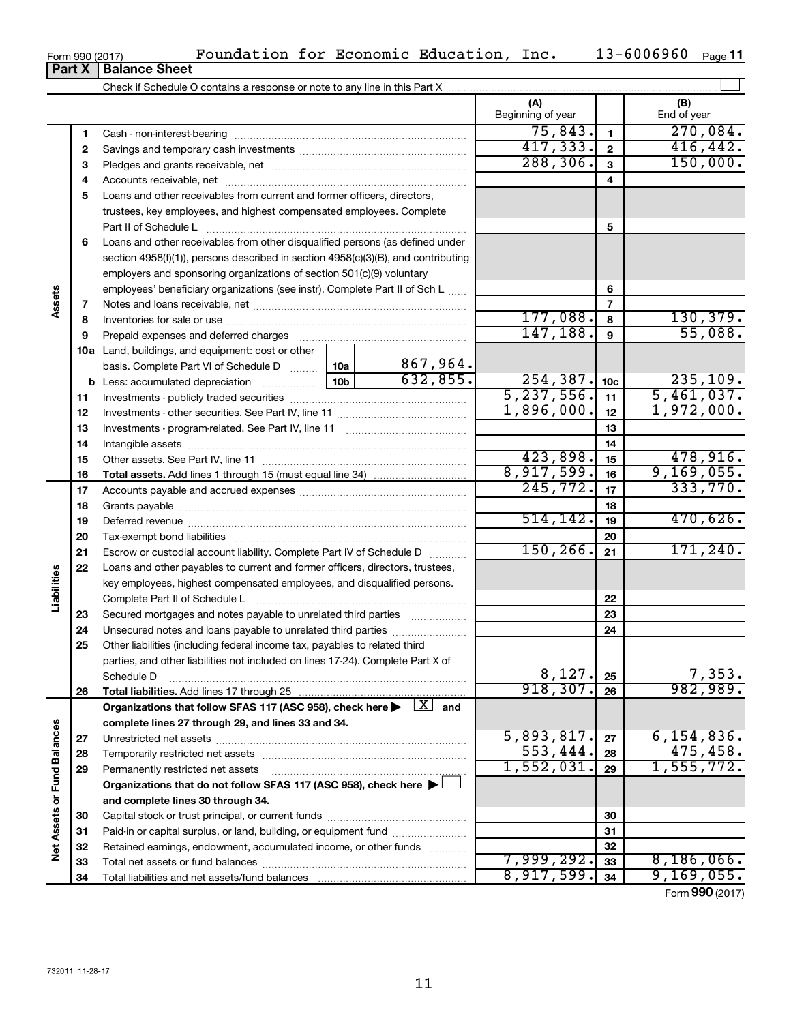|  | <b>Part X   Balance Sheet</b> |
|--|-------------------------------|

Check if Schedule O contains a response or note to any line in this Part X

|                             |    |                                                                                                                           |            |          | (A)<br>Beginning of year |                 | (B)<br>End of year |
|-----------------------------|----|---------------------------------------------------------------------------------------------------------------------------|------------|----------|--------------------------|-----------------|--------------------|
|                             | 1  |                                                                                                                           |            |          | 75,843.                  | $\mathbf{1}$    | 270,084.           |
|                             | 2  |                                                                                                                           |            |          | 417,333.                 | $\mathbf{2}$    | 416, 442.          |
|                             | з  |                                                                                                                           |            |          | 288, 306.                | $\overline{3}$  | 150,000.           |
|                             | 4  |                                                                                                                           |            | 4        |                          |                 |                    |
|                             | 5  | Loans and other receivables from current and former officers, directors,                                                  |            |          |                          |                 |                    |
|                             |    | trustees, key employees, and highest compensated employees. Complete                                                      |            |          |                          |                 |                    |
|                             |    |                                                                                                                           |            |          |                          | 5               |                    |
|                             | 6  | Loans and other receivables from other disqualified persons (as defined under                                             |            |          |                          |                 |                    |
|                             |    | section 4958(f)(1)), persons described in section 4958(c)(3)(B), and contributing                                         |            |          |                          |                 |                    |
|                             |    | employers and sponsoring organizations of section 501(c)(9) voluntary                                                     |            |          |                          |                 |                    |
|                             |    | employees' beneficiary organizations (see instr). Complete Part II of Sch L                                               |            |          |                          | 6               |                    |
| Assets                      | 7  |                                                                                                                           |            |          |                          | $\overline{7}$  |                    |
|                             | 8  |                                                                                                                           |            |          | 177,088.                 | 8               | 130, 379.          |
|                             | 9  | Prepaid expenses and deferred charges                                                                                     |            |          | 147, 188.                | $\mathbf{9}$    | 55,088.            |
|                             |    | 10a Land, buildings, and equipment: cost or other                                                                         |            |          |                          |                 |                    |
|                             |    | basis. Complete Part VI of Schedule D  10a                                                                                |            | 867,964. |                          |                 |                    |
|                             |    | $\begin{bmatrix} 10b \end{bmatrix}$<br><b>b</b> Less: accumulated depreciation                                            |            | 632,855. | 254, 387.                | 10 <sub>c</sub> | 235,109.           |
|                             | 11 |                                                                                                                           |            |          | 5, 237, 556.             | 11              | 5,461,037.         |
|                             | 12 |                                                                                                                           | 1,896,000. | 12       | 1,972,000.               |                 |                    |
|                             | 13 |                                                                                                                           |            | 13       |                          |                 |                    |
|                             | 14 |                                                                                                                           |            | 14       |                          |                 |                    |
|                             | 15 |                                                                                                                           | 423,898.   | 15       | 478,916.                 |                 |                    |
|                             | 16 |                                                                                                                           |            |          | 8,917,599.               | 16              | 9,169,055.         |
|                             | 17 |                                                                                                                           | 245,772.   | 17       | 333,770.                 |                 |                    |
|                             | 18 |                                                                                                                           |            | 18       |                          |                 |                    |
|                             | 19 |                                                                                                                           |            |          | 514, 142.                | 19              | 470,626.           |
|                             | 20 |                                                                                                                           |            |          |                          | 20              |                    |
|                             | 21 | Escrow or custodial account liability. Complete Part IV of Schedule D                                                     |            |          | 150, 266.                | 21              | 171, 240.          |
|                             | 22 | Loans and other payables to current and former officers, directors, trustees,                                             |            |          |                          |                 |                    |
| Liabilities                 |    | key employees, highest compensated employees, and disqualified persons.                                                   |            |          |                          |                 |                    |
|                             |    |                                                                                                                           |            |          |                          | 22              |                    |
|                             | 23 | Secured mortgages and notes payable to unrelated third parties                                                            |            |          |                          | 23              |                    |
|                             | 24 |                                                                                                                           |            |          |                          | 24              |                    |
|                             | 25 | Other liabilities (including federal income tax, payables to related third                                                |            |          |                          |                 |                    |
|                             |    | parties, and other liabilities not included on lines 17-24). Complete Part X of                                           |            |          |                          |                 |                    |
|                             |    | Schedule D                                                                                                                |            |          | 8,127.                   | 25              | 7,353.             |
|                             | 26 |                                                                                                                           |            |          | 918, 307.                | 26              | 982,989.           |
|                             |    | Organizations that follow SFAS 117 (ASC 958), check here $\blacktriangleright \begin{array}{c} \boxed{X} \end{array}$ and |            |          |                          |                 |                    |
|                             |    | complete lines 27 through 29, and lines 33 and 34.                                                                        |            |          |                          |                 |                    |
|                             | 27 |                                                                                                                           |            |          | 5,893,817.               | 27              | 6,154,836.         |
|                             | 28 |                                                                                                                           |            |          | 553,444.                 | 28              | 475, 458.          |
|                             | 29 | Permanently restricted net assets                                                                                         |            |          | 1,552,031.               | 29              | 1,555,772.         |
|                             |    | Organizations that do not follow SFAS 117 (ASC 958), check here >                                                         |            |          |                          |                 |                    |
|                             |    | and complete lines 30 through 34.                                                                                         |            |          |                          |                 |                    |
|                             | 30 |                                                                                                                           |            |          | 30                       |                 |                    |
| Net Assets or Fund Balances | 31 | Paid-in or capital surplus, or land, building, or equipment fund                                                          |            |          |                          | 31              |                    |
|                             | 32 | Retained earnings, endowment, accumulated income, or other funds                                                          |            |          |                          | 32              |                    |
|                             | 33 |                                                                                                                           |            |          | 7,999,292.               | 33              | 8,186,066.         |
|                             | 34 |                                                                                                                           |            |          | 8,917,599.               | 34              | 9,169,055.         |

Form (2017) **990**

 $\perp$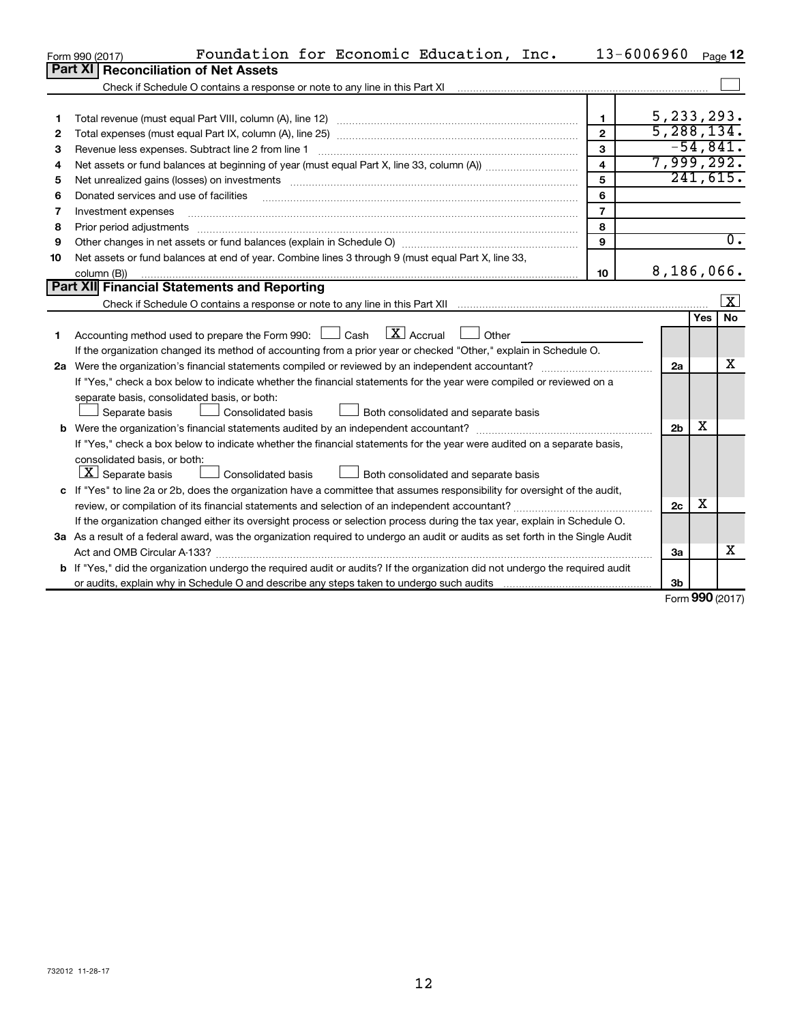|    | Foundation for Economic Education, Inc.<br>Form 990 (2017)                                                                                      |                | 13-6006960     |            | Page 12                 |
|----|-------------------------------------------------------------------------------------------------------------------------------------------------|----------------|----------------|------------|-------------------------|
|    | <b>Part XI</b><br><b>Reconciliation of Net Assets</b>                                                                                           |                |                |            |                         |
|    | Check if Schedule O contains a response or note to any line in this Part XI                                                                     |                |                |            |                         |
|    |                                                                                                                                                 |                |                |            |                         |
| 1  |                                                                                                                                                 | 1              | 5, 233, 293.   |            |                         |
| 2  |                                                                                                                                                 | $\mathbf{2}$   | 5, 288, 134.   |            |                         |
| 3  | Revenue less expenses. Subtract line 2 from line 1                                                                                              | 3              |                |            | $-54,841.$              |
| 4  |                                                                                                                                                 | 4              | 7,999,292.     |            |                         |
| 5  |                                                                                                                                                 | 5              |                |            | 241,615.                |
| 6  | Donated services and use of facilities                                                                                                          | 6              |                |            |                         |
| 7  | Investment expenses                                                                                                                             | $\overline{7}$ |                |            |                         |
| 8  | Prior period adjustments                                                                                                                        | 8              |                |            |                         |
| 9  | Other changes in net assets or fund balances (explain in Schedule O) manufacture changes in net assets or fund balances (explain in Schedule O) | 9              |                |            | $\overline{0}$ .        |
| 10 | Net assets or fund balances at end of year. Combine lines 3 through 9 (must equal Part X, line 33,                                              |                |                |            |                         |
|    | column (B))                                                                                                                                     | 10             | 8,186,066.     |            |                         |
|    | Part XII Financial Statements and Reporting                                                                                                     |                |                |            |                         |
|    |                                                                                                                                                 |                |                |            | $\overline{\mathbf{X}}$ |
|    |                                                                                                                                                 |                |                | <b>Yes</b> | No                      |
| 1  | $X$ Accrual<br>Accounting method used to prepare the Form 990: [130] Cash<br>Other                                                              |                |                |            |                         |
|    | If the organization changed its method of accounting from a prior year or checked "Other," explain in Schedule O.                               |                |                |            |                         |
|    | 2a Were the organization's financial statements compiled or reviewed by an independent accountant?                                              |                | 2a             |            | x                       |
|    | If "Yes," check a box below to indicate whether the financial statements for the year were compiled or reviewed on a                            |                |                |            |                         |
|    | separate basis, consolidated basis, or both:                                                                                                    |                |                |            |                         |
|    | Consolidated basis<br>Separate basis<br>Both consolidated and separate basis                                                                    |                |                |            |                         |
|    |                                                                                                                                                 |                | 2 <sub>b</sub> | х          |                         |
|    | If "Yes," check a box below to indicate whether the financial statements for the year were audited on a separate basis,                         |                |                |            |                         |
|    | consolidated basis, or both:                                                                                                                    |                |                |            |                         |
|    | $\lfloor \mathbf{X} \rfloor$ Separate basis<br>Consolidated basis<br>Both consolidated and separate basis                                       |                |                |            |                         |
|    | c If "Yes" to line 2a or 2b, does the organization have a committee that assumes responsibility for oversight of the audit,                     |                |                |            |                         |
|    | review, or compilation of its financial statements and selection of an independent accountant?                                                  |                | 2c             | х          |                         |
|    | If the organization changed either its oversight process or selection process during the tax year, explain in Schedule O.                       |                |                |            |                         |
|    | 3a As a result of a federal award, was the organization required to undergo an audit or audits as set forth in the Single Audit                 |                |                |            |                         |
|    | Act and OMB Circular A-133?                                                                                                                     |                | За             |            | х                       |
|    | b If "Yes," did the organization undergo the required audit or audits? If the organization did not undergo the required audit                   |                |                |            |                         |
|    |                                                                                                                                                 |                | 3 <sub>b</sub> | <b>000</b> |                         |

Form (2017) **990**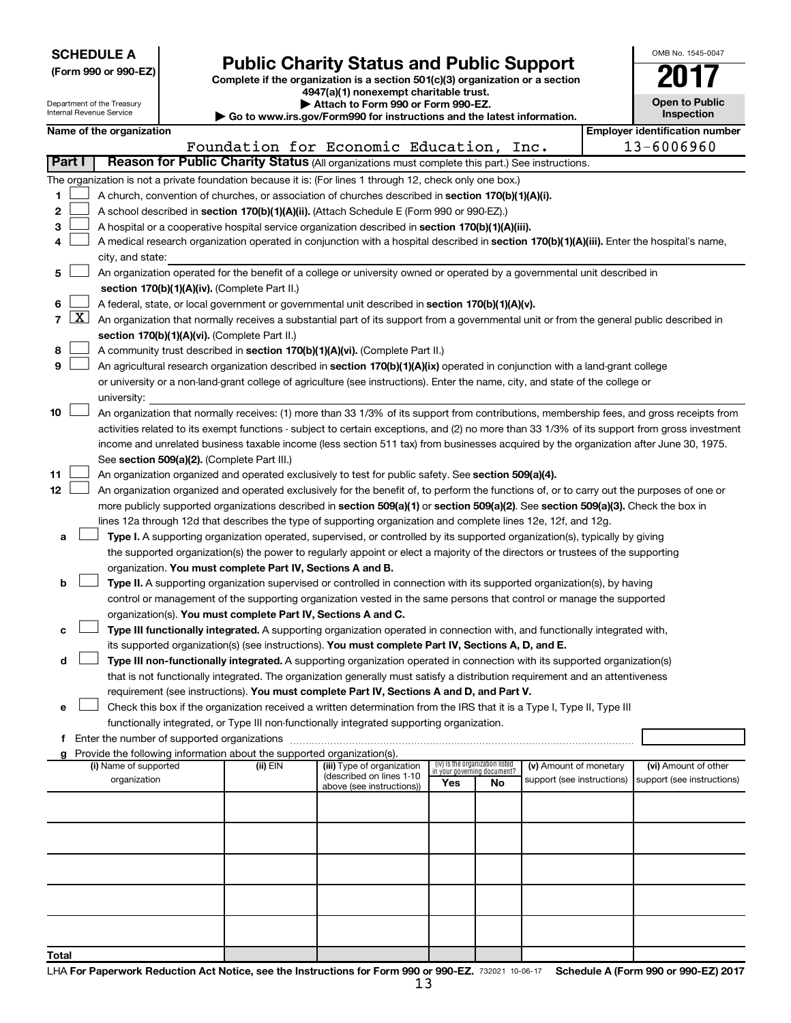| <b>SCHEDULE A</b> |  |
|-------------------|--|
|-------------------|--|

Department of the Treasury

| (Form 990 or 990-EZ) |  |  |
|----------------------|--|--|

Form 990 or 990-EZ)<br>
Complete if the organization is a section 501(c)(3) organization or a section<br> **Public Charity Status and Public Support 4947(a)(1) nonexempt charitable trust.**

**| Attach to Form 990 or Form 990-EZ.** 

| OMB No 1545-0047                    |
|-------------------------------------|
| IT<br>U                             |
| <b>Open to Public</b><br>Inspection |
|                                     |

|       |                     | Internal Revenue Service                                                                                                                                                   |  |                                                                          | Go to www.irs.gov/Form990 for instructions and the latest information.                                                                                                                                                                          |                                                                |     |                            | Inspection                            |
|-------|---------------------|----------------------------------------------------------------------------------------------------------------------------------------------------------------------------|--|--------------------------------------------------------------------------|-------------------------------------------------------------------------------------------------------------------------------------------------------------------------------------------------------------------------------------------------|----------------------------------------------------------------|-----|----------------------------|---------------------------------------|
|       |                     | Name of the organization                                                                                                                                                   |  |                                                                          |                                                                                                                                                                                                                                                 |                                                                |     |                            | <b>Employer identification number</b> |
|       | Part I              |                                                                                                                                                                            |  |                                                                          | Foundation for Economic Education, Inc.<br>Reason for Public Charity Status (All organizations must complete this part.) See instructions.                                                                                                      |                                                                |     |                            | 13-6006960                            |
|       |                     |                                                                                                                                                                            |  |                                                                          |                                                                                                                                                                                                                                                 |                                                                |     |                            |                                       |
|       |                     |                                                                                                                                                                            |  |                                                                          | The organization is not a private foundation because it is: (For lines 1 through 12, check only one box.)                                                                                                                                       |                                                                |     |                            |                                       |
| 1     |                     |                                                                                                                                                                            |  |                                                                          | A church, convention of churches, or association of churches described in section 170(b)(1)(A)(i).                                                                                                                                              |                                                                |     |                            |                                       |
| 2     |                     |                                                                                                                                                                            |  |                                                                          | A school described in section 170(b)(1)(A)(ii). (Attach Schedule E (Form 990 or 990-EZ).)                                                                                                                                                       |                                                                |     |                            |                                       |
| 3     |                     |                                                                                                                                                                            |  |                                                                          | A hospital or a cooperative hospital service organization described in section 170(b)(1)(A)(iii).<br>A medical research organization operated in conjunction with a hospital described in section 170(b)(1)(A)(iii). Enter the hospital's name, |                                                                |     |                            |                                       |
| 4     |                     | city, and state:                                                                                                                                                           |  |                                                                          |                                                                                                                                                                                                                                                 |                                                                |     |                            |                                       |
|       |                     |                                                                                                                                                                            |  |                                                                          |                                                                                                                                                                                                                                                 |                                                                |     |                            |                                       |
| 5     |                     | An organization operated for the benefit of a college or university owned or operated by a governmental unit described in<br>section 170(b)(1)(A)(iv). (Complete Part II.) |  |                                                                          |                                                                                                                                                                                                                                                 |                                                                |     |                            |                                       |
| 6     |                     |                                                                                                                                                                            |  |                                                                          | A federal, state, or local government or governmental unit described in section 170(b)(1)(A)(v).                                                                                                                                                |                                                                |     |                            |                                       |
| 7     | $\lfloor x \rfloor$ |                                                                                                                                                                            |  |                                                                          | An organization that normally receives a substantial part of its support from a governmental unit or from the general public described in                                                                                                       |                                                                |     |                            |                                       |
|       |                     |                                                                                                                                                                            |  | section 170(b)(1)(A)(vi). (Complete Part II.)                            |                                                                                                                                                                                                                                                 |                                                                |     |                            |                                       |
| 8     |                     |                                                                                                                                                                            |  |                                                                          | A community trust described in section 170(b)(1)(A)(vi). (Complete Part II.)                                                                                                                                                                    |                                                                |     |                            |                                       |
| 9     |                     |                                                                                                                                                                            |  |                                                                          | An agricultural research organization described in section 170(b)(1)(A)(ix) operated in conjunction with a land-grant college                                                                                                                   |                                                                |     |                            |                                       |
|       |                     |                                                                                                                                                                            |  |                                                                          | or university or a non-land-grant college of agriculture (see instructions). Enter the name, city, and state of the college or                                                                                                                  |                                                                |     |                            |                                       |
|       |                     | university:                                                                                                                                                                |  |                                                                          |                                                                                                                                                                                                                                                 |                                                                |     |                            |                                       |
| 10    |                     |                                                                                                                                                                            |  |                                                                          | An organization that normally receives: (1) more than 33 1/3% of its support from contributions, membership fees, and gross receipts from                                                                                                       |                                                                |     |                            |                                       |
|       |                     |                                                                                                                                                                            |  |                                                                          | activities related to its exempt functions - subject to certain exceptions, and (2) no more than 33 1/3% of its support from gross investment                                                                                                   |                                                                |     |                            |                                       |
|       |                     |                                                                                                                                                                            |  |                                                                          | income and unrelated business taxable income (less section 511 tax) from businesses acquired by the organization after June 30, 1975.                                                                                                           |                                                                |     |                            |                                       |
|       |                     |                                                                                                                                                                            |  | See section 509(a)(2). (Complete Part III.)                              |                                                                                                                                                                                                                                                 |                                                                |     |                            |                                       |
| 11    |                     |                                                                                                                                                                            |  |                                                                          | An organization organized and operated exclusively to test for public safety. See section 509(a)(4).                                                                                                                                            |                                                                |     |                            |                                       |
| 12    |                     |                                                                                                                                                                            |  |                                                                          | An organization organized and operated exclusively for the benefit of, to perform the functions of, or to carry out the purposes of one or                                                                                                      |                                                                |     |                            |                                       |
|       |                     |                                                                                                                                                                            |  |                                                                          | more publicly supported organizations described in section 509(a)(1) or section 509(a)(2). See section 509(a)(3). Check the box in                                                                                                              |                                                                |     |                            |                                       |
|       |                     |                                                                                                                                                                            |  |                                                                          | lines 12a through 12d that describes the type of supporting organization and complete lines 12e, 12f, and 12g.                                                                                                                                  |                                                                |     |                            |                                       |
| а     |                     |                                                                                                                                                                            |  |                                                                          | Type I. A supporting organization operated, supervised, or controlled by its supported organization(s), typically by giving                                                                                                                     |                                                                |     |                            |                                       |
|       |                     |                                                                                                                                                                            |  |                                                                          | the supported organization(s) the power to regularly appoint or elect a majority of the directors or trustees of the supporting                                                                                                                 |                                                                |     |                            |                                       |
|       |                     |                                                                                                                                                                            |  | organization. You must complete Part IV, Sections A and B.               |                                                                                                                                                                                                                                                 |                                                                |     |                            |                                       |
| b     |                     |                                                                                                                                                                            |  |                                                                          | Type II. A supporting organization supervised or controlled in connection with its supported organization(s), by having                                                                                                                         |                                                                |     |                            |                                       |
|       |                     |                                                                                                                                                                            |  |                                                                          | control or management of the supporting organization vested in the same persons that control or manage the supported                                                                                                                            |                                                                |     |                            |                                       |
|       |                     |                                                                                                                                                                            |  | organization(s). You must complete Part IV, Sections A and C.            |                                                                                                                                                                                                                                                 |                                                                |     |                            |                                       |
| с     |                     |                                                                                                                                                                            |  |                                                                          | Type III functionally integrated. A supporting organization operated in connection with, and functionally integrated with,                                                                                                                      |                                                                |     |                            |                                       |
|       |                     |                                                                                                                                                                            |  |                                                                          | its supported organization(s) (see instructions). You must complete Part IV, Sections A, D, and E.                                                                                                                                              |                                                                |     |                            |                                       |
| d     |                     |                                                                                                                                                                            |  |                                                                          | Type III non-functionally integrated. A supporting organization operated in connection with its supported organization(s)                                                                                                                       |                                                                |     |                            |                                       |
|       |                     |                                                                                                                                                                            |  |                                                                          | that is not functionally integrated. The organization generally must satisfy a distribution requirement and an attentiveness                                                                                                                    |                                                                |     |                            |                                       |
|       |                     |                                                                                                                                                                            |  |                                                                          | requirement (see instructions). You must complete Part IV, Sections A and D, and Part V.                                                                                                                                                        |                                                                |     |                            |                                       |
| е     |                     |                                                                                                                                                                            |  |                                                                          | Check this box if the organization received a written determination from the IRS that it is a Type I, Type II, Type III<br>functionally integrated, or Type III non-functionally integrated supporting organization.                            |                                                                |     |                            |                                       |
| f     |                     | Enter the number of supported organizations                                                                                                                                |  |                                                                          |                                                                                                                                                                                                                                                 |                                                                |     |                            |                                       |
|       |                     |                                                                                                                                                                            |  | g Provide the following information about the supported organization(s). |                                                                                                                                                                                                                                                 |                                                                |     |                            |                                       |
|       |                     | (i) Name of supported                                                                                                                                                      |  | (ii) EIN                                                                 | (iii) Type of organization                                                                                                                                                                                                                      | (iv) Is the organization listed<br>in your governing document? |     | (v) Amount of monetary     | (vi) Amount of other                  |
|       |                     | organization                                                                                                                                                               |  |                                                                          | (described on lines 1-10<br>above (see instructions))                                                                                                                                                                                           | Yes                                                            | No. | support (see instructions) | support (see instructions)            |
|       |                     |                                                                                                                                                                            |  |                                                                          |                                                                                                                                                                                                                                                 |                                                                |     |                            |                                       |
|       |                     |                                                                                                                                                                            |  |                                                                          |                                                                                                                                                                                                                                                 |                                                                |     |                            |                                       |
|       |                     |                                                                                                                                                                            |  |                                                                          |                                                                                                                                                                                                                                                 |                                                                |     |                            |                                       |
|       |                     |                                                                                                                                                                            |  |                                                                          |                                                                                                                                                                                                                                                 |                                                                |     |                            |                                       |
|       |                     |                                                                                                                                                                            |  |                                                                          |                                                                                                                                                                                                                                                 |                                                                |     |                            |                                       |
|       |                     |                                                                                                                                                                            |  |                                                                          |                                                                                                                                                                                                                                                 |                                                                |     |                            |                                       |
|       |                     |                                                                                                                                                                            |  |                                                                          |                                                                                                                                                                                                                                                 |                                                                |     |                            |                                       |
|       |                     |                                                                                                                                                                            |  |                                                                          |                                                                                                                                                                                                                                                 |                                                                |     |                            |                                       |
|       |                     |                                                                                                                                                                            |  |                                                                          |                                                                                                                                                                                                                                                 |                                                                |     |                            |                                       |
| Total |                     |                                                                                                                                                                            |  |                                                                          |                                                                                                                                                                                                                                                 |                                                                |     |                            |                                       |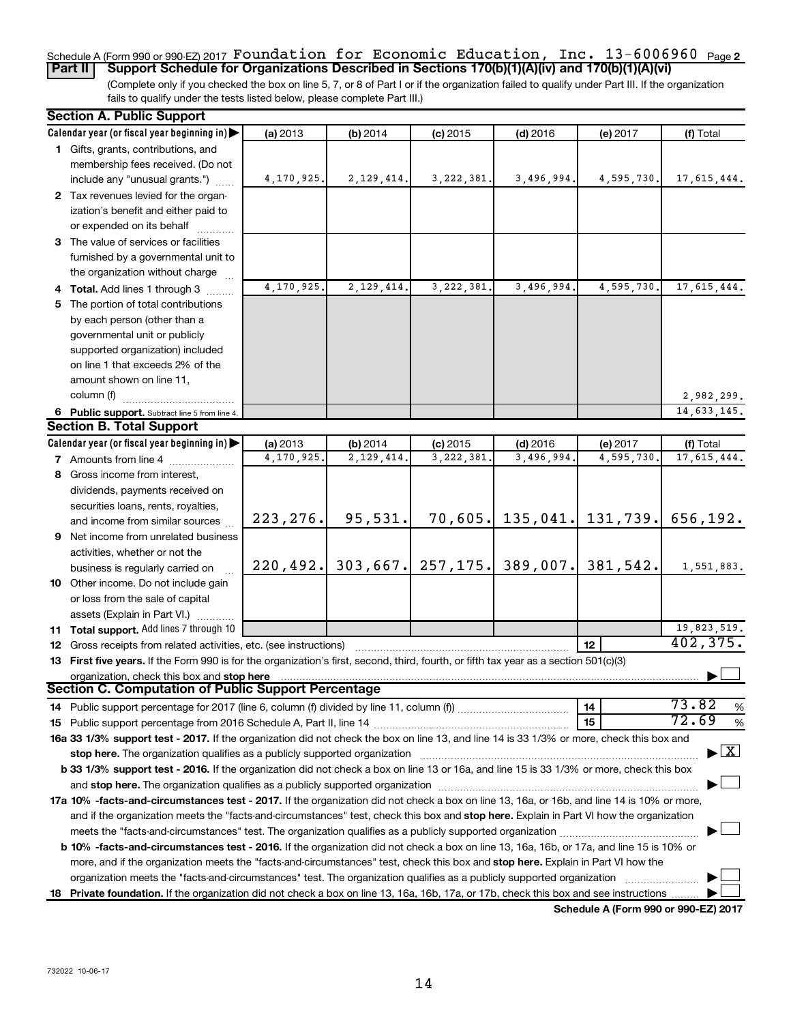### Schedule A (Form 990 or 990-EZ) 2017  $\verb|Foundation for Economic Education, Inc. 13-6006960$  <sub>Page 2</sub> **Part II Support Schedule for Organizations Described in Sections 170(b)(1)(A)(iv) and 170(b)(1)(A)(vi)**

(Complete only if you checked the box on line 5, 7, or 8 of Part I or if the organization failed to qualify under Part III. If the organization fails to qualify under the tests listed below, please complete Part III.)

| <b>Section A. Public Support</b>                                                                                                           |            |              |              |                      |                     |                                    |
|--------------------------------------------------------------------------------------------------------------------------------------------|------------|--------------|--------------|----------------------|---------------------|------------------------------------|
| Calendar year (or fiscal year beginning in)                                                                                                | (a) 2013   | (b) 2014     | $(c)$ 2015   | $(d)$ 2016           | (e) 2017            | (f) Total                          |
| 1 Gifts, grants, contributions, and                                                                                                        |            |              |              |                      |                     |                                    |
| membership fees received. (Do not                                                                                                          |            |              |              |                      |                     |                                    |
| include any "unusual grants.")                                                                                                             | 4,170,925. | 2, 129, 414. | 3, 222, 381. | 3,496,994.           | 4,595,730.          | 17,615,444.                        |
| 2 Tax revenues levied for the organ-                                                                                                       |            |              |              |                      |                     |                                    |
| ization's benefit and either paid to                                                                                                       |            |              |              |                      |                     |                                    |
| or expended on its behalf                                                                                                                  |            |              |              |                      |                     |                                    |
| 3 The value of services or facilities                                                                                                      |            |              |              |                      |                     |                                    |
| furnished by a governmental unit to                                                                                                        |            |              |              |                      |                     |                                    |
| the organization without charge                                                                                                            |            |              |              |                      |                     |                                    |
| 4 Total. Add lines 1 through 3                                                                                                             | 4,170,925. | 2, 129, 414. | 3, 222, 381. | 3,496,994.           | 4,595,730           | 17,615,444.                        |
| 5 The portion of total contributions                                                                                                       |            |              |              |                      |                     |                                    |
| by each person (other than a                                                                                                               |            |              |              |                      |                     |                                    |
| governmental unit or publicly                                                                                                              |            |              |              |                      |                     |                                    |
|                                                                                                                                            |            |              |              |                      |                     |                                    |
| supported organization) included                                                                                                           |            |              |              |                      |                     |                                    |
| on line 1 that exceeds 2% of the                                                                                                           |            |              |              |                      |                     |                                    |
| amount shown on line 11,                                                                                                                   |            |              |              |                      |                     |                                    |
| column (f)                                                                                                                                 |            |              |              |                      |                     | 2,982,299.                         |
| 6 Public support. Subtract line 5 from line 4.                                                                                             |            |              |              |                      |                     | $\overline{14,633,145}$ .          |
| <b>Section B. Total Support</b>                                                                                                            |            |              |              |                      |                     |                                    |
| Calendar year (or fiscal year beginning in)                                                                                                | (a) 2013   | (b) 2014     | $(c)$ 2015   | $(d)$ 2016           | (e) 2017            | (f) Total                          |
| <b>7</b> Amounts from line 4                                                                                                               | 4,170,925. | 2,129,414.   | 3,222,381    | 3,496,994.           | 4,595,730           | 17,615,444.                        |
| 8 Gross income from interest,                                                                                                              |            |              |              |                      |                     |                                    |
| dividends, payments received on                                                                                                            |            |              |              |                      |                     |                                    |
| securities loans, rents, royalties,                                                                                                        |            |              |              |                      |                     |                                    |
| and income from similar sources                                                                                                            | 223, 276.  | 95,531.      | 70,605.      |                      | $135,041.$ 131,739. | 656,192.                           |
| 9 Net income from unrelated business                                                                                                       |            |              |              |                      |                     |                                    |
| activities, whether or not the                                                                                                             |            |              |              |                      |                     |                                    |
| business is regularly carried on                                                                                                           | 220, 492.  | 303,667.     |              | $257, 175.$ 389,007. | 381,542.            | 1,551,883.                         |
| 10 Other income. Do not include gain                                                                                                       |            |              |              |                      |                     |                                    |
| or loss from the sale of capital                                                                                                           |            |              |              |                      |                     |                                    |
|                                                                                                                                            |            |              |              |                      |                     |                                    |
| assets (Explain in Part VI.)<br>11 Total support. Add lines 7 through 10                                                                   |            |              |              |                      |                     | 19,823,519.                        |
|                                                                                                                                            |            |              |              |                      | 12                  | 402, 375.                          |
| <b>12</b> Gross receipts from related activities, etc. (see instructions)                                                                  |            |              |              |                      |                     |                                    |
| 13 First five years. If the Form 990 is for the organization's first, second, third, fourth, or fifth tax year as a section 501(c)(3)      |            |              |              |                      |                     |                                    |
| organization, check this box and stop here<br>Section C. Computation of Public Support Percentage                                          |            |              |              |                      |                     |                                    |
|                                                                                                                                            |            |              |              |                      |                     |                                    |
|                                                                                                                                            |            |              |              |                      | 14                  | 73.82<br>%                         |
|                                                                                                                                            |            |              |              |                      | 15                  | 72.69<br>$\%$                      |
| 16a 33 1/3% support test - 2017. If the organization did not check the box on line 13, and line 14 is 33 1/3% or more, check this box and  |            |              |              |                      |                     |                                    |
| stop here. The organization qualifies as a publicly supported organization                                                                 |            |              |              |                      |                     | $\blacktriangleright$ $\mathbf{X}$ |
| b 33 1/3% support test - 2016. If the organization did not check a box on line 13 or 16a, and line 15 is 33 1/3% or more, check this box   |            |              |              |                      |                     |                                    |
|                                                                                                                                            |            |              |              |                      |                     |                                    |
| 17a 10% -facts-and-circumstances test - 2017. If the organization did not check a box on line 13, 16a, or 16b, and line 14 is 10% or more, |            |              |              |                      |                     |                                    |
| and if the organization meets the "facts-and-circumstances" test, check this box and stop here. Explain in Part VI how the organization    |            |              |              |                      |                     |                                    |
|                                                                                                                                            |            |              |              |                      |                     |                                    |
| b 10% -facts-and-circumstances test - 2016. If the organization did not check a box on line 13, 16a, 16b, or 17a, and line 15 is 10% or    |            |              |              |                      |                     |                                    |
| more, and if the organization meets the "facts-and-circumstances" test, check this box and stop here. Explain in Part VI how the           |            |              |              |                      |                     |                                    |
| organization meets the "facts-and-circumstances" test. The organization qualifies as a publicly supported organization                     |            |              |              |                      |                     |                                    |
| 18 Private foundation. If the organization did not check a box on line 13, 16a, 16b, 17a, or 17b, check this box and see instructions      |            |              |              |                      |                     |                                    |
|                                                                                                                                            |            |              |              |                      |                     |                                    |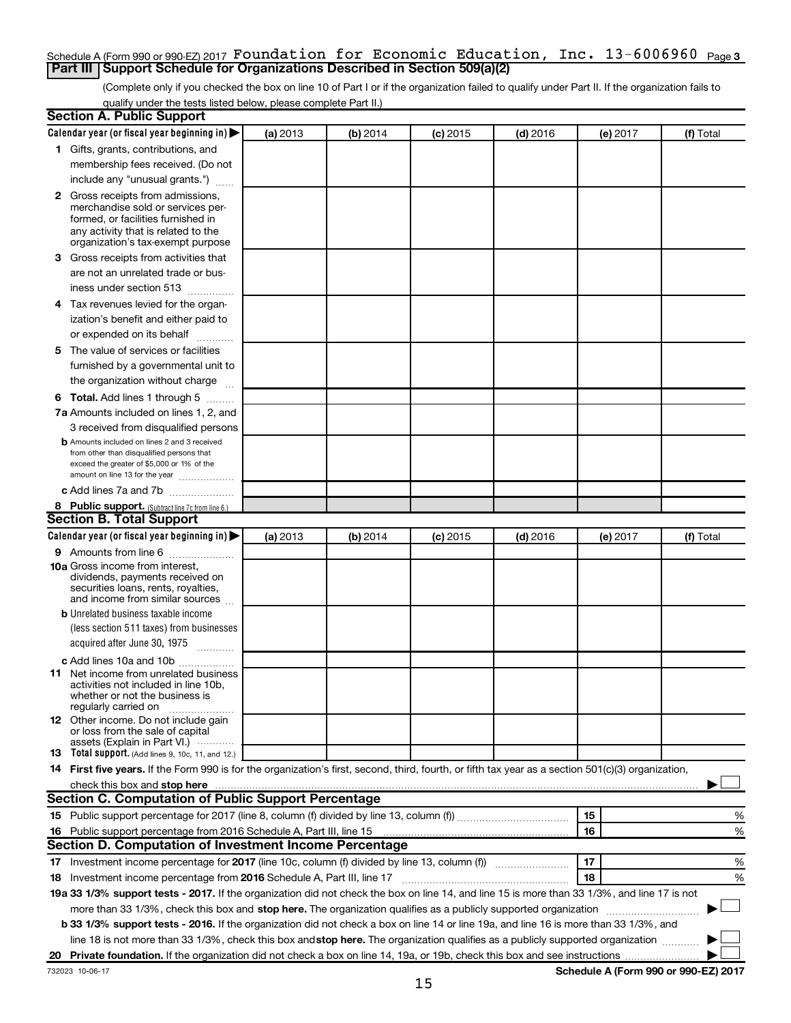## Schedule A (Form 990 or 990-EZ) 2017  $\verb|Foundation for Economic Education, Inc. 13-6006960$  <sub>Page 3</sub> **Part III Support Schedule for Organizations Described in Section 509(a)(2)**

(Complete only if you checked the box on line 10 of Part I or if the organization failed to qualify under Part II. If the organization fails to qualify under the tests listed below, please complete Part II.)

| <b>Section A. Public Support</b>                                                                                                                    |          |          |            |            |          |           |
|-----------------------------------------------------------------------------------------------------------------------------------------------------|----------|----------|------------|------------|----------|-----------|
| Calendar year (or fiscal year beginning in)                                                                                                         | (a) 2013 | (b) 2014 | $(c)$ 2015 | $(d)$ 2016 | (e) 2017 | (f) Total |
| 1 Gifts, grants, contributions, and                                                                                                                 |          |          |            |            |          |           |
| membership fees received. (Do not                                                                                                                   |          |          |            |            |          |           |
| include any "unusual grants.")                                                                                                                      |          |          |            |            |          |           |
| <b>2</b> Gross receipts from admissions,                                                                                                            |          |          |            |            |          |           |
| merchandise sold or services per-                                                                                                                   |          |          |            |            |          |           |
| formed, or facilities furnished in<br>any activity that is related to the                                                                           |          |          |            |            |          |           |
| organization's tax-exempt purpose                                                                                                                   |          |          |            |            |          |           |
| 3 Gross receipts from activities that                                                                                                               |          |          |            |            |          |           |
| are not an unrelated trade or bus-                                                                                                                  |          |          |            |            |          |           |
| iness under section 513                                                                                                                             |          |          |            |            |          |           |
| 4 Tax revenues levied for the organ-                                                                                                                |          |          |            |            |          |           |
| ization's benefit and either paid to                                                                                                                |          |          |            |            |          |           |
| or expended on its behalf                                                                                                                           |          |          |            |            |          |           |
| 5 The value of services or facilities                                                                                                               |          |          |            |            |          |           |
| furnished by a governmental unit to                                                                                                                 |          |          |            |            |          |           |
| the organization without charge                                                                                                                     |          |          |            |            |          |           |
| 6 Total. Add lines 1 through 5                                                                                                                      |          |          |            |            |          |           |
| 7a Amounts included on lines 1, 2, and                                                                                                              |          |          |            |            |          |           |
| 3 received from disqualified persons                                                                                                                |          |          |            |            |          |           |
| <b>b</b> Amounts included on lines 2 and 3 received                                                                                                 |          |          |            |            |          |           |
| from other than disqualified persons that                                                                                                           |          |          |            |            |          |           |
| exceed the greater of \$5,000 or 1% of the                                                                                                          |          |          |            |            |          |           |
| amount on line 13 for the year<br>c Add lines 7a and 7b                                                                                             |          |          |            |            |          |           |
|                                                                                                                                                     |          |          |            |            |          |           |
| 8 Public support. (Subtract line 7c from line 6.)<br><b>Section B. Total Support</b>                                                                |          |          |            |            |          |           |
| Calendar year (or fiscal year beginning in)                                                                                                         | (a) 2013 | (b) 2014 | $(c)$ 2015 | $(d)$ 2016 | (e) 2017 | (f) Total |
| 9 Amounts from line 6                                                                                                                               |          |          |            |            |          |           |
| <b>10a</b> Gross income from interest,                                                                                                              |          |          |            |            |          |           |
| dividends, payments received on                                                                                                                     |          |          |            |            |          |           |
| securities loans, rents, royalties,                                                                                                                 |          |          |            |            |          |           |
| and income from similar sources<br><b>b</b> Unrelated business taxable income                                                                       |          |          |            |            |          |           |
| (less section 511 taxes) from businesses                                                                                                            |          |          |            |            |          |           |
| acquired after June 30, 1975                                                                                                                        |          |          |            |            |          |           |
|                                                                                                                                                     |          |          |            |            |          |           |
| c Add lines 10a and 10b<br><b>11</b> Net income from unrelated business                                                                             |          |          |            |            |          |           |
| activities not included in line 10b.                                                                                                                |          |          |            |            |          |           |
| whether or not the business is                                                                                                                      |          |          |            |            |          |           |
| regularly carried on<br>12 Other income. Do not include gain                                                                                        |          |          |            |            |          |           |
| or loss from the sale of capital                                                                                                                    |          |          |            |            |          |           |
| assets (Explain in Part VI.)                                                                                                                        |          |          |            |            |          |           |
| <b>13</b> Total support. (Add lines 9, 10c, 11, and 12.)                                                                                            |          |          |            |            |          |           |
| 14 First five years. If the Form 990 is for the organization's first, second, third, fourth, or fifth tax year as a section 501(c)(3) organization, |          |          |            |            |          |           |
|                                                                                                                                                     |          |          |            |            |          |           |
| Section C. Computation of Public Support Percentage                                                                                                 |          |          |            |            |          |           |
|                                                                                                                                                     |          |          |            |            | 15       | ℅         |
| 16 Public support percentage from 2016 Schedule A, Part III, line 15                                                                                |          |          |            |            | 16       | %         |
| Section D. Computation of Investment Income Percentage                                                                                              |          |          |            |            |          |           |
| 17 Investment income percentage for 2017 (line 10c, column (f) divided by line 13, column (f))                                                      |          |          |            |            | 17       | %         |
| 18 Investment income percentage from 2016 Schedule A, Part III, line 17                                                                             |          |          |            |            | 18       | %         |
| 19a 33 1/3% support tests - 2017. If the organization did not check the box on line 14, and line 15 is more than 33 1/3%, and line 17 is not        |          |          |            |            |          |           |
| more than 33 1/3%, check this box and stop here. The organization qualifies as a publicly supported organization                                    |          |          |            |            |          |           |
| b 33 1/3% support tests - 2016. If the organization did not check a box on line 14 or line 19a, and line 16 is more than 33 1/3%, and               |          |          |            |            |          |           |
| line 18 is not more than 33 1/3%, check this box and stop here. The organization qualifies as a publicly supported organization                     |          |          |            |            |          |           |
|                                                                                                                                                     |          |          |            |            |          |           |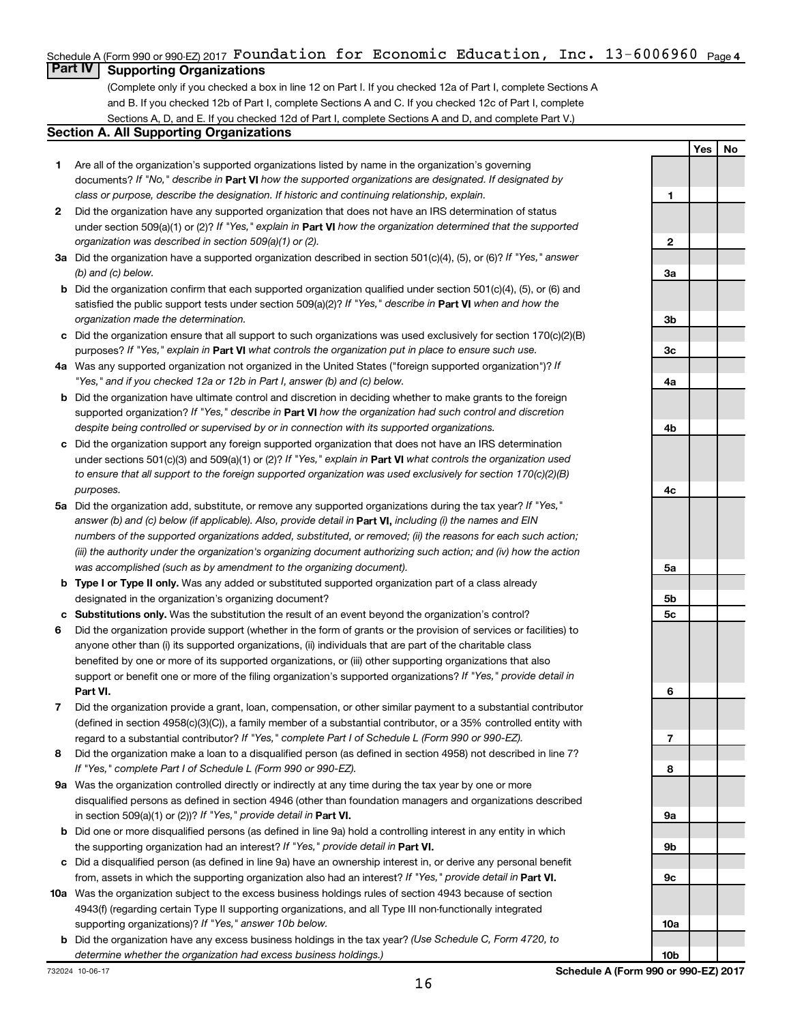# Schedule A (Form 990 or 990-EZ) 2017  $\verb|Foundation for Economic Education, Inc. 13-6006960$  <sub>Page 4</sub>

# **Part IV Supporting Organizations**

(Complete only if you checked a box in line 12 on Part I. If you checked 12a of Part I, complete Sections A and B. If you checked 12b of Part I, complete Sections A and C. If you checked 12c of Part I, complete Sections A, D, and E. If you checked 12d of Part I, complete Sections A and D, and complete Part V.)

#### **Section A. All Supporting Organizations**

- **1** Are all of the organization's supported organizations listed by name in the organization's governing documents? If "No," describe in Part VI how the supported organizations are designated. If designated by *class or purpose, describe the designation. If historic and continuing relationship, explain.*
- **2** Did the organization have any supported organization that does not have an IRS determination of status under section 509(a)(1) or (2)? If "Yes," explain in Part **VI** how the organization determined that the supported *organization was described in section 509(a)(1) or (2).*
- **3a** Did the organization have a supported organization described in section 501(c)(4), (5), or (6)? If "Yes," answer *(b) and (c) below.*
- **b** Did the organization confirm that each supported organization qualified under section 501(c)(4), (5), or (6) and satisfied the public support tests under section 509(a)(2)? If "Yes," describe in Part VI when and how the *organization made the determination.*
- **c** Did the organization ensure that all support to such organizations was used exclusively for section 170(c)(2)(B) purposes? If "Yes," explain in Part VI what controls the organization put in place to ensure such use.
- **4 a** *If* Was any supported organization not organized in the United States ("foreign supported organization")? *"Yes," and if you checked 12a or 12b in Part I, answer (b) and (c) below.*
- **b** Did the organization have ultimate control and discretion in deciding whether to make grants to the foreign supported organization? If "Yes," describe in Part VI how the organization had such control and discretion *despite being controlled or supervised by or in connection with its supported organizations.*
- **c** Did the organization support any foreign supported organization that does not have an IRS determination under sections 501(c)(3) and 509(a)(1) or (2)? If "Yes," explain in Part VI what controls the organization used *to ensure that all support to the foreign supported organization was used exclusively for section 170(c)(2)(B) purposes.*
- **5a** Did the organization add, substitute, or remove any supported organizations during the tax year? If "Yes," answer (b) and (c) below (if applicable). Also, provide detail in **Part VI,** including (i) the names and EIN *numbers of the supported organizations added, substituted, or removed; (ii) the reasons for each such action; (iii) the authority under the organization's organizing document authorizing such action; and (iv) how the action was accomplished (such as by amendment to the organizing document).*
- **b Type I or Type II only.** Was any added or substituted supported organization part of a class already designated in the organization's organizing document?
- **c Substitutions only.**  Was the substitution the result of an event beyond the organization's control?
- **6** Did the organization provide support (whether in the form of grants or the provision of services or facilities) to **Part VI.** support or benefit one or more of the filing organization's supported organizations? If "Yes," provide detail in anyone other than (i) its supported organizations, (ii) individuals that are part of the charitable class benefited by one or more of its supported organizations, or (iii) other supporting organizations that also
- **7** Did the organization provide a grant, loan, compensation, or other similar payment to a substantial contributor regard to a substantial contributor? If "Yes," complete Part I of Schedule L (Form 990 or 990-EZ). (defined in section 4958(c)(3)(C)), a family member of a substantial contributor, or a 35% controlled entity with
- **8** Did the organization make a loan to a disqualified person (as defined in section 4958) not described in line 7? *If "Yes," complete Part I of Schedule L (Form 990 or 990-EZ).*
- **9 a** Was the organization controlled directly or indirectly at any time during the tax year by one or more in section 509(a)(1) or (2))? If "Yes," provide detail in **Part VI.** disqualified persons as defined in section 4946 (other than foundation managers and organizations described
- **b** Did one or more disqualified persons (as defined in line 9a) hold a controlling interest in any entity in which the supporting organization had an interest? If "Yes," provide detail in Part VI.
- **c** Did a disqualified person (as defined in line 9a) have an ownership interest in, or derive any personal benefit from, assets in which the supporting organization also had an interest? If "Yes," provide detail in Part VI.
- **10 a** Was the organization subject to the excess business holdings rules of section 4943 because of section supporting organizations)? If "Yes," answer 10b below. 4943(f) (regarding certain Type II supporting organizations, and all Type III non-functionally integrated
	- **b** Did the organization have any excess business holdings in the tax year? (Use Schedule C, Form 4720, to *determine whether the organization had excess business holdings.)*

**1 2 3a 3b 3c 4a 4b 4c 5a 5b 5c 6 7 8 9a 9b 9c 10a**

**Yes No**

**10b**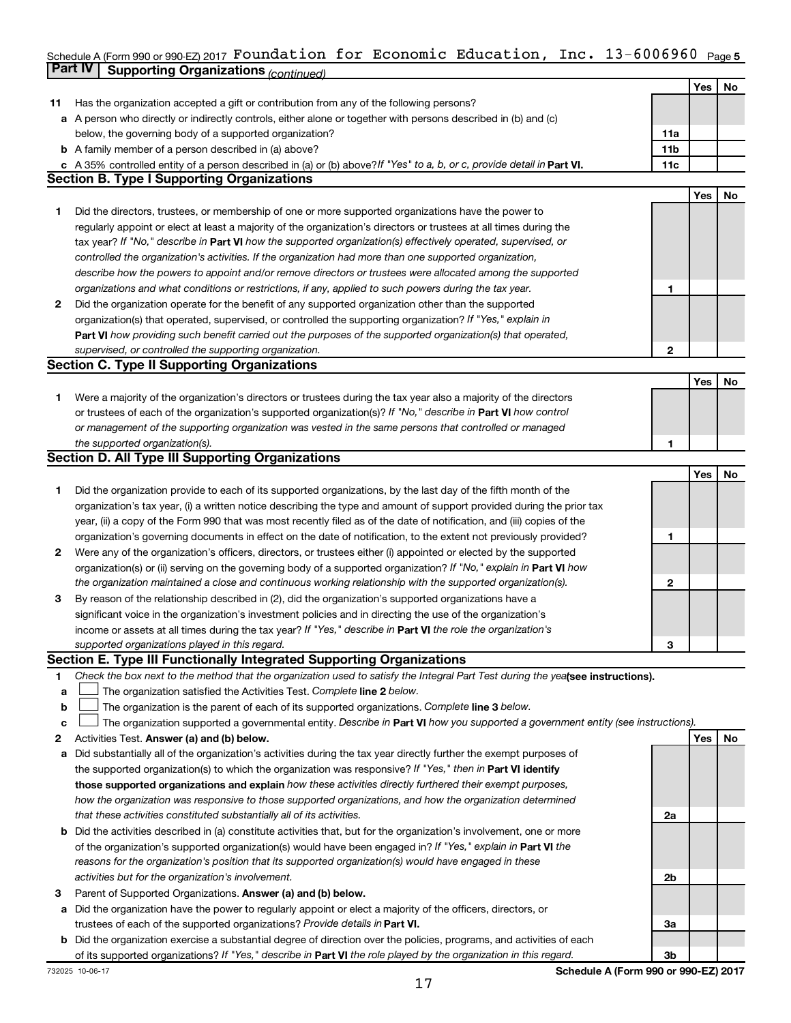#### Schedule A (Form 990 or 990-EZ) 2017 <code>FOUNC</code>ation <code>Ior Economic Education, Inc. <code>13-6006960</code> <code>Page 5</code></code> **Part IV Supporting Organizations** *(continued)* Foundation for Economic Education, Inc. 13-6006960

|    |                                                                                                                                 |     | Yes | No  |
|----|---------------------------------------------------------------------------------------------------------------------------------|-----|-----|-----|
| 11 | Has the organization accepted a gift or contribution from any of the following persons?                                         |     |     |     |
|    | a A person who directly or indirectly controls, either alone or together with persons described in (b) and (c)                  |     |     |     |
|    | below, the governing body of a supported organization?                                                                          | 11a |     |     |
|    | <b>b</b> A family member of a person described in (a) above?                                                                    | 11b |     |     |
|    | c A 35% controlled entity of a person described in (a) or (b) above? If "Yes" to a, b, or c, provide detail in Part VI.         | 11c |     |     |
|    | <b>Section B. Type I Supporting Organizations</b>                                                                               |     |     |     |
|    |                                                                                                                                 |     | Yes | No  |
| 1  | Did the directors, trustees, or membership of one or more supported organizations have the power to                             |     |     |     |
|    | regularly appoint or elect at least a majority of the organization's directors or trustees at all times during the              |     |     |     |
|    | tax year? If "No," describe in Part VI how the supported organization(s) effectively operated, supervised, or                   |     |     |     |
|    | controlled the organization's activities. If the organization had more than one supported organization,                         |     |     |     |
|    | describe how the powers to appoint and/or remove directors or trustees were allocated among the supported                       |     |     |     |
|    | organizations and what conditions or restrictions, if any, applied to such powers during the tax year.                          | 1   |     |     |
| 2  | Did the organization operate for the benefit of any supported organization other than the supported                             |     |     |     |
|    | organization(s) that operated, supervised, or controlled the supporting organization? If "Yes," explain in                      |     |     |     |
|    | Part VI how providing such benefit carried out the purposes of the supported organization(s) that operated,                     |     |     |     |
|    | supervised, or controlled the supporting organization.                                                                          | 2   |     |     |
|    | <b>Section C. Type II Supporting Organizations</b>                                                                              |     |     |     |
|    |                                                                                                                                 |     | Yes | No  |
| 1. | Were a majority of the organization's directors or trustees during the tax year also a majority of the directors                |     |     |     |
|    | or trustees of each of the organization's supported organization(s)? If "No," describe in Part VI how control                   |     |     |     |
|    | or management of the supporting organization was vested in the same persons that controlled or managed                          |     |     |     |
|    | the supported organization(s).                                                                                                  | 1   |     |     |
|    | <b>Section D. All Type III Supporting Organizations</b>                                                                         |     |     |     |
|    |                                                                                                                                 |     | Yes | No  |
| 1  | Did the organization provide to each of its supported organizations, by the last day of the fifth month of the                  |     |     |     |
|    | organization's tax year, (i) a written notice describing the type and amount of support provided during the prior tax           |     |     |     |
|    | year, (ii) a copy of the Form 990 that was most recently filed as of the date of notification, and (iii) copies of the          |     |     |     |
|    | organization's governing documents in effect on the date of notification, to the extent not previously provided?                | 1   |     |     |
| 2  | Were any of the organization's officers, directors, or trustees either (i) appointed or elected by the supported                |     |     |     |
|    | organization(s) or (ii) serving on the governing body of a supported organization? If "No," explain in Part VI how              |     |     |     |
|    | the organization maintained a close and continuous working relationship with the supported organization(s).                     | 2   |     |     |
| 3  | By reason of the relationship described in (2), did the organization's supported organizations have a                           |     |     |     |
|    | significant voice in the organization's investment policies and in directing the use of the organization's                      |     |     |     |
|    | income or assets at all times during the tax year? If "Yes," describe in Part VI the role the organization's                    |     |     |     |
|    | supported organizations played in this regard.                                                                                  | З   |     |     |
|    | Section E. Type III Functionally Integrated Supporting Organizations                                                            |     |     |     |
| 1  | Check the box next to the method that the organization used to satisfy the Integral Part Test during the yealsee instructions). |     |     |     |
| а  | The organization satisfied the Activities Test. Complete line 2 below.                                                          |     |     |     |
| b  | The organization is the parent of each of its supported organizations. Complete line 3 below.                                   |     |     |     |
| с  | The organization supported a governmental entity. Describe in Part VI how you supported a government entity (see instructions). |     |     |     |
| 2  | Activities Test. Answer (a) and (b) below.                                                                                      |     | Yes | No. |
| а  | Did substantially all of the organization's activities during the tax year directly further the exempt purposes of              |     |     |     |
|    | the supported organization(s) to which the organization was responsive? If "Yes," then in Part VI identify                      |     |     |     |
|    | those supported organizations and explain how these activities directly furthered their exempt purposes,                        |     |     |     |
|    | how the organization was responsive to those supported organizations, and how the organization determined                       |     |     |     |
|    | that these activities constituted substantially all of its activities.                                                          | 2a  |     |     |
|    | <b>b</b> Did the activities described in (a) constitute activities that, but for the organization's involvement, one or more    |     |     |     |
|    | of the organization's supported organization(s) would have been engaged in? If "Yes," explain in Part VI the                    |     |     |     |
|    | reasons for the organization's position that its supported organization(s) would have engaged in these                          |     |     |     |
|    | activities but for the organization's involvement.                                                                              | 2b  |     |     |
| 3  | Parent of Supported Organizations. Answer (a) and (b) below.                                                                    |     |     |     |
| а  | Did the organization have the power to regularly appoint or elect a majority of the officers, directors, or                     |     |     |     |
|    | trustees of each of the supported organizations? Provide details in Part VI.                                                    | За  |     |     |
|    | <b>b</b> Did the organization exercise a substantial degree of direction over the policies, programs, and activities of each    |     |     |     |
|    | of its supported organizations? If "Yes," describe in Part VI the role played by the organization in this regard.               | Зb  |     |     |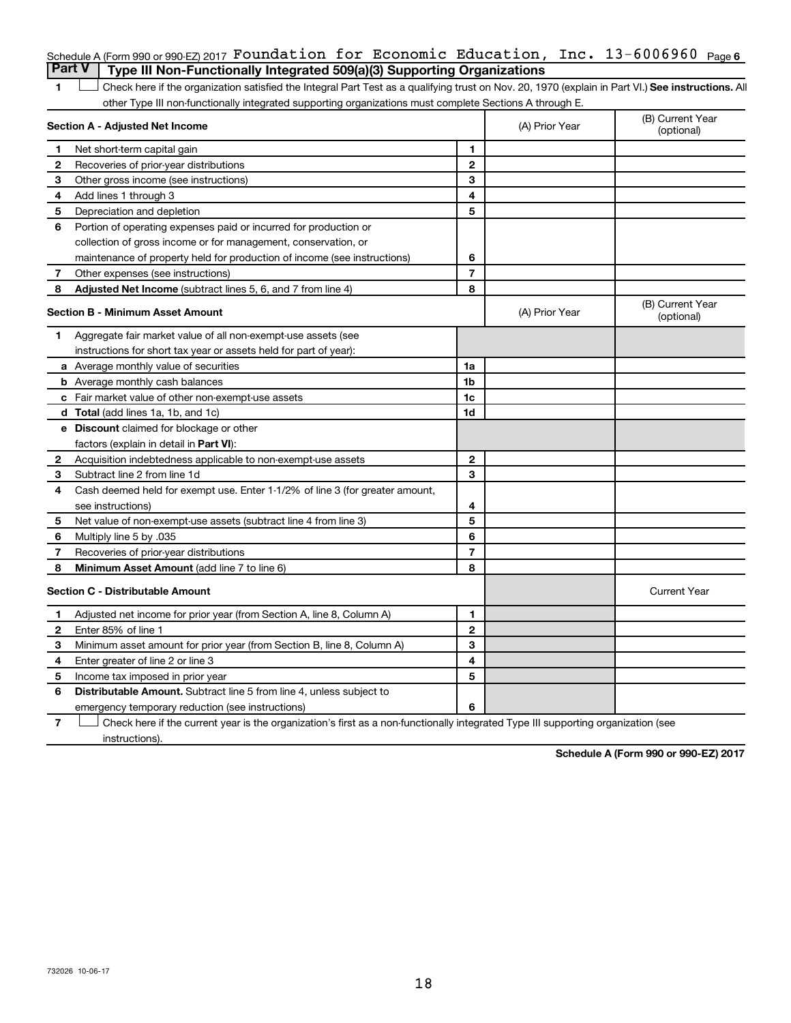|   | Schedule A (Form 990 or 990 EZ) 2017 Foundation for Economic Education, Inc. $13-6006960$ Page 6                                                   |                          |                |                                |
|---|----------------------------------------------------------------------------------------------------------------------------------------------------|--------------------------|----------------|--------------------------------|
|   | <b>Part V</b><br>Type III Non-Functionally Integrated 509(a)(3) Supporting Organizations                                                           |                          |                |                                |
| 1 | Check here if the organization satisfied the Integral Part Test as a qualifying trust on Nov. 20, 1970 (explain in Part VI.) See instructions. All |                          |                |                                |
|   | other Type III non-functionally integrated supporting organizations must complete Sections A through E.                                            |                          |                |                                |
|   | Section A - Adjusted Net Income                                                                                                                    |                          | (A) Prior Year | (B) Current Year<br>(optional) |
| 1 | Net short-term capital gain                                                                                                                        | 1                        |                |                                |
| 2 | Recoveries of prior-year distributions                                                                                                             | $\mathbf{2}$             |                |                                |
| З | Other gross income (see instructions)                                                                                                              | 3                        |                |                                |
| 4 | Add lines 1 through 3                                                                                                                              | 4                        |                |                                |
| 5 | Depreciation and depletion                                                                                                                         | 5                        |                |                                |
| 6 | Portion of operating expenses paid or incurred for production or                                                                                   |                          |                |                                |
|   | collection of gross income or for management, conservation, or                                                                                     |                          |                |                                |
|   | maintenance of property held for production of income (see instructions)                                                                           | 6                        |                |                                |
| 7 | Other expenses (see instructions)                                                                                                                  | $\overline{7}$           |                |                                |
| 8 | <b>Adjusted Net Income</b> (subtract lines 5, 6, and 7 from line 4)                                                                                | 8                        |                |                                |
|   | <b>Section B - Minimum Asset Amount</b>                                                                                                            |                          | (A) Prior Year | (B) Current Year<br>(optional) |
| 1 | Aggregate fair market value of all non-exempt-use assets (see                                                                                      |                          |                |                                |
|   | instructions for short tax year or assets held for part of year):                                                                                  |                          |                |                                |
|   | a Average monthly value of securities                                                                                                              | 1a                       |                |                                |
|   | <b>b</b> Average monthly cash balances                                                                                                             | 1b                       |                |                                |
|   | c Fair market value of other non-exempt-use assets                                                                                                 | 1c                       |                |                                |
|   | <b>d</b> Total (add lines 1a, 1b, and 1c)                                                                                                          | 1d                       |                |                                |
|   | e Discount claimed for blockage or other                                                                                                           |                          |                |                                |
|   | factors (explain in detail in Part VI):                                                                                                            |                          |                |                                |
| 2 | Acquisition indebtedness applicable to non-exempt-use assets                                                                                       | $\mathbf{2}$             |                |                                |
| 3 | Subtract line 2 from line 1d                                                                                                                       | 3                        |                |                                |
| 4 | Cash deemed held for exempt use. Enter 1-1/2% of line 3 (for greater amount,                                                                       |                          |                |                                |
|   | see instructions)                                                                                                                                  | 4                        |                |                                |
| 5 | Net value of non-exempt-use assets (subtract line 4 from line 3)                                                                                   | 5                        |                |                                |
| 6 | Multiply line 5 by .035                                                                                                                            | 6                        |                |                                |
| 7 | Recoveries of prior-year distributions                                                                                                             | $\overline{\phantom{a}}$ |                |                                |
| 8 | Minimum Asset Amount (add line 7 to line 6)                                                                                                        | 8                        |                |                                |
|   | <b>Section C - Distributable Amount</b>                                                                                                            |                          |                | <b>Current Year</b>            |
| 1 | Adjusted net income for prior year (from Section A, line 8, Column A)                                                                              | 1                        |                |                                |
| 2 | Enter 85% of line 1                                                                                                                                | $\mathbf{2}$             |                |                                |
| 3 | Minimum asset amount for prior year (from Section B, line 8, Column A)                                                                             | 3                        |                |                                |
| 4 | Enter greater of line 2 or line 3                                                                                                                  | 4                        |                |                                |
| 5 | Income tax imposed in prior year                                                                                                                   | 5                        |                |                                |
| 6 | <b>Distributable Amount.</b> Subtract line 5 from line 4, unless subject to                                                                        |                          |                |                                |
|   | emergency temporary reduction (see instructions)                                                                                                   | 6                        |                |                                |

**7** Let Check here if the current year is the organization's first as a non-functionally integrated Type III supporting organization (see instructions).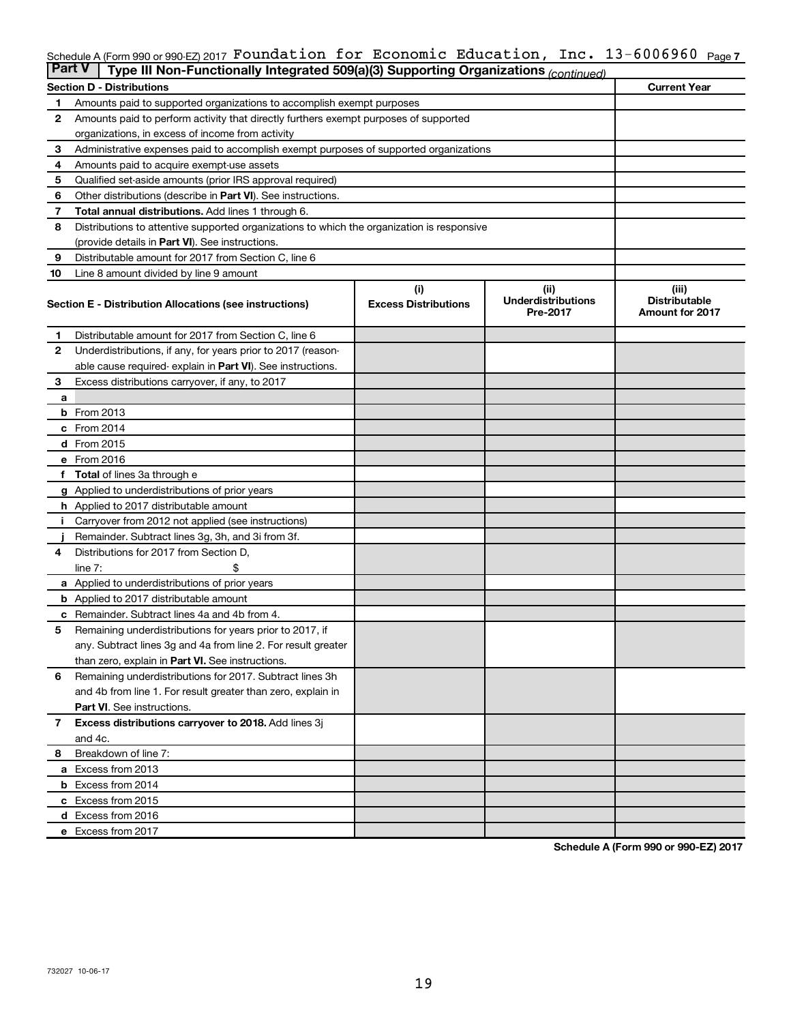#### Schedule A (Form 990 or 990-EZ) 2017 **FOUNCAtion for ECONOMIC EQUCAtion, InC. I**3-6006960 <sub>Page</sub> 7 Foundation for Economic Education, Inc. 13-6006960

| <b>Part V</b>  | Type III Non-Functionally Integrated 509(a)(3) Supporting Organizations (continued)        |                             |                                       |                                                |
|----------------|--------------------------------------------------------------------------------------------|-----------------------------|---------------------------------------|------------------------------------------------|
|                | <b>Section D - Distributions</b>                                                           |                             |                                       | <b>Current Year</b>                            |
| 1              | Amounts paid to supported organizations to accomplish exempt purposes                      |                             |                                       |                                                |
| $\mathbf{2}$   | Amounts paid to perform activity that directly furthers exempt purposes of supported       |                             |                                       |                                                |
|                | organizations, in excess of income from activity                                           |                             |                                       |                                                |
| 3              | Administrative expenses paid to accomplish exempt purposes of supported organizations      |                             |                                       |                                                |
| 4              | Amounts paid to acquire exempt-use assets                                                  |                             |                                       |                                                |
| 5              | Qualified set-aside amounts (prior IRS approval required)                                  |                             |                                       |                                                |
| 6              | Other distributions (describe in Part VI). See instructions.                               |                             |                                       |                                                |
| 7              | Total annual distributions. Add lines 1 through 6.                                         |                             |                                       |                                                |
| 8              | Distributions to attentive supported organizations to which the organization is responsive |                             |                                       |                                                |
|                | (provide details in Part VI). See instructions.                                            |                             |                                       |                                                |
| 9              | Distributable amount for 2017 from Section C, line 6                                       |                             |                                       |                                                |
| 10             | Line 8 amount divided by line 9 amount                                                     |                             |                                       |                                                |
|                |                                                                                            | (i)                         | (ii)                                  | (iii)                                          |
|                | Section E - Distribution Allocations (see instructions)                                    | <b>Excess Distributions</b> | <b>Underdistributions</b><br>Pre-2017 | <b>Distributable</b><br><b>Amount for 2017</b> |
| 1              | Distributable amount for 2017 from Section C, line 6                                       |                             |                                       |                                                |
| $\mathbf{2}$   | Underdistributions, if any, for years prior to 2017 (reason-                               |                             |                                       |                                                |
|                | able cause required-explain in Part VI). See instructions.                                 |                             |                                       |                                                |
| 3              | Excess distributions carryover, if any, to 2017                                            |                             |                                       |                                                |
| a              |                                                                                            |                             |                                       |                                                |
|                | <b>b</b> From 2013                                                                         |                             |                                       |                                                |
|                | c From 2014                                                                                |                             |                                       |                                                |
|                | d From 2015                                                                                |                             |                                       |                                                |
|                | e From 2016                                                                                |                             |                                       |                                                |
|                | f Total of lines 3a through e                                                              |                             |                                       |                                                |
|                | <b>g</b> Applied to underdistributions of prior years                                      |                             |                                       |                                                |
|                | h Applied to 2017 distributable amount                                                     |                             |                                       |                                                |
|                | Carryover from 2012 not applied (see instructions)                                         |                             |                                       |                                                |
|                | Remainder. Subtract lines 3g, 3h, and 3i from 3f.                                          |                             |                                       |                                                |
| 4              | Distributions for 2017 from Section D,                                                     |                             |                                       |                                                |
|                | line $7:$                                                                                  |                             |                                       |                                                |
|                | a Applied to underdistributions of prior years                                             |                             |                                       |                                                |
|                | <b>b</b> Applied to 2017 distributable amount                                              |                             |                                       |                                                |
| с              | Remainder. Subtract lines 4a and 4b from 4.                                                |                             |                                       |                                                |
| 5              | Remaining underdistributions for years prior to 2017, if                                   |                             |                                       |                                                |
|                | any. Subtract lines 3g and 4a from line 2. For result greater                              |                             |                                       |                                                |
|                | than zero, explain in Part VI. See instructions.                                           |                             |                                       |                                                |
| 6              | Remaining underdistributions for 2017. Subtract lines 3h                                   |                             |                                       |                                                |
|                | and 4b from line 1. For result greater than zero, explain in                               |                             |                                       |                                                |
|                | <b>Part VI.</b> See instructions.                                                          |                             |                                       |                                                |
| $\overline{7}$ | Excess distributions carryover to 2018. Add lines 3j                                       |                             |                                       |                                                |
|                | and 4c.                                                                                    |                             |                                       |                                                |
| 8              | Breakdown of line 7:                                                                       |                             |                                       |                                                |
|                | a Excess from 2013                                                                         |                             |                                       |                                                |
|                | <b>b</b> Excess from 2014                                                                  |                             |                                       |                                                |
|                | c Excess from 2015                                                                         |                             |                                       |                                                |
|                | d Excess from 2016                                                                         |                             |                                       |                                                |
|                | e Excess from 2017                                                                         |                             |                                       |                                                |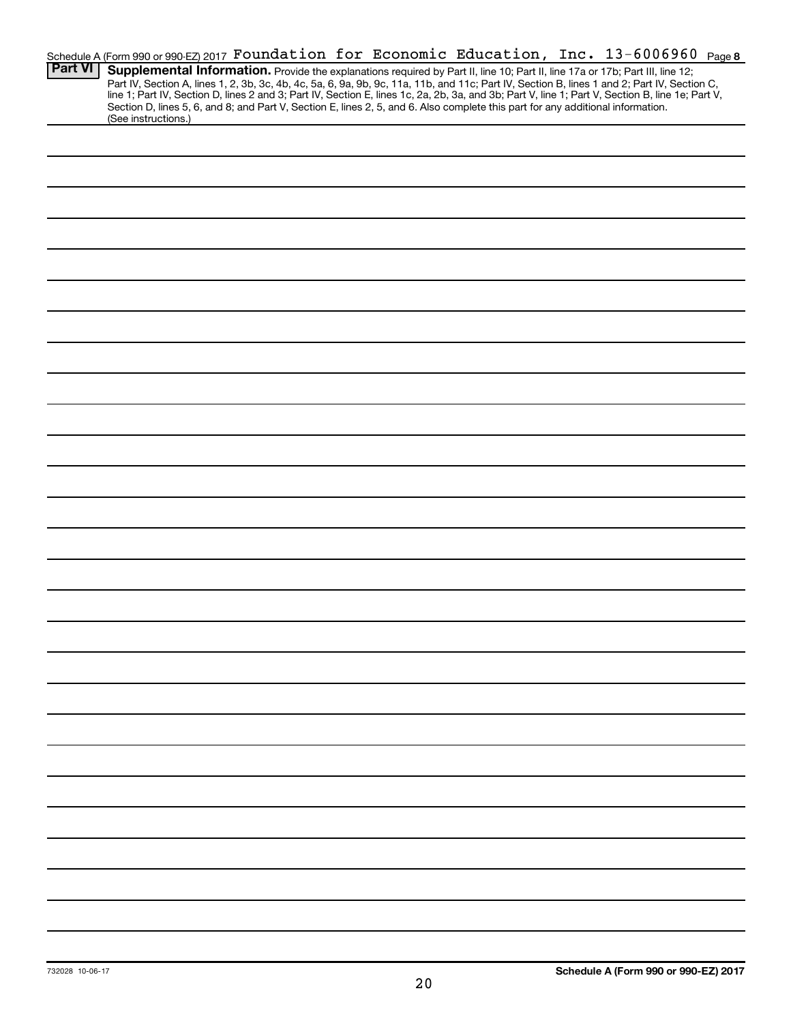|                | Schedule A (Form 990 or 990-EZ) 2017 Foundation for Economic Education, Inc. 13-6006960 Page 8                                                                                                                                                                                      |
|----------------|-------------------------------------------------------------------------------------------------------------------------------------------------------------------------------------------------------------------------------------------------------------------------------------|
| <b>Part VI</b> | Supplemental Information. Provide the explanations required by Part II, line 10; Part II, line 17a or 17b; Part III, line 12;                                                                                                                                                       |
|                | Part IV, Section A, lines 1, 2, 3b, 3c, 4b, 4c, 5a, 6, 9a, 9b, 9c, 11a, 11b, and 11c; Part IV, Section B, lines 1 and 2; Part IV, Section C,                                                                                                                                        |
|                | line 1; Part IV, Section D, lines 2 and 3; Part IV, Section E, lines 1c, 2a, 2b, 3a, and 3b; Part V, line 1; Part V, Section B, line 1e; Part V,<br>Section D, lines 5, 6, and 8; and Part V, Section E, lines 2, 5, and 6. Also complete this part for any additional information. |
|                | (See instructions.)                                                                                                                                                                                                                                                                 |
|                |                                                                                                                                                                                                                                                                                     |
|                |                                                                                                                                                                                                                                                                                     |
|                |                                                                                                                                                                                                                                                                                     |
|                |                                                                                                                                                                                                                                                                                     |
|                |                                                                                                                                                                                                                                                                                     |
|                |                                                                                                                                                                                                                                                                                     |
|                |                                                                                                                                                                                                                                                                                     |
|                |                                                                                                                                                                                                                                                                                     |
|                |                                                                                                                                                                                                                                                                                     |
|                |                                                                                                                                                                                                                                                                                     |
|                |                                                                                                                                                                                                                                                                                     |
|                |                                                                                                                                                                                                                                                                                     |
|                |                                                                                                                                                                                                                                                                                     |
|                |                                                                                                                                                                                                                                                                                     |
|                |                                                                                                                                                                                                                                                                                     |
|                |                                                                                                                                                                                                                                                                                     |
|                |                                                                                                                                                                                                                                                                                     |
|                |                                                                                                                                                                                                                                                                                     |
|                |                                                                                                                                                                                                                                                                                     |
|                |                                                                                                                                                                                                                                                                                     |
|                |                                                                                                                                                                                                                                                                                     |
|                |                                                                                                                                                                                                                                                                                     |
|                |                                                                                                                                                                                                                                                                                     |
|                |                                                                                                                                                                                                                                                                                     |
|                |                                                                                                                                                                                                                                                                                     |
|                |                                                                                                                                                                                                                                                                                     |
|                |                                                                                                                                                                                                                                                                                     |
|                |                                                                                                                                                                                                                                                                                     |
|                |                                                                                                                                                                                                                                                                                     |
|                |                                                                                                                                                                                                                                                                                     |
|                |                                                                                                                                                                                                                                                                                     |
|                |                                                                                                                                                                                                                                                                                     |
|                |                                                                                                                                                                                                                                                                                     |
|                |                                                                                                                                                                                                                                                                                     |
|                |                                                                                                                                                                                                                                                                                     |
|                |                                                                                                                                                                                                                                                                                     |
|                |                                                                                                                                                                                                                                                                                     |
|                |                                                                                                                                                                                                                                                                                     |
|                |                                                                                                                                                                                                                                                                                     |
|                |                                                                                                                                                                                                                                                                                     |
|                |                                                                                                                                                                                                                                                                                     |
|                |                                                                                                                                                                                                                                                                                     |
|                |                                                                                                                                                                                                                                                                                     |
|                |                                                                                                                                                                                                                                                                                     |
|                |                                                                                                                                                                                                                                                                                     |
|                |                                                                                                                                                                                                                                                                                     |
|                |                                                                                                                                                                                                                                                                                     |
|                |                                                                                                                                                                                                                                                                                     |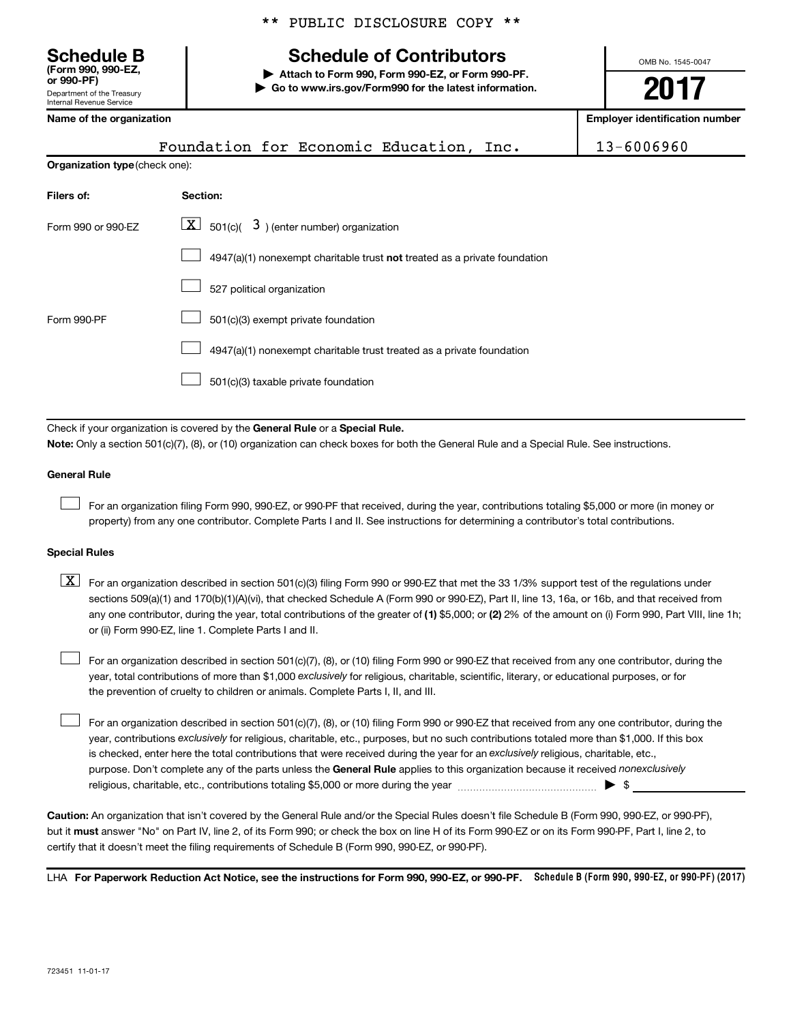Department of the Treasury Internal Revenue Service **(Form 990, 990-EZ,**

|  |  | ** PUBLIC DISCLOSURE COPY ** |  |  |
|--|--|------------------------------|--|--|
|--|--|------------------------------|--|--|

# **Schedule B Schedule of Contributors**

**or 990-PF) | Attach to Form 990, Form 990-EZ, or Form 990-PF. | Go to www.irs.gov/Form990 for the latest information.** OMB No. 1545-0047

# **2017**

| Name of the organization       |                                                                                                                                                                                                                                                                                                                                                                                                                                                                                                           | <b>Employer identification number</b> |  |
|--------------------------------|-----------------------------------------------------------------------------------------------------------------------------------------------------------------------------------------------------------------------------------------------------------------------------------------------------------------------------------------------------------------------------------------------------------------------------------------------------------------------------------------------------------|---------------------------------------|--|
|                                | Foundation for Economic Education, Inc.                                                                                                                                                                                                                                                                                                                                                                                                                                                                   | 13-6006960                            |  |
| Organization type (check one): |                                                                                                                                                                                                                                                                                                                                                                                                                                                                                                           |                                       |  |
| Filers of:                     | Section:                                                                                                                                                                                                                                                                                                                                                                                                                                                                                                  |                                       |  |
| Form 990 or 990-EZ             | $\boxed{\textbf{X}}$ 501(c)( 3) (enter number) organization                                                                                                                                                                                                                                                                                                                                                                                                                                               |                                       |  |
|                                | 4947(a)(1) nonexempt charitable trust not treated as a private foundation                                                                                                                                                                                                                                                                                                                                                                                                                                 |                                       |  |
|                                | 527 political organization                                                                                                                                                                                                                                                                                                                                                                                                                                                                                |                                       |  |
| Form 990-PF                    | 501(c)(3) exempt private foundation                                                                                                                                                                                                                                                                                                                                                                                                                                                                       |                                       |  |
|                                | 4947(a)(1) nonexempt charitable trust treated as a private foundation                                                                                                                                                                                                                                                                                                                                                                                                                                     |                                       |  |
|                                | 501(c)(3) taxable private foundation                                                                                                                                                                                                                                                                                                                                                                                                                                                                      |                                       |  |
|                                | Check if your organization is covered by the General Rule or a Special Rule.                                                                                                                                                                                                                                                                                                                                                                                                                              |                                       |  |
|                                | Note: Only a section 501(c)(7), (8), or (10) organization can check boxes for both the General Rule and a Special Rule. See instructions.                                                                                                                                                                                                                                                                                                                                                                 |                                       |  |
| <b>General Rule</b>            |                                                                                                                                                                                                                                                                                                                                                                                                                                                                                                           |                                       |  |
|                                | For an organization filing Form 990, 990-EZ, or 990-PF that received, during the year, contributions totaling \$5,000 or more (in money or<br>property) from any one contributor. Complete Parts I and II. See instructions for determining a contributor's total contributions.                                                                                                                                                                                                                          |                                       |  |
| <b>Special Rules</b>           |                                                                                                                                                                                                                                                                                                                                                                                                                                                                                                           |                                       |  |
| $\lfloor x \rfloor$            | For an organization described in section 501(c)(3) filing Form 990 or 990-EZ that met the 33 1/3% support test of the regulations under<br>sections 509(a)(1) and 170(b)(1)(A)(vi), that checked Schedule A (Form 990 or 990-EZ), Part II, line 13, 16a, or 16b, and that received from<br>any one contributor, during the year, total contributions of the greater of (1) \$5,000; or (2) 2% of the amount on (i) Form 990, Part VIII, line 1h;<br>or (ii) Form 990-EZ, line 1. Complete Parts I and II. |                                       |  |
|                                | For an organization described in section 501(c)(7), (8), or (10) filing Form 990 or 990-EZ that received from any one contributor, during the<br>year, total contributions of more than \$1,000 exclusively for religious, charitable, scientific, literary, or educational purposes, or for<br>the prevention of cruelty to children or animals. Complete Parts I. II. and III.                                                                                                                          |                                       |  |

purpose. Don't complete any of the parts unless the General Rule applies to this organization because it received nonexclusively year, contributions exclusively for religious, charitable, etc., purposes, but no such contributions totaled more than \$1,000. If this box is checked, enter here the total contributions that were received during the year for an exclusively religious, charitable, etc., For an organization described in section 501(c)(7), (8), or (10) filing Form 990 or 990-EZ that received from any one contributor, during the religious, charitable, etc., contributions totaling \$5,000 or more during the year  $\ldots$  $\ldots$  $\ldots$  $\ldots$  $\ldots$  $\ldots$  $\Box$ 

**Caution:**  An organization that isn't covered by the General Rule and/or the Special Rules doesn't file Schedule B (Form 990, 990-EZ, or 990-PF),  **must** but it answer "No" on Part IV, line 2, of its Form 990; or check the box on line H of its Form 990-EZ or on its Form 990-PF, Part I, line 2, to certify that it doesn't meet the filing requirements of Schedule B (Form 990, 990-EZ, or 990-PF).

LHA For Paperwork Reduction Act Notice, see the instructions for Form 990, 990-EZ, or 990-PF. Schedule B (Form 990, 990-EZ, or 990-PF) (2017)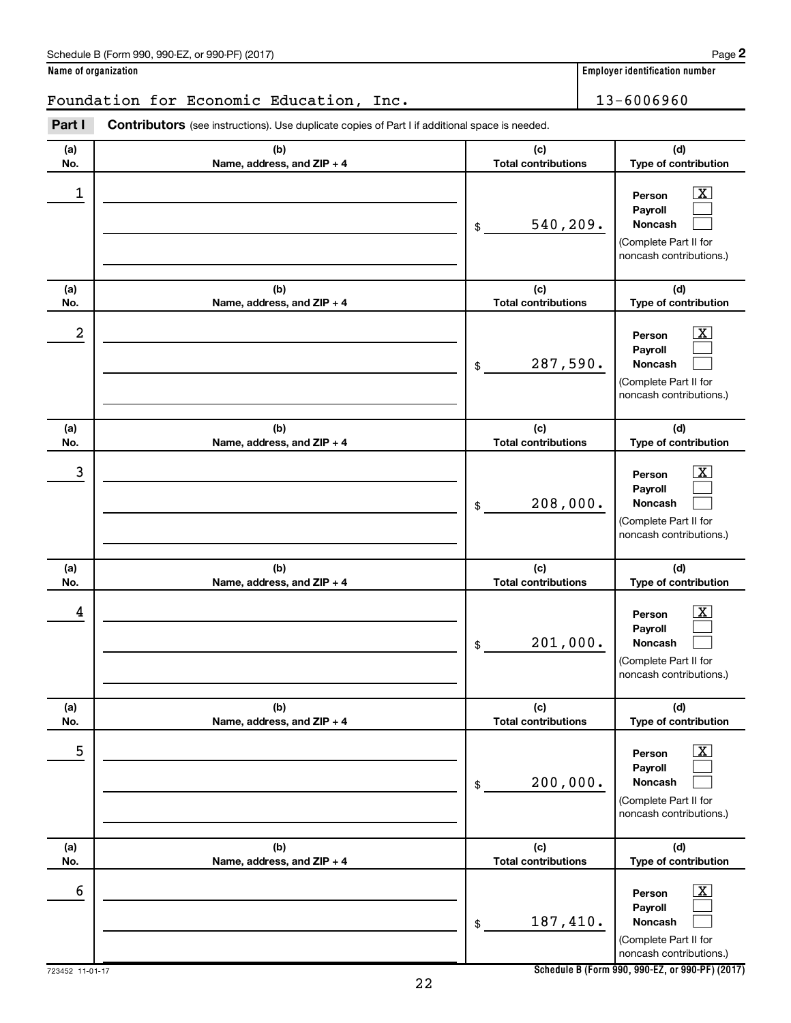|                | (b)<br>Name, address, and ZIP + 4 | (c)<br><b>Total contributions</b> | (d)<br>Type of contribution                                                                  |
|----------------|-----------------------------------|-----------------------------------|----------------------------------------------------------------------------------------------|
| $\overline{3}$ |                                   | 208,000.<br>\$                    | x<br>Person<br>Payroll<br>Noncash<br>(Complete Part II for<br>noncash contributions.)        |
|                | (b)<br>Name, address, and ZIP + 4 | (c)<br><b>Total contributions</b> | (d)<br>Type of contribution                                                                  |
| 4              |                                   | 201,000.<br>\$                    | <u>x</u><br>Person<br>Payroll<br>Noncash<br>(Complete Part II for<br>noncash contributions.) |
|                | (b)<br>Name, address, and ZIP + 4 | (c)<br><b>Total contributions</b> | (d)<br>Type of contribution                                                                  |
| $\overline{5}$ |                                   | 200,000.<br>\$                    | X<br>Person<br>Payroll<br>Noncash<br>(Complete Part II for<br>noncash contributions.)        |
|                | (b)<br>Name, address, and ZIP + 4 | (c)<br><b>Total contributions</b> | (d)<br>Type of contribution                                                                  |
| б              |                                   | 187,410.<br>\$                    | <u>x</u><br>Person<br>Payroll<br>Noncash<br>(Complete Part II for<br>noncash contributions.) |
| $11-01-17$     | 22                                |                                   | Schedule B (Form 990, 990-EZ, or 990-PF) (2017)                                              |
|                |                                   |                                   |                                                                                              |

| Schedule B (Form 990, 990-EZ, or 990-PF) (2017) | Page |
|-------------------------------------------------|------|
|-------------------------------------------------|------|

**(a) No.**

**(a) No.**

**(a) No.**

**(a) No.**

**(a) No.**

723452 11-0<sup>-</sup>

**(a) No.**

Foundation for Economic Education, Inc. 13-6006960

**(b) Name, address, and ZIP + 4**

**Part I** Contributors (see instructions). Use duplicate copies of Part I if additional space is needed.

**(b) Name, address, and ZIP + 4**

**Name of organization Employer identification number**

\$

 $\begin{array}{|c|c|c|c|c|}\hline \ \text{1} & \text{Person} & \text{X} \ \hline \end{array}$ 

 $2$  Person  $\overline{\text{X}}$ 

\$

**(c) Total contributions**

**(c) Total contributions**

540,209.

287,590.

**Person Payroll Noncash**

**Person Payroll Noncash**

**(d) Type of contribution**

> $\boxed{\textbf{X}}$  $\Box$  $\Box$

> $\boxed{\text{X}}$  $\Box$  $\Box$

**(d) Type of contribution**

(Complete Part II for noncash contributions.)

(Complete Part II for noncash contributions.)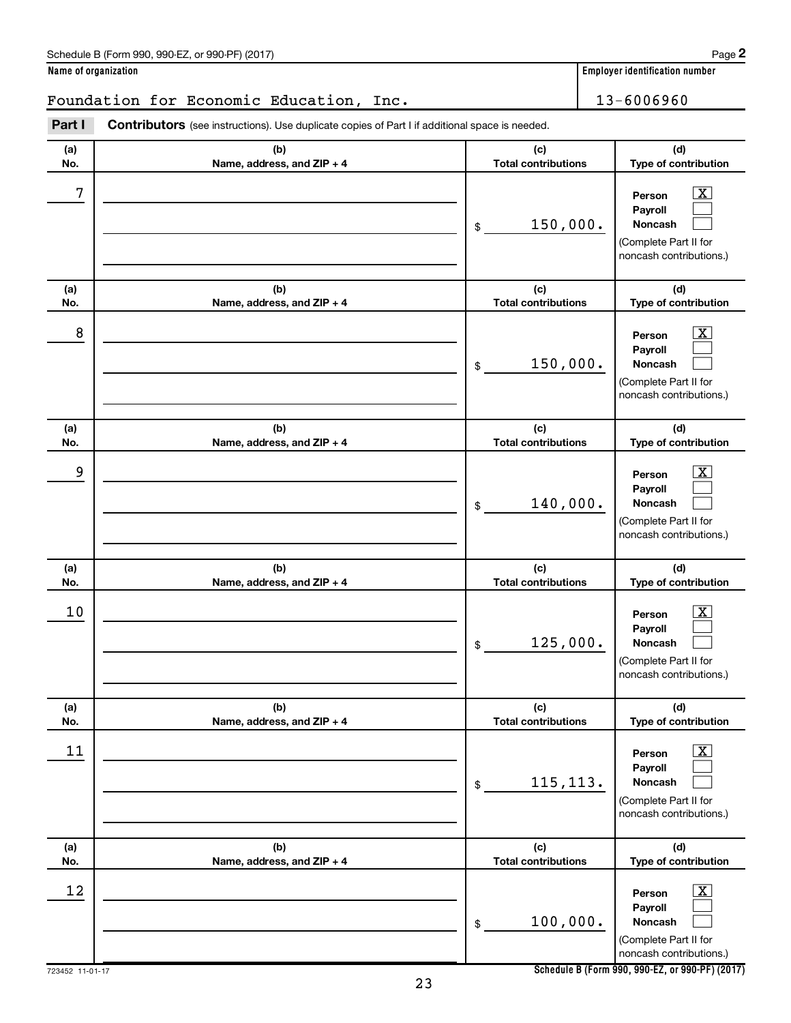| Schedule B (Form 990, 990-EZ, or 990-PF) (2017) | Page |
|-------------------------------------------------|------|
|-------------------------------------------------|------|

**Name of organization Employer identification number**

# Foundation for Economic Education, Inc. 13-6006960

| Part I           | Contributors (see instructions). Use duplicate copies of Part I if additional space is needed. |                                   |                                                                                       |
|------------------|------------------------------------------------------------------------------------------------|-----------------------------------|---------------------------------------------------------------------------------------|
| (a)<br>No.       | (b)<br>Name, address, and ZIP + 4                                                              | (c)<br><b>Total contributions</b> | (d)<br>Type of contribution                                                           |
| $\boldsymbol{7}$ |                                                                                                | 150,000.<br>\$                    | x<br>Person<br>Payroll<br>Noncash<br>(Complete Part II for<br>noncash contributions.) |
| (a)<br>No.       | (b)<br>Name, address, and ZIP + 4                                                              | (c)<br><b>Total contributions</b> | (d)<br>Type of contribution                                                           |
| 8                |                                                                                                | 150,000.<br>\$                    | x<br>Person<br>Payroll<br>Noncash<br>(Complete Part II for<br>noncash contributions.) |
| (a)<br>No.       | (b)<br>Name, address, and ZIP + 4                                                              | (c)<br><b>Total contributions</b> | (d)<br>Type of contribution                                                           |
| 9                |                                                                                                | 140,000.<br>\$                    | x<br>Person<br>Payroll<br>Noncash<br>(Complete Part II for<br>noncash contributions.) |
| (a)<br>No.       | (b)<br>Name, address, and ZIP + 4                                                              | (c)<br><b>Total contributions</b> | (d)<br>Type of contribution                                                           |
| 10               |                                                                                                | 125,000.<br>\$                    | x<br>Person<br>Payroll<br>Noncash<br>(Complete Part II for<br>noncash contributions.) |
| (a)<br>No.       | (b)<br>Name, address, and ZIP + 4                                                              | (c)<br><b>Total contributions</b> | (d)<br>Type of contribution                                                           |
| 11               |                                                                                                | 115, 113.<br>\$                   | х<br>Person<br>Payroll<br>Noncash<br>(Complete Part II for<br>noncash contributions.) |
| (a)<br>No.       | (b)<br>Name, address, and ZIP + 4                                                              | (c)<br><b>Total contributions</b> | (d)<br>Type of contribution                                                           |
| 12               |                                                                                                | 100,000.<br>\$                    | х<br>Person<br>Payroll<br>Noncash<br>(Complete Part II for<br>noncash contributions.) |

**Schedule B (Form 990, 990-EZ, or 990-PF) (2017)**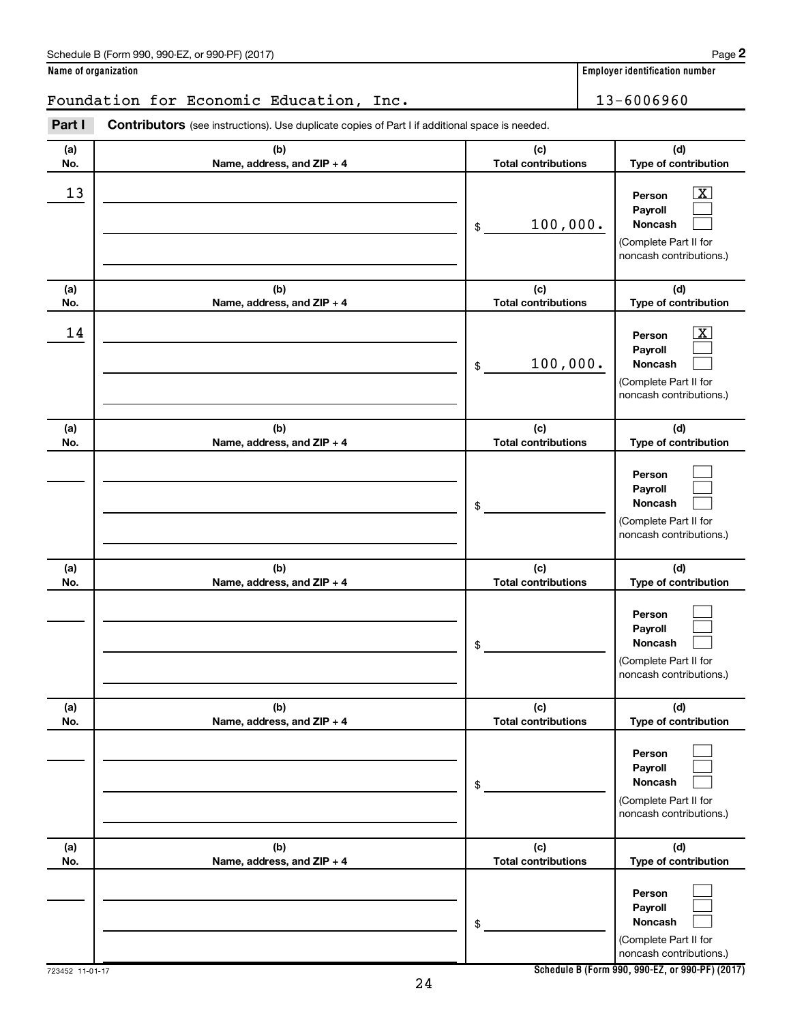| Schedule B (Form 990, 990-EZ, or 990-PF) (2017) | Page |
|-------------------------------------------------|------|
|-------------------------------------------------|------|

| Name of organization |  |  |
|----------------------|--|--|
|                      |  |  |

# Foundation for Economic Education, Inc. 13-6006960

| Part I     | <b>Contributors</b> (see instructions). Use duplicate copies of Part I if additional space is needed. |                                   |                                                                                                                    |
|------------|-------------------------------------------------------------------------------------------------------|-----------------------------------|--------------------------------------------------------------------------------------------------------------------|
| (a)<br>No. | (b)<br>Name, address, and ZIP + 4                                                                     | (c)<br><b>Total contributions</b> | (d)<br>Type of contribution                                                                                        |
| 13         |                                                                                                       | 100,000.<br>\$                    | $\overline{\mathbf{X}}$<br>Person<br>Payroll<br><b>Noncash</b><br>(Complete Part II for<br>noncash contributions.) |
| (a)<br>No. | (b)<br>Name, address, and ZIP + 4                                                                     | (c)<br><b>Total contributions</b> | (d)<br>Type of contribution                                                                                        |
| 14         |                                                                                                       | 100,000.<br>\$                    | $\overline{\mathbf{X}}$<br>Person<br>Payroll<br><b>Noncash</b><br>(Complete Part II for<br>noncash contributions.) |
| (a)<br>No. | (b)<br>Name, address, and ZIP + 4                                                                     | (c)<br><b>Total contributions</b> | (d)<br>Type of contribution                                                                                        |
|            |                                                                                                       | \$                                | Person<br>Payroll<br><b>Noncash</b><br>(Complete Part II for<br>noncash contributions.)                            |
| (a)        | (b)                                                                                                   | (c)                               | (d)                                                                                                                |
| No.        | Name, address, and ZIP + 4                                                                            | <b>Total contributions</b><br>\$  | Type of contribution<br>Person<br>Payroll<br><b>Noncash</b><br>(Complete Part II for<br>noncash contributions.)    |
| (a)<br>No. | (b)<br>Name, address, and ZIP + 4                                                                     | (c)<br><b>Total contributions</b> | (d)<br>Type of contribution                                                                                        |
|            |                                                                                                       | \$                                | Person<br>Payroll<br><b>Noncash</b><br>(Complete Part II for<br>noncash contributions.)                            |
| (a)<br>No. | (b)<br>Name, address, and ZIP + 4                                                                     | (c)<br><b>Total contributions</b> | (d)<br>Type of contribution                                                                                        |
|            |                                                                                                       | \$                                | Person<br>Payroll<br><b>Noncash</b><br>(Complete Part II for<br>noncash contributions.)                            |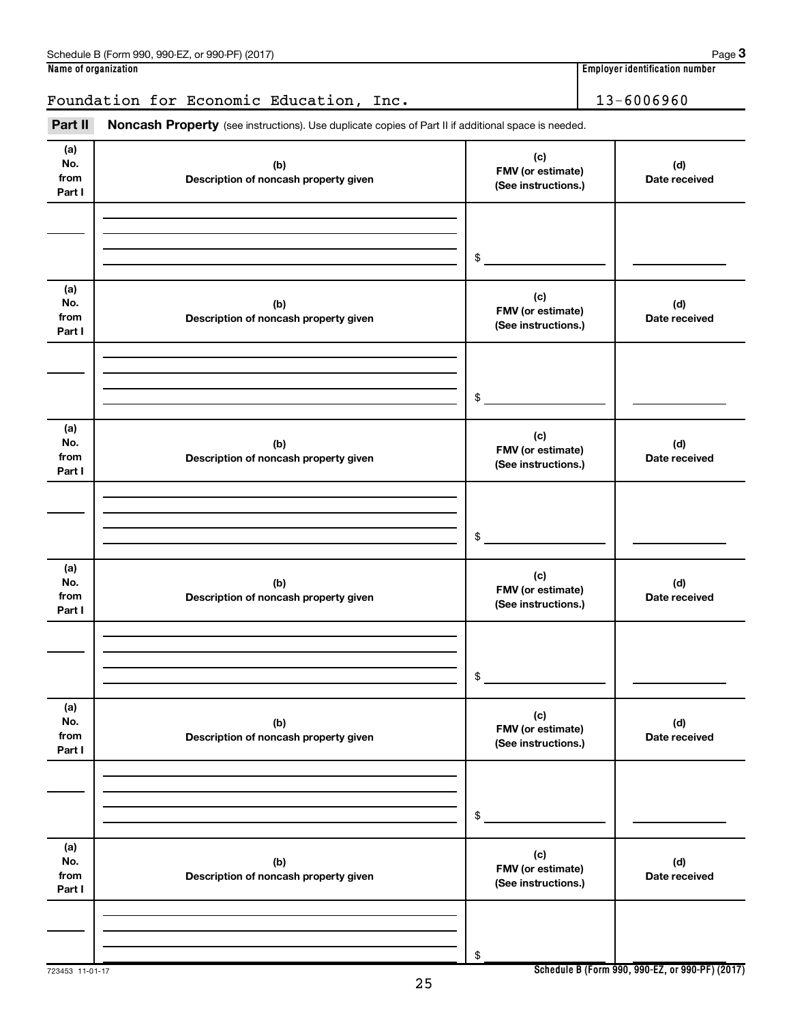|                              | Foundation for Economic Education, Inc.                                                             |                                                 | 13-6006960           |
|------------------------------|-----------------------------------------------------------------------------------------------------|-------------------------------------------------|----------------------|
| Part II                      | Noncash Property (see instructions). Use duplicate copies of Part II if additional space is needed. |                                                 |                      |
| (a)<br>No.<br>from<br>Part I | (b)<br>Description of noncash property given                                                        | (c)<br>FMV (or estimate)<br>(See instructions.) | (d)<br>Date received |
|                              |                                                                                                     | \$                                              |                      |
| (a)<br>No.<br>from<br>Part I | (b)<br>Description of noncash property given                                                        | (c)<br>FMV (or estimate)<br>(See instructions.) | (d)<br>Date received |
|                              |                                                                                                     | \$                                              |                      |
| (a)<br>No.<br>from<br>Part I | (b)<br>Description of noncash property given                                                        | (c)<br>FMV (or estimate)<br>(See instructions.) | (d)<br>Date received |
|                              |                                                                                                     | \$                                              |                      |
| (a)<br>No.<br>from<br>Part I | (b)<br>Description of noncash property given                                                        | (c)<br>FMV (or estimate)<br>(See instructions.) | (d)<br>Date received |
|                              |                                                                                                     | \$                                              |                      |
| (a)<br>No.<br>from<br>Part I | (b)<br>Description of noncash property given                                                        | (c)<br>FMV (or estimate)<br>(See instructions.) | (d)<br>Date received |
|                              |                                                                                                     | \$                                              |                      |
| (a)<br>No.<br>from<br>Part I | (b)<br>Description of noncash property given                                                        | (c)<br>FMV (or estimate)<br>(See instructions.) | (d)<br>Date received |
|                              |                                                                                                     | \$                                              |                      |

723453 11-01-17

**Schedule B (Form 990, 990-EZ, or 990-PF) (2017)**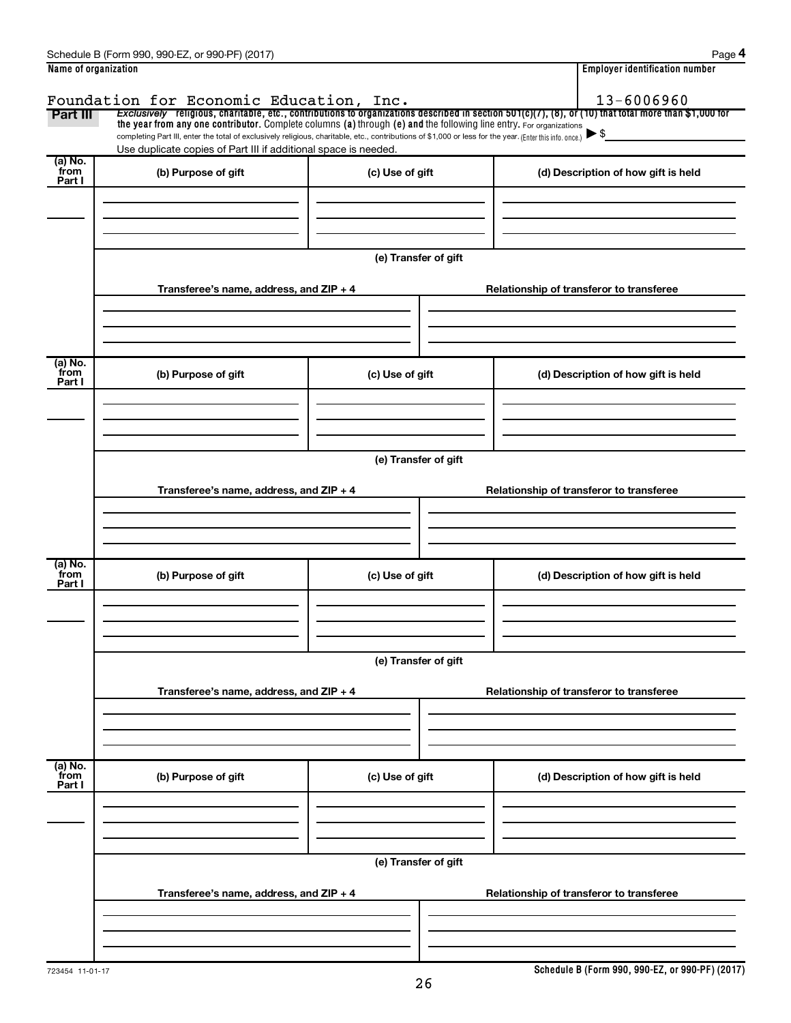| Name of organization      | Schedule B (Form 990, 990-EZ, or 990-PF) (2017)                                                                                                                                                                                                                                                                            |                      | Page 4<br>Employer identification number                                                                                                                            |
|---------------------------|----------------------------------------------------------------------------------------------------------------------------------------------------------------------------------------------------------------------------------------------------------------------------------------------------------------------------|----------------------|---------------------------------------------------------------------------------------------------------------------------------------------------------------------|
| Part III                  | Foundation for Economic Education, Inc.<br>the year from any one contributor. Complete columns (a) through (e) and the following line entry. For organizations<br>completing Part III, enter the total of exclusively religious, charitable, etc., contributions of \$1,000 or less for the year. (Enter this info. once.) |                      | 13-6006960<br>Exclusively religious, charitable, etc., contributions to organizations described in section 501(c)(7), (8), or (10) that total more than \$1,000 for |
| (a) No.<br>from           | Use duplicate copies of Part III if additional space is needed.<br>(b) Purpose of gift                                                                                                                                                                                                                                     | (c) Use of gift      | (d) Description of how gift is held                                                                                                                                 |
| Part I                    |                                                                                                                                                                                                                                                                                                                            |                      |                                                                                                                                                                     |
|                           |                                                                                                                                                                                                                                                                                                                            | (e) Transfer of gift |                                                                                                                                                                     |
|                           | Transferee's name, address, and ZIP + 4                                                                                                                                                                                                                                                                                    |                      | Relationship of transferor to transferee                                                                                                                            |
| (a) No.<br>from<br>Part I | (b) Purpose of gift                                                                                                                                                                                                                                                                                                        | (c) Use of gift      | (d) Description of how gift is held                                                                                                                                 |
|                           |                                                                                                                                                                                                                                                                                                                            |                      |                                                                                                                                                                     |
|                           |                                                                                                                                                                                                                                                                                                                            | (e) Transfer of gift |                                                                                                                                                                     |
|                           | Transferee's name, address, and ZIP + 4                                                                                                                                                                                                                                                                                    |                      | Relationship of transferor to transferee                                                                                                                            |
| (a) No.<br>from<br>Part I | (b) Purpose of gift                                                                                                                                                                                                                                                                                                        | (c) Use of gift      | (d) Description of how gift is held                                                                                                                                 |
|                           |                                                                                                                                                                                                                                                                                                                            | (e) Transfer of gift |                                                                                                                                                                     |
|                           | Transferee's name, address, and ZIP + 4                                                                                                                                                                                                                                                                                    |                      | Relationship of transferor to transferee                                                                                                                            |
|                           |                                                                                                                                                                                                                                                                                                                            |                      |                                                                                                                                                                     |
| (a) No.<br>from<br>Part I | (b) Purpose of gift                                                                                                                                                                                                                                                                                                        | (c) Use of gift      | (d) Description of how gift is held                                                                                                                                 |
|                           |                                                                                                                                                                                                                                                                                                                            |                      |                                                                                                                                                                     |
|                           |                                                                                                                                                                                                                                                                                                                            | (e) Transfer of gift |                                                                                                                                                                     |
|                           | Transferee's name, address, and ZIP + 4                                                                                                                                                                                                                                                                                    |                      | Relationship of transferor to transferee                                                                                                                            |
|                           |                                                                                                                                                                                                                                                                                                                            |                      |                                                                                                                                                                     |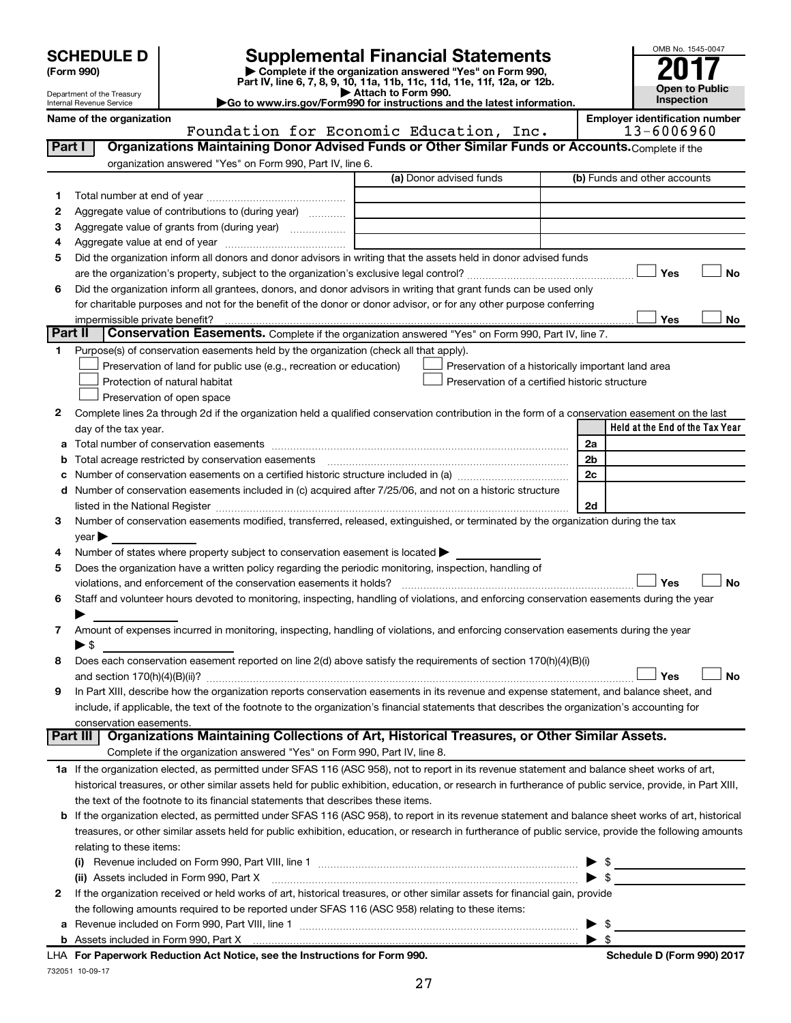| <b>SCHEDULE D</b> |  |
|-------------------|--|
|-------------------|--|

# **SCHEDULE D Supplemental Financial Statements**<br> **Form 990 2017**<br> **Part IV** line 6.7.8.9.10, 11a, 11b, 11d, 11d, 11d, 11d, 11d, 12a, 0r, 12b

**(Form 990) | Complete if the organization answered "Yes" on Form 990, Part IV, line 6, 7, 8, 9, 10, 11a, 11b, 11c, 11d, 11e, 11f, 12a, or 12b.**

**| Attach to Form 990. |Go to www.irs.gov/Form990 for instructions and the latest information.**



Department of the Treasury Internal Revenue Service

**Name of the organization Employer identification number**

**Schedule D (Form 990) 2017** 

| Organizations Maintaining Donor Advised Funds or Other Similar Funds or Accounts. Complete if the<br>Part I<br>organization answered "Yes" on Form 990, Part IV, line 6.<br>(a) Donor advised funds<br>(b) Funds and other accounts<br>1<br>Aggregate value of contributions to (during year)<br>2<br>Aggregate value of grants from (during year)<br>з<br>4<br>Did the organization inform all donors and donor advisors in writing that the assets held in donor advised funds<br>5<br>Yes<br>No<br>Did the organization inform all grantees, donors, and donor advisors in writing that grant funds can be used only<br>6<br>for charitable purposes and not for the benefit of the donor or donor advisor, or for any other purpose conferring<br>Yes<br>No<br>impermissible private benefit?<br>Part II<br>Conservation Easements. Complete if the organization answered "Yes" on Form 990, Part IV, line 7.<br>Purpose(s) of conservation easements held by the organization (check all that apply).<br>1<br>Preservation of land for public use (e.g., recreation or education)<br>Preservation of a historically important land area<br>Protection of natural habitat<br>Preservation of a certified historic structure<br>Preservation of open space<br>Complete lines 2a through 2d if the organization held a qualified conservation contribution in the form of a conservation easement on the last<br>2<br>Held at the End of the Tax Year<br>day of the tax year.<br>2a<br>а<br>Total acreage restricted by conservation easements<br>2 <sub>b</sub><br>b<br>Number of conservation easements on a certified historic structure included in (a) manufacture included in (a)<br>2c<br>с<br>Number of conservation easements included in (c) acquired after 7/25/06, and not on a historic structure<br>d<br>2d<br>listed in the National Register [111] Marshall Register [11] Marshall Register [11] Marshall Register [11] Marshall Register [11] Marshall Register [11] Marshall Register [11] Marshall Register [11] Marshall Register [11]<br>Number of conservation easements modified, transferred, released, extinguished, or terminated by the organization during the tax<br>3<br>year<br>Number of states where property subject to conservation easement is located ><br>4<br>Does the organization have a written policy regarding the periodic monitoring, inspection, handling of<br>5<br>Yes<br>No<br>violations, and enforcement of the conservation easements it holds?<br>Staff and volunteer hours devoted to monitoring, inspecting, handling of violations, and enforcing conservation easements during the year<br>6<br>Amount of expenses incurred in monitoring, inspecting, handling of violations, and enforcing conservation easements during the year<br>7<br>$\blacktriangleright$ s<br>Does each conservation easement reported on line 2(d) above satisfy the requirements of section 170(h)(4)(B)(i)<br>8<br>Yes<br>No<br>In Part XIII, describe how the organization reports conservation easements in its revenue and expense statement, and balance sheet, and<br>9<br>include, if applicable, the text of the footnote to the organization's financial statements that describes the organization's accounting for<br>conservation easements.<br>Organizations Maintaining Collections of Art, Historical Treasures, or Other Similar Assets.<br>Part III<br>Complete if the organization answered "Yes" on Form 990, Part IV, line 8.<br>1a If the organization elected, as permitted under SFAS 116 (ASC 958), not to report in its revenue statement and balance sheet works of art,<br>historical treasures, or other similar assets held for public exhibition, education, or research in furtherance of public service, provide, in Part XIII,<br>the text of the footnote to its financial statements that describes these items.<br>If the organization elected, as permitted under SFAS 116 (ASC 958), to report in its revenue statement and balance sheet works of art, historical<br>b<br>treasures, or other similar assets held for public exhibition, education, or research in furtherance of public service, provide the following amounts<br>relating to these items:<br>$\frac{1}{2}$<br>$\blacktriangleright$ \$<br>(ii) Assets included in Form 990, Part X<br>If the organization received or held works of art, historical treasures, or other similar assets for financial gain, provide<br>2<br>the following amounts required to be reported under SFAS 116 (ASC 958) relating to these items:<br>$\frac{1}{1}$ $\frac{1}{1}$ $\frac{1}{1}$ $\frac{1}{1}$ $\frac{1}{1}$ $\frac{1}{1}$ $\frac{1}{1}$ $\frac{1}{1}$ $\frac{1}{1}$ $\frac{1}{1}$ $\frac{1}{1}$ $\frac{1}{1}$ $\frac{1}{1}$ $\frac{1}{1}$ $\frac{1}{1}$ $\frac{1}{1}$ $\frac{1}{1}$ $\frac{1}{1}$ $\frac{1}{1}$ $\frac{1}{1}$ $\frac{1}{1}$ $\frac{1}{1}$<br>▶<br>а | Foundation for Economic Education, Inc. | 13-6006960 |
|-------------------------------------------------------------------------------------------------------------------------------------------------------------------------------------------------------------------------------------------------------------------------------------------------------------------------------------------------------------------------------------------------------------------------------------------------------------------------------------------------------------------------------------------------------------------------------------------------------------------------------------------------------------------------------------------------------------------------------------------------------------------------------------------------------------------------------------------------------------------------------------------------------------------------------------------------------------------------------------------------------------------------------------------------------------------------------------------------------------------------------------------------------------------------------------------------------------------------------------------------------------------------------------------------------------------------------------------------------------------------------------------------------------------------------------------------------------------------------------------------------------------------------------------------------------------------------------------------------------------------------------------------------------------------------------------------------------------------------------------------------------------------------------------------------------------------------------------------------------------------------------------------------------------------------------------------------------------------------------------------------------------------------------------------------------------------------------------------------------------------------------------------------------------------------------------------------------------------------------------------------------------------------------------------------------------------------------------------------------------------------------------------------------------------------------------------------------------------------------------------------------------------------------------------------------------------------------------------------------------------------------------------------------------------------------------------------------------------------------------------------------------------------------------------------------------------------------------------------------------------------------------------------------------------------------------------------------------------------------------------------------------------------------------------------------------------------------------------------------------------------------------------------------------------------------------------------------------------------------------------------------------------------------------------------------------------------------------------------------------------------------------------------------------------------------------------------------------------------------------------------------------------------------------------------------------------------------------------------------------------------------------------------------------------------------------------------------------------------------------------------------------------------------------------------------------------------------------------------------------------------------------------------------------------------------------------------------------------------------------------------------------------------------------------------------------------------------------------------------------------------------------------------------------------------------------------------------------------------------------------------------------------------------------------------------------------------------------------------------------------------------------------------------------------------------------------------------------------------------------------------------------------------------------------------------------------------------------------------------------------------------------------------------------------------------------------------------------------------------------------------------------------------------------------------------------------------------------------------------------------------------------------------------|-----------------------------------------|------------|
|                                                                                                                                                                                                                                                                                                                                                                                                                                                                                                                                                                                                                                                                                                                                                                                                                                                                                                                                                                                                                                                                                                                                                                                                                                                                                                                                                                                                                                                                                                                                                                                                                                                                                                                                                                                                                                                                                                                                                                                                                                                                                                                                                                                                                                                                                                                                                                                                                                                                                                                                                                                                                                                                                                                                                                                                                                                                                                                                                                                                                                                                                                                                                                                                                                                                                                                                                                                                                                                                                                                                                                                                                                                                                                                                                                                                                                                                                                                                                                                                                                                                                                                                                                                                                                                                                                                                                                                                                                                                                                                                                                                                                                                                                                                                                                                                                                                                                                             |                                         |            |
|                                                                                                                                                                                                                                                                                                                                                                                                                                                                                                                                                                                                                                                                                                                                                                                                                                                                                                                                                                                                                                                                                                                                                                                                                                                                                                                                                                                                                                                                                                                                                                                                                                                                                                                                                                                                                                                                                                                                                                                                                                                                                                                                                                                                                                                                                                                                                                                                                                                                                                                                                                                                                                                                                                                                                                                                                                                                                                                                                                                                                                                                                                                                                                                                                                                                                                                                                                                                                                                                                                                                                                                                                                                                                                                                                                                                                                                                                                                                                                                                                                                                                                                                                                                                                                                                                                                                                                                                                                                                                                                                                                                                                                                                                                                                                                                                                                                                                                             |                                         |            |
|                                                                                                                                                                                                                                                                                                                                                                                                                                                                                                                                                                                                                                                                                                                                                                                                                                                                                                                                                                                                                                                                                                                                                                                                                                                                                                                                                                                                                                                                                                                                                                                                                                                                                                                                                                                                                                                                                                                                                                                                                                                                                                                                                                                                                                                                                                                                                                                                                                                                                                                                                                                                                                                                                                                                                                                                                                                                                                                                                                                                                                                                                                                                                                                                                                                                                                                                                                                                                                                                                                                                                                                                                                                                                                                                                                                                                                                                                                                                                                                                                                                                                                                                                                                                                                                                                                                                                                                                                                                                                                                                                                                                                                                                                                                                                                                                                                                                                                             |                                         |            |
|                                                                                                                                                                                                                                                                                                                                                                                                                                                                                                                                                                                                                                                                                                                                                                                                                                                                                                                                                                                                                                                                                                                                                                                                                                                                                                                                                                                                                                                                                                                                                                                                                                                                                                                                                                                                                                                                                                                                                                                                                                                                                                                                                                                                                                                                                                                                                                                                                                                                                                                                                                                                                                                                                                                                                                                                                                                                                                                                                                                                                                                                                                                                                                                                                                                                                                                                                                                                                                                                                                                                                                                                                                                                                                                                                                                                                                                                                                                                                                                                                                                                                                                                                                                                                                                                                                                                                                                                                                                                                                                                                                                                                                                                                                                                                                                                                                                                                                             |                                         |            |
|                                                                                                                                                                                                                                                                                                                                                                                                                                                                                                                                                                                                                                                                                                                                                                                                                                                                                                                                                                                                                                                                                                                                                                                                                                                                                                                                                                                                                                                                                                                                                                                                                                                                                                                                                                                                                                                                                                                                                                                                                                                                                                                                                                                                                                                                                                                                                                                                                                                                                                                                                                                                                                                                                                                                                                                                                                                                                                                                                                                                                                                                                                                                                                                                                                                                                                                                                                                                                                                                                                                                                                                                                                                                                                                                                                                                                                                                                                                                                                                                                                                                                                                                                                                                                                                                                                                                                                                                                                                                                                                                                                                                                                                                                                                                                                                                                                                                                                             |                                         |            |
|                                                                                                                                                                                                                                                                                                                                                                                                                                                                                                                                                                                                                                                                                                                                                                                                                                                                                                                                                                                                                                                                                                                                                                                                                                                                                                                                                                                                                                                                                                                                                                                                                                                                                                                                                                                                                                                                                                                                                                                                                                                                                                                                                                                                                                                                                                                                                                                                                                                                                                                                                                                                                                                                                                                                                                                                                                                                                                                                                                                                                                                                                                                                                                                                                                                                                                                                                                                                                                                                                                                                                                                                                                                                                                                                                                                                                                                                                                                                                                                                                                                                                                                                                                                                                                                                                                                                                                                                                                                                                                                                                                                                                                                                                                                                                                                                                                                                                                             |                                         |            |
|                                                                                                                                                                                                                                                                                                                                                                                                                                                                                                                                                                                                                                                                                                                                                                                                                                                                                                                                                                                                                                                                                                                                                                                                                                                                                                                                                                                                                                                                                                                                                                                                                                                                                                                                                                                                                                                                                                                                                                                                                                                                                                                                                                                                                                                                                                                                                                                                                                                                                                                                                                                                                                                                                                                                                                                                                                                                                                                                                                                                                                                                                                                                                                                                                                                                                                                                                                                                                                                                                                                                                                                                                                                                                                                                                                                                                                                                                                                                                                                                                                                                                                                                                                                                                                                                                                                                                                                                                                                                                                                                                                                                                                                                                                                                                                                                                                                                                                             |                                         |            |
|                                                                                                                                                                                                                                                                                                                                                                                                                                                                                                                                                                                                                                                                                                                                                                                                                                                                                                                                                                                                                                                                                                                                                                                                                                                                                                                                                                                                                                                                                                                                                                                                                                                                                                                                                                                                                                                                                                                                                                                                                                                                                                                                                                                                                                                                                                                                                                                                                                                                                                                                                                                                                                                                                                                                                                                                                                                                                                                                                                                                                                                                                                                                                                                                                                                                                                                                                                                                                                                                                                                                                                                                                                                                                                                                                                                                                                                                                                                                                                                                                                                                                                                                                                                                                                                                                                                                                                                                                                                                                                                                                                                                                                                                                                                                                                                                                                                                                                             |                                         |            |
|                                                                                                                                                                                                                                                                                                                                                                                                                                                                                                                                                                                                                                                                                                                                                                                                                                                                                                                                                                                                                                                                                                                                                                                                                                                                                                                                                                                                                                                                                                                                                                                                                                                                                                                                                                                                                                                                                                                                                                                                                                                                                                                                                                                                                                                                                                                                                                                                                                                                                                                                                                                                                                                                                                                                                                                                                                                                                                                                                                                                                                                                                                                                                                                                                                                                                                                                                                                                                                                                                                                                                                                                                                                                                                                                                                                                                                                                                                                                                                                                                                                                                                                                                                                                                                                                                                                                                                                                                                                                                                                                                                                                                                                                                                                                                                                                                                                                                                             |                                         |            |
|                                                                                                                                                                                                                                                                                                                                                                                                                                                                                                                                                                                                                                                                                                                                                                                                                                                                                                                                                                                                                                                                                                                                                                                                                                                                                                                                                                                                                                                                                                                                                                                                                                                                                                                                                                                                                                                                                                                                                                                                                                                                                                                                                                                                                                                                                                                                                                                                                                                                                                                                                                                                                                                                                                                                                                                                                                                                                                                                                                                                                                                                                                                                                                                                                                                                                                                                                                                                                                                                                                                                                                                                                                                                                                                                                                                                                                                                                                                                                                                                                                                                                                                                                                                                                                                                                                                                                                                                                                                                                                                                                                                                                                                                                                                                                                                                                                                                                                             |                                         |            |
|                                                                                                                                                                                                                                                                                                                                                                                                                                                                                                                                                                                                                                                                                                                                                                                                                                                                                                                                                                                                                                                                                                                                                                                                                                                                                                                                                                                                                                                                                                                                                                                                                                                                                                                                                                                                                                                                                                                                                                                                                                                                                                                                                                                                                                                                                                                                                                                                                                                                                                                                                                                                                                                                                                                                                                                                                                                                                                                                                                                                                                                                                                                                                                                                                                                                                                                                                                                                                                                                                                                                                                                                                                                                                                                                                                                                                                                                                                                                                                                                                                                                                                                                                                                                                                                                                                                                                                                                                                                                                                                                                                                                                                                                                                                                                                                                                                                                                                             |                                         |            |
|                                                                                                                                                                                                                                                                                                                                                                                                                                                                                                                                                                                                                                                                                                                                                                                                                                                                                                                                                                                                                                                                                                                                                                                                                                                                                                                                                                                                                                                                                                                                                                                                                                                                                                                                                                                                                                                                                                                                                                                                                                                                                                                                                                                                                                                                                                                                                                                                                                                                                                                                                                                                                                                                                                                                                                                                                                                                                                                                                                                                                                                                                                                                                                                                                                                                                                                                                                                                                                                                                                                                                                                                                                                                                                                                                                                                                                                                                                                                                                                                                                                                                                                                                                                                                                                                                                                                                                                                                                                                                                                                                                                                                                                                                                                                                                                                                                                                                                             |                                         |            |
|                                                                                                                                                                                                                                                                                                                                                                                                                                                                                                                                                                                                                                                                                                                                                                                                                                                                                                                                                                                                                                                                                                                                                                                                                                                                                                                                                                                                                                                                                                                                                                                                                                                                                                                                                                                                                                                                                                                                                                                                                                                                                                                                                                                                                                                                                                                                                                                                                                                                                                                                                                                                                                                                                                                                                                                                                                                                                                                                                                                                                                                                                                                                                                                                                                                                                                                                                                                                                                                                                                                                                                                                                                                                                                                                                                                                                                                                                                                                                                                                                                                                                                                                                                                                                                                                                                                                                                                                                                                                                                                                                                                                                                                                                                                                                                                                                                                                                                             |                                         |            |
|                                                                                                                                                                                                                                                                                                                                                                                                                                                                                                                                                                                                                                                                                                                                                                                                                                                                                                                                                                                                                                                                                                                                                                                                                                                                                                                                                                                                                                                                                                                                                                                                                                                                                                                                                                                                                                                                                                                                                                                                                                                                                                                                                                                                                                                                                                                                                                                                                                                                                                                                                                                                                                                                                                                                                                                                                                                                                                                                                                                                                                                                                                                                                                                                                                                                                                                                                                                                                                                                                                                                                                                                                                                                                                                                                                                                                                                                                                                                                                                                                                                                                                                                                                                                                                                                                                                                                                                                                                                                                                                                                                                                                                                                                                                                                                                                                                                                                                             |                                         |            |
|                                                                                                                                                                                                                                                                                                                                                                                                                                                                                                                                                                                                                                                                                                                                                                                                                                                                                                                                                                                                                                                                                                                                                                                                                                                                                                                                                                                                                                                                                                                                                                                                                                                                                                                                                                                                                                                                                                                                                                                                                                                                                                                                                                                                                                                                                                                                                                                                                                                                                                                                                                                                                                                                                                                                                                                                                                                                                                                                                                                                                                                                                                                                                                                                                                                                                                                                                                                                                                                                                                                                                                                                                                                                                                                                                                                                                                                                                                                                                                                                                                                                                                                                                                                                                                                                                                                                                                                                                                                                                                                                                                                                                                                                                                                                                                                                                                                                                                             |                                         |            |
|                                                                                                                                                                                                                                                                                                                                                                                                                                                                                                                                                                                                                                                                                                                                                                                                                                                                                                                                                                                                                                                                                                                                                                                                                                                                                                                                                                                                                                                                                                                                                                                                                                                                                                                                                                                                                                                                                                                                                                                                                                                                                                                                                                                                                                                                                                                                                                                                                                                                                                                                                                                                                                                                                                                                                                                                                                                                                                                                                                                                                                                                                                                                                                                                                                                                                                                                                                                                                                                                                                                                                                                                                                                                                                                                                                                                                                                                                                                                                                                                                                                                                                                                                                                                                                                                                                                                                                                                                                                                                                                                                                                                                                                                                                                                                                                                                                                                                                             |                                         |            |
|                                                                                                                                                                                                                                                                                                                                                                                                                                                                                                                                                                                                                                                                                                                                                                                                                                                                                                                                                                                                                                                                                                                                                                                                                                                                                                                                                                                                                                                                                                                                                                                                                                                                                                                                                                                                                                                                                                                                                                                                                                                                                                                                                                                                                                                                                                                                                                                                                                                                                                                                                                                                                                                                                                                                                                                                                                                                                                                                                                                                                                                                                                                                                                                                                                                                                                                                                                                                                                                                                                                                                                                                                                                                                                                                                                                                                                                                                                                                                                                                                                                                                                                                                                                                                                                                                                                                                                                                                                                                                                                                                                                                                                                                                                                                                                                                                                                                                                             |                                         |            |
|                                                                                                                                                                                                                                                                                                                                                                                                                                                                                                                                                                                                                                                                                                                                                                                                                                                                                                                                                                                                                                                                                                                                                                                                                                                                                                                                                                                                                                                                                                                                                                                                                                                                                                                                                                                                                                                                                                                                                                                                                                                                                                                                                                                                                                                                                                                                                                                                                                                                                                                                                                                                                                                                                                                                                                                                                                                                                                                                                                                                                                                                                                                                                                                                                                                                                                                                                                                                                                                                                                                                                                                                                                                                                                                                                                                                                                                                                                                                                                                                                                                                                                                                                                                                                                                                                                                                                                                                                                                                                                                                                                                                                                                                                                                                                                                                                                                                                                             |                                         |            |
|                                                                                                                                                                                                                                                                                                                                                                                                                                                                                                                                                                                                                                                                                                                                                                                                                                                                                                                                                                                                                                                                                                                                                                                                                                                                                                                                                                                                                                                                                                                                                                                                                                                                                                                                                                                                                                                                                                                                                                                                                                                                                                                                                                                                                                                                                                                                                                                                                                                                                                                                                                                                                                                                                                                                                                                                                                                                                                                                                                                                                                                                                                                                                                                                                                                                                                                                                                                                                                                                                                                                                                                                                                                                                                                                                                                                                                                                                                                                                                                                                                                                                                                                                                                                                                                                                                                                                                                                                                                                                                                                                                                                                                                                                                                                                                                                                                                                                                             |                                         |            |
|                                                                                                                                                                                                                                                                                                                                                                                                                                                                                                                                                                                                                                                                                                                                                                                                                                                                                                                                                                                                                                                                                                                                                                                                                                                                                                                                                                                                                                                                                                                                                                                                                                                                                                                                                                                                                                                                                                                                                                                                                                                                                                                                                                                                                                                                                                                                                                                                                                                                                                                                                                                                                                                                                                                                                                                                                                                                                                                                                                                                                                                                                                                                                                                                                                                                                                                                                                                                                                                                                                                                                                                                                                                                                                                                                                                                                                                                                                                                                                                                                                                                                                                                                                                                                                                                                                                                                                                                                                                                                                                                                                                                                                                                                                                                                                                                                                                                                                             |                                         |            |
|                                                                                                                                                                                                                                                                                                                                                                                                                                                                                                                                                                                                                                                                                                                                                                                                                                                                                                                                                                                                                                                                                                                                                                                                                                                                                                                                                                                                                                                                                                                                                                                                                                                                                                                                                                                                                                                                                                                                                                                                                                                                                                                                                                                                                                                                                                                                                                                                                                                                                                                                                                                                                                                                                                                                                                                                                                                                                                                                                                                                                                                                                                                                                                                                                                                                                                                                                                                                                                                                                                                                                                                                                                                                                                                                                                                                                                                                                                                                                                                                                                                                                                                                                                                                                                                                                                                                                                                                                                                                                                                                                                                                                                                                                                                                                                                                                                                                                                             |                                         |            |
|                                                                                                                                                                                                                                                                                                                                                                                                                                                                                                                                                                                                                                                                                                                                                                                                                                                                                                                                                                                                                                                                                                                                                                                                                                                                                                                                                                                                                                                                                                                                                                                                                                                                                                                                                                                                                                                                                                                                                                                                                                                                                                                                                                                                                                                                                                                                                                                                                                                                                                                                                                                                                                                                                                                                                                                                                                                                                                                                                                                                                                                                                                                                                                                                                                                                                                                                                                                                                                                                                                                                                                                                                                                                                                                                                                                                                                                                                                                                                                                                                                                                                                                                                                                                                                                                                                                                                                                                                                                                                                                                                                                                                                                                                                                                                                                                                                                                                                             |                                         |            |
|                                                                                                                                                                                                                                                                                                                                                                                                                                                                                                                                                                                                                                                                                                                                                                                                                                                                                                                                                                                                                                                                                                                                                                                                                                                                                                                                                                                                                                                                                                                                                                                                                                                                                                                                                                                                                                                                                                                                                                                                                                                                                                                                                                                                                                                                                                                                                                                                                                                                                                                                                                                                                                                                                                                                                                                                                                                                                                                                                                                                                                                                                                                                                                                                                                                                                                                                                                                                                                                                                                                                                                                                                                                                                                                                                                                                                                                                                                                                                                                                                                                                                                                                                                                                                                                                                                                                                                                                                                                                                                                                                                                                                                                                                                                                                                                                                                                                                                             |                                         |            |
|                                                                                                                                                                                                                                                                                                                                                                                                                                                                                                                                                                                                                                                                                                                                                                                                                                                                                                                                                                                                                                                                                                                                                                                                                                                                                                                                                                                                                                                                                                                                                                                                                                                                                                                                                                                                                                                                                                                                                                                                                                                                                                                                                                                                                                                                                                                                                                                                                                                                                                                                                                                                                                                                                                                                                                                                                                                                                                                                                                                                                                                                                                                                                                                                                                                                                                                                                                                                                                                                                                                                                                                                                                                                                                                                                                                                                                                                                                                                                                                                                                                                                                                                                                                                                                                                                                                                                                                                                                                                                                                                                                                                                                                                                                                                                                                                                                                                                                             |                                         |            |
|                                                                                                                                                                                                                                                                                                                                                                                                                                                                                                                                                                                                                                                                                                                                                                                                                                                                                                                                                                                                                                                                                                                                                                                                                                                                                                                                                                                                                                                                                                                                                                                                                                                                                                                                                                                                                                                                                                                                                                                                                                                                                                                                                                                                                                                                                                                                                                                                                                                                                                                                                                                                                                                                                                                                                                                                                                                                                                                                                                                                                                                                                                                                                                                                                                                                                                                                                                                                                                                                                                                                                                                                                                                                                                                                                                                                                                                                                                                                                                                                                                                                                                                                                                                                                                                                                                                                                                                                                                                                                                                                                                                                                                                                                                                                                                                                                                                                                                             |                                         |            |
|                                                                                                                                                                                                                                                                                                                                                                                                                                                                                                                                                                                                                                                                                                                                                                                                                                                                                                                                                                                                                                                                                                                                                                                                                                                                                                                                                                                                                                                                                                                                                                                                                                                                                                                                                                                                                                                                                                                                                                                                                                                                                                                                                                                                                                                                                                                                                                                                                                                                                                                                                                                                                                                                                                                                                                                                                                                                                                                                                                                                                                                                                                                                                                                                                                                                                                                                                                                                                                                                                                                                                                                                                                                                                                                                                                                                                                                                                                                                                                                                                                                                                                                                                                                                                                                                                                                                                                                                                                                                                                                                                                                                                                                                                                                                                                                                                                                                                                             |                                         |            |
|                                                                                                                                                                                                                                                                                                                                                                                                                                                                                                                                                                                                                                                                                                                                                                                                                                                                                                                                                                                                                                                                                                                                                                                                                                                                                                                                                                                                                                                                                                                                                                                                                                                                                                                                                                                                                                                                                                                                                                                                                                                                                                                                                                                                                                                                                                                                                                                                                                                                                                                                                                                                                                                                                                                                                                                                                                                                                                                                                                                                                                                                                                                                                                                                                                                                                                                                                                                                                                                                                                                                                                                                                                                                                                                                                                                                                                                                                                                                                                                                                                                                                                                                                                                                                                                                                                                                                                                                                                                                                                                                                                                                                                                                                                                                                                                                                                                                                                             |                                         |            |
|                                                                                                                                                                                                                                                                                                                                                                                                                                                                                                                                                                                                                                                                                                                                                                                                                                                                                                                                                                                                                                                                                                                                                                                                                                                                                                                                                                                                                                                                                                                                                                                                                                                                                                                                                                                                                                                                                                                                                                                                                                                                                                                                                                                                                                                                                                                                                                                                                                                                                                                                                                                                                                                                                                                                                                                                                                                                                                                                                                                                                                                                                                                                                                                                                                                                                                                                                                                                                                                                                                                                                                                                                                                                                                                                                                                                                                                                                                                                                                                                                                                                                                                                                                                                                                                                                                                                                                                                                                                                                                                                                                                                                                                                                                                                                                                                                                                                                                             |                                         |            |
|                                                                                                                                                                                                                                                                                                                                                                                                                                                                                                                                                                                                                                                                                                                                                                                                                                                                                                                                                                                                                                                                                                                                                                                                                                                                                                                                                                                                                                                                                                                                                                                                                                                                                                                                                                                                                                                                                                                                                                                                                                                                                                                                                                                                                                                                                                                                                                                                                                                                                                                                                                                                                                                                                                                                                                                                                                                                                                                                                                                                                                                                                                                                                                                                                                                                                                                                                                                                                                                                                                                                                                                                                                                                                                                                                                                                                                                                                                                                                                                                                                                                                                                                                                                                                                                                                                                                                                                                                                                                                                                                                                                                                                                                                                                                                                                                                                                                                                             |                                         |            |
|                                                                                                                                                                                                                                                                                                                                                                                                                                                                                                                                                                                                                                                                                                                                                                                                                                                                                                                                                                                                                                                                                                                                                                                                                                                                                                                                                                                                                                                                                                                                                                                                                                                                                                                                                                                                                                                                                                                                                                                                                                                                                                                                                                                                                                                                                                                                                                                                                                                                                                                                                                                                                                                                                                                                                                                                                                                                                                                                                                                                                                                                                                                                                                                                                                                                                                                                                                                                                                                                                                                                                                                                                                                                                                                                                                                                                                                                                                                                                                                                                                                                                                                                                                                                                                                                                                                                                                                                                                                                                                                                                                                                                                                                                                                                                                                                                                                                                                             |                                         |            |
|                                                                                                                                                                                                                                                                                                                                                                                                                                                                                                                                                                                                                                                                                                                                                                                                                                                                                                                                                                                                                                                                                                                                                                                                                                                                                                                                                                                                                                                                                                                                                                                                                                                                                                                                                                                                                                                                                                                                                                                                                                                                                                                                                                                                                                                                                                                                                                                                                                                                                                                                                                                                                                                                                                                                                                                                                                                                                                                                                                                                                                                                                                                                                                                                                                                                                                                                                                                                                                                                                                                                                                                                                                                                                                                                                                                                                                                                                                                                                                                                                                                                                                                                                                                                                                                                                                                                                                                                                                                                                                                                                                                                                                                                                                                                                                                                                                                                                                             |                                         |            |
|                                                                                                                                                                                                                                                                                                                                                                                                                                                                                                                                                                                                                                                                                                                                                                                                                                                                                                                                                                                                                                                                                                                                                                                                                                                                                                                                                                                                                                                                                                                                                                                                                                                                                                                                                                                                                                                                                                                                                                                                                                                                                                                                                                                                                                                                                                                                                                                                                                                                                                                                                                                                                                                                                                                                                                                                                                                                                                                                                                                                                                                                                                                                                                                                                                                                                                                                                                                                                                                                                                                                                                                                                                                                                                                                                                                                                                                                                                                                                                                                                                                                                                                                                                                                                                                                                                                                                                                                                                                                                                                                                                                                                                                                                                                                                                                                                                                                                                             |                                         |            |
|                                                                                                                                                                                                                                                                                                                                                                                                                                                                                                                                                                                                                                                                                                                                                                                                                                                                                                                                                                                                                                                                                                                                                                                                                                                                                                                                                                                                                                                                                                                                                                                                                                                                                                                                                                                                                                                                                                                                                                                                                                                                                                                                                                                                                                                                                                                                                                                                                                                                                                                                                                                                                                                                                                                                                                                                                                                                                                                                                                                                                                                                                                                                                                                                                                                                                                                                                                                                                                                                                                                                                                                                                                                                                                                                                                                                                                                                                                                                                                                                                                                                                                                                                                                                                                                                                                                                                                                                                                                                                                                                                                                                                                                                                                                                                                                                                                                                                                             |                                         |            |
|                                                                                                                                                                                                                                                                                                                                                                                                                                                                                                                                                                                                                                                                                                                                                                                                                                                                                                                                                                                                                                                                                                                                                                                                                                                                                                                                                                                                                                                                                                                                                                                                                                                                                                                                                                                                                                                                                                                                                                                                                                                                                                                                                                                                                                                                                                                                                                                                                                                                                                                                                                                                                                                                                                                                                                                                                                                                                                                                                                                                                                                                                                                                                                                                                                                                                                                                                                                                                                                                                                                                                                                                                                                                                                                                                                                                                                                                                                                                                                                                                                                                                                                                                                                                                                                                                                                                                                                                                                                                                                                                                                                                                                                                                                                                                                                                                                                                                                             |                                         |            |
|                                                                                                                                                                                                                                                                                                                                                                                                                                                                                                                                                                                                                                                                                                                                                                                                                                                                                                                                                                                                                                                                                                                                                                                                                                                                                                                                                                                                                                                                                                                                                                                                                                                                                                                                                                                                                                                                                                                                                                                                                                                                                                                                                                                                                                                                                                                                                                                                                                                                                                                                                                                                                                                                                                                                                                                                                                                                                                                                                                                                                                                                                                                                                                                                                                                                                                                                                                                                                                                                                                                                                                                                                                                                                                                                                                                                                                                                                                                                                                                                                                                                                                                                                                                                                                                                                                                                                                                                                                                                                                                                                                                                                                                                                                                                                                                                                                                                                                             |                                         |            |
|                                                                                                                                                                                                                                                                                                                                                                                                                                                                                                                                                                                                                                                                                                                                                                                                                                                                                                                                                                                                                                                                                                                                                                                                                                                                                                                                                                                                                                                                                                                                                                                                                                                                                                                                                                                                                                                                                                                                                                                                                                                                                                                                                                                                                                                                                                                                                                                                                                                                                                                                                                                                                                                                                                                                                                                                                                                                                                                                                                                                                                                                                                                                                                                                                                                                                                                                                                                                                                                                                                                                                                                                                                                                                                                                                                                                                                                                                                                                                                                                                                                                                                                                                                                                                                                                                                                                                                                                                                                                                                                                                                                                                                                                                                                                                                                                                                                                                                             |                                         |            |
|                                                                                                                                                                                                                                                                                                                                                                                                                                                                                                                                                                                                                                                                                                                                                                                                                                                                                                                                                                                                                                                                                                                                                                                                                                                                                                                                                                                                                                                                                                                                                                                                                                                                                                                                                                                                                                                                                                                                                                                                                                                                                                                                                                                                                                                                                                                                                                                                                                                                                                                                                                                                                                                                                                                                                                                                                                                                                                                                                                                                                                                                                                                                                                                                                                                                                                                                                                                                                                                                                                                                                                                                                                                                                                                                                                                                                                                                                                                                                                                                                                                                                                                                                                                                                                                                                                                                                                                                                                                                                                                                                                                                                                                                                                                                                                                                                                                                                                             |                                         |            |
|                                                                                                                                                                                                                                                                                                                                                                                                                                                                                                                                                                                                                                                                                                                                                                                                                                                                                                                                                                                                                                                                                                                                                                                                                                                                                                                                                                                                                                                                                                                                                                                                                                                                                                                                                                                                                                                                                                                                                                                                                                                                                                                                                                                                                                                                                                                                                                                                                                                                                                                                                                                                                                                                                                                                                                                                                                                                                                                                                                                                                                                                                                                                                                                                                                                                                                                                                                                                                                                                                                                                                                                                                                                                                                                                                                                                                                                                                                                                                                                                                                                                                                                                                                                                                                                                                                                                                                                                                                                                                                                                                                                                                                                                                                                                                                                                                                                                                                             |                                         |            |
|                                                                                                                                                                                                                                                                                                                                                                                                                                                                                                                                                                                                                                                                                                                                                                                                                                                                                                                                                                                                                                                                                                                                                                                                                                                                                                                                                                                                                                                                                                                                                                                                                                                                                                                                                                                                                                                                                                                                                                                                                                                                                                                                                                                                                                                                                                                                                                                                                                                                                                                                                                                                                                                                                                                                                                                                                                                                                                                                                                                                                                                                                                                                                                                                                                                                                                                                                                                                                                                                                                                                                                                                                                                                                                                                                                                                                                                                                                                                                                                                                                                                                                                                                                                                                                                                                                                                                                                                                                                                                                                                                                                                                                                                                                                                                                                                                                                                                                             |                                         |            |
|                                                                                                                                                                                                                                                                                                                                                                                                                                                                                                                                                                                                                                                                                                                                                                                                                                                                                                                                                                                                                                                                                                                                                                                                                                                                                                                                                                                                                                                                                                                                                                                                                                                                                                                                                                                                                                                                                                                                                                                                                                                                                                                                                                                                                                                                                                                                                                                                                                                                                                                                                                                                                                                                                                                                                                                                                                                                                                                                                                                                                                                                                                                                                                                                                                                                                                                                                                                                                                                                                                                                                                                                                                                                                                                                                                                                                                                                                                                                                                                                                                                                                                                                                                                                                                                                                                                                                                                                                                                                                                                                                                                                                                                                                                                                                                                                                                                                                                             |                                         |            |
|                                                                                                                                                                                                                                                                                                                                                                                                                                                                                                                                                                                                                                                                                                                                                                                                                                                                                                                                                                                                                                                                                                                                                                                                                                                                                                                                                                                                                                                                                                                                                                                                                                                                                                                                                                                                                                                                                                                                                                                                                                                                                                                                                                                                                                                                                                                                                                                                                                                                                                                                                                                                                                                                                                                                                                                                                                                                                                                                                                                                                                                                                                                                                                                                                                                                                                                                                                                                                                                                                                                                                                                                                                                                                                                                                                                                                                                                                                                                                                                                                                                                                                                                                                                                                                                                                                                                                                                                                                                                                                                                                                                                                                                                                                                                                                                                                                                                                                             |                                         |            |
|                                                                                                                                                                                                                                                                                                                                                                                                                                                                                                                                                                                                                                                                                                                                                                                                                                                                                                                                                                                                                                                                                                                                                                                                                                                                                                                                                                                                                                                                                                                                                                                                                                                                                                                                                                                                                                                                                                                                                                                                                                                                                                                                                                                                                                                                                                                                                                                                                                                                                                                                                                                                                                                                                                                                                                                                                                                                                                                                                                                                                                                                                                                                                                                                                                                                                                                                                                                                                                                                                                                                                                                                                                                                                                                                                                                                                                                                                                                                                                                                                                                                                                                                                                                                                                                                                                                                                                                                                                                                                                                                                                                                                                                                                                                                                                                                                                                                                                             |                                         |            |
|                                                                                                                                                                                                                                                                                                                                                                                                                                                                                                                                                                                                                                                                                                                                                                                                                                                                                                                                                                                                                                                                                                                                                                                                                                                                                                                                                                                                                                                                                                                                                                                                                                                                                                                                                                                                                                                                                                                                                                                                                                                                                                                                                                                                                                                                                                                                                                                                                                                                                                                                                                                                                                                                                                                                                                                                                                                                                                                                                                                                                                                                                                                                                                                                                                                                                                                                                                                                                                                                                                                                                                                                                                                                                                                                                                                                                                                                                                                                                                                                                                                                                                                                                                                                                                                                                                                                                                                                                                                                                                                                                                                                                                                                                                                                                                                                                                                                                                             |                                         |            |
|                                                                                                                                                                                                                                                                                                                                                                                                                                                                                                                                                                                                                                                                                                                                                                                                                                                                                                                                                                                                                                                                                                                                                                                                                                                                                                                                                                                                                                                                                                                                                                                                                                                                                                                                                                                                                                                                                                                                                                                                                                                                                                                                                                                                                                                                                                                                                                                                                                                                                                                                                                                                                                                                                                                                                                                                                                                                                                                                                                                                                                                                                                                                                                                                                                                                                                                                                                                                                                                                                                                                                                                                                                                                                                                                                                                                                                                                                                                                                                                                                                                                                                                                                                                                                                                                                                                                                                                                                                                                                                                                                                                                                                                                                                                                                                                                                                                                                                             |                                         |            |
|                                                                                                                                                                                                                                                                                                                                                                                                                                                                                                                                                                                                                                                                                                                                                                                                                                                                                                                                                                                                                                                                                                                                                                                                                                                                                                                                                                                                                                                                                                                                                                                                                                                                                                                                                                                                                                                                                                                                                                                                                                                                                                                                                                                                                                                                                                                                                                                                                                                                                                                                                                                                                                                                                                                                                                                                                                                                                                                                                                                                                                                                                                                                                                                                                                                                                                                                                                                                                                                                                                                                                                                                                                                                                                                                                                                                                                                                                                                                                                                                                                                                                                                                                                                                                                                                                                                                                                                                                                                                                                                                                                                                                                                                                                                                                                                                                                                                                                             |                                         |            |
|                                                                                                                                                                                                                                                                                                                                                                                                                                                                                                                                                                                                                                                                                                                                                                                                                                                                                                                                                                                                                                                                                                                                                                                                                                                                                                                                                                                                                                                                                                                                                                                                                                                                                                                                                                                                                                                                                                                                                                                                                                                                                                                                                                                                                                                                                                                                                                                                                                                                                                                                                                                                                                                                                                                                                                                                                                                                                                                                                                                                                                                                                                                                                                                                                                                                                                                                                                                                                                                                                                                                                                                                                                                                                                                                                                                                                                                                                                                                                                                                                                                                                                                                                                                                                                                                                                                                                                                                                                                                                                                                                                                                                                                                                                                                                                                                                                                                                                             |                                         |            |
|                                                                                                                                                                                                                                                                                                                                                                                                                                                                                                                                                                                                                                                                                                                                                                                                                                                                                                                                                                                                                                                                                                                                                                                                                                                                                                                                                                                                                                                                                                                                                                                                                                                                                                                                                                                                                                                                                                                                                                                                                                                                                                                                                                                                                                                                                                                                                                                                                                                                                                                                                                                                                                                                                                                                                                                                                                                                                                                                                                                                                                                                                                                                                                                                                                                                                                                                                                                                                                                                                                                                                                                                                                                                                                                                                                                                                                                                                                                                                                                                                                                                                                                                                                                                                                                                                                                                                                                                                                                                                                                                                                                                                                                                                                                                                                                                                                                                                                             |                                         |            |
|                                                                                                                                                                                                                                                                                                                                                                                                                                                                                                                                                                                                                                                                                                                                                                                                                                                                                                                                                                                                                                                                                                                                                                                                                                                                                                                                                                                                                                                                                                                                                                                                                                                                                                                                                                                                                                                                                                                                                                                                                                                                                                                                                                                                                                                                                                                                                                                                                                                                                                                                                                                                                                                                                                                                                                                                                                                                                                                                                                                                                                                                                                                                                                                                                                                                                                                                                                                                                                                                                                                                                                                                                                                                                                                                                                                                                                                                                                                                                                                                                                                                                                                                                                                                                                                                                                                                                                                                                                                                                                                                                                                                                                                                                                                                                                                                                                                                                                             |                                         |            |
|                                                                                                                                                                                                                                                                                                                                                                                                                                                                                                                                                                                                                                                                                                                                                                                                                                                                                                                                                                                                                                                                                                                                                                                                                                                                                                                                                                                                                                                                                                                                                                                                                                                                                                                                                                                                                                                                                                                                                                                                                                                                                                                                                                                                                                                                                                                                                                                                                                                                                                                                                                                                                                                                                                                                                                                                                                                                                                                                                                                                                                                                                                                                                                                                                                                                                                                                                                                                                                                                                                                                                                                                                                                                                                                                                                                                                                                                                                                                                                                                                                                                                                                                                                                                                                                                                                                                                                                                                                                                                                                                                                                                                                                                                                                                                                                                                                                                                                             |                                         |            |
|                                                                                                                                                                                                                                                                                                                                                                                                                                                                                                                                                                                                                                                                                                                                                                                                                                                                                                                                                                                                                                                                                                                                                                                                                                                                                                                                                                                                                                                                                                                                                                                                                                                                                                                                                                                                                                                                                                                                                                                                                                                                                                                                                                                                                                                                                                                                                                                                                                                                                                                                                                                                                                                                                                                                                                                                                                                                                                                                                                                                                                                                                                                                                                                                                                                                                                                                                                                                                                                                                                                                                                                                                                                                                                                                                                                                                                                                                                                                                                                                                                                                                                                                                                                                                                                                                                                                                                                                                                                                                                                                                                                                                                                                                                                                                                                                                                                                                                             |                                         |            |
|                                                                                                                                                                                                                                                                                                                                                                                                                                                                                                                                                                                                                                                                                                                                                                                                                                                                                                                                                                                                                                                                                                                                                                                                                                                                                                                                                                                                                                                                                                                                                                                                                                                                                                                                                                                                                                                                                                                                                                                                                                                                                                                                                                                                                                                                                                                                                                                                                                                                                                                                                                                                                                                                                                                                                                                                                                                                                                                                                                                                                                                                                                                                                                                                                                                                                                                                                                                                                                                                                                                                                                                                                                                                                                                                                                                                                                                                                                                                                                                                                                                                                                                                                                                                                                                                                                                                                                                                                                                                                                                                                                                                                                                                                                                                                                                                                                                                                                             |                                         |            |
|                                                                                                                                                                                                                                                                                                                                                                                                                                                                                                                                                                                                                                                                                                                                                                                                                                                                                                                                                                                                                                                                                                                                                                                                                                                                                                                                                                                                                                                                                                                                                                                                                                                                                                                                                                                                                                                                                                                                                                                                                                                                                                                                                                                                                                                                                                                                                                                                                                                                                                                                                                                                                                                                                                                                                                                                                                                                                                                                                                                                                                                                                                                                                                                                                                                                                                                                                                                                                                                                                                                                                                                                                                                                                                                                                                                                                                                                                                                                                                                                                                                                                                                                                                                                                                                                                                                                                                                                                                                                                                                                                                                                                                                                                                                                                                                                                                                                                                             |                                         |            |

| LHA For Paperwork Reduction Act Notice, see the Instructions for Form 990. |
|----------------------------------------------------------------------------|
| 732051 10-09-17                                                            |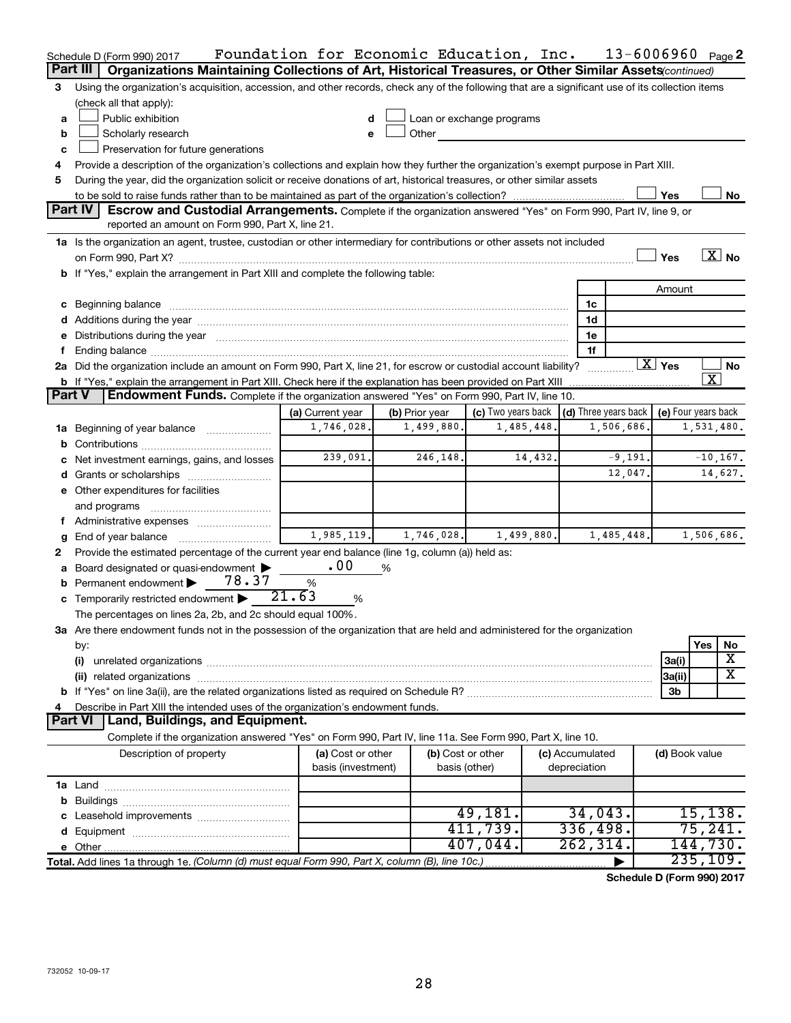|               | Schedule D (Form 990) 2017                                                                                                                                                                                                     | Foundation for Economic Education, Inc. |                |                           |                              | $13 - 6006960$ Page 2 |                           |                         |                   |
|---------------|--------------------------------------------------------------------------------------------------------------------------------------------------------------------------------------------------------------------------------|-----------------------------------------|----------------|---------------------------|------------------------------|-----------------------|---------------------------|-------------------------|-------------------|
|               | Part III<br>Organizations Maintaining Collections of Art, Historical Treasures, or Other Similar Assets (continued)                                                                                                            |                                         |                |                           |                              |                       |                           |                         |                   |
| 3             | Using the organization's acquisition, accession, and other records, check any of the following that are a significant use of its collection items                                                                              |                                         |                |                           |                              |                       |                           |                         |                   |
|               | (check all that apply):                                                                                                                                                                                                        |                                         |                |                           |                              |                       |                           |                         |                   |
| a             | Public exhibition                                                                                                                                                                                                              | d                                       |                | Loan or exchange programs |                              |                       |                           |                         |                   |
| b             | Scholarly research                                                                                                                                                                                                             | e                                       | Other          |                           |                              |                       |                           |                         |                   |
| c             | Preservation for future generations                                                                                                                                                                                            |                                         |                |                           |                              |                       |                           |                         |                   |
| 4             | Provide a description of the organization's collections and explain how they further the organization's exempt purpose in Part XIII.                                                                                           |                                         |                |                           |                              |                       |                           |                         |                   |
| 5             | During the year, did the organization solicit or receive donations of art, historical treasures, or other similar assets                                                                                                       |                                         |                |                           |                              |                       |                           |                         |                   |
|               |                                                                                                                                                                                                                                |                                         |                |                           |                              |                       | Yes                       |                         | No                |
|               | <b>Part IV</b><br>Escrow and Custodial Arrangements. Complete if the organization answered "Yes" on Form 990, Part IV, line 9, or                                                                                              |                                         |                |                           |                              |                       |                           |                         |                   |
|               | reported an amount on Form 990, Part X, line 21.                                                                                                                                                                               |                                         |                |                           |                              |                       |                           |                         |                   |
|               | 1a Is the organization an agent, trustee, custodian or other intermediary for contributions or other assets not included                                                                                                       |                                         |                |                           |                              |                       |                           |                         |                   |
|               |                                                                                                                                                                                                                                |                                         |                |                           |                              |                       | Yes                       |                         | $\overline{X}$ No |
|               | b If "Yes," explain the arrangement in Part XIII and complete the following table:                                                                                                                                             |                                         |                |                           |                              |                       |                           |                         |                   |
|               |                                                                                                                                                                                                                                |                                         |                |                           |                              |                       | Amount                    |                         |                   |
|               | c Beginning balance measurements and the contract of the contract of the contract of the contract of the contract of the contract of the contract of the contract of the contract of the contract of the contract of the contr |                                         |                |                           | 1c                           |                       |                           |                         |                   |
|               |                                                                                                                                                                                                                                |                                         |                |                           | 1d<br>1e                     |                       |                           |                         |                   |
|               | e Distributions during the year manufactured and continuum and contained and the year manufactured and contained and the year manufactured and contained and contained and contained and contained and contained and contained |                                         |                |                           | 1f                           |                       |                           |                         |                   |
|               | 2a Did the organization include an amount on Form 990, Part X, line 21, for escrow or custodial account liability?                                                                                                             |                                         |                |                           |                              |                       | $\overline{\text{X}}$ Yes |                         | No                |
|               | b If "Yes," explain the arrangement in Part XIII. Check here if the explanation has been provided on Part XIII                                                                                                                 |                                         |                |                           |                              |                       |                           | $\overline{\texttt{x}}$ |                   |
| <b>Part V</b> | <b>Endowment Funds.</b> Complete if the organization answered "Yes" on Form 990, Part IV, line 10.                                                                                                                             |                                         |                |                           |                              |                       |                           |                         |                   |
|               |                                                                                                                                                                                                                                | (a) Current year                        | (b) Prior year | (c) Two years back        | $\vert$ (d) Three years back |                       | (e) Four years back       |                         |                   |
| 1a            | Beginning of year balance <i>manumman</i>                                                                                                                                                                                      | 1,746,028.                              | 1,499,880.     | 1,485,448.                |                              | 1,506,686.            |                           | 1,531,480.              |                   |
| b             |                                                                                                                                                                                                                                |                                         |                |                           |                              |                       |                           |                         |                   |
|               | Net investment earnings, gains, and losses                                                                                                                                                                                     | 239,091.                                | 246,148.       | 14,432.                   |                              | $-9,191.$             |                           |                         | $-10, 167.$       |
|               |                                                                                                                                                                                                                                |                                         |                |                           |                              | 12,047.               |                           |                         | 14,627.           |
|               | e Other expenditures for facilities                                                                                                                                                                                            |                                         |                |                           |                              |                       |                           |                         |                   |
|               | and programs                                                                                                                                                                                                                   |                                         |                |                           |                              |                       |                           |                         |                   |
|               |                                                                                                                                                                                                                                |                                         |                |                           |                              |                       |                           |                         |                   |
| g             | End of year balance                                                                                                                                                                                                            | 1,985,119.                              | 1,746,028.     | 1,499,880.                |                              | 1,485,448.            |                           | 1,506,686.              |                   |
| 2             | Provide the estimated percentage of the current year end balance (line 1g, column (a)) held as:                                                                                                                                |                                         |                |                           |                              |                       |                           |                         |                   |
| а             | Board designated or quasi-endowment                                                                                                                                                                                            | .00                                     | %              |                           |                              |                       |                           |                         |                   |
|               | 78.37<br><b>b</b> Permanent endowment                                                                                                                                                                                          | $\%$                                    |                |                           |                              |                       |                           |                         |                   |
|               | c Temporarily restricted endowment $\blacktriangleright$                                                                                                                                                                       | 21.63<br>%                              |                |                           |                              |                       |                           |                         |                   |
|               | The percentages on lines 2a, 2b, and 2c should equal 100%.                                                                                                                                                                     |                                         |                |                           |                              |                       |                           |                         |                   |
|               | 3a Are there endowment funds not in the possession of the organization that are held and administered for the organization                                                                                                     |                                         |                |                           |                              |                       |                           |                         |                   |
|               | by:                                                                                                                                                                                                                            |                                         |                |                           |                              |                       |                           | Yes                     | No                |
|               | (i)                                                                                                                                                                                                                            |                                         |                |                           |                              |                       | 3a(i)                     |                         | X<br>х            |
|               | (ii) related organizations                                                                                                                                                                                                     |                                         |                |                           |                              |                       | 3a(ii)                    |                         |                   |
|               |                                                                                                                                                                                                                                |                                         |                |                           |                              |                       | 3b                        |                         |                   |
|               | Describe in Part XIII the intended uses of the organization's endowment funds.<br>Land, Buildings, and Equipment.<br><b>Part VI</b>                                                                                            |                                         |                |                           |                              |                       |                           |                         |                   |
|               | Complete if the organization answered "Yes" on Form 990, Part IV, line 11a. See Form 990, Part X, line 10.                                                                                                                     |                                         |                |                           |                              |                       |                           |                         |                   |
|               | Description of property                                                                                                                                                                                                        | (a) Cost or other                       |                | (b) Cost or other         | (c) Accumulated              |                       | (d) Book value            |                         |                   |
|               |                                                                                                                                                                                                                                | basis (investment)                      |                | basis (other)             | depreciation                 |                       |                           |                         |                   |
|               |                                                                                                                                                                                                                                |                                         |                |                           |                              |                       |                           |                         |                   |
|               |                                                                                                                                                                                                                                |                                         |                |                           |                              |                       |                           |                         |                   |
|               |                                                                                                                                                                                                                                |                                         |                | 49,181.                   | 34,043.                      |                       |                           | 15, 138.                |                   |
|               |                                                                                                                                                                                                                                |                                         |                | 411,739.                  | 336,498.                     |                       |                           | 75,241.                 |                   |
|               |                                                                                                                                                                                                                                |                                         |                | 407,044.                  | 262, 314.                    |                       |                           | 144,730.                |                   |
|               | Total. Add lines 1a through 1e. (Column (d) must equal Form 990, Part X, column (B), line 10c.)                                                                                                                                |                                         |                |                           |                              |                       |                           | 235,109.                |                   |
|               |                                                                                                                                                                                                                                |                                         |                |                           |                              |                       |                           |                         |                   |

**Schedule D (Form 990) 2017**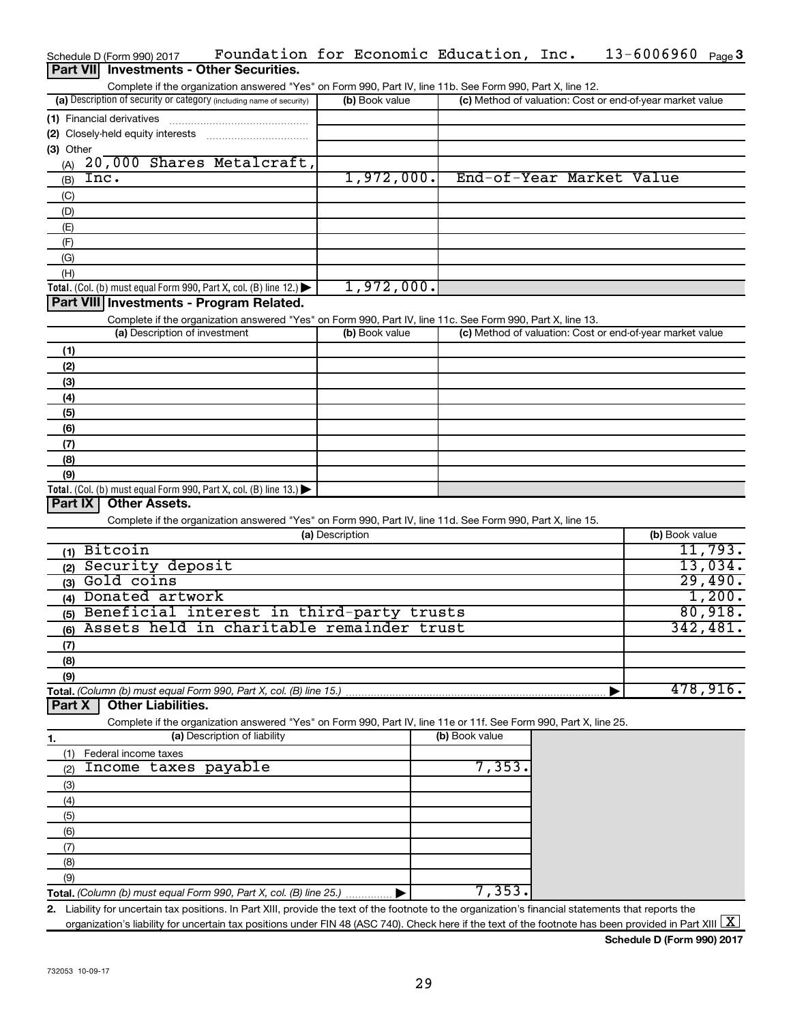|                  | Schedule D (Form 990) 2017                                                                                     | Foundation for Economic Education, Inc.                                                                                                                                            |                 |                |                          |  | $13 - 6006960$ Page 3                                     |                  |
|------------------|----------------------------------------------------------------------------------------------------------------|------------------------------------------------------------------------------------------------------------------------------------------------------------------------------------|-----------------|----------------|--------------------------|--|-----------------------------------------------------------|------------------|
| <b>Part VIII</b> |                                                                                                                | <b>Investments - Other Securities.</b>                                                                                                                                             |                 |                |                          |  |                                                           |                  |
|                  |                                                                                                                | Complete if the organization answered "Yes" on Form 990, Part IV, line 11b. See Form 990, Part X, line 12.                                                                         |                 |                |                          |  |                                                           |                  |
|                  | (a) Description of security or category (including name of security)                                           |                                                                                                                                                                                    |                 | (b) Book value |                          |  | (c) Method of valuation: Cost or end-of-year market value |                  |
|                  | (1) Financial derivatives                                                                                      |                                                                                                                                                                                    |                 |                |                          |  |                                                           |                  |
|                  | (2) Closely-held equity interests                                                                              |                                                                                                                                                                                    |                 |                |                          |  |                                                           |                  |
| (3) Other        |                                                                                                                |                                                                                                                                                                                    |                 |                |                          |  |                                                           |                  |
| (A)              |                                                                                                                | 20,000 Shares Metalcraft,                                                                                                                                                          |                 |                |                          |  |                                                           |                  |
| (B)              | Inc.                                                                                                           |                                                                                                                                                                                    |                 | 1,972,000.     | End-of-Year Market Value |  |                                                           |                  |
|                  |                                                                                                                |                                                                                                                                                                                    |                 |                |                          |  |                                                           |                  |
| (C)              |                                                                                                                |                                                                                                                                                                                    |                 |                |                          |  |                                                           |                  |
| (D)              |                                                                                                                |                                                                                                                                                                                    |                 |                |                          |  |                                                           |                  |
| (E)              |                                                                                                                |                                                                                                                                                                                    |                 |                |                          |  |                                                           |                  |
| (F)              |                                                                                                                |                                                                                                                                                                                    |                 |                |                          |  |                                                           |                  |
| (G)              |                                                                                                                |                                                                                                                                                                                    |                 |                |                          |  |                                                           |                  |
| (H)              |                                                                                                                |                                                                                                                                                                                    |                 |                |                          |  |                                                           |                  |
|                  | Total. (Col. (b) must equal Form 990, Part X, col. (B) line 12.)                                               |                                                                                                                                                                                    |                 | 1,972,000.     |                          |  |                                                           |                  |
|                  | Part VIII Investments - Program Related.                                                                       |                                                                                                                                                                                    |                 |                |                          |  |                                                           |                  |
|                  |                                                                                                                | Complete if the organization answered "Yes" on Form 990, Part IV, line 11c. See Form 990, Part X, line 13.                                                                         |                 |                |                          |  |                                                           |                  |
|                  | (a) Description of investment                                                                                  |                                                                                                                                                                                    |                 | (b) Book value |                          |  | (c) Method of valuation: Cost or end-of-year market value |                  |
| (1)              |                                                                                                                |                                                                                                                                                                                    |                 |                |                          |  |                                                           |                  |
| (2)              |                                                                                                                |                                                                                                                                                                                    |                 |                |                          |  |                                                           |                  |
| (3)              |                                                                                                                |                                                                                                                                                                                    |                 |                |                          |  |                                                           |                  |
| (4)              |                                                                                                                |                                                                                                                                                                                    |                 |                |                          |  |                                                           |                  |
| (5)              |                                                                                                                |                                                                                                                                                                                    |                 |                |                          |  |                                                           |                  |
| (6)              |                                                                                                                |                                                                                                                                                                                    |                 |                |                          |  |                                                           |                  |
| (7)              |                                                                                                                |                                                                                                                                                                                    |                 |                |                          |  |                                                           |                  |
| (8)              |                                                                                                                |                                                                                                                                                                                    |                 |                |                          |  |                                                           |                  |
| (9)              |                                                                                                                |                                                                                                                                                                                    |                 |                |                          |  |                                                           |                  |
|                  |                                                                                                                |                                                                                                                                                                                    |                 |                |                          |  |                                                           |                  |
| Part IX          | Total. (Col. (b) must equal Form 990, Part X, col. (B) line 13.) $\blacktriangleright$<br><b>Other Assets.</b> |                                                                                                                                                                                    |                 |                |                          |  |                                                           |                  |
|                  |                                                                                                                |                                                                                                                                                                                    |                 |                |                          |  |                                                           |                  |
|                  |                                                                                                                | Complete if the organization answered "Yes" on Form 990, Part IV, line 11d. See Form 990, Part X, line 15.                                                                         |                 |                |                          |  |                                                           |                  |
|                  |                                                                                                                |                                                                                                                                                                                    | (a) Description |                |                          |  | (b) Book value                                            |                  |
|                  | $(1)$ Bitcoin                                                                                                  |                                                                                                                                                                                    |                 |                |                          |  |                                                           | 11,793.          |
|                  | (2) Security deposit                                                                                           |                                                                                                                                                                                    |                 |                |                          |  |                                                           | 13,034.          |
|                  | (3) Gold coins                                                                                                 |                                                                                                                                                                                    |                 |                |                          |  |                                                           | 29,490.          |
|                  | (4) Donated artwork                                                                                            |                                                                                                                                                                                    |                 |                |                          |  |                                                           | 1,200.           |
|                  |                                                                                                                | (5) Beneficial interest in third-party trusts                                                                                                                                      |                 |                |                          |  |                                                           | 80,918.          |
|                  |                                                                                                                | (6) Assets held in charitable remainder trust                                                                                                                                      |                 |                |                          |  |                                                           | 342,481 <b>.</b> |
| (7)              |                                                                                                                |                                                                                                                                                                                    |                 |                |                          |  |                                                           |                  |
| (8)              |                                                                                                                |                                                                                                                                                                                    |                 |                |                          |  |                                                           |                  |
| (9)              |                                                                                                                |                                                                                                                                                                                    |                 |                |                          |  |                                                           |                  |
|                  |                                                                                                                | Total. (Column (b) must equal Form 990, Part X, col. (B) line 15.).                                                                                                                |                 |                |                          |  |                                                           | 478,916.         |
| Part X           | <b>Other Liabilities.</b>                                                                                      |                                                                                                                                                                                    |                 |                |                          |  |                                                           |                  |
|                  |                                                                                                                | Complete if the organization answered "Yes" on Form 990, Part IV, line 11e or 11f. See Form 990, Part X, line 25.                                                                  |                 |                |                          |  |                                                           |                  |
|                  |                                                                                                                | (a) Description of liability                                                                                                                                                       |                 |                | (b) Book value           |  |                                                           |                  |
| 1.               |                                                                                                                |                                                                                                                                                                                    |                 |                |                          |  |                                                           |                  |
| (1)              | Federal income taxes<br>Income taxes payable                                                                   |                                                                                                                                                                                    |                 |                | 7,353.                   |  |                                                           |                  |
| (2)              |                                                                                                                |                                                                                                                                                                                    |                 |                |                          |  |                                                           |                  |
| (3)              |                                                                                                                |                                                                                                                                                                                    |                 |                |                          |  |                                                           |                  |
| (4)              |                                                                                                                |                                                                                                                                                                                    |                 |                |                          |  |                                                           |                  |
| (5)              |                                                                                                                |                                                                                                                                                                                    |                 |                |                          |  |                                                           |                  |
| (6)              |                                                                                                                |                                                                                                                                                                                    |                 |                |                          |  |                                                           |                  |
| (7)              |                                                                                                                |                                                                                                                                                                                    |                 |                |                          |  |                                                           |                  |
| (8)              |                                                                                                                |                                                                                                                                                                                    |                 |                |                          |  |                                                           |                  |
| (9)              |                                                                                                                |                                                                                                                                                                                    |                 |                |                          |  |                                                           |                  |
|                  |                                                                                                                | Total. (Column (b) must equal Form 990, Part X, col. (B) line 25.)                                                                                                                 |                 |                | 7,353.                   |  |                                                           |                  |
|                  |                                                                                                                | 2. Liability for uncertain tax positions. In Part XIII, provide the text of the footnote to the organization's financial statements that reports the                               |                 |                |                          |  |                                                           |                  |
|                  |                                                                                                                | organization's liability for uncertain tax positions under FIN 48 (ASC 740). Check here if the text of the footnote has been provided in Part XIII $\lfloor \underline{X} \rfloor$ |                 |                |                          |  |                                                           |                  |

**Schedule D (Form 990) 2017**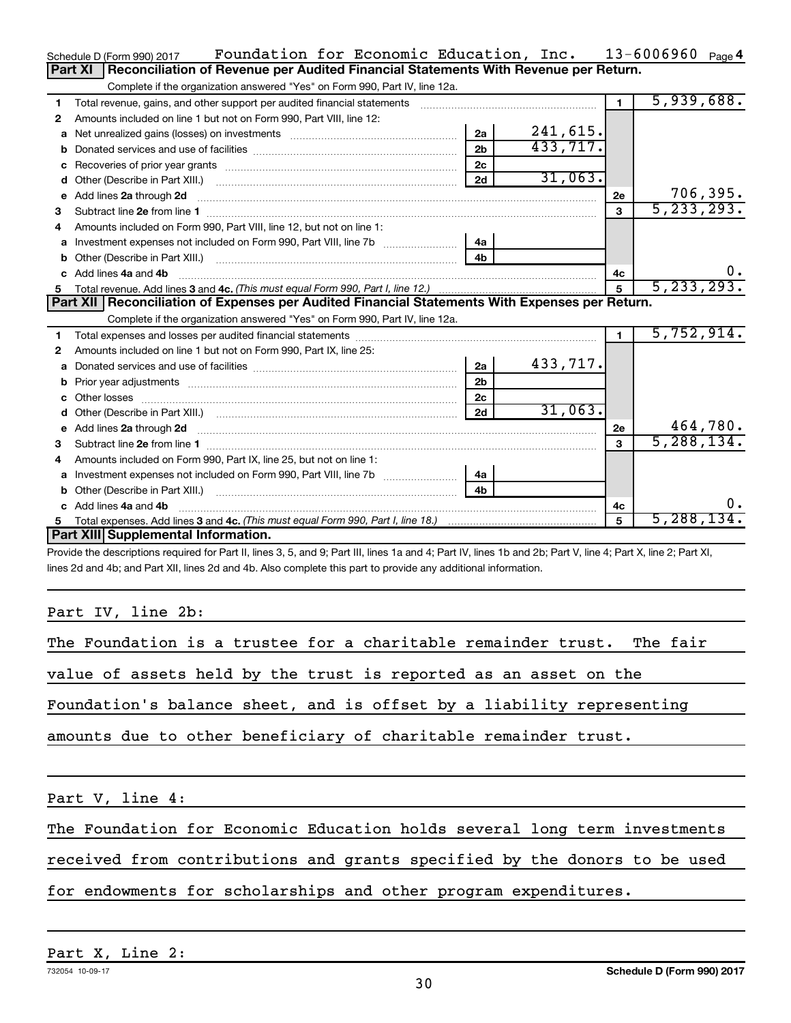|    | Foundation for Economic Education, Inc.<br>Schedule D (Form 990) 2017                                                                                                                                                                              |                |          |                | $13 - 6006960$ Page 4 |
|----|----------------------------------------------------------------------------------------------------------------------------------------------------------------------------------------------------------------------------------------------------|----------------|----------|----------------|-----------------------|
|    | Reconciliation of Revenue per Audited Financial Statements With Revenue per Return.<br>Part XI                                                                                                                                                     |                |          |                |                       |
|    | Complete if the organization answered "Yes" on Form 990, Part IV, line 12a.                                                                                                                                                                        |                |          |                |                       |
| 1  | Total revenue, gains, and other support per audited financial statements                                                                                                                                                                           |                |          | $\blacksquare$ | 5,939,688.            |
| 2  | Amounts included on line 1 but not on Form 990, Part VIII, line 12:                                                                                                                                                                                |                |          |                |                       |
| a  |                                                                                                                                                                                                                                                    | 2a             | 241,615. |                |                       |
| b  |                                                                                                                                                                                                                                                    | 2 <sub>b</sub> | 433,717. |                |                       |
|    |                                                                                                                                                                                                                                                    | 2c             |          |                |                       |
|    |                                                                                                                                                                                                                                                    | 2d             | 31,063.  |                |                       |
| e  | Add lines 2a through 2d                                                                                                                                                                                                                            |                |          | 2е             | 706, 395.             |
| 3  |                                                                                                                                                                                                                                                    |                |          | 3              | 5, 233, 293.          |
| 4  | Amounts included on Form 990, Part VIII, line 12, but not on line 1:                                                                                                                                                                               |                |          |                |                       |
| a  |                                                                                                                                                                                                                                                    | 4a             |          |                |                       |
|    |                                                                                                                                                                                                                                                    | 4 <sub>h</sub> |          |                |                       |
|    | c Add lines 4a and 4b                                                                                                                                                                                                                              |                |          | 4c             | 0.                    |
| 5  |                                                                                                                                                                                                                                                    |                |          |                | 5, 233, 293.          |
|    | Part XII   Reconciliation of Expenses per Audited Financial Statements With Expenses per Return.                                                                                                                                                   |                |          |                |                       |
|    | Complete if the organization answered "Yes" on Form 990, Part IV, line 12a.                                                                                                                                                                        |                |          |                |                       |
| 1  |                                                                                                                                                                                                                                                    |                |          | $\mathbf 1$    | 5,752,914.            |
| 2  | Amounts included on line 1 but not on Form 990, Part IX, line 25:                                                                                                                                                                                  |                |          |                |                       |
|    |                                                                                                                                                                                                                                                    | 2a             | 433,717. |                |                       |
| b  |                                                                                                                                                                                                                                                    | 2 <sub>b</sub> |          |                |                       |
|    |                                                                                                                                                                                                                                                    | 2 <sub>c</sub> |          |                |                       |
| d  |                                                                                                                                                                                                                                                    | 2d             | 31,063.  |                |                       |
|    | e Add lines 2a through 2d <b>[16]</b> Manuscription and the Add lines 2a through 2d <b>[16]</b> Manuscription and the Add lines 2a through 2d <b>[16]</b> Manuscription and the Add lines 2a through 2d <b>[16]</b> Manuscription and the Add line |                |          | 2e             | 464,780.              |
| 3  |                                                                                                                                                                                                                                                    |                |          | 3              | 5, 288, 134.          |
|    | Amounts included on Form 990, Part IX, line 25, but not on line 1:                                                                                                                                                                                 |                |          |                |                       |
|    |                                                                                                                                                                                                                                                    | 4a             |          |                |                       |
|    |                                                                                                                                                                                                                                                    | 4 <sub>b</sub> |          |                |                       |
| c. | Add lines 4a and 4b                                                                                                                                                                                                                                |                |          | 4с             | υ.                    |
| 5  |                                                                                                                                                                                                                                                    |                |          | 5              | 5,288,134.            |
|    | Part XIII Supplemental Information.                                                                                                                                                                                                                |                |          |                |                       |
|    | Dravide the descriptions required for Dart II, lines $9.5$ and $0.0$ Dart III, lines to and $4.0$ Dart IV, lines the and $9b$ . Dart V, line $4.0$ Dart V, line $9.0$ Dart VI.                                                                     |                |          |                |                       |

Provide the descriptions required for Part II, lines 3, 5, and 9; Part III, lines 1a and 4; Part IV, lines 1b and 2b; Part V, line 4; Part X, line 2; Part XI, lines 2d and 4b; and Part XII, lines 2d and 4b. Also complete this part to provide any additional information.

# Part IV, line 2b:

| The Foundation is a trustee for a charitable remainder trust. The fair    |
|---------------------------------------------------------------------------|
| value of assets held by the trust is reported as an asset on the          |
| Foundation's balance sheet, and is offset by a liability representing     |
| amounts due to other beneficiary of charitable remainder trust.           |
| Part V, line 4:                                                           |
| The Foundation for Economic Education holds several long term investments |

received from contributions and grants specified by the donors to be used

for endowments for scholarships and other program expenditures.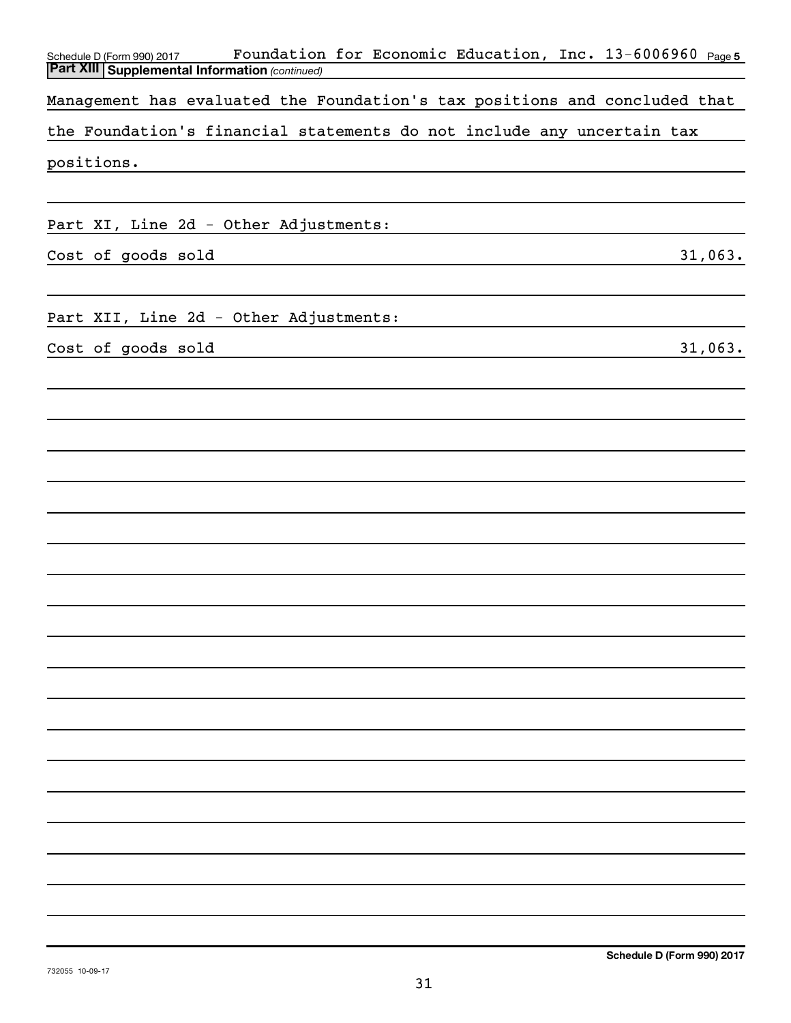| Foundation for Economic Education, Inc. 13-6006960 Page5<br>Schedule D (Form 990) 2017<br><b>Part XIII Supplemental Information (continued)</b> |
|-------------------------------------------------------------------------------------------------------------------------------------------------|
|                                                                                                                                                 |
| Management has evaluated the Foundation's tax positions and concluded that                                                                      |
| the Foundation's financial statements do not include any uncertain tax                                                                          |
| positions.                                                                                                                                      |
|                                                                                                                                                 |
| Part XI, Line 2d - Other Adjustments:                                                                                                           |
| Cost of goods sold<br>31,063.                                                                                                                   |
|                                                                                                                                                 |
| Part XII, Line 2d - Other Adjustments:                                                                                                          |
| Cost of goods sold<br>31,063.                                                                                                                   |
|                                                                                                                                                 |
|                                                                                                                                                 |
|                                                                                                                                                 |
|                                                                                                                                                 |
|                                                                                                                                                 |
|                                                                                                                                                 |
|                                                                                                                                                 |
|                                                                                                                                                 |
|                                                                                                                                                 |
|                                                                                                                                                 |
|                                                                                                                                                 |
|                                                                                                                                                 |
|                                                                                                                                                 |
|                                                                                                                                                 |
|                                                                                                                                                 |
|                                                                                                                                                 |
|                                                                                                                                                 |
|                                                                                                                                                 |
|                                                                                                                                                 |
|                                                                                                                                                 |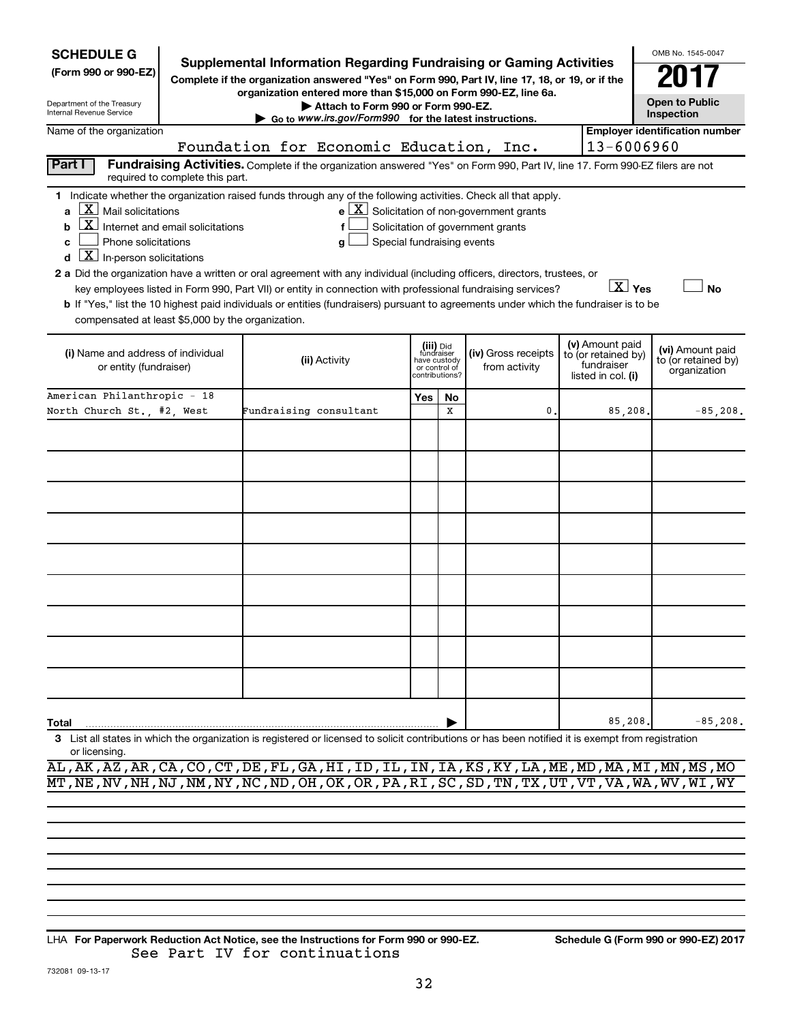| <b>SCHEDULE G</b>                                                                                                                                                                                                                                                                                                                                                                                                                                                                                                                                                                            |                                                     |                        |                                                                                                                                                                                                                                            |                            |                                                                            |                                                                                            |  |                                                                            | OMB No. 1545-0047                                       |
|----------------------------------------------------------------------------------------------------------------------------------------------------------------------------------------------------------------------------------------------------------------------------------------------------------------------------------------------------------------------------------------------------------------------------------------------------------------------------------------------------------------------------------------------------------------------------------------------|-----------------------------------------------------|------------------------|--------------------------------------------------------------------------------------------------------------------------------------------------------------------------------------------------------------------------------------------|----------------------------|----------------------------------------------------------------------------|--------------------------------------------------------------------------------------------|--|----------------------------------------------------------------------------|---------------------------------------------------------|
| (Form 990 or 990-EZ)                                                                                                                                                                                                                                                                                                                                                                                                                                                                                                                                                                         |                                                     |                        | Supplemental Information Regarding Fundraising or Gaming Activities<br>Complete if the organization answered "Yes" on Form 990, Part IV, line 17, 18, or 19, or if the<br>organization entered more than \$15,000 on Form 990-EZ, line 6a. |                            |                                                                            |                                                                                            |  |                                                                            |                                                         |
| Department of the Treasury<br>Internal Revenue Service                                                                                                                                                                                                                                                                                                                                                                                                                                                                                                                                       |                                                     |                        | Attach to Form 990 or Form 990-EZ.<br>Go to www.irs.gov/Form990 for the latest instructions.                                                                                                                                               |                            |                                                                            |                                                                                            |  |                                                                            | <b>Open to Public</b><br>Inspection                     |
| Name of the organization                                                                                                                                                                                                                                                                                                                                                                                                                                                                                                                                                                     |                                                     |                        |                                                                                                                                                                                                                                            |                            |                                                                            |                                                                                            |  |                                                                            | <b>Employer identification number</b>                   |
|                                                                                                                                                                                                                                                                                                                                                                                                                                                                                                                                                                                              |                                                     |                        | Foundation for Economic Education, Inc.                                                                                                                                                                                                    |                            |                                                                            |                                                                                            |  | 13-6006960                                                                 |                                                         |
| Part I                                                                                                                                                                                                                                                                                                                                                                                                                                                                                                                                                                                       | required to complete this part.                     |                        | Fundraising Activities. Complete if the organization answered "Yes" on Form 990, Part IV, line 17. Form 990-EZ filers are not                                                                                                              |                            |                                                                            |                                                                                            |  |                                                                            |                                                         |
| 1 Indicate whether the organization raised funds through any of the following activities. Check all that apply.<br>$\lfloor \underline{X} \rfloor$ Mail solicitations<br>a<br>b<br>Phone solicitations<br>C<br>$\boxed{\mathbf{X}}$ In-person solicitations<br>d<br>2 a Did the organization have a written or oral agreement with any individual (including officers, directors, trustees, or<br>b If "Yes," list the 10 highest paid individuals or entities (fundraisers) pursuant to agreements under which the fundraiser is to be<br>compensated at least \$5,000 by the organization. | $\boxed{\text{X}}$ Internet and email solicitations |                        | f<br>g<br>key employees listed in Form 990, Part VII) or entity in connection with professional fundraising services?                                                                                                                      | Special fundraising events |                                                                            | $e$ $\boxed{X}$ Solicitation of non-government grants<br>Solicitation of government grants |  | $\boxed{\text{X}}$ Yes                                                     | <b>No</b>                                               |
| (i) Name and address of individual<br>or entity (fundraiser)                                                                                                                                                                                                                                                                                                                                                                                                                                                                                                                                 |                                                     |                        | (ii) Activity                                                                                                                                                                                                                              |                            | (iii) Did<br>fundraiser<br>have custody<br>or control of<br>contributions? | (iv) Gross receipts<br>from activity                                                       |  | (v) Amount paid<br>to (or retained by)<br>fundraiser<br>listed in col. (i) | (vi) Amount paid<br>to (or retained by)<br>organization |
| American Philanthropic - 18<br>North Church St., #2, West                                                                                                                                                                                                                                                                                                                                                                                                                                                                                                                                    |                                                     | Fundraising consultant |                                                                                                                                                                                                                                            |                            | No<br>x                                                                    | 0                                                                                          |  | 85,208.                                                                    | $-85, 208.$                                             |
|                                                                                                                                                                                                                                                                                                                                                                                                                                                                                                                                                                                              |                                                     |                        |                                                                                                                                                                                                                                            |                            |                                                                            |                                                                                            |  |                                                                            |                                                         |
|                                                                                                                                                                                                                                                                                                                                                                                                                                                                                                                                                                                              |                                                     |                        |                                                                                                                                                                                                                                            |                            |                                                                            |                                                                                            |  |                                                                            |                                                         |
|                                                                                                                                                                                                                                                                                                                                                                                                                                                                                                                                                                                              |                                                     |                        |                                                                                                                                                                                                                                            |                            |                                                                            |                                                                                            |  |                                                                            |                                                         |
|                                                                                                                                                                                                                                                                                                                                                                                                                                                                                                                                                                                              |                                                     |                        |                                                                                                                                                                                                                                            |                            |                                                                            |                                                                                            |  |                                                                            |                                                         |
|                                                                                                                                                                                                                                                                                                                                                                                                                                                                                                                                                                                              |                                                     |                        |                                                                                                                                                                                                                                            |                            |                                                                            |                                                                                            |  |                                                                            |                                                         |
|                                                                                                                                                                                                                                                                                                                                                                                                                                                                                                                                                                                              |                                                     |                        |                                                                                                                                                                                                                                            |                            |                                                                            |                                                                                            |  |                                                                            |                                                         |
|                                                                                                                                                                                                                                                                                                                                                                                                                                                                                                                                                                                              |                                                     |                        |                                                                                                                                                                                                                                            |                            |                                                                            |                                                                                            |  |                                                                            |                                                         |
|                                                                                                                                                                                                                                                                                                                                                                                                                                                                                                                                                                                              |                                                     |                        |                                                                                                                                                                                                                                            |                            |                                                                            |                                                                                            |  |                                                                            |                                                         |
|                                                                                                                                                                                                                                                                                                                                                                                                                                                                                                                                                                                              |                                                     |                        |                                                                                                                                                                                                                                            |                            |                                                                            |                                                                                            |  |                                                                            |                                                         |
| Total                                                                                                                                                                                                                                                                                                                                                                                                                                                                                                                                                                                        |                                                     |                        |                                                                                                                                                                                                                                            |                            |                                                                            |                                                                                            |  | 85,208                                                                     | $-85, 208.$                                             |
| 3 List all states in which the organization is registered or licensed to solicit contributions or has been notified it is exempt from registration<br>or licensing.                                                                                                                                                                                                                                                                                                                                                                                                                          |                                                     |                        |                                                                                                                                                                                                                                            |                            |                                                                            |                                                                                            |  |                                                                            |                                                         |

AL,AK,AZ,AR,CA,CO,CT,DE,FL,GA,HI,ID,IL,IN,IA,KS,KY,LA,ME,MD,MA,MI,MN,MS,MO MT,NE,NV,NH,NJ,NM,NY,NC,ND,OH,OK,OR,PA,RI,SC,SD,TN,TX,UT,VT,VA,WA,WV,WI,WY

**For Paperwork Reduction Act Notice, see the Instructions for Form 990 or 990-EZ. Schedule G (Form 990 or 990-EZ) 2017** LHA See Part IV for continuations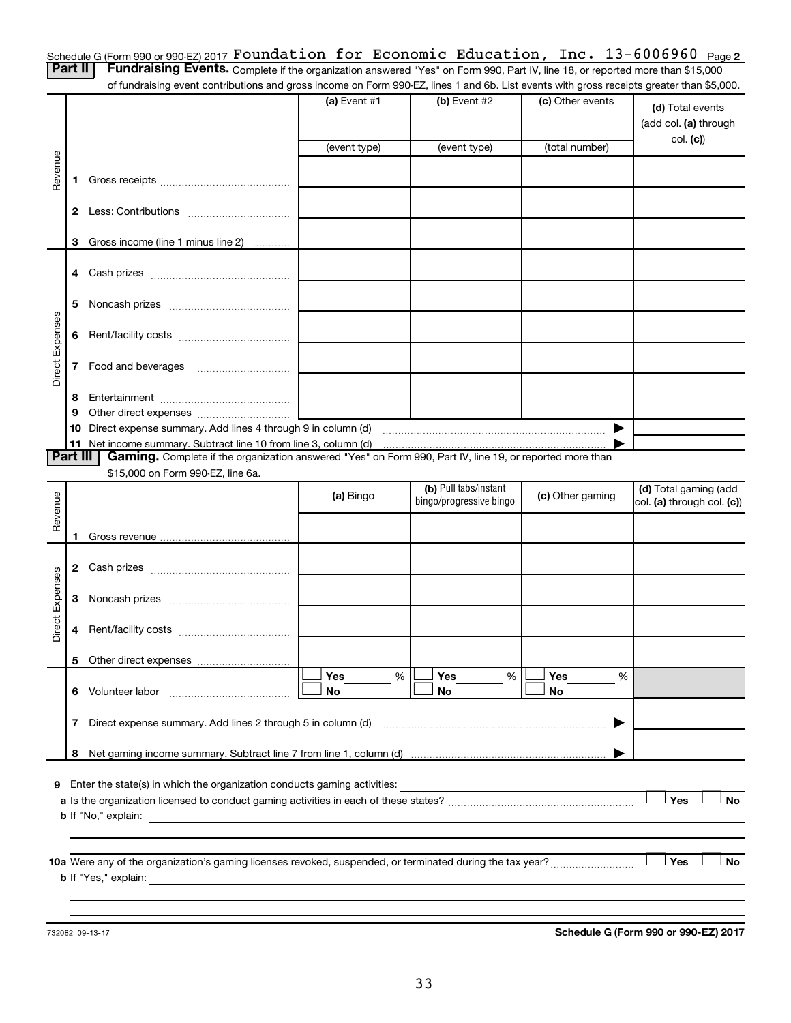Schedule G (Form 990 or 990-EZ) 2017  ${\tt Foundation~for~Economic~Education,~Inc.~13-6006960~Page}$ 

Part II | Fundraising Events. Complete if the organization answered "Yes" on Form 990, Part IV, line 18, or reported more than \$15,000 of fundraising event contributions and gross income on Form 990-EZ, lines 1 and 6b. List events with gross receipts greater than \$5,000.

|                 |    | analalong overti continuations and group income on nominous EE, infourmance. Electronics with group receipts group than \$0,000. |                |                         |                  |                                           |
|-----------------|----|----------------------------------------------------------------------------------------------------------------------------------|----------------|-------------------------|------------------|-------------------------------------------|
|                 |    |                                                                                                                                  | (a) Event $#1$ | (b) Event #2            | (c) Other events | (d) Total events<br>(add col. (a) through |
|                 |    |                                                                                                                                  | (event type)   | (event type)            | (total number)   | col. (c)                                  |
| Revenue         |    |                                                                                                                                  |                |                         |                  |                                           |
|                 |    |                                                                                                                                  |                |                         |                  |                                           |
|                 |    |                                                                                                                                  |                |                         |                  |                                           |
|                 |    | 3 Gross income (line 1 minus line 2)                                                                                             |                |                         |                  |                                           |
|                 |    |                                                                                                                                  |                |                         |                  |                                           |
|                 |    |                                                                                                                                  |                |                         |                  |                                           |
|                 | 5  |                                                                                                                                  |                |                         |                  |                                           |
|                 |    |                                                                                                                                  |                |                         |                  |                                           |
|                 | 6  |                                                                                                                                  |                |                         |                  |                                           |
| Direct Expenses |    |                                                                                                                                  |                |                         |                  |                                           |
|                 | 7  | Food and beverages                                                                                                               |                |                         |                  |                                           |
|                 | 8  |                                                                                                                                  |                |                         |                  |                                           |
|                 | 9  |                                                                                                                                  |                |                         |                  |                                           |
|                 | 10 |                                                                                                                                  |                |                         | ▶                |                                           |
| Part III        |    | Gaming. Complete if the organization answered "Yes" on Form 990, Part IV, line 19, or reported more than                         |                |                         |                  |                                           |
|                 |    | \$15,000 on Form 990-EZ, line 6a.                                                                                                |                |                         |                  |                                           |
|                 |    |                                                                                                                                  |                | (b) Pull tabs/instant   |                  | (d) Total gaming (add                     |
| Revenue         |    |                                                                                                                                  | (a) Bingo      | bingo/progressive bingo | (c) Other gaming | col. (a) through col. (c))                |
|                 |    |                                                                                                                                  |                |                         |                  |                                           |
|                 |    |                                                                                                                                  |                |                         |                  |                                           |
|                 |    |                                                                                                                                  |                |                         |                  |                                           |
|                 |    |                                                                                                                                  |                |                         |                  |                                           |
|                 | 3  |                                                                                                                                  |                |                         |                  |                                           |
| Direct Expenses | 4  |                                                                                                                                  |                |                         |                  |                                           |
|                 |    |                                                                                                                                  |                |                         |                  |                                           |
|                 |    |                                                                                                                                  |                | Yes                     | Yes              |                                           |
|                 |    | 6 Volunteer labor                                                                                                                | Yes<br>%<br>No | %<br>No                 | %<br>No          |                                           |
|                 |    |                                                                                                                                  |                |                         |                  |                                           |
|                 | 7  | Direct expense summary. Add lines 2 through 5 in column (d)                                                                      |                |                         | ▶                |                                           |
|                 | 8  |                                                                                                                                  |                |                         |                  |                                           |
|                 |    |                                                                                                                                  |                |                         |                  |                                           |
|                 |    | 9 Enter the state(s) in which the organization conducts gaming activities:                                                       |                |                         |                  | Yes<br><b>No</b>                          |
|                 |    | <b>b</b> If "No," explain:                                                                                                       |                |                         |                  |                                           |
|                 |    |                                                                                                                                  |                |                         |                  |                                           |
|                 |    |                                                                                                                                  |                |                         |                  |                                           |
|                 |    |                                                                                                                                  |                |                         |                  | Yes<br>No                                 |
|                 |    | <b>b</b> If "Yes," explain:                                                                                                      |                |                         |                  |                                           |
|                 |    |                                                                                                                                  |                |                         |                  |                                           |

732082 09-13-17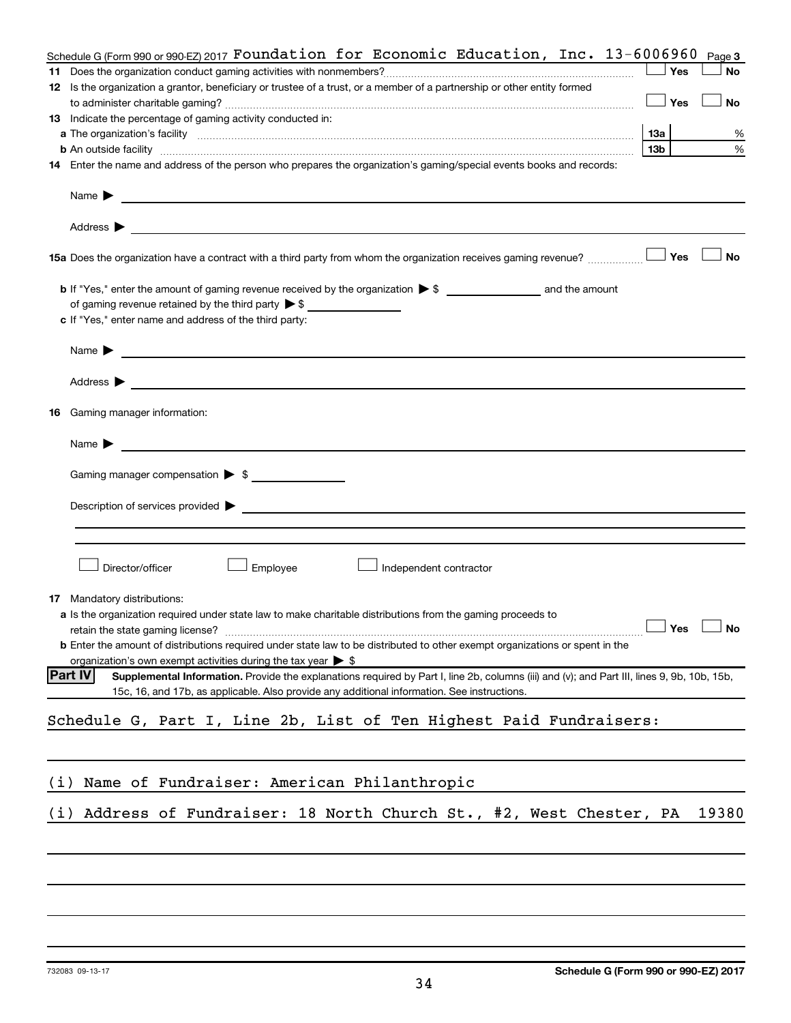|     | Schedule G (Form 990 or 990-EZ) 2017 Foundation for Economic Education, Inc. $13-6006960$                                                                                                                                                                                                                                                                                                                                                                               |            |     | Page 3               |
|-----|-------------------------------------------------------------------------------------------------------------------------------------------------------------------------------------------------------------------------------------------------------------------------------------------------------------------------------------------------------------------------------------------------------------------------------------------------------------------------|------------|-----|----------------------|
|     |                                                                                                                                                                                                                                                                                                                                                                                                                                                                         |            | Yes | No                   |
|     | 12 Is the organization a grantor, beneficiary or trustee of a trust, or a member of a partnership or other entity formed                                                                                                                                                                                                                                                                                                                                                |            |     |                      |
|     |                                                                                                                                                                                                                                                                                                                                                                                                                                                                         | $\Box$ Yes |     | <b>No</b>            |
|     | 13 Indicate the percentage of gaming activity conducted in:                                                                                                                                                                                                                                                                                                                                                                                                             |            |     |                      |
|     | a The organization's facility www.communication.communications are consistent in the organization's facility www.communications of the construction of the construction of the construction of the construction of the constru                                                                                                                                                                                                                                          | 13a        |     | %                    |
|     |                                                                                                                                                                                                                                                                                                                                                                                                                                                                         | 13b        |     | $\%$                 |
|     | 14 Enter the name and address of the person who prepares the organization's gaming/special events books and records:                                                                                                                                                                                                                                                                                                                                                    |            |     |                      |
|     | Name $\begin{array}{ c c c c c }\n\hline\n& & \multicolumn{1}{ c }{\quad \quad} & \multicolumn{1}{ c }{\quad \quad} & \multicolumn{1}{ c }{\quad \quad} & \multicolumn{1}{ c }{\quad \quad} & \multicolumn{1}{ c }{\quad \quad} & \multicolumn{1}{ c }{\quad \quad} & \multicolumn{1}{ c }{\quad \quad} & \multicolumn{1}{ c }{\quad \quad} & \multicolumn{1}{ c }{\quad \quad} & \multicolumn{1}{ c }{\quad \quad} & \multicolumn{1}{ c }{\quad \quad} & \multicolumn$ |            |     |                      |
|     | Address $\blacktriangleright$<br><u> 1989 - Johann Stoff, amerikansk politiker (d. 1989)</u>                                                                                                                                                                                                                                                                                                                                                                            |            |     |                      |
|     | 15a Does the organization have a contract with a third party from whom the organization receives gaming revenue?                                                                                                                                                                                                                                                                                                                                                        |            | Yes | No                   |
|     |                                                                                                                                                                                                                                                                                                                                                                                                                                                                         |            |     |                      |
|     | of gaming revenue retained by the third party $\triangleright$ \$                                                                                                                                                                                                                                                                                                                                                                                                       |            |     |                      |
|     | c If "Yes," enter name and address of the third party:                                                                                                                                                                                                                                                                                                                                                                                                                  |            |     |                      |
|     |                                                                                                                                                                                                                                                                                                                                                                                                                                                                         |            |     |                      |
|     | Name $\blacktriangleright$ $\ldots$ $\ldots$ $\ldots$ $\ldots$ $\ldots$ $\ldots$ $\ldots$ $\ldots$ $\ldots$ $\ldots$ $\ldots$ $\ldots$ $\ldots$ $\ldots$ $\ldots$ $\ldots$ $\ldots$ $\ldots$ $\ldots$ $\ldots$ $\ldots$ $\ldots$ $\ldots$ $\ldots$ $\ldots$ $\ldots$ $\ldots$ $\ldots$ $\ldots$ $\ldots$ $\ldots$ $\ldots$ $\ldots$ $\ldots$ $\ldots$                                                                                                                   |            |     |                      |
|     | Address $\blacktriangleright$<br><u>some started and the started and the started and the started and the started and the started and the started and</u>                                                                                                                                                                                                                                                                                                                |            |     |                      |
|     | 16 Gaming manager information:                                                                                                                                                                                                                                                                                                                                                                                                                                          |            |     |                      |
|     | Name $\blacktriangleright$<br><u> 1989 - John Harry Harry Harry Harry Harry Harry Harry Harry Harry Harry Harry Harry Harry Harry Harry Harry H</u>                                                                                                                                                                                                                                                                                                                     |            |     |                      |
|     | Gaming manager compensation > \$                                                                                                                                                                                                                                                                                                                                                                                                                                        |            |     |                      |
|     | Description of services provided > example and a service of the service of the services provided > example and the services of the services of the services of the services of the services of the services of the services of                                                                                                                                                                                                                                          |            |     |                      |
|     |                                                                                                                                                                                                                                                                                                                                                                                                                                                                         |            |     |                      |
|     | Director/officer<br>Employee<br>Independent contractor                                                                                                                                                                                                                                                                                                                                                                                                                  |            |     |                      |
|     | 17 Mandatory distributions:                                                                                                                                                                                                                                                                                                                                                                                                                                             |            |     |                      |
|     | a Is the organization required under state law to make charitable distributions from the gaming proceeds to                                                                                                                                                                                                                                                                                                                                                             |            |     |                      |
|     | retain the state gaming license?                                                                                                                                                                                                                                                                                                                                                                                                                                        |            |     | $\Box$ Yes $\Box$ No |
|     | <b>b</b> Enter the amount of distributions required under state law to be distributed to other exempt organizations or spent in the                                                                                                                                                                                                                                                                                                                                     |            |     |                      |
|     | organization's own exempt activities during the tax year $\triangleright$ \$                                                                                                                                                                                                                                                                                                                                                                                            |            |     |                      |
|     | <b>Part IV</b><br>Supplemental Information. Provide the explanations required by Part I, line 2b, columns (iii) and (v); and Part III, lines 9, 9b, 10b, 15b,                                                                                                                                                                                                                                                                                                           |            |     |                      |
|     | 15c, 16, and 17b, as applicable. Also provide any additional information. See instructions.                                                                                                                                                                                                                                                                                                                                                                             |            |     |                      |
|     | Schedule G, Part I, Line 2b, List of Ten Highest Paid Fundraisers:                                                                                                                                                                                                                                                                                                                                                                                                      |            |     |                      |
|     |                                                                                                                                                                                                                                                                                                                                                                                                                                                                         |            |     |                      |
|     |                                                                                                                                                                                                                                                                                                                                                                                                                                                                         |            |     |                      |
|     |                                                                                                                                                                                                                                                                                                                                                                                                                                                                         |            |     |                      |
| (i) | Name of Fundraiser: American Philanthropic                                                                                                                                                                                                                                                                                                                                                                                                                              |            |     |                      |
|     |                                                                                                                                                                                                                                                                                                                                                                                                                                                                         |            |     |                      |
| (i) | Address of Fundraiser: 18 North Church St., #2, West Chester, PA                                                                                                                                                                                                                                                                                                                                                                                                        |            |     | 19380                |
|     |                                                                                                                                                                                                                                                                                                                                                                                                                                                                         |            |     |                      |
|     |                                                                                                                                                                                                                                                                                                                                                                                                                                                                         |            |     |                      |
|     |                                                                                                                                                                                                                                                                                                                                                                                                                                                                         |            |     |                      |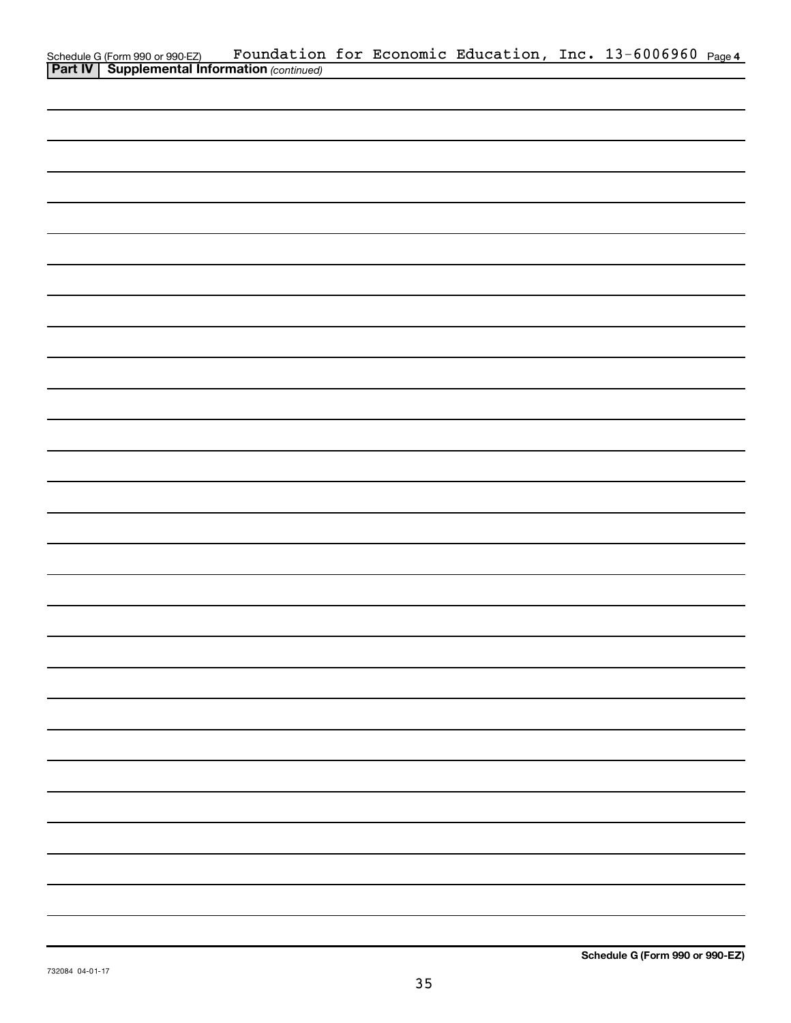|                                                                                                     |  |  | Foundation for Economic Education, Inc. 13-6006960 Page 4 |  |
|-----------------------------------------------------------------------------------------------------|--|--|-----------------------------------------------------------|--|
| Schedule G (Form 990 or 990-EZ) Foundation<br><b>Part IV   Supplemental Information</b> (continued) |  |  |                                                           |  |
|                                                                                                     |  |  |                                                           |  |
|                                                                                                     |  |  |                                                           |  |
|                                                                                                     |  |  |                                                           |  |
|                                                                                                     |  |  |                                                           |  |
|                                                                                                     |  |  |                                                           |  |
|                                                                                                     |  |  |                                                           |  |
|                                                                                                     |  |  |                                                           |  |
|                                                                                                     |  |  |                                                           |  |
|                                                                                                     |  |  |                                                           |  |
|                                                                                                     |  |  |                                                           |  |
|                                                                                                     |  |  |                                                           |  |
|                                                                                                     |  |  |                                                           |  |
|                                                                                                     |  |  |                                                           |  |
|                                                                                                     |  |  |                                                           |  |
|                                                                                                     |  |  |                                                           |  |
|                                                                                                     |  |  |                                                           |  |
|                                                                                                     |  |  |                                                           |  |
|                                                                                                     |  |  |                                                           |  |
|                                                                                                     |  |  |                                                           |  |
|                                                                                                     |  |  |                                                           |  |
|                                                                                                     |  |  |                                                           |  |
|                                                                                                     |  |  |                                                           |  |
|                                                                                                     |  |  |                                                           |  |
|                                                                                                     |  |  |                                                           |  |
|                                                                                                     |  |  |                                                           |  |
|                                                                                                     |  |  |                                                           |  |
|                                                                                                     |  |  |                                                           |  |
|                                                                                                     |  |  |                                                           |  |
|                                                                                                     |  |  |                                                           |  |
|                                                                                                     |  |  |                                                           |  |
|                                                                                                     |  |  |                                                           |  |
|                                                                                                     |  |  |                                                           |  |
|                                                                                                     |  |  |                                                           |  |
|                                                                                                     |  |  |                                                           |  |
|                                                                                                     |  |  |                                                           |  |
|                                                                                                     |  |  |                                                           |  |
|                                                                                                     |  |  |                                                           |  |
|                                                                                                     |  |  |                                                           |  |
|                                                                                                     |  |  |                                                           |  |
|                                                                                                     |  |  |                                                           |  |
|                                                                                                     |  |  |                                                           |  |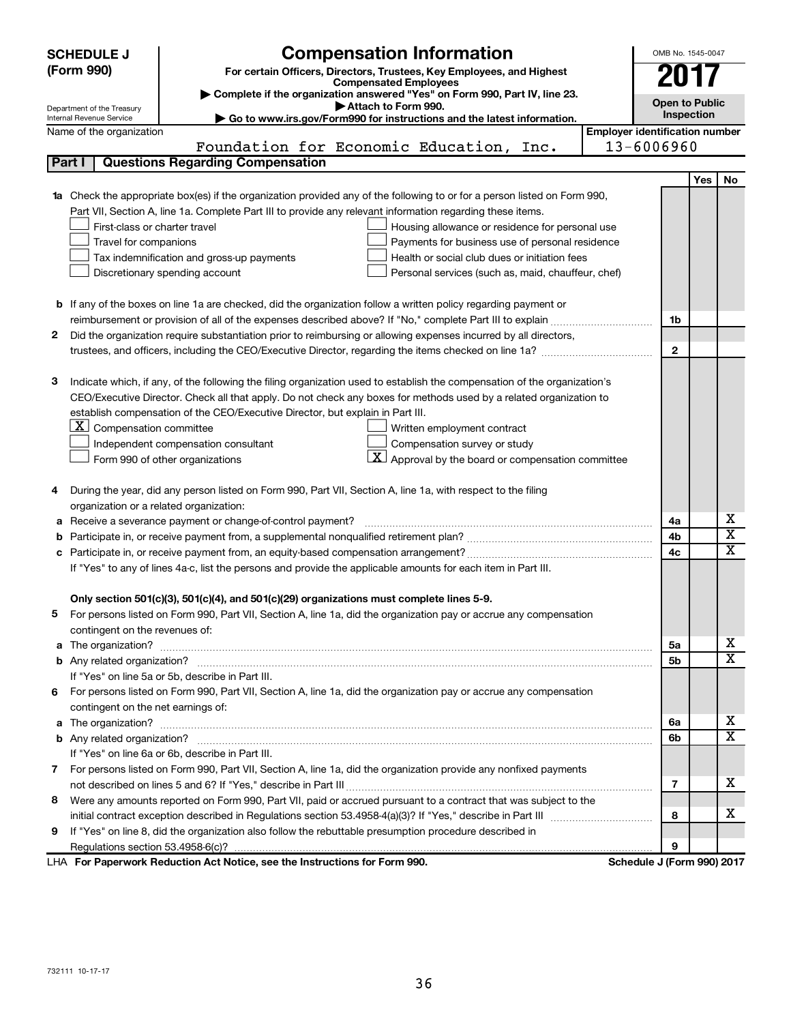|    | <b>SCHEDULE J</b>                                      | <b>Compensation Information</b>                                                                                                                                                                               |                                       | OMB No. 1545-0047          |            |                         |  |
|----|--------------------------------------------------------|---------------------------------------------------------------------------------------------------------------------------------------------------------------------------------------------------------------|---------------------------------------|----------------------------|------------|-------------------------|--|
|    | (Form 990)                                             | For certain Officers, Directors, Trustees, Key Employees, and Highest                                                                                                                                         |                                       |                            |            |                         |  |
|    |                                                        | <b>Compensated Employees</b>                                                                                                                                                                                  |                                       |                            |            |                         |  |
|    |                                                        | Complete if the organization answered "Yes" on Form 990, Part IV, line 23.<br>Attach to Form 990.                                                                                                             |                                       | <b>Open to Public</b>      |            |                         |  |
|    | Department of the Treasury<br>Internal Revenue Service | Go to www.irs.gov/Form990 for instructions and the latest information.                                                                                                                                        |                                       | Inspection                 |            |                         |  |
|    | Name of the organization                               |                                                                                                                                                                                                               | <b>Employer identification number</b> |                            |            |                         |  |
|    |                                                        | Foundation for Economic Education, Inc.                                                                                                                                                                       |                                       | 13-6006960                 |            |                         |  |
|    | Part I                                                 | <b>Questions Regarding Compensation</b>                                                                                                                                                                       |                                       |                            |            |                         |  |
|    |                                                        |                                                                                                                                                                                                               |                                       |                            | <b>Yes</b> | No                      |  |
| 1a |                                                        | Check the appropriate box(es) if the organization provided any of the following to or for a person listed on Form 990,                                                                                        |                                       |                            |            |                         |  |
|    |                                                        | Part VII, Section A, line 1a. Complete Part III to provide any relevant information regarding these items.                                                                                                    |                                       |                            |            |                         |  |
|    | First-class or charter travel                          | Housing allowance or residence for personal use                                                                                                                                                               |                                       |                            |            |                         |  |
|    | Travel for companions                                  | Payments for business use of personal residence                                                                                                                                                               |                                       |                            |            |                         |  |
|    |                                                        | Health or social club dues or initiation fees<br>Tax indemnification and gross-up payments                                                                                                                    |                                       |                            |            |                         |  |
|    |                                                        | Discretionary spending account<br>Personal services (such as, maid, chauffeur, chef)                                                                                                                          |                                       |                            |            |                         |  |
|    |                                                        |                                                                                                                                                                                                               |                                       |                            |            |                         |  |
|    |                                                        | <b>b</b> If any of the boxes on line 1a are checked, did the organization follow a written policy regarding payment or                                                                                        |                                       |                            |            |                         |  |
|    |                                                        |                                                                                                                                                                                                               |                                       | 1b                         |            |                         |  |
| 2  |                                                        | Did the organization require substantiation prior to reimbursing or allowing expenses incurred by all directors,                                                                                              |                                       |                            |            |                         |  |
|    |                                                        |                                                                                                                                                                                                               |                                       | $\mathbf{2}$               |            |                         |  |
|    |                                                        |                                                                                                                                                                                                               |                                       |                            |            |                         |  |
| з  |                                                        | Indicate which, if any, of the following the filing organization used to establish the compensation of the organization's                                                                                     |                                       |                            |            |                         |  |
|    |                                                        | CEO/Executive Director. Check all that apply. Do not check any boxes for methods used by a related organization to                                                                                            |                                       |                            |            |                         |  |
|    |                                                        | establish compensation of the CEO/Executive Director, but explain in Part III.                                                                                                                                |                                       |                            |            |                         |  |
|    | $ \mathbf{X} $ Compensation committee                  | Written employment contract                                                                                                                                                                                   |                                       |                            |            |                         |  |
|    |                                                        | Compensation survey or study<br>Independent compensation consultant                                                                                                                                           |                                       |                            |            |                         |  |
|    |                                                        | $\vert X \vert$ Approval by the board or compensation committee<br>Form 990 of other organizations                                                                                                            |                                       |                            |            |                         |  |
|    |                                                        |                                                                                                                                                                                                               |                                       |                            |            |                         |  |
| 4  |                                                        | During the year, did any person listed on Form 990, Part VII, Section A, line 1a, with respect to the filing                                                                                                  |                                       |                            |            |                         |  |
|    | organization or a related organization:                |                                                                                                                                                                                                               |                                       |                            |            | х                       |  |
| а  |                                                        | Receive a severance payment or change-of-control payment?                                                                                                                                                     |                                       | 4a                         |            | $\overline{\textbf{x}}$ |  |
| b  |                                                        |                                                                                                                                                                                                               |                                       | 4b                         |            | $\overline{\textbf{X}}$ |  |
| c  |                                                        |                                                                                                                                                                                                               |                                       | 4c                         |            |                         |  |
|    |                                                        | If "Yes" to any of lines 4a-c, list the persons and provide the applicable amounts for each item in Part III.                                                                                                 |                                       |                            |            |                         |  |
|    |                                                        |                                                                                                                                                                                                               |                                       |                            |            |                         |  |
|    |                                                        | Only section 501(c)(3), 501(c)(4), and 501(c)(29) organizations must complete lines 5-9.<br>For persons listed on Form 990, Part VII, Section A, line 1a, did the organization pay or accrue any compensation |                                       |                            |            |                         |  |
|    | contingent on the revenues of:                         |                                                                                                                                                                                                               |                                       |                            |            |                         |  |
|    |                                                        |                                                                                                                                                                                                               |                                       | 5а                         |            | x                       |  |
|    |                                                        |                                                                                                                                                                                                               |                                       | 5b                         |            | $\overline{\mathbf{x}}$ |  |
|    |                                                        | If "Yes" on line 5a or 5b, describe in Part III.                                                                                                                                                              |                                       |                            |            |                         |  |
| 6. |                                                        | For persons listed on Form 990, Part VII, Section A, line 1a, did the organization pay or accrue any compensation                                                                                             |                                       |                            |            |                         |  |
|    | contingent on the net earnings of:                     |                                                                                                                                                                                                               |                                       |                            |            |                         |  |
|    |                                                        |                                                                                                                                                                                                               |                                       | 6a                         |            | x                       |  |
|    |                                                        |                                                                                                                                                                                                               |                                       | 6b                         |            | $\overline{\mathbf{X}}$ |  |
|    |                                                        | If "Yes" on line 6a or 6b, describe in Part III.                                                                                                                                                              |                                       |                            |            |                         |  |
|    |                                                        | 7 For persons listed on Form 990, Part VII, Section A, line 1a, did the organization provide any nonfixed payments                                                                                            |                                       |                            |            |                         |  |
|    |                                                        |                                                                                                                                                                                                               |                                       | 7                          |            | x                       |  |
| 8  |                                                        | Were any amounts reported on Form 990, Part VII, paid or accrued pursuant to a contract that was subject to the                                                                                               |                                       |                            |            |                         |  |
|    |                                                        |                                                                                                                                                                                                               |                                       | 8                          |            | x                       |  |
| 9  |                                                        | If "Yes" on line 8, did the organization also follow the rebuttable presumption procedure described in                                                                                                        |                                       |                            |            |                         |  |
|    |                                                        |                                                                                                                                                                                                               |                                       | 9                          |            |                         |  |
|    |                                                        | LHA For Paperwork Reduction Act Notice, see the Instructions for Form 990.                                                                                                                                    |                                       | Schedule J (Form 990) 2017 |            |                         |  |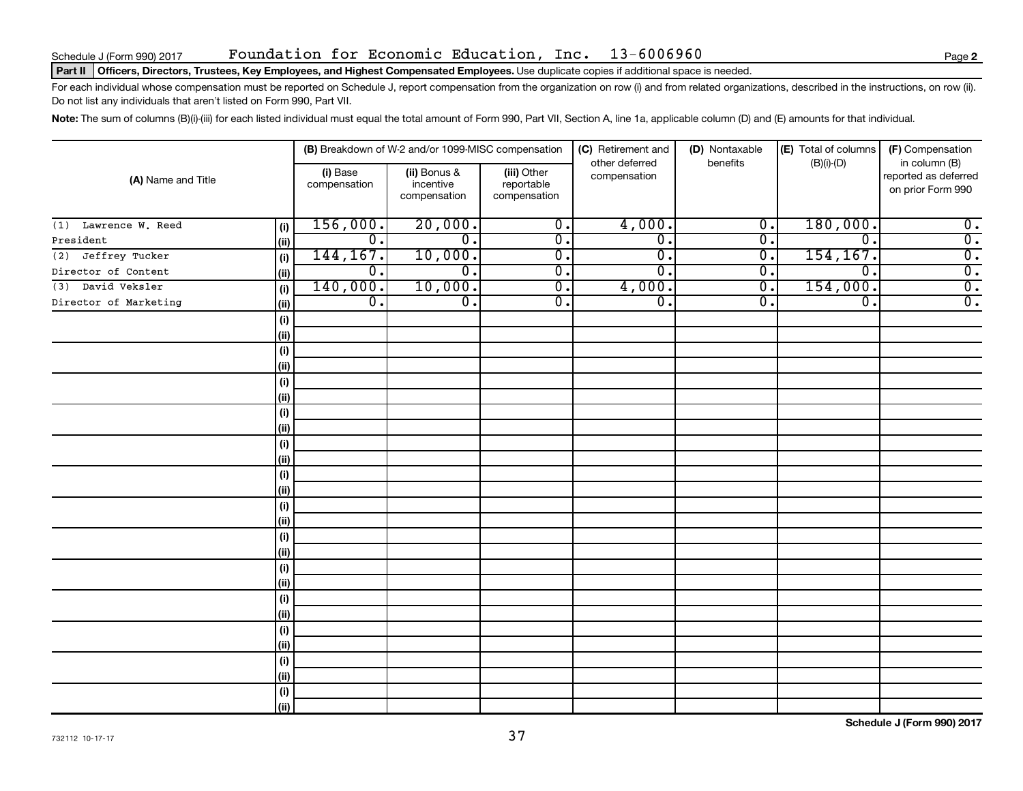#### Part II | Officers, Directors, Trustees, Key Employees, and Highest Compensated Employees. Use duplicate copies if additional space is needed.

For each individual whose compensation must be reported on Schedule J, report compensation from the organization on row (i) and from related organizations, described in the instructions, on row (ii). Do not list any individuals that aren't listed on Form 990, Part VII.

Note: The sum of columns (B)(i)-(iii) for each listed individual must equal the total amount of Form 990, Part VII, Section A, line 1a, applicable column (D) and (E) amounts for that individual.

| (A) Name and Title    |            |                          | (B) Breakdown of W-2 and/or 1099-MISC compensation |                                           | (C) Retirement and             | (D) Nontaxable              | (E) Total of columns | (F) Compensation<br>in column (B)         |  |
|-----------------------|------------|--------------------------|----------------------------------------------------|-------------------------------------------|--------------------------------|-----------------------------|----------------------|-------------------------------------------|--|
|                       |            | (i) Base<br>compensation | (ii) Bonus &<br>incentive<br>compensation          | (iii) Other<br>reportable<br>compensation | other deferred<br>compensation | benefits                    | $(B)(i)-(D)$         | reported as deferred<br>on prior Form 990 |  |
| (1) Lawrence W. Reed  | (i)        | 156,000.                 | 20,000.                                            | $\overline{0}$ .                          | 4,000.                         | $\overline{\mathfrak{o}}$ . | 180,000.             | $\overline{0}$ .                          |  |
| President             | (ii)       | $\overline{0}$ .         | σ.                                                 | σ.                                        | σ.                             | $\overline{\mathfrak{o}}$ . | 0.                   | $\overline{0}$ .                          |  |
| Jeffrey Tucker<br>(2) | (i)        | 144,167.                 | 10,000.                                            | σ.                                        | $\overline{0}$ .               | $\overline{\mathfrak{o}}$ . | 154, 167.            | $\overline{0}$ .                          |  |
| Director of Content   | (ii)       | $\overline{0}$ .         | 0.                                                 | $\overline{0}$ .                          | σ.                             | $\overline{\mathfrak{o}}$ . | 0.                   | $\overline{0}$ .                          |  |
| David Veksler<br>(3)  | (i)        | 140,000.                 | 10,000.                                            | $\overline{0}$ .                          | 4,000.                         | $\overline{0}$ .            | 154,000.             | $\overline{0}$ .                          |  |
| Director of Marketing | (ii)       | $\overline{0}$ .         | О.                                                 | $\overline{0}$ .                          | σ.                             | σ.                          | 0.                   | $\overline{0}$ .                          |  |
|                       | (i)        |                          |                                                    |                                           |                                |                             |                      |                                           |  |
|                       | (ii)       |                          |                                                    |                                           |                                |                             |                      |                                           |  |
|                       | (i)        |                          |                                                    |                                           |                                |                             |                      |                                           |  |
|                       | (ii)       |                          |                                                    |                                           |                                |                             |                      |                                           |  |
|                       | (i)        |                          |                                                    |                                           |                                |                             |                      |                                           |  |
|                       | (ii)       |                          |                                                    |                                           |                                |                             |                      |                                           |  |
|                       | $(\sf{i})$ |                          |                                                    |                                           |                                |                             |                      |                                           |  |
|                       | (ii)       |                          |                                                    |                                           |                                |                             |                      |                                           |  |
|                       | $(\sf{i})$ |                          |                                                    |                                           |                                |                             |                      |                                           |  |
|                       | (ii)       |                          |                                                    |                                           |                                |                             |                      |                                           |  |
|                       | (i)        |                          |                                                    |                                           |                                |                             |                      |                                           |  |
|                       | (ii)       |                          |                                                    |                                           |                                |                             |                      |                                           |  |
|                       | (i)        |                          |                                                    |                                           |                                |                             |                      |                                           |  |
|                       | (ii)       |                          |                                                    |                                           |                                |                             |                      |                                           |  |
|                       | (i)        |                          |                                                    |                                           |                                |                             |                      |                                           |  |
|                       | (ii)       |                          |                                                    |                                           |                                |                             |                      |                                           |  |
|                       | (i)        |                          |                                                    |                                           |                                |                             |                      |                                           |  |
|                       | (ii)       |                          |                                                    |                                           |                                |                             |                      |                                           |  |
|                       | (i)        |                          |                                                    |                                           |                                |                             |                      |                                           |  |
|                       | (ii)       |                          |                                                    |                                           |                                |                             |                      |                                           |  |
|                       | (i)        |                          |                                                    |                                           |                                |                             |                      |                                           |  |
|                       | (ii)       |                          |                                                    |                                           |                                |                             |                      |                                           |  |
|                       | (i)        |                          |                                                    |                                           |                                |                             |                      |                                           |  |
|                       | (ii)       |                          |                                                    |                                           |                                |                             |                      |                                           |  |
|                       | (i)        |                          |                                                    |                                           |                                |                             |                      |                                           |  |
|                       | (ii)       |                          |                                                    |                                           |                                |                             |                      |                                           |  |

**Schedule J (Form 990) 2017**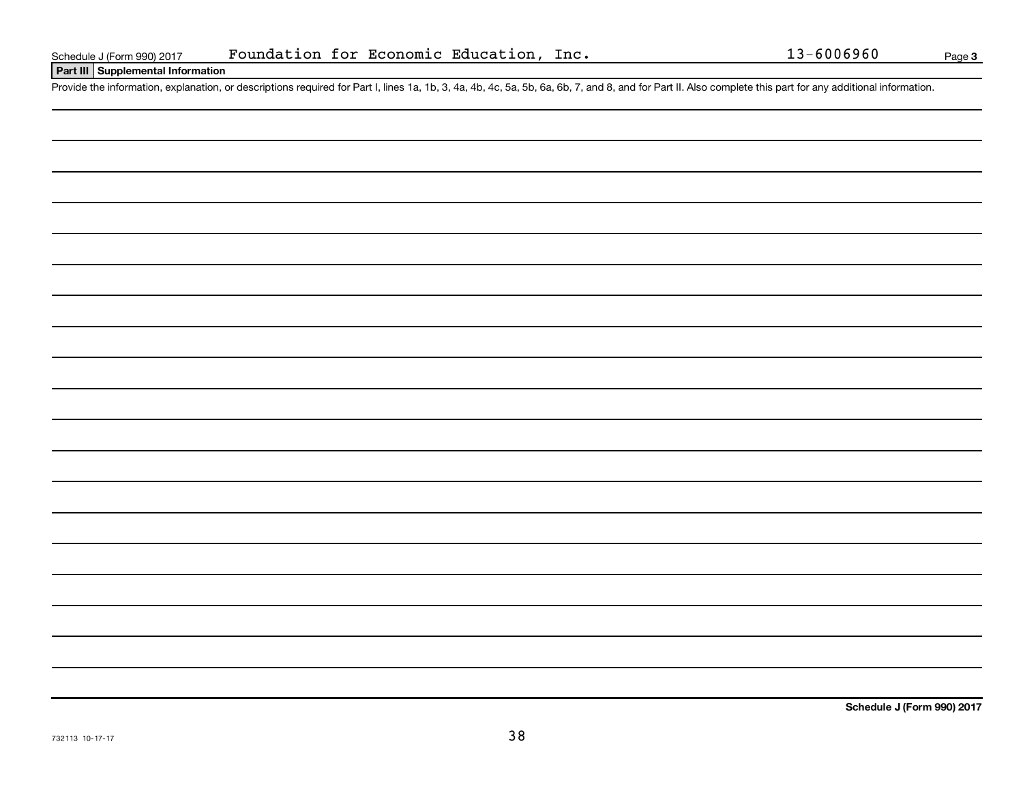**Part III Supplemental Information**

Provide the information, explanation, or descriptions required for Part I, lines 1a, 1b, 3, 4a, 4b, 4c, 5a, 5b, 6a, 6b, 7, and 8, and for Part II. Also complete this part for any additional information.

**Schedule J (Form 990) 2017**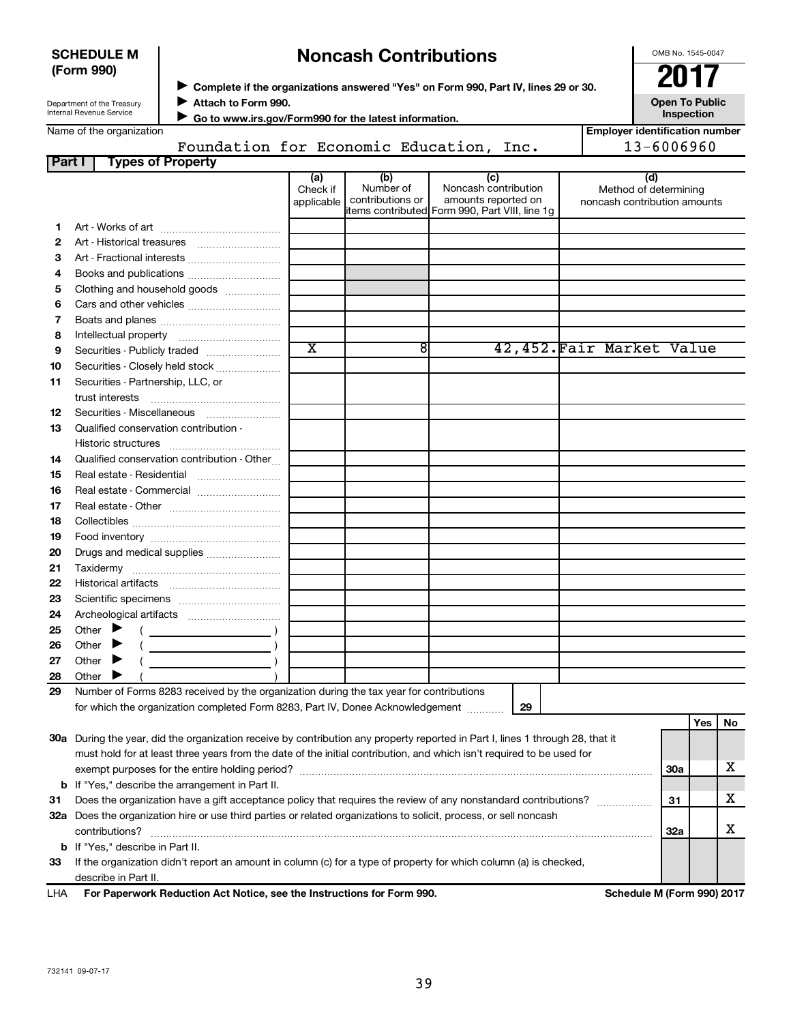|            |                                                                                                                                |     | Yes | No |  |  |
|------------|--------------------------------------------------------------------------------------------------------------------------------|-----|-----|----|--|--|
|            | 30a During the year, did the organization receive by contribution any property reported in Part I, lines 1 through 28, that it |     |     |    |  |  |
|            | must hold for at least three years from the date of the initial contribution, and which isn't required to be used for          |     |     |    |  |  |
|            | exempt purposes for the entire holding period?                                                                                 | 30a |     |    |  |  |
|            | <b>b</b> If "Yes," describe the arrangement in Part II.                                                                        |     |     |    |  |  |
| -31        | Does the organization have a gift acceptance policy that requires the review of any nonstandard contributions?                 | 31  |     |    |  |  |
| 32a        | Does the organization hire or use third parties or related organizations to solicit, process, or sell noncash                  |     |     |    |  |  |
|            | contributions?                                                                                                                 | 32a |     |    |  |  |
|            | <b>b</b> If "Yes." describe in Part II.                                                                                        |     |     |    |  |  |
| 33         | If the organization didn't report an amount in column (c) for a type of property for which column (a) is checked,              |     |     |    |  |  |
|            | describe in Part II.                                                                                                           |     |     |    |  |  |
| <b>LHA</b> | For Paperwork Reduction Act Notice, see the Instructions for Form 990.<br>Schedule M (Form 990) 2017                           |     |     |    |  |  |

# **Noncash Contributions**

◆ Complete if the organizations answered "Yes" on Form 990, Part IV, lines 29 or 30.<br>▶ Complete if the organizations answered "Yes" on Form 990, Part IV, lines 29 or 30.

**Attach to Form 990.** J

Department of the Treasury Internal Revenue Service

**SCHEDULE M (Form 990)**

 **Go to www.irs.gov/Form990 for the latest information.** J

|        | Name of the organization                                                                                                       |                               |                                      |                                                                                                      | <b>Employer identification number</b>                        |            |     |    |
|--------|--------------------------------------------------------------------------------------------------------------------------------|-------------------------------|--------------------------------------|------------------------------------------------------------------------------------------------------|--------------------------------------------------------------|------------|-----|----|
|        | Foundation for Economic Education, Inc.                                                                                        |                               |                                      |                                                                                                      | 13-6006960                                                   |            |     |    |
| Part I | <b>Types of Property</b>                                                                                                       |                               |                                      |                                                                                                      |                                                              |            |     |    |
|        |                                                                                                                                | (a)<br>Check if<br>applicable | (b)<br>Number of<br>contributions or | (c)<br>Noncash contribution<br>amounts reported on<br>items contributed Form 990, Part VIII, line 1g | (d)<br>Method of determining<br>noncash contribution amounts |            |     |    |
| 1.     |                                                                                                                                |                               |                                      |                                                                                                      |                                                              |            |     |    |
| 2      |                                                                                                                                |                               |                                      |                                                                                                      |                                                              |            |     |    |
| з      | Art - Fractional interests                                                                                                     |                               |                                      |                                                                                                      |                                                              |            |     |    |
| 4      |                                                                                                                                |                               |                                      |                                                                                                      |                                                              |            |     |    |
| 5      | Clothing and household goods                                                                                                   |                               |                                      |                                                                                                      |                                                              |            |     |    |
| 6      |                                                                                                                                |                               |                                      |                                                                                                      |                                                              |            |     |    |
| 7      |                                                                                                                                |                               |                                      |                                                                                                      |                                                              |            |     |    |
| 8      |                                                                                                                                |                               |                                      |                                                                                                      |                                                              |            |     |    |
| 9      | Securities - Publicly traded                                                                                                   | $\overline{\text{x}}$         | $\overline{8}$                       |                                                                                                      | 42,452. Fair Market Value                                    |            |     |    |
| 10     | Securities - Closely held stock                                                                                                |                               |                                      |                                                                                                      |                                                              |            |     |    |
| 11     | Securities - Partnership, LLC, or                                                                                              |                               |                                      |                                                                                                      |                                                              |            |     |    |
|        |                                                                                                                                |                               |                                      |                                                                                                      |                                                              |            |     |    |
| 12     | Securities - Miscellaneous                                                                                                     |                               |                                      |                                                                                                      |                                                              |            |     |    |
| 13     | Qualified conservation contribution -                                                                                          |                               |                                      |                                                                                                      |                                                              |            |     |    |
|        |                                                                                                                                |                               |                                      |                                                                                                      |                                                              |            |     |    |
| 14     | Qualified conservation contribution - Other                                                                                    |                               |                                      |                                                                                                      |                                                              |            |     |    |
| 15     |                                                                                                                                |                               |                                      |                                                                                                      |                                                              |            |     |    |
| 16     | Real estate - Commercial                                                                                                       |                               |                                      |                                                                                                      |                                                              |            |     |    |
| 17     |                                                                                                                                |                               |                                      |                                                                                                      |                                                              |            |     |    |
| 18     |                                                                                                                                |                               |                                      |                                                                                                      |                                                              |            |     |    |
| 19     |                                                                                                                                |                               |                                      |                                                                                                      |                                                              |            |     |    |
| 20     | Drugs and medical supplies                                                                                                     |                               |                                      |                                                                                                      |                                                              |            |     |    |
| 21     |                                                                                                                                |                               |                                      |                                                                                                      |                                                              |            |     |    |
| 22     |                                                                                                                                |                               |                                      |                                                                                                      |                                                              |            |     |    |
| 23     |                                                                                                                                |                               |                                      |                                                                                                      |                                                              |            |     |    |
| 24     |                                                                                                                                |                               |                                      |                                                                                                      |                                                              |            |     |    |
| 25     | Other $\blacktriangleright$<br>$\left(\begin{array}{ccc}\n&\n&\n\end{array}\right)$                                            |                               |                                      |                                                                                                      |                                                              |            |     |    |
| 26     | Other $\blacktriangleright$                                                                                                    |                               |                                      |                                                                                                      |                                                              |            |     |    |
| 27     | Other $\blacktriangleright$                                                                                                    |                               |                                      |                                                                                                      |                                                              |            |     |    |
| 28     | Other                                                                                                                          |                               |                                      |                                                                                                      |                                                              |            |     |    |
| 29     | Number of Forms 8283 received by the organization during the tax year for contributions                                        |                               |                                      |                                                                                                      |                                                              |            |     |    |
|        | for which the organization completed Form 8283, Part IV, Donee Acknowledgement                                                 |                               |                                      | 29                                                                                                   |                                                              |            |     |    |
|        |                                                                                                                                |                               |                                      |                                                                                                      |                                                              |            | Yes | No |
|        | 30a During the year, did the organization receive by contribution any property reported in Part I, lines 1 through 28, that it |                               |                                      |                                                                                                      |                                                              |            |     |    |
|        | must hold for at least three years from the date of the initial contribution, and which isn't required to be used for          |                               |                                      |                                                                                                      |                                                              |            |     |    |
|        |                                                                                                                                |                               |                                      |                                                                                                      |                                                              | <b>30a</b> |     | х  |
|        | <b>b</b> If "Yes," describe the arrangement in Part II.                                                                        |                               |                                      |                                                                                                      |                                                              |            |     |    |
| 31     | Does the organization have a gift acceptance policy that requires the review of any nonstandard contributions?                 |                               |                                      |                                                                                                      |                                                              | 31         |     | х  |
|        | 32a Does the organization hire or use third parties or related organizations to solicit, process, or sell noncash              |                               |                                      |                                                                                                      |                                                              |            |     |    |
|        | contributions?                                                                                                                 |                               |                                      |                                                                                                      |                                                              | <b>32a</b> |     | х  |
|        | <b>b</b> If "Yes," describe in Part II.                                                                                        |                               |                                      |                                                                                                      |                                                              |            |     |    |
| 33     | If the organization didn't report an amount in column (c) for a type of property for which column (a) is checked,              |                               |                                      |                                                                                                      |                                                              |            |     |    |

OMB No. 1545-0047

**Open To Public Inspection**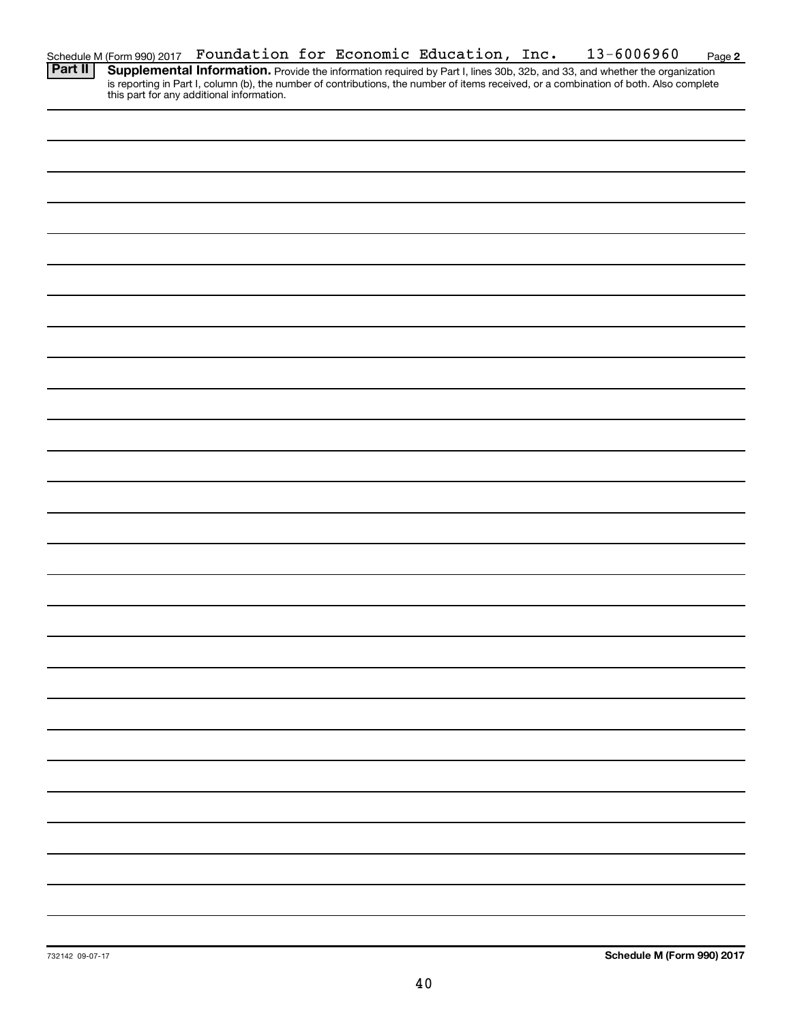|                                                                                                                                                                                                                                                                                                                                                                                      |  |  |  | Schedule M (Form 990) 2017 Foundation for Economic Education, Inc. | 13-6006960 | Page 2 |
|--------------------------------------------------------------------------------------------------------------------------------------------------------------------------------------------------------------------------------------------------------------------------------------------------------------------------------------------------------------------------------------|--|--|--|--------------------------------------------------------------------|------------|--------|
| $\overline{R}$ $\overline{R}$ $\overline{R}$ $\overline{R}$ $\overline{R}$ $\overline{R}$ $\overline{R}$ $\overline{R}$ $\overline{R}$ $\overline{R}$ $\overline{R}$ $\overline{R}$ $\overline{R}$ $\overline{R}$ $\overline{R}$ $\overline{R}$ $\overline{R}$ $\overline{R}$ $\overline{R}$ $\overline{R}$ $\overline{R}$ $\overline{R}$ $\overline{R}$ $\overline{R}$ $\overline{$ |  |  |  |                                                                    |            |        |

Provide the information required by Part I, lines 30b, 32b, and 33, and whether the organization is reporting in Part I, column (b), the number of contributions, the number of items received, or a combination of both. Also complete this part for any additional information. **Part II Supplemental Information.**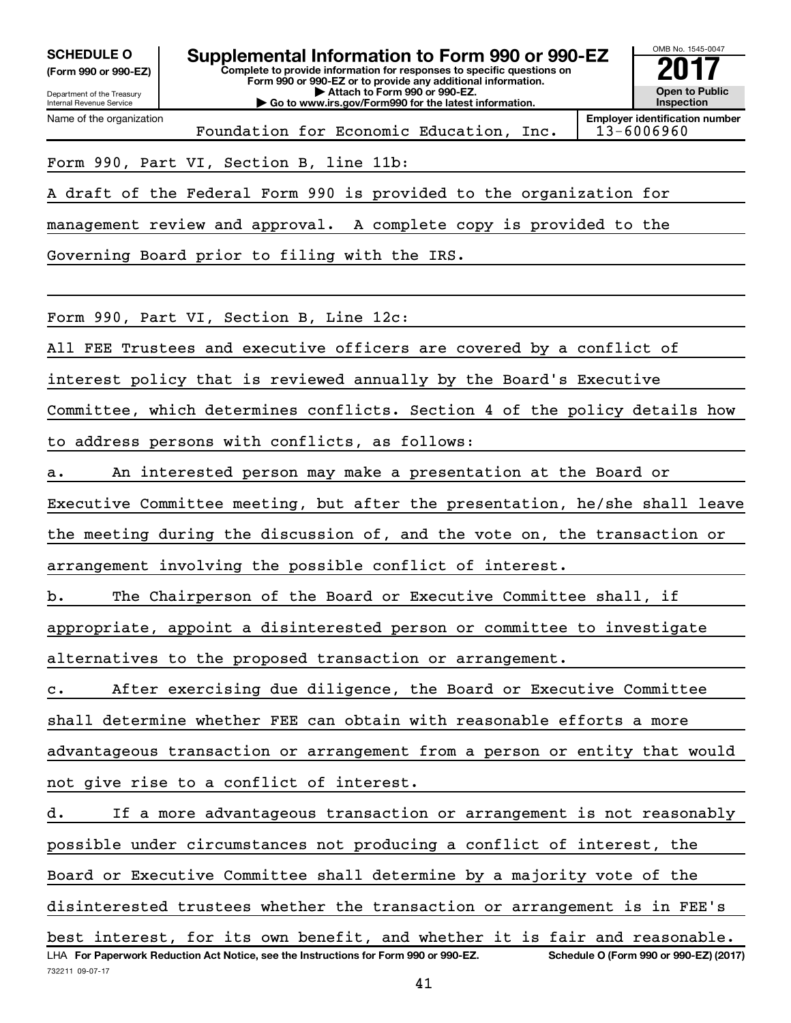**(Form 990 or 990-EZ)**

Department of the Treasury

Name of the organization

Internal Revenue Service

732211 09-07-17

**Complete to provide information for responses to specific questions on Form 990 or 990-EZ or to provide any additional information. | Attach to Form 990 or 990-EZ. | Go to www.irs.gov/Form990 for the latest information. SCHEDULE O Supplemental Information to Form 990 or 990-EZ** <br>(Form 990 or 990-EZ) Complete to provide information for responses to specific questions on



Foundation for Economic Education, Inc.

**Employer identification number**

Form 990, Part VI, Section B, line 11b:

A draft of the Federal Form 990 is provided to the organization for

management review and approval. A complete copy is provided to the

Governing Board prior to filing with the IRS.

Form 990, Part VI, Section B, Line 12c:

All FEE Trustees and executive officers are covered by a conflict of

interest policy that is reviewed annually by the Board's Executive

Committee, which determines conflicts. Section 4 of the policy details how to address persons with conflicts, as follows:

a. An interested person may make a presentation at the Board or

Executive Committee meeting, but after the presentation, he/she shall leave the meeting during the discussion of, and the vote on, the transaction or arrangement involving the possible conflict of interest.

b. The Chairperson of the Board or Executive Committee shall, if

appropriate, appoint a disinterested person or committee to investigate

alternatives to the proposed transaction or arrangement.

c. After exercising due diligence, the Board or Executive Committee

shall determine whether FEE can obtain with reasonable efforts a more

advantageous transaction or arrangement from a person or entity that would not give rise to a conflict of interest.

LHA For Paperwork Reduction Act Notice, see the Instructions for Form 990 or 990-EZ. Schedule O (Form 990 or 990-EZ) (2017) d. If a more advantageous transaction or arrangement is not reasonably possible under circumstances not producing a conflict of interest, the Board or Executive Committee shall determine by a majority vote of the disinterested trustees whether the transaction or arrangement is in FEE's best interest, for its own benefit, and whether it is fair and reasonable.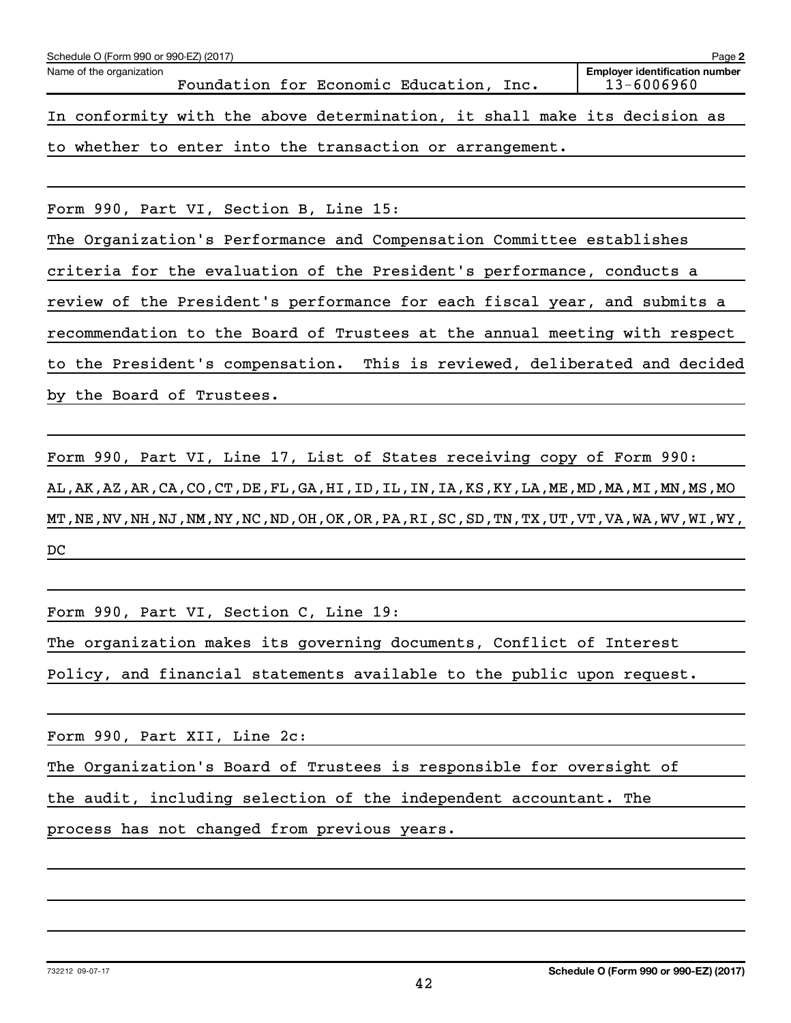| Schedule O (Form 990 or 990-EZ) (2017)                                     | Page 2                                              |
|----------------------------------------------------------------------------|-----------------------------------------------------|
| Name of the organization<br>Foundation for Economic Education, Inc.        | <b>Employer identification number</b><br>13-6006960 |
| In conformity with the above determination, it shall make its decision as  |                                                     |
| to whether to enter into the transaction or arrangement.                   |                                                     |
|                                                                            |                                                     |
| Form 990, Part VI, Section B, Line 15:                                     |                                                     |
| The Organization's Performance and Compensation Committee establishes      |                                                     |
| criteria for the evaluation of the President's performance, conducts a     |                                                     |
| review of the President's performance for each fiscal year, and submits a  |                                                     |
| recommendation to the Board of Trustees at the annual meeting with respect |                                                     |
| to the President's compensation. This is reviewed, deliberated and decided |                                                     |
| by the Board of Trustees.                                                  |                                                     |

Form 990, Part VI, Line 17, List of States receiving copy of Form 990: AL,AK,AZ,AR,CA,CO,CT,DE,FL,GA,HI,ID,IL,IN,IA,KS,KY,LA,ME,MD,MA,MI,MN,MS,MO MT,NE,NV,NH,NJ,NM,NY,NC,ND,OH,OK,OR,PA,RI,SC,SD,TN,TX,UT,VT,VA,WA,WV,WI,WY, DC

Form 990, Part VI, Section C, Line 19:

The organization makes its governing documents, Conflict of Interest

Policy, and financial statements available to the public upon request.

Form 990, Part XII, Line 2c:

The Organization's Board of Trustees is responsible for oversight of

the audit, including selection of the independent accountant. The

process has not changed from previous years.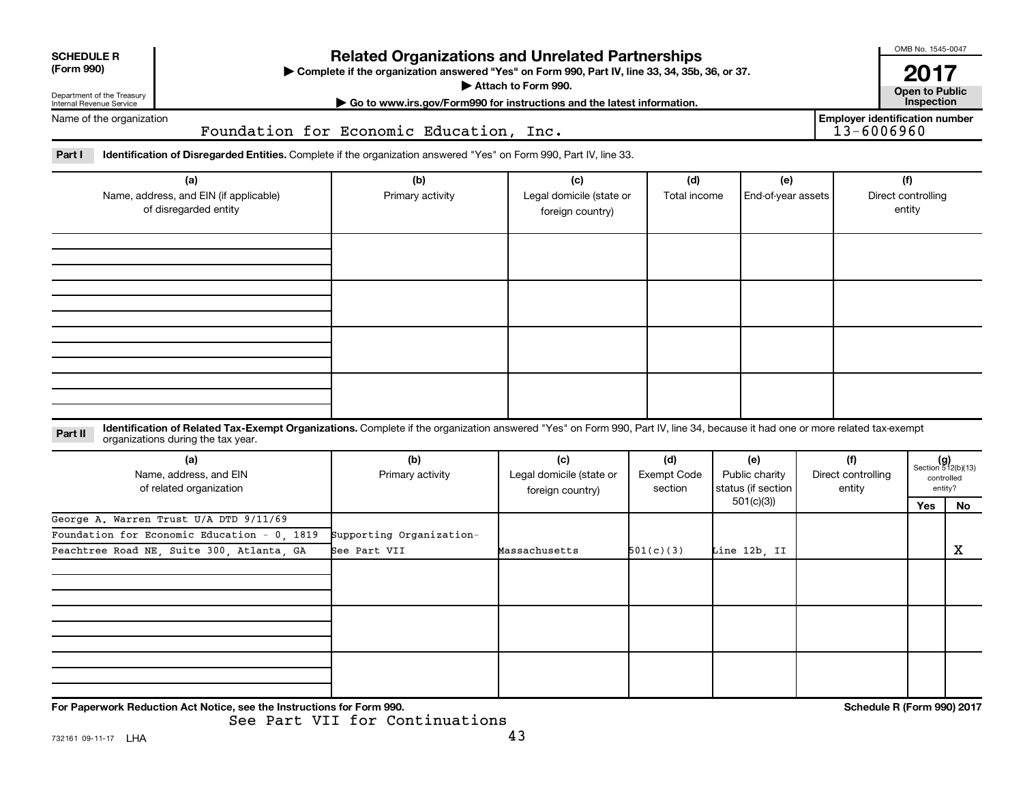| <b>Related Organizations and Unrelated Partnerships</b><br><b>SCHEDULE R</b><br>(Form 990)<br>Complete if the organization answered "Yes" on Form 990, Part IV, line 33, 34, 35b, 36, or 37.<br>Attach to Form 990.<br>Department of the Treasury<br>Internal Revenue Service |  |                                                                        |                                                                                                                                                                              |                                         |                                             |                                     |  |                                     | OMB No. 1545-0047<br>2017<br><b>Open to Public<br/>Inspection</b> |    |  |  |
|-------------------------------------------------------------------------------------------------------------------------------------------------------------------------------------------------------------------------------------------------------------------------------|--|------------------------------------------------------------------------|------------------------------------------------------------------------------------------------------------------------------------------------------------------------------|-----------------------------------------|---------------------------------------------|-------------------------------------|--|-------------------------------------|-------------------------------------------------------------------|----|--|--|
| Name of the organization                                                                                                                                                                                                                                                      |  |                                                                        | Go to www.irs.gov/Form990 for instructions and the latest information.                                                                                                       | <b>Employer identification number</b>   |                                             |                                     |  |                                     |                                                                   |    |  |  |
|                                                                                                                                                                                                                                                                               |  |                                                                        |                                                                                                                                                                              | Foundation for Economic Education, Inc. |                                             |                                     |  |                                     |                                                                   |    |  |  |
| Part I                                                                                                                                                                                                                                                                        |  |                                                                        | Identification of Disregarded Entities. Complete if the organization answered "Yes" on Form 990, Part IV, line 33.                                                           |                                         |                                             |                                     |  |                                     |                                                                   |    |  |  |
| (a)<br>Name, address, and EIN (if applicable)<br>of disregarded entity                                                                                                                                                                                                        |  | (b)<br>Primary activity                                                | (c)<br>Legal domicile (state or<br>foreign country)                                                                                                                          | (d)<br>Total income                     | (e)<br>End-of-year assets                   |                                     |  | (f)<br>Direct controlling<br>entity |                                                                   |    |  |  |
|                                                                                                                                                                                                                                                                               |  |                                                                        |                                                                                                                                                                              |                                         |                                             |                                     |  |                                     |                                                                   |    |  |  |
|                                                                                                                                                                                                                                                                               |  |                                                                        |                                                                                                                                                                              |                                         |                                             |                                     |  |                                     |                                                                   |    |  |  |
|                                                                                                                                                                                                                                                                               |  |                                                                        |                                                                                                                                                                              |                                         |                                             |                                     |  |                                     |                                                                   |    |  |  |
|                                                                                                                                                                                                                                                                               |  |                                                                        |                                                                                                                                                                              |                                         |                                             |                                     |  |                                     |                                                                   |    |  |  |
| Part II                                                                                                                                                                                                                                                                       |  | organizations during the tax year.                                     | Identification of Related Tax-Exempt Organizations. Complete if the organization answered "Yes" on Form 990, Part IV, line 34, because it had one or more related tax-exempt |                                         |                                             |                                     |  |                                     |                                                                   |    |  |  |
| (a)<br>Name, address, and EIN<br>of related organization                                                                                                                                                                                                                      |  | (b)<br>Primary activity                                                | (c)<br>Legal domicile (state or<br>foreign country)                                                                                                                          | (d)<br>Exempt Code<br>section           | (e)<br>Public charity<br>status (if section | (f)<br>Direct controlling<br>entity |  |                                     | $(g)$<br>Section 512(b)(13)<br>controlled<br>entity?              |    |  |  |
|                                                                                                                                                                                                                                                                               |  |                                                                        |                                                                                                                                                                              |                                         |                                             | 501(c)(3)                           |  |                                     | Yes                                                               | No |  |  |
| George A. Warren Trust U/A DTD 9/11/69<br>Foundation for Economic Education - 0 1819<br>Peachtree Road NE, Suite 300, Atlanta, GA                                                                                                                                             |  | Supporting Organization-<br>See Part VII                               | Massachusetts                                                                                                                                                                | 501(c)(3)                               | Line 12b, II                                |                                     |  |                                     | x                                                                 |    |  |  |
|                                                                                                                                                                                                                                                                               |  |                                                                        |                                                                                                                                                                              |                                         |                                             |                                     |  |                                     |                                                                   |    |  |  |
|                                                                                                                                                                                                                                                                               |  |                                                                        |                                                                                                                                                                              |                                         |                                             |                                     |  |                                     |                                                                   |    |  |  |
|                                                                                                                                                                                                                                                                               |  |                                                                        |                                                                                                                                                                              |                                         |                                             |                                     |  |                                     |                                                                   |    |  |  |
|                                                                                                                                                                                                                                                                               |  | For Paperwork Reduction Act Notice, see the Instructions for Form 990. |                                                                                                                                                                              |                                         |                                             |                                     |  |                                     | Schedule R (Form 990) 2017                                        |    |  |  |

See Part VII for Continuations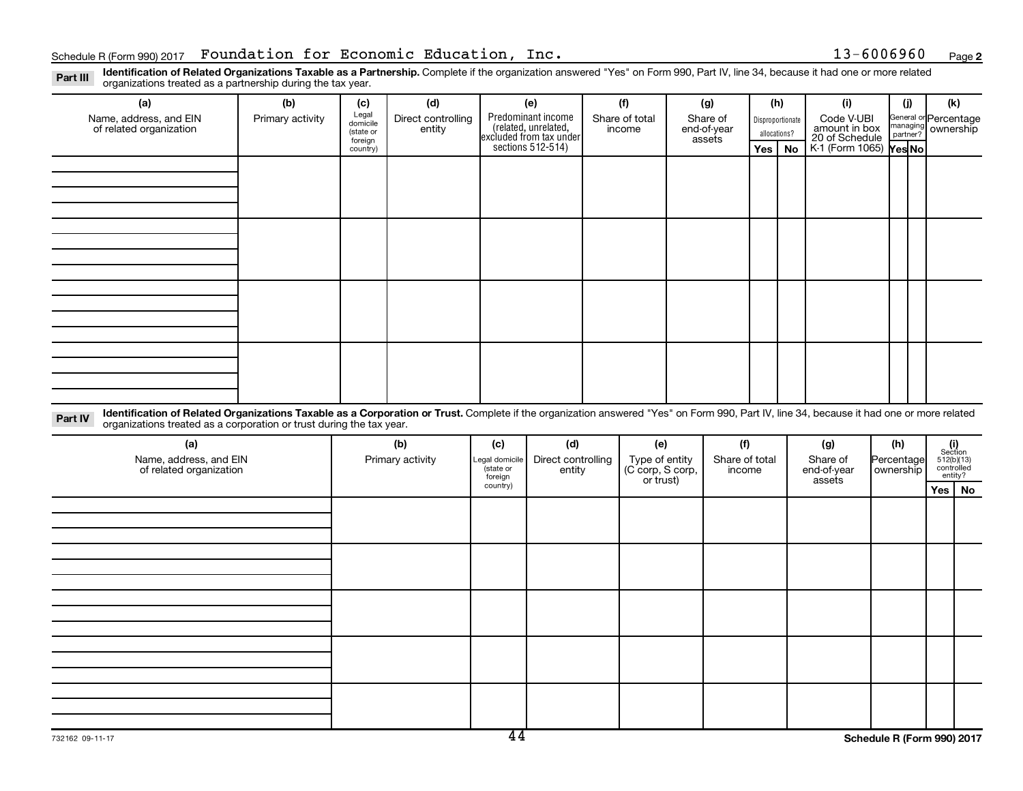**2**

Part III Identification of Related Organizations Taxable as a Partnership. Complete if the organization answered "Yes" on Form 990, Part IV, line 34, because it had one or more related<br>Part III International tracted as a p organizations treated as a partnership during the tax year.

| (a)                                                                                                                                                                                                                                                                         | (b)                                                                                                                                                                                                | (c)              | (d) |                                        | (e)                          |                                                                                   | (f)                                |  | (g)                      | (h)                                |    | (i)                     |                         | (i) | (k)                                 |
|-----------------------------------------------------------------------------------------------------------------------------------------------------------------------------------------------------------------------------------------------------------------------------|----------------------------------------------------------------------------------------------------------------------------------------------------------------------------------------------------|------------------|-----|----------------------------------------|------------------------------|-----------------------------------------------------------------------------------|------------------------------------|--|--------------------------|------------------------------------|----|-------------------------|-------------------------|-----|-------------------------------------|
| Name, address, and EIN<br>of related organization                                                                                                                                                                                                                           | Legal<br>Predominant income<br>Primary activity<br>Direct controlling<br>Share of total<br>domicile<br>(related, unrelated,<br>excluded from tax under<br>entity<br>income<br>(state or<br>foreign |                  |     | Share of<br>end-of-year<br>assets      |                              | Code V-UBI<br>Disproportionate<br>amount in box<br>allocations?<br>20 of Schedule |                                    |  | managing<br>partner?     | General or Percentage<br>ownership |    |                         |                         |     |                                     |
|                                                                                                                                                                                                                                                                             |                                                                                                                                                                                                    | country)         |     |                                        | sections 512-514)            |                                                                                   |                                    |  |                          | Yes                                | No | K-1 (Form 1065) Yes No  |                         |     |                                     |
|                                                                                                                                                                                                                                                                             |                                                                                                                                                                                                    |                  |     |                                        |                              |                                                                                   |                                    |  |                          |                                    |    |                         |                         |     |                                     |
|                                                                                                                                                                                                                                                                             |                                                                                                                                                                                                    |                  |     |                                        |                              |                                                                                   |                                    |  |                          |                                    |    |                         |                         |     |                                     |
|                                                                                                                                                                                                                                                                             |                                                                                                                                                                                                    |                  |     |                                        |                              |                                                                                   |                                    |  |                          |                                    |    |                         |                         |     |                                     |
|                                                                                                                                                                                                                                                                             |                                                                                                                                                                                                    |                  |     |                                        |                              |                                                                                   |                                    |  |                          |                                    |    |                         |                         |     |                                     |
|                                                                                                                                                                                                                                                                             |                                                                                                                                                                                                    |                  |     |                                        |                              |                                                                                   |                                    |  |                          |                                    |    |                         |                         |     |                                     |
|                                                                                                                                                                                                                                                                             |                                                                                                                                                                                                    |                  |     |                                        |                              |                                                                                   |                                    |  |                          |                                    |    |                         |                         |     |                                     |
|                                                                                                                                                                                                                                                                             |                                                                                                                                                                                                    |                  |     |                                        |                              |                                                                                   |                                    |  |                          |                                    |    |                         |                         |     |                                     |
|                                                                                                                                                                                                                                                                             |                                                                                                                                                                                                    |                  |     |                                        |                              |                                                                                   |                                    |  |                          |                                    |    |                         |                         |     |                                     |
|                                                                                                                                                                                                                                                                             |                                                                                                                                                                                                    |                  |     |                                        |                              |                                                                                   |                                    |  |                          |                                    |    |                         |                         |     |                                     |
|                                                                                                                                                                                                                                                                             |                                                                                                                                                                                                    |                  |     |                                        |                              |                                                                                   |                                    |  |                          |                                    |    |                         |                         |     |                                     |
|                                                                                                                                                                                                                                                                             |                                                                                                                                                                                                    |                  |     |                                        |                              |                                                                                   |                                    |  |                          |                                    |    |                         |                         |     |                                     |
|                                                                                                                                                                                                                                                                             |                                                                                                                                                                                                    |                  |     |                                        |                              |                                                                                   |                                    |  |                          |                                    |    |                         |                         |     |                                     |
|                                                                                                                                                                                                                                                                             |                                                                                                                                                                                                    |                  |     |                                        |                              |                                                                                   |                                    |  |                          |                                    |    |                         |                         |     |                                     |
|                                                                                                                                                                                                                                                                             |                                                                                                                                                                                                    |                  |     |                                        |                              |                                                                                   |                                    |  |                          |                                    |    |                         |                         |     |                                     |
|                                                                                                                                                                                                                                                                             |                                                                                                                                                                                                    |                  |     |                                        |                              |                                                                                   |                                    |  |                          |                                    |    |                         |                         |     |                                     |
|                                                                                                                                                                                                                                                                             |                                                                                                                                                                                                    |                  |     |                                        |                              |                                                                                   |                                    |  |                          |                                    |    |                         |                         |     |                                     |
| Identification of Related Organizations Taxable as a Corporation or Trust. Complete if the organization answered "Yes" on Form 990, Part IV, line 34, because it had one or more related<br>Part IV<br>organizations treated as a corporation or trust during the tax year. |                                                                                                                                                                                                    |                  |     |                                        |                              |                                                                                   |                                    |  |                          |                                    |    |                         |                         |     |                                     |
| (a)                                                                                                                                                                                                                                                                         |                                                                                                                                                                                                    |                  | (b) | (c)                                    | (d)                          |                                                                                   | (e)                                |  | (f)                      |                                    |    | (g)                     |                         | (h) | (i)<br>Section                      |
| Name, address, and EIN<br>of related organization                                                                                                                                                                                                                           |                                                                                                                                                                                                    | Primary activity |     | Legal domicile<br>(state or<br>foreign | Direct controlling<br>entity |                                                                                   | Type of entity<br>(C corp, S corp, |  | Share of total<br>income |                                    |    | Share of<br>end-of-year | Percentage<br>ownership |     | 512(b)(13)<br>controlled<br>entity? |
|                                                                                                                                                                                                                                                                             |                                                                                                                                                                                                    |                  |     | country)                               |                              |                                                                                   | or trust)                          |  |                          |                                    |    | assets                  |                         |     | Yes   No                            |

| 732162 09-11-17 | 44 |  |  | <b>Schedule</b> |  |
|-----------------|----|--|--|-----------------|--|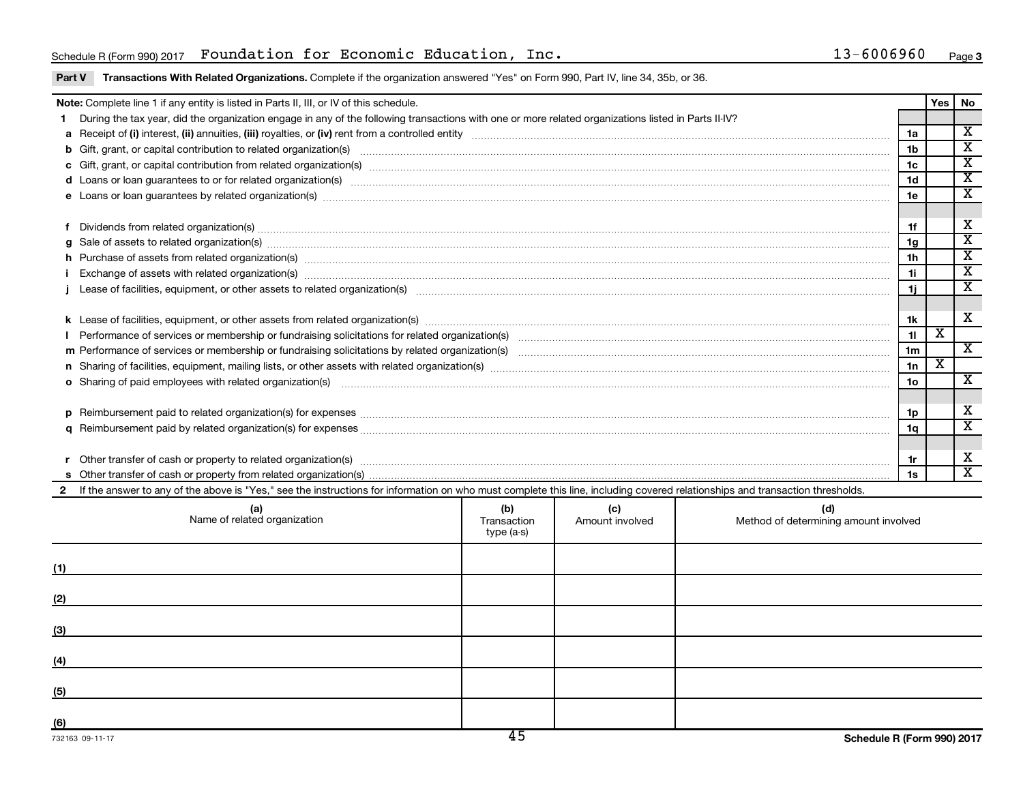## Schedule R(Form 990) 2017 Foundation for Economic Education, Inc. 13-6006960 Page

#### Part V Transactions With Related Organizations. Complete if the organization answered "Yes" on Form 990, Part IV, line 34, 35b, or 36.

|                                                                                                                                                                              | Note: Complete line 1 if any entity is listed in Parts II, III, or IV of this schedule.                                                                                                                                        |     |                                           |                                              |                       | Yes | No                      |  |  |
|------------------------------------------------------------------------------------------------------------------------------------------------------------------------------|--------------------------------------------------------------------------------------------------------------------------------------------------------------------------------------------------------------------------------|-----|-------------------------------------------|----------------------------------------------|-----------------------|-----|-------------------------|--|--|
|                                                                                                                                                                              | During the tax year, did the organization engage in any of the following transactions with one or more related organizations listed in Parts II-IV?                                                                            |     |                                           |                                              |                       |     | $\overline{\mathbf{X}}$ |  |  |
|                                                                                                                                                                              |                                                                                                                                                                                                                                |     |                                           |                                              |                       |     |                         |  |  |
|                                                                                                                                                                              |                                                                                                                                                                                                                                |     |                                           |                                              |                       |     |                         |  |  |
|                                                                                                                                                                              |                                                                                                                                                                                                                                |     |                                           |                                              |                       |     |                         |  |  |
|                                                                                                                                                                              | d Loans or loan guarantees to or for related organization(s) mature material content to consume the content of the content of the content of the content of the content of the content of the content of the content of the co |     |                                           |                                              |                       |     |                         |  |  |
|                                                                                                                                                                              | e Loans or loan guarantees by related organization(s) material contents and content to content the content of the content of the content of the content of the content of the content of the content of the content of the con |     |                                           |                                              |                       |     |                         |  |  |
|                                                                                                                                                                              |                                                                                                                                                                                                                                |     |                                           |                                              |                       |     |                         |  |  |
|                                                                                                                                                                              | Dividends from related organization(s) material contents and content and content and content and content and content and content and content and content and content and content and content and content and content and conte |     |                                           |                                              |                       |     |                         |  |  |
|                                                                                                                                                                              | g Sale of assets to related organization(s) manufactured assemblance contract to the contract of the contract or contract or contract or contract or contract or contract or contract or contract or contract or contract or c |     |                                           |                                              |                       |     |                         |  |  |
|                                                                                                                                                                              | h Purchase of assets from related organization(s) manufactured and content to content the content of assets from related organization(s) manufactured and content and content and content of the content of the content of the |     |                                           |                                              |                       |     |                         |  |  |
|                                                                                                                                                                              | Exchange of assets with related organization(s) www.wallen.com/www.wallen.com/www.wallen.com/www.wallen.com/www.wallen.com/www.wallen.com/www.wallen.com/www.wallen.com/www.wallen.com/www.wallen.com/www.wallen.com/www.walle |     |                                           |                                              |                       |     |                         |  |  |
|                                                                                                                                                                              |                                                                                                                                                                                                                                |     |                                           |                                              |                       |     |                         |  |  |
|                                                                                                                                                                              |                                                                                                                                                                                                                                |     |                                           |                                              |                       |     |                         |  |  |
|                                                                                                                                                                              |                                                                                                                                                                                                                                |     |                                           |                                              |                       |     |                         |  |  |
|                                                                                                                                                                              |                                                                                                                                                                                                                                |     |                                           |                                              |                       |     |                         |  |  |
|                                                                                                                                                                              |                                                                                                                                                                                                                                |     |                                           |                                              | 1 <sub>m</sub>        |     | $\overline{\texttt{x}}$ |  |  |
|                                                                                                                                                                              | n Sharing of facilities, equipment, mailing lists, or other assets with related organization(s) marror manufactured manufactured manufactured manufactured manufactured manufactured manufactured manufactured manufactured ma |     |                                           |                                              |                       |     |                         |  |  |
|                                                                                                                                                                              | o Sharing of paid employees with related organization(s) manufaction(s) and contain an example and contained an example and contained and contained and stated organization(s) and contained and contained and contained and c |     |                                           |                                              | 1n<br>10 <sub>o</sub> |     | $\overline{\mathbf{X}}$ |  |  |
|                                                                                                                                                                              |                                                                                                                                                                                                                                |     |                                           |                                              |                       |     |                         |  |  |
|                                                                                                                                                                              |                                                                                                                                                                                                                                |     |                                           |                                              | 1p                    |     | х                       |  |  |
|                                                                                                                                                                              |                                                                                                                                                                                                                                |     |                                           |                                              |                       |     | $\overline{\texttt{x}}$ |  |  |
|                                                                                                                                                                              |                                                                                                                                                                                                                                |     |                                           |                                              | 1a                    |     |                         |  |  |
|                                                                                                                                                                              |                                                                                                                                                                                                                                |     |                                           |                                              |                       |     |                         |  |  |
|                                                                                                                                                                              |                                                                                                                                                                                                                                |     |                                           |                                              |                       |     |                         |  |  |
| If the answer to any of the above is "Yes," see the instructions for information on who must complete this line, including covered relationships and transaction thresholds. |                                                                                                                                                                                                                                |     |                                           |                                              |                       |     |                         |  |  |
|                                                                                                                                                                              | (a)<br>Name of related organization                                                                                                                                                                                            | (b) | (c)<br>Transaction <b>Amount</b> involved | (d)<br>Method of determining amount involved |                       |     |                         |  |  |

|     | (a)<br>Name of related organization | (D)<br>Transaction<br>type (a-s) | (C)<br>Amount involved | (a)<br>Method of determining amount involved |
|-----|-------------------------------------|----------------------------------|------------------------|----------------------------------------------|
| (1) |                                     |                                  |                        |                                              |
| (2) |                                     |                                  |                        |                                              |
| (3) |                                     |                                  |                        |                                              |
| (4) |                                     |                                  |                        |                                              |
| (5) |                                     |                                  |                        |                                              |
| (6) |                                     | $\overline{1}$                   |                        | _ _ _ _ _ _ _                                |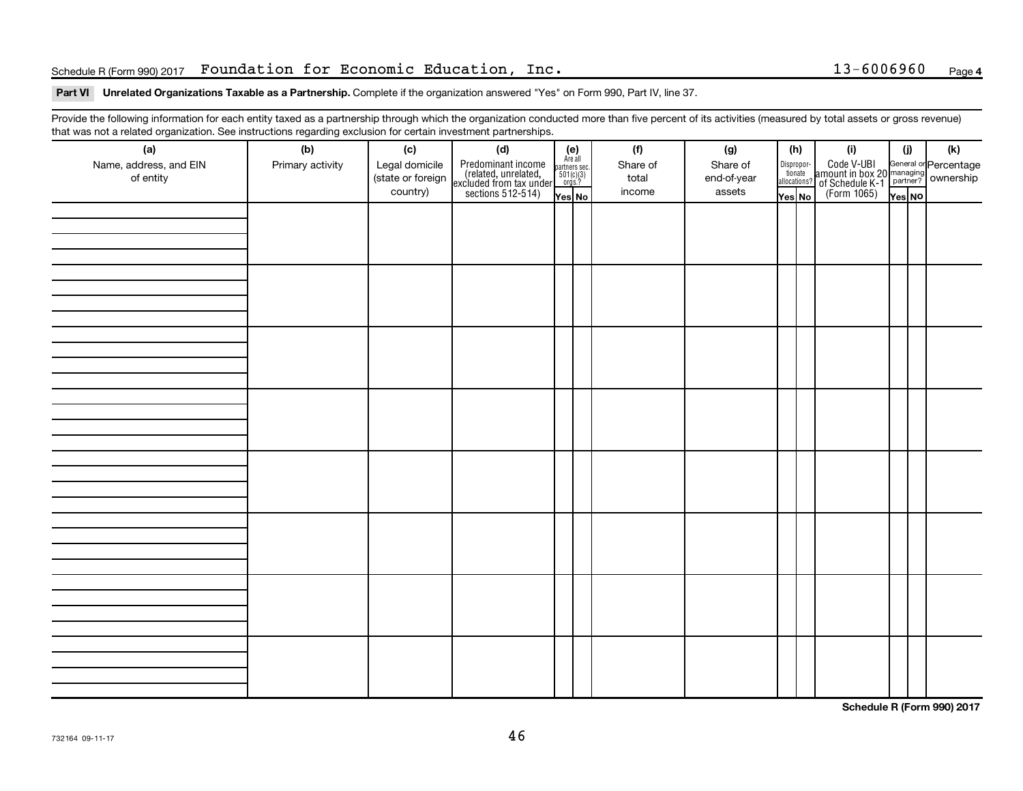### Schedule R(Form 990) 2017 Foundation for Economic Education, Inc. 13-6006960 Page

#### Part VI Unrelated Organizations Taxable as a Partnership. Complete if the organization answered "Yes" on Form 990, Part IV, line 37.

Provide the following information for each entity taxed as a partnership through which the organization conducted more than five percent of its activities (measured by total assets or gross revenue) that was not a related organization. See instructions regarding exclusion for certain investment partnerships.

| mat mad not a rolated organization. Occ included for regarding excludion for coltain invectment partneremper.<br>(a) | (b)              | (c)                                             | (d)                                                                                        |                                                          | (f)                         | (g)                               |                                  | (h) | (i)                                                                                                 | (j)    | (k) |
|----------------------------------------------------------------------------------------------------------------------|------------------|-------------------------------------------------|--------------------------------------------------------------------------------------------|----------------------------------------------------------|-----------------------------|-----------------------------------|----------------------------------|-----|-----------------------------------------------------------------------------------------------------|--------|-----|
| Name, address, and EIN<br>of entity                                                                                  | Primary activity | Legal domicile<br>(state or foreign<br>country) | Predominant income<br>(related, unrelated,<br>excluded from tax under<br>sections 512-514) | (e)<br>Are all<br>partners sec.<br>$501(c)(3)$<br>orgs.? | Share of<br>total<br>income | Share of<br>end-of-year<br>assets | Disproportionate<br>allocations? |     | Code V-UBI<br>amount in box 20 managing<br>of Schedule K-1<br>(Form 1065)<br>$\sqrt{\text{res}}$ No |        |     |
|                                                                                                                      |                  |                                                 |                                                                                            | Yes No                                                   |                             |                                   | Yes No                           |     |                                                                                                     | Yes NO |     |
|                                                                                                                      |                  |                                                 |                                                                                            |                                                          |                             |                                   |                                  |     |                                                                                                     |        |     |
|                                                                                                                      |                  |                                                 |                                                                                            |                                                          |                             |                                   |                                  |     |                                                                                                     |        |     |
|                                                                                                                      |                  |                                                 |                                                                                            |                                                          |                             |                                   |                                  |     |                                                                                                     |        |     |
|                                                                                                                      |                  |                                                 |                                                                                            |                                                          |                             |                                   |                                  |     |                                                                                                     |        |     |
|                                                                                                                      |                  |                                                 |                                                                                            |                                                          |                             |                                   |                                  |     |                                                                                                     |        |     |
|                                                                                                                      |                  |                                                 |                                                                                            |                                                          |                             |                                   |                                  |     |                                                                                                     |        |     |
|                                                                                                                      |                  |                                                 |                                                                                            |                                                          |                             |                                   |                                  |     |                                                                                                     |        |     |
|                                                                                                                      |                  |                                                 |                                                                                            |                                                          |                             |                                   |                                  |     |                                                                                                     |        |     |
|                                                                                                                      |                  |                                                 |                                                                                            |                                                          |                             |                                   |                                  |     |                                                                                                     |        |     |
|                                                                                                                      |                  |                                                 |                                                                                            |                                                          |                             |                                   |                                  |     |                                                                                                     |        |     |
|                                                                                                                      |                  |                                                 |                                                                                            |                                                          |                             |                                   |                                  |     |                                                                                                     |        |     |
|                                                                                                                      |                  |                                                 |                                                                                            |                                                          |                             |                                   |                                  |     |                                                                                                     |        |     |
|                                                                                                                      |                  |                                                 |                                                                                            |                                                          |                             |                                   |                                  |     |                                                                                                     |        |     |
|                                                                                                                      |                  |                                                 |                                                                                            |                                                          |                             |                                   |                                  |     |                                                                                                     |        |     |
|                                                                                                                      |                  |                                                 |                                                                                            |                                                          |                             |                                   |                                  |     |                                                                                                     |        |     |
|                                                                                                                      |                  |                                                 |                                                                                            |                                                          |                             |                                   |                                  |     |                                                                                                     |        |     |
|                                                                                                                      |                  |                                                 |                                                                                            |                                                          |                             |                                   |                                  |     |                                                                                                     |        |     |
|                                                                                                                      |                  |                                                 |                                                                                            |                                                          |                             |                                   |                                  |     |                                                                                                     |        |     |
|                                                                                                                      |                  |                                                 |                                                                                            |                                                          |                             |                                   |                                  |     |                                                                                                     |        |     |
|                                                                                                                      |                  |                                                 |                                                                                            |                                                          |                             |                                   |                                  |     |                                                                                                     |        |     |
|                                                                                                                      |                  |                                                 |                                                                                            |                                                          |                             |                                   |                                  |     |                                                                                                     |        |     |
|                                                                                                                      |                  |                                                 |                                                                                            |                                                          |                             |                                   |                                  |     |                                                                                                     |        |     |
|                                                                                                                      |                  |                                                 |                                                                                            |                                                          |                             |                                   |                                  |     |                                                                                                     |        |     |
|                                                                                                                      |                  |                                                 |                                                                                            |                                                          |                             |                                   |                                  |     |                                                                                                     |        |     |
|                                                                                                                      |                  |                                                 |                                                                                            |                                                          |                             |                                   |                                  |     |                                                                                                     |        |     |
|                                                                                                                      |                  |                                                 |                                                                                            |                                                          |                             |                                   |                                  |     |                                                                                                     |        |     |
|                                                                                                                      |                  |                                                 |                                                                                            |                                                          |                             |                                   |                                  |     |                                                                                                     |        |     |
|                                                                                                                      |                  |                                                 |                                                                                            |                                                          |                             |                                   |                                  |     |                                                                                                     |        |     |
|                                                                                                                      |                  |                                                 |                                                                                            |                                                          |                             |                                   |                                  |     |                                                                                                     |        |     |
|                                                                                                                      |                  |                                                 |                                                                                            |                                                          |                             |                                   |                                  |     |                                                                                                     |        |     |

**Schedule R (Form 990) 2017**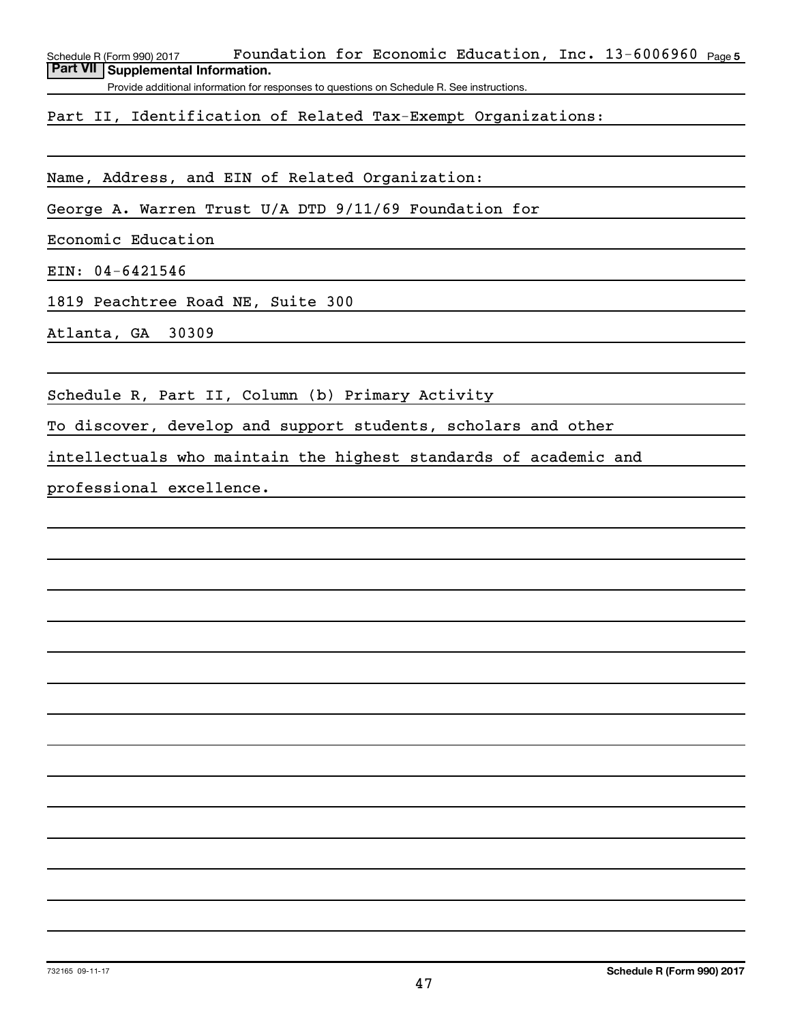Schedule R (Form 990) 2017 Fo**undation for Economic Education, Inc. 1**3-6006960 <sub>Page 5</sub> **Part VII Supplemental Information.**

Provide additional information for responses to questions on Schedule R. See instructions.

Part II, Identification of Related Tax-Exempt Organizations:

Name, Address, and EIN of Related Organization:

George A. Warren Trust U/A DTD 9/11/69 Foundation for

Economic Education

EIN: 04-6421546

1819 Peachtree Road NE, Suite 300

Atlanta, GA 30309

Schedule R, Part II, Column (b) Primary Activity

To discover, develop and support students, scholars and other

intellectuals who maintain the highest standards of academic and

professional excellence.